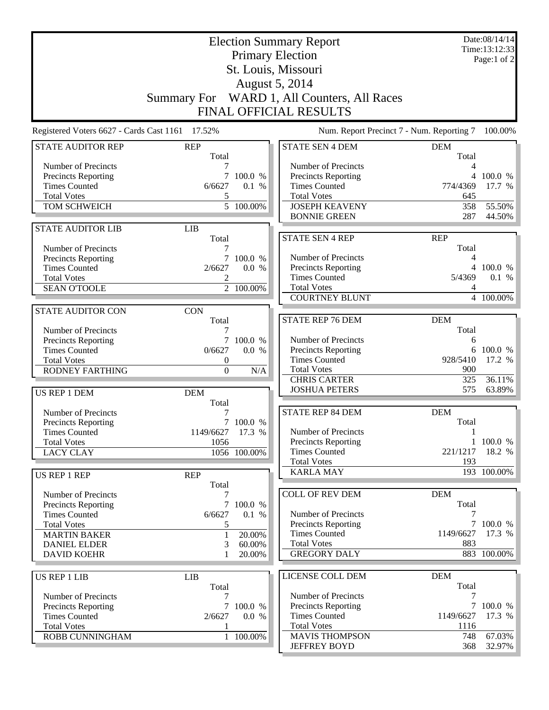| <b>Election Summary Report</b><br><b>Primary Election</b><br>St. Louis, Missouri                                                             |                                                             |                                                  |                                                                                                                                                                    | Date:08/14/14<br>Time:13:12:33<br>Page:1 of 2                  |                                                 |
|----------------------------------------------------------------------------------------------------------------------------------------------|-------------------------------------------------------------|--------------------------------------------------|--------------------------------------------------------------------------------------------------------------------------------------------------------------------|----------------------------------------------------------------|-------------------------------------------------|
|                                                                                                                                              |                                                             |                                                  | <b>August 5, 2014</b><br>Summary For WARD 1, All Counters, All Races<br>FINAL OFFICIAL RESULTS                                                                     |                                                                |                                                 |
| Registered Voters 6627 - Cards Cast 1161 17.52%                                                                                              |                                                             |                                                  | Num. Report Precinct 7 - Num. Reporting 7                                                                                                                          |                                                                | 100.00%                                         |
| <b>STATE AUDITOR REP</b>                                                                                                                     | <b>REP</b><br>Total                                         |                                                  | <b>STATE SEN 4 DEM</b>                                                                                                                                             | <b>DEM</b><br>Total                                            |                                                 |
| Number of Precincts<br>Precincts Reporting<br><b>Times Counted</b><br><b>Total Votes</b><br>TOM SCHWEICH                                     | 7<br>$7\overline{ }$<br>6/6627<br>5                         | 100.0 %<br>0.1 %<br>$\overline{5}$ 100.00%       | Number of Precincts<br><b>Precincts Reporting</b><br><b>Times Counted</b><br><b>Total Votes</b><br><b>JOSEPH KEAVENY</b><br><b>BONNIE GREEN</b>                    | 4<br>4<br>774/4369<br>645<br>358<br>287                        | 100.0 %<br>17.7 %<br>55.50%<br>44.50%           |
| <b>STATE AUDITOR LIB</b>                                                                                                                     | <b>LIB</b><br>Total                                         |                                                  | <b>STATE SEN 4 REP</b>                                                                                                                                             | <b>REP</b>                                                     |                                                 |
| Number of Precincts<br>Precincts Reporting<br><b>Times Counted</b><br><b>Total Votes</b><br><b>SEAN O'TOOLE</b>                              | 7<br>2/6627<br>2                                            | 100.0 %<br>0.0 %<br>2 100.00%                    | Number of Precincts<br><b>Precincts Reporting</b><br><b>Times Counted</b><br><b>Total Votes</b><br><b>COURTNEY BLUNT</b>                                           | Total<br>4<br>5/4369<br>4                                      | 4 100.0 %<br>0.1 %<br>4 100.00%                 |
| <b>STATE AUDITOR CON</b>                                                                                                                     | <b>CON</b>                                                  |                                                  |                                                                                                                                                                    |                                                                |                                                 |
| Number of Precincts<br>Precincts Reporting<br><b>Times Counted</b><br><b>Total Votes</b><br><b>RODNEY FARTHING</b><br>US REP 1 DEM           | Total<br>7<br>0/6627<br>0<br>$\boldsymbol{0}$<br><b>DEM</b> | 7 100.0 %<br>0.0 %<br>N/A                        | <b>STATE REP 76 DEM</b><br>Number of Precincts<br>Precincts Reporting<br><b>Times Counted</b><br><b>Total Votes</b><br><b>CHRIS CARTER</b><br><b>JOSHUA PETERS</b> | <b>DEM</b><br>Total<br>6<br>6<br>928/5410<br>900<br>325<br>575 | 100.0 %<br>17.2 %<br>36.11%<br>63.89%           |
| Number of Precincts<br>Precincts Reporting<br><b>Times Counted</b><br><b>Total Votes</b><br><b>LACY CLAY</b><br>US REP 1 REP                 | Total<br>1149/6627 17.3 %<br>1056<br><b>REP</b>             | 7 100.0 %<br>1056 100.00%                        | <b>STATE REP 84 DEM</b><br>Number of Precincts<br><b>Precincts Reporting</b><br><b>Times Counted</b><br><b>Total Votes</b><br><b>KARLA MAY</b>                     | <b>DEM</b><br>Total<br>1<br>221/1217<br>193                    | 1 100.0 %<br>18.2 %<br>$\overline{193}$ 100.00% |
| Number of Precincts                                                                                                                          | Total<br>7                                                  |                                                  | <b>COLL OF REV DEM</b>                                                                                                                                             | <b>DEM</b>                                                     |                                                 |
| <b>Precincts Reporting</b><br><b>Times Counted</b><br><b>Total Votes</b><br><b>MARTIN BAKER</b><br><b>DANIEL ELDER</b><br><b>DAVID KOEHR</b> | 6/6627<br>5<br>$\mathbf{1}$<br>3                            | 7 100.0 %<br>0.1 %<br>20.00%<br>60.00%<br>20.00% | Number of Precincts<br><b>Precincts Reporting</b><br><b>Times Counted</b><br><b>Total Votes</b><br><b>GREGORY DALY</b>                                             | Total<br>1149/6627<br>883                                      | 7 100.0 %<br>17.3 %<br>883 100.00%              |
| <b>US REP 1 LIB</b>                                                                                                                          | <b>LIB</b>                                                  |                                                  | LICENSE COLL DEM                                                                                                                                                   | <b>DEM</b>                                                     |                                                 |
| Number of Precincts<br>Precincts Reporting<br><b>Times Counted</b><br><b>Total Votes</b><br>ROBB CUNNINGHAM                                  | Total<br>7<br>$\tau$<br>2/6627                              | 100.0 %<br>0.0 %<br>1 100.00%                    | Number of Precincts<br><b>Precincts Reporting</b><br><b>Times Counted</b><br><b>Total Votes</b><br><b>MAVIS THOMPSON</b>                                           | Total<br>7<br>1149/6627<br>1116<br>748                         | 7 100.0 %<br>17.3 %<br>67.03%                   |
|                                                                                                                                              |                                                             |                                                  | <b>JEFFREY BOYD</b>                                                                                                                                                | 368                                                            | 32.97%                                          |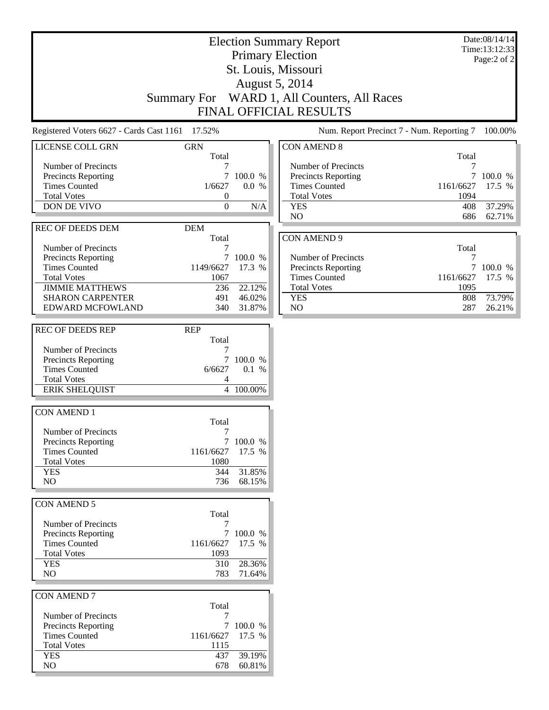|                                                 |                  |           | <b>Election Summary Report</b>              |           | Date:08/14/14 |
|-------------------------------------------------|------------------|-----------|---------------------------------------------|-----------|---------------|
|                                                 |                  |           |                                             |           | Time:13:12:33 |
|                                                 |                  |           | <b>Primary Election</b>                     |           | Page:2 of 2   |
|                                                 |                  |           | St. Louis, Missouri                         |           |               |
|                                                 |                  |           |                                             |           |               |
|                                                 |                  |           | <b>August 5, 2014</b>                       |           |               |
|                                                 |                  |           | Summary For WARD 1, All Counters, All Races |           |               |
|                                                 |                  |           | FINAL OFFICIAL RESULTS                      |           |               |
|                                                 |                  |           |                                             |           |               |
| Registered Voters 6627 - Cards Cast 1161 17.52% |                  |           | Num. Report Precinct 7 - Num. Reporting 7   |           | 100.00%       |
|                                                 |                  |           |                                             |           |               |
| LICENSE COLL GRN                                | <b>GRN</b>       |           | <b>CON AMEND 8</b>                          |           |               |
|                                                 | Total            |           |                                             | Total     |               |
| Number of Precincts                             | 7                |           | Number of Precincts                         | 7         |               |
| Precincts Reporting                             | 7                | 100.0 %   | <b>Precincts Reporting</b>                  | 7         | 100.0 %       |
| <b>Times Counted</b>                            | 1/6627           | 0.0 %     | <b>Times Counted</b>                        | 1161/6627 | 17.5 %        |
| <b>Total Votes</b>                              | 0                |           | <b>Total Votes</b>                          | 1094      |               |
| DON DE VIVO                                     | $\boldsymbol{0}$ | N/A       | <b>YES</b>                                  | 408       | 37.29%        |
|                                                 |                  |           | NO                                          | 686       | 62.71%        |
| <b>REC OF DEEDS DEM</b>                         | <b>DEM</b>       |           |                                             |           |               |
|                                                 | Total            |           | <b>CON AMEND 9</b>                          |           |               |
| Number of Precincts                             | 7                |           |                                             | Total     |               |
| Precincts Reporting                             |                  | 7 100.0 % | Number of Precincts                         | 7         |               |
| <b>Times Counted</b>                            | 1149/6627        | 17.3 %    | Precincts Reporting                         | 7         | 100.0 %       |
| <b>Total Votes</b>                              | 1067             |           | <b>Times Counted</b>                        | 1161/6627 | 17.5 %        |
| <b>JIMMIE MATTHEWS</b>                          | 236              | 22.12%    | <b>Total Votes</b>                          | 1095      |               |
| <b>SHARON CARPENTER</b>                         | 491              | 46.02%    | <b>YES</b>                                  | 808       | 73.79%        |
| <b>EDWARD MCFOWLAND</b>                         | 340              | 31.87%    | NO                                          | 287       | 26.21%        |
|                                                 |                  |           |                                             |           |               |
| <b>REC OF DEEDS REP</b>                         | <b>REP</b>       |           |                                             |           |               |
|                                                 | Total            |           |                                             |           |               |
| Number of Precincts                             | 7                |           |                                             |           |               |
| Precincts Reporting                             |                  | 7 100.0 % |                                             |           |               |
| <b>Times Counted</b>                            | 6/6627           | 0.1 %     |                                             |           |               |
| <b>Total Votes</b>                              | 4                |           |                                             |           |               |
| <b>ERIK SHELQUIST</b>                           |                  | 4 100.00% |                                             |           |               |
|                                                 |                  |           |                                             |           |               |
| <b>CON AMEND 1</b>                              |                  |           |                                             |           |               |
|                                                 | Total            |           |                                             |           |               |
| Number of Precincts                             | 7                |           |                                             |           |               |
| Precincts Reporting                             |                  | 7 100.0 % |                                             |           |               |
| <b>Times Counted</b>                            | 1161/6627        | 17.5 %    |                                             |           |               |
| <b>Total Votes</b>                              | 1080             |           |                                             |           |               |
| <b>YES</b>                                      | 344              | 31.85%    |                                             |           |               |
| NO                                              | 736              | 68.15%    |                                             |           |               |
|                                                 |                  |           |                                             |           |               |
| CON AMEND 5                                     |                  |           |                                             |           |               |
|                                                 | Total            |           |                                             |           |               |
| Number of Precincts                             | 7                |           |                                             |           |               |
| <b>Precincts Reporting</b>                      | 7                | 100.0 %   |                                             |           |               |
| <b>Times Counted</b>                            | 1161/6627        | 17.5 %    |                                             |           |               |
| <b>Total Votes</b>                              | 1093             |           |                                             |           |               |
| <b>YES</b>                                      | 310              | 28.36%    |                                             |           |               |
| NO                                              | 783              | 71.64%    |                                             |           |               |
|                                                 |                  |           |                                             |           |               |
| <b>CON AMEND 7</b>                              |                  |           |                                             |           |               |
|                                                 | Total            |           |                                             |           |               |
|                                                 |                  |           |                                             |           |               |
| Number of Precincts                             | 7                | 7 100.0 % |                                             |           |               |
| Precincts Reporting                             |                  |           |                                             |           |               |
| <b>Times Counted</b>                            | 1161/6627        | 17.5 %    |                                             |           |               |
| <b>Total Votes</b>                              | 1115             |           |                                             |           |               |
| <b>YES</b>                                      | 437              | 39.19%    |                                             |           |               |
| NO                                              | 678              | 60.81%    |                                             |           |               |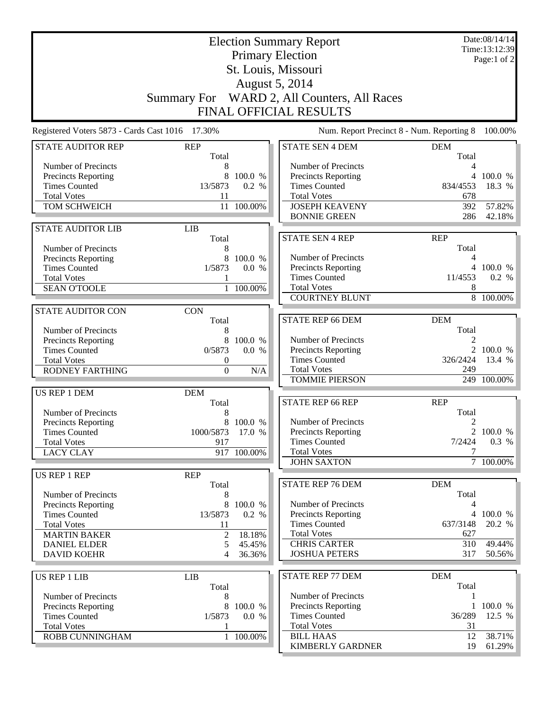| <b>Election Summary Report</b><br><b>Primary Election</b><br>St. Louis, Missouri<br>August 5, 2014                                                                  |                                                              |                                                |                                                                                                                                                                           | Date:08/14/14<br>Time:13:12:39<br>Page:1 of 2             |                                         |
|---------------------------------------------------------------------------------------------------------------------------------------------------------------------|--------------------------------------------------------------|------------------------------------------------|---------------------------------------------------------------------------------------------------------------------------------------------------------------------------|-----------------------------------------------------------|-----------------------------------------|
|                                                                                                                                                                     |                                                              |                                                | Summary For WARD 2, All Counters, All Races<br>FINAL OFFICIAL RESULTS                                                                                                     |                                                           |                                         |
| Registered Voters 5873 - Cards Cast 1016 17.30%                                                                                                                     |                                                              |                                                | Num. Report Precinct 8 - Num. Reporting 8                                                                                                                                 |                                                           | 100.00%                                 |
| <b>STATE AUDITOR REP</b>                                                                                                                                            | <b>REP</b><br>Total                                          |                                                | <b>STATE SEN 4 DEM</b>                                                                                                                                                    | <b>DEM</b><br>Total                                       |                                         |
| Number of Precincts<br>Precincts Reporting<br><b>Times Counted</b><br><b>Total Votes</b><br>TOM SCHWEICH                                                            | 8<br>8<br>13/5873<br>11                                      | 100.0 %<br>0.2 %<br>11 100.00%                 | Number of Precincts<br>Precincts Reporting<br><b>Times Counted</b><br><b>Total Votes</b><br><b>JOSEPH KEAVENY</b><br><b>BONNIE GREEN</b>                                  | 4<br>4<br>834/4553<br>678<br>392<br>286                   | 100.0 %<br>18.3 %<br>57.82%<br>42.18%   |
| <b>STATE AUDITOR LIB</b>                                                                                                                                            | <b>LIB</b><br>Total                                          |                                                | <b>STATE SEN 4 REP</b>                                                                                                                                                    | <b>REP</b>                                                |                                         |
| Number of Precincts<br>Precincts Reporting<br><b>Times Counted</b><br><b>Total Votes</b><br><b>SEAN O'TOOLE</b>                                                     | 8<br>8<br>1/5873<br>$\mathbf{1}$                             | 100.0 %<br>0.0 %<br>100.00%                    | Number of Precincts<br><b>Precincts Reporting</b><br><b>Times Counted</b><br><b>Total Votes</b><br><b>COURTNEY BLUNT</b>                                                  | Total<br>4<br>11/4553<br>8                                | 4 100.0 %<br>0.2 %<br>8 100.00%         |
| <b>STATE AUDITOR CON</b>                                                                                                                                            | <b>CON</b>                                                   |                                                |                                                                                                                                                                           |                                                           |                                         |
| Number of Precincts<br>Precincts Reporting<br><b>Times Counted</b><br><b>Total Votes</b><br><b>RODNEY FARTHING</b>                                                  | Total<br>8<br>0/5873<br>0<br>$\boldsymbol{0}$                | 8 100.0 %<br>0.0 %<br>N/A                      | <b>STATE REP 66 DEM</b><br>Number of Precincts<br>Precincts Reporting<br><b>Times Counted</b><br><b>Total Votes</b><br><b>TOMMIE PIERSON</b>                              | <b>DEM</b><br>Total<br>2<br>326/2424<br>249               | 2 100.0 %<br>13.4 %<br>249 100.00%      |
| US REP 1 DEM                                                                                                                                                        | <b>DEM</b>                                                   |                                                |                                                                                                                                                                           |                                                           |                                         |
| Number of Precincts<br><b>Precincts Reporting</b><br><b>Times Counted</b><br><b>Total Votes</b><br><b>LACY CLAY</b>                                                 | Total<br>8<br>1000/5873 17.0 %<br>917                        | 8 100.0 %<br>917 100.00%                       | <b>STATE REP 66 REP</b><br>Number of Precincts<br><b>Precincts Reporting</b><br><b>Times Counted</b><br><b>Total Votes</b><br><b>JOHN SAXTON</b>                          | <b>REP</b><br>Total<br>2<br>7/2424                        | 2 100.0 %<br>0.3 %<br>7 100.00%         |
| US REP 1 REP                                                                                                                                                        | <b>REP</b>                                                   |                                                |                                                                                                                                                                           |                                                           |                                         |
| Number of Precincts<br><b>Precincts Reporting</b><br><b>Times Counted</b><br><b>Total Votes</b><br><b>MARTIN BAKER</b><br><b>DANIEL ELDER</b><br><b>DAVID KOEHR</b> | Total<br>8<br>8<br>13/5873<br>11<br>$\overline{2}$<br>5<br>4 | 100.0 %<br>0.2 %<br>18.18%<br>45.45%<br>36.36% | <b>STATE REP 76 DEM</b><br>Number of Precincts<br><b>Precincts Reporting</b><br><b>Times Counted</b><br><b>Total Votes</b><br><b>CHRIS CARTER</b><br><b>JOSHUA PETERS</b> | <b>DEM</b><br>Total<br>4<br>637/3148<br>627<br>310<br>317 | 4 100.0 %<br>20.2 %<br>49.44%<br>50.56% |
| <b>US REP 1 LIB</b>                                                                                                                                                 | <b>LIB</b>                                                   |                                                | <b>STATE REP 77 DEM</b>                                                                                                                                                   | <b>DEM</b>                                                |                                         |
| Number of Precincts<br>Precincts Reporting<br><b>Times Counted</b><br><b>Total Votes</b><br>ROBB CUNNINGHAM                                                         | Total<br>8<br>8<br>1/5873                                    | 100.0 %<br>0.0 %<br>1 100.00%                  | Number of Precincts<br><b>Precincts Reporting</b><br><b>Times Counted</b><br><b>Total Votes</b><br><b>BILL HAAS</b>                                                       | Total<br>1<br>36/289<br>31<br>12                          | $1\,100.0\%$<br>12.5 %<br>38.71%        |
|                                                                                                                                                                     |                                                              |                                                | KIMBERLY GARDNER                                                                                                                                                          | 19                                                        | $61.29\%$                               |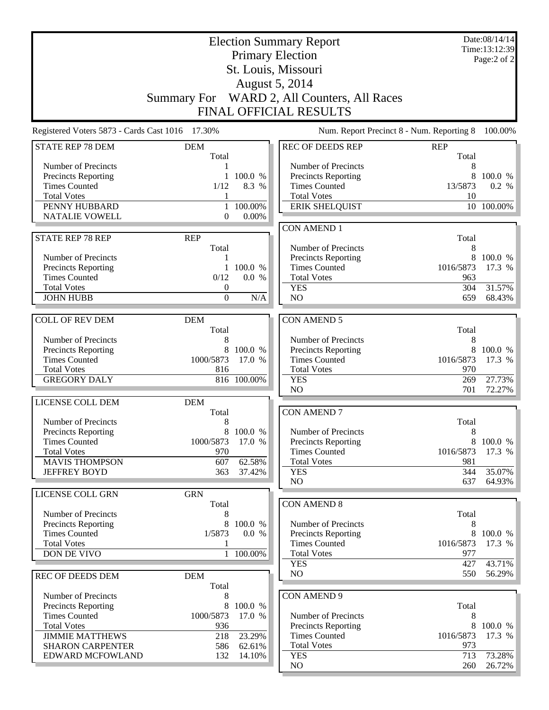| <b>Election Summary Report</b>                    |                   |                   |                                                    | Date:08/14/14<br>Time:13:12:39            |                     |  |
|---------------------------------------------------|-------------------|-------------------|----------------------------------------------------|-------------------------------------------|---------------------|--|
|                                                   |                   |                   | <b>Primary Election</b>                            |                                           | Page:2 of 2         |  |
|                                                   |                   |                   | St. Louis, Missouri                                |                                           |                     |  |
|                                                   |                   |                   | August 5, 2014                                     |                                           |                     |  |
|                                                   |                   |                   | Summary For WARD 2, All Counters, All Races        |                                           |                     |  |
|                                                   |                   |                   |                                                    |                                           |                     |  |
|                                                   |                   |                   | <b>FINAL OFFICIAL RESULTS</b>                      |                                           |                     |  |
| Registered Voters 5873 - Cards Cast 1016 17.30%   |                   |                   |                                                    | Num. Report Precinct 8 - Num. Reporting 8 | 100.00%             |  |
| <b>STATE REP 78 DEM</b>                           | <b>DEM</b>        |                   | REC OF DEEDS REP                                   | <b>REP</b>                                |                     |  |
| Number of Precincts                               | Total<br>1        |                   | Number of Precincts                                | Total<br>8                                |                     |  |
| <b>Precincts Reporting</b>                        | $\mathbf{1}$      | 100.0 %           | Precincts Reporting                                | 8                                         | 100.0 %             |  |
| <b>Times Counted</b>                              | 1/12              | 8.3 %             | <b>Times Counted</b>                               | 13/5873                                   | 0.2 %               |  |
| <b>Total Votes</b>                                | 1                 |                   | <b>Total Votes</b>                                 | 10                                        |                     |  |
| PENNY HUBBARD                                     | $\mathbf{1}$      | 100.00%           | <b>ERIK SHELQUIST</b>                              |                                           | 10 100.00%          |  |
| <b>NATALIE VOWELL</b>                             | $\overline{0}$    | 0.00%             |                                                    |                                           |                     |  |
|                                                   |                   |                   | <b>CON AMEND 1</b>                                 |                                           |                     |  |
| <b>STATE REP 78 REP</b>                           | <b>REP</b>        |                   |                                                    | Total                                     |                     |  |
|                                                   | Total             |                   | Number of Precincts                                | 8                                         |                     |  |
| Number of Precincts<br><b>Precincts Reporting</b> | 1<br>$\mathbf{1}$ | 100.0 %           | Precincts Reporting<br><b>Times Counted</b>        | 8<br>1016/5873                            | 100.0 %<br>17.3 %   |  |
| <b>Times Counted</b>                              | 0/12              | 0.0 %             | <b>Total Votes</b>                                 | 963                                       |                     |  |
| <b>Total Votes</b>                                | $\boldsymbol{0}$  |                   | <b>YES</b>                                         | 304                                       | 31.57%              |  |
| <b>JOHN HUBB</b>                                  | $\boldsymbol{0}$  | N/A               | N <sub>O</sub>                                     | 659                                       | 68.43%              |  |
|                                                   |                   |                   |                                                    |                                           |                     |  |
| <b>COLL OF REV DEM</b>                            | <b>DEM</b>        |                   | <b>CON AMEND 5</b>                                 |                                           |                     |  |
|                                                   | Total             |                   |                                                    | Total                                     |                     |  |
| Number of Precincts                               | 8                 |                   | Number of Precincts                                | 8                                         |                     |  |
| Precincts Reporting<br><b>Times Counted</b>       | 8<br>1000/5873    | 100.0 %<br>17.0 % | <b>Precincts Reporting</b><br><b>Times Counted</b> | 8<br>1016/5873                            | 100.0 %<br>17.3 %   |  |
| <b>Total Votes</b>                                | 816               |                   | <b>Total Votes</b>                                 | 970                                       |                     |  |
| <b>GREGORY DALY</b>                               |                   | 816 100.00%       | <b>YES</b>                                         | 269                                       | 27.73%              |  |
|                                                   |                   |                   | N <sub>O</sub>                                     | 701                                       | 72.27%              |  |
| LICENSE COLL DEM                                  | <b>DEM</b>        |                   |                                                    |                                           |                     |  |
|                                                   | Total             |                   | <b>CON AMEND 7</b>                                 |                                           |                     |  |
| Number of Precincts                               | 8                 |                   |                                                    | Total                                     |                     |  |
| <b>Precincts Reporting</b>                        |                   | 100.0 %           | Number of Precincts                                | 8                                         |                     |  |
| <b>Times Counted</b><br><b>Total Votes</b>        | 1000/5873<br>970  | 17.0 %            | <b>Precincts Reporting</b><br><b>Times Counted</b> | 1016/5873                                 | 8 100.0 %<br>17.3 % |  |
| <b>MAVIS THOMPSON</b>                             | 607               | 62.58%            | <b>Total Votes</b>                                 | 981                                       |                     |  |
| <b>JEFFREY BOYD</b>                               | 363               | 37.42%            | <b>YES</b>                                         | 344                                       | 35.07%              |  |
|                                                   |                   |                   | NO                                                 | 637                                       | 64.93%              |  |
| LICENSE COLL GRN                                  | <b>GRN</b>        |                   |                                                    |                                           |                     |  |
|                                                   | Total             |                   | <b>CON AMEND 8</b>                                 |                                           |                     |  |
| Number of Precincts                               | 8                 |                   |                                                    | Total                                     |                     |  |
| Precincts Reporting                               | 8                 | 100.0 %           | Number of Precincts                                | 8                                         |                     |  |
| <b>Times Counted</b>                              | 1/5873            | 0.0 %             | <b>Precincts Reporting</b>                         | 8                                         | 100.0 %             |  |
| <b>Total Votes</b><br>DON DE VIVO                 | 1<br>$\mathbf{1}$ | 100.00%           | <b>Times Counted</b><br><b>Total Votes</b>         | 1016/5873<br>977                          | 17.3 %              |  |
|                                                   |                   |                   | <b>YES</b>                                         | 427                                       | 43.71%              |  |
| <b>REC OF DEEDS DEM</b>                           | <b>DEM</b>        |                   | NO                                                 | 550                                       | 56.29%              |  |
|                                                   | Total             |                   |                                                    |                                           |                     |  |
| Number of Precincts                               | 8                 |                   | <b>CON AMEND 9</b>                                 |                                           |                     |  |
| Precincts Reporting                               | 8                 | 100.0 %           |                                                    | Total                                     |                     |  |
| <b>Times Counted</b>                              | 1000/5873         | 17.0 %            | Number of Precincts                                | 8                                         |                     |  |
| <b>Total Votes</b>                                | 936               |                   | <b>Precincts Reporting</b>                         | 8                                         | 100.0 %             |  |
| <b>JIMMIE MATTHEWS</b>                            | 218               | 23.29%            | <b>Times Counted</b><br><b>Total Votes</b>         | 1016/5873<br>973                          | 17.3 %              |  |
| <b>SHARON CARPENTER</b><br>EDWARD MCFOWLAND       | 586<br>132        | 62.61%<br>14.10%  | <b>YES</b>                                         | 713                                       | 73.28%              |  |
|                                                   |                   |                   | NO.                                                | 260                                       | 26.72%              |  |
|                                                   |                   |                   |                                                    |                                           |                     |  |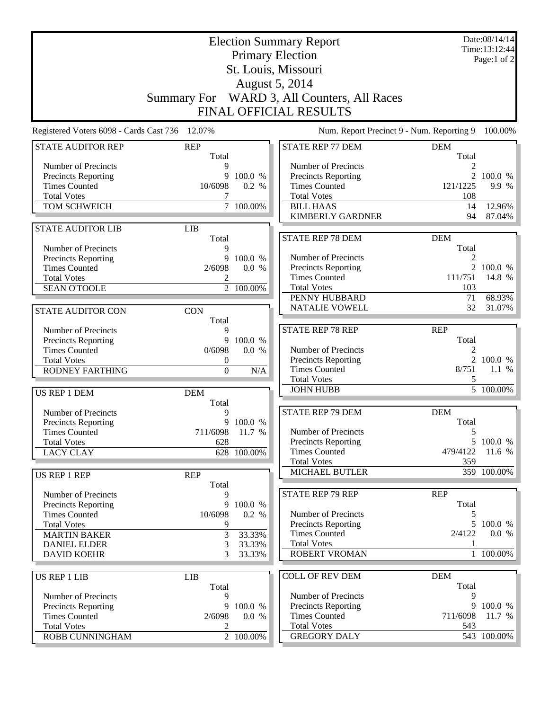| <b>Election Summary Report</b><br><b>Primary Election</b><br>St. Louis, Missouri |                     |                        |                                             | Date:08/14/14<br>Time: 13:12:44<br>Page:1 of 2 |                        |
|----------------------------------------------------------------------------------|---------------------|------------------------|---------------------------------------------|------------------------------------------------|------------------------|
|                                                                                  |                     |                        | August 5, 2014                              |                                                |                        |
|                                                                                  |                     |                        | Summary For WARD 3, All Counters, All Races |                                                |                        |
|                                                                                  |                     |                        | FINAL OFFICIAL RESULTS                      |                                                |                        |
| Registered Voters 6098 - Cards Cast 736                                          | 12.07%              |                        | Num. Report Precinct 9 - Num. Reporting 9   |                                                | 100.00%                |
| <b>STATE AUDITOR REP</b>                                                         | <b>REP</b><br>Total |                        | <b>STATE REP 77 DEM</b>                     | <b>DEM</b><br>Total                            |                        |
| Number of Precincts                                                              | 9                   |                        | Number of Precincts                         | 2                                              |                        |
| <b>Precincts Reporting</b>                                                       | 9                   | 100.0 %                | <b>Precincts Reporting</b>                  |                                                | 2 100.0 %              |
| <b>Times Counted</b>                                                             | 10/6098             | 0.2 %                  | <b>Times Counted</b>                        | 121/1225                                       | 9.9 %                  |
| <b>Total Votes</b>                                                               | 7                   |                        | <b>Total Votes</b>                          | 108                                            |                        |
| TOM SCHWEICH                                                                     |                     | $7\overline{100.00\%}$ | <b>BILL HAAS</b>                            | 14                                             | 12.96%                 |
|                                                                                  |                     |                        | <b>KIMBERLY GARDNER</b>                     | 94                                             | 87.04%                 |
| <b>STATE AUDITOR LIB</b>                                                         | <b>LIB</b>          |                        |                                             |                                                |                        |
|                                                                                  | Total               |                        | <b>STATE REP 78 DEM</b>                     | <b>DEM</b>                                     |                        |
| Number of Precincts                                                              | 9                   |                        |                                             | Total                                          |                        |
| Precincts Reporting                                                              | 9                   | 100.0 %                | Number of Precincts                         | 2                                              |                        |
| <b>Times Counted</b>                                                             | 2/6098              | 0.0 %                  | Precincts Reporting                         | $\overline{2}$                                 | 100.0 %                |
| <b>Total Votes</b>                                                               | 2                   |                        | <b>Times Counted</b>                        | 111/751                                        | 14.8 %                 |
| <b>SEAN O'TOOLE</b>                                                              |                     | $\overline{2}$ 100.00% | <b>Total Votes</b>                          | 103                                            |                        |
|                                                                                  |                     |                        | PENNY HUBBARD                               | 71                                             | 68.93%                 |
| <b>STATE AUDITOR CON</b>                                                         | <b>CON</b>          |                        | <b>NATALIE VOWELL</b>                       | 32                                             | 31.07%                 |
|                                                                                  | Total               |                        |                                             |                                                |                        |
| Number of Precincts                                                              | 9                   |                        | <b>STATE REP 78 REP</b>                     | <b>REP</b>                                     |                        |
| Precincts Reporting                                                              | 9                   | 100.0 %                |                                             | Total                                          |                        |
| <b>Times Counted</b>                                                             | 0/6098              | 0.0 %                  | Number of Precincts                         | 2                                              |                        |
| <b>Total Votes</b>                                                               | $\boldsymbol{0}$    |                        | <b>Precincts Reporting</b>                  |                                                | 2 100.0 %              |
| <b>RODNEY FARTHING</b>                                                           | $\boldsymbol{0}$    | N/A                    | <b>Times Counted</b>                        | 8/751                                          | 1.1%                   |
|                                                                                  |                     |                        | <b>Total Votes</b>                          | 5                                              |                        |
| US REP 1 DEM                                                                     | <b>DEM</b>          |                        | <b>JOHN HUBB</b>                            |                                                | $\overline{5}$ 100.00% |
|                                                                                  | Total               |                        |                                             |                                                |                        |
| Number of Precincts                                                              | 9                   |                        | <b>STATE REP 79 DEM</b>                     | <b>DEM</b>                                     |                        |
| Precincts Reporting                                                              |                     | 9 100.0 %              |                                             | Total                                          |                        |
| <b>Times Counted</b>                                                             | 711/6098 11.7 %     |                        | Number of Precincts                         | 5                                              |                        |
| <b>Total Votes</b>                                                               | 628                 |                        | <b>Precincts Reporting</b>                  |                                                | 5 100.0 %              |
| <b>LACY CLAY</b>                                                                 |                     | 628 100.00%            | <b>Times Counted</b>                        | 479/4122                                       | 11.6 %                 |
|                                                                                  |                     |                        | <b>Total Votes</b>                          | 359                                            |                        |
| <b>US REP 1 REP</b>                                                              | <b>REP</b>          |                        | MICHAEL BUTLER                              |                                                | 359 100.00%            |
|                                                                                  | Total               |                        |                                             |                                                |                        |
| Number of Precincts                                                              | 9                   |                        | <b>STATE REP 79 REP</b>                     | <b>REP</b>                                     |                        |
| <b>Precincts Reporting</b>                                                       | 9                   | 100.0 %                |                                             | Total                                          |                        |
| <b>Times Counted</b>                                                             | 10/6098             | 0.2 %                  | Number of Precincts                         | 5                                              |                        |
| <b>Total Votes</b>                                                               | 9                   |                        | Precincts Reporting                         |                                                | 5 100.0 %              |
| <b>MARTIN BAKER</b>                                                              | 3                   | 33.33%                 | <b>Times Counted</b>                        | 2/4122                                         | 0.0 %                  |
| <b>DANIEL ELDER</b>                                                              | 3                   | 33.33%                 | <b>Total Votes</b>                          | 1                                              |                        |
| <b>DAVID KOEHR</b>                                                               | 3                   | 33.33%                 | <b>ROBERT VROMAN</b>                        |                                                | 1 100.00%              |
|                                                                                  |                     |                        |                                             |                                                |                        |
| <b>US REP 1 LIB</b>                                                              | <b>LIB</b>          |                        | <b>COLL OF REV DEM</b>                      | <b>DEM</b>                                     |                        |
|                                                                                  | Total               |                        |                                             | Total                                          |                        |
| Number of Precincts                                                              | 9                   |                        | Number of Precincts                         | 9                                              |                        |
| Precincts Reporting                                                              | 9                   | 100.0 %                | <b>Precincts Reporting</b>                  | 9                                              | 100.0 %                |
| <b>Times Counted</b>                                                             | 2/6098              | 0.0 %                  | <b>Times Counted</b>                        | 711/6098                                       | 11.7 %                 |
| <b>Total Votes</b>                                                               | 2                   |                        | <b>Total Votes</b>                          | 543                                            |                        |
| ROBB CUNNINGHAM                                                                  |                     | 2 100.00%              | <b>GREGORY DALY</b>                         |                                                | 543 100.00%            |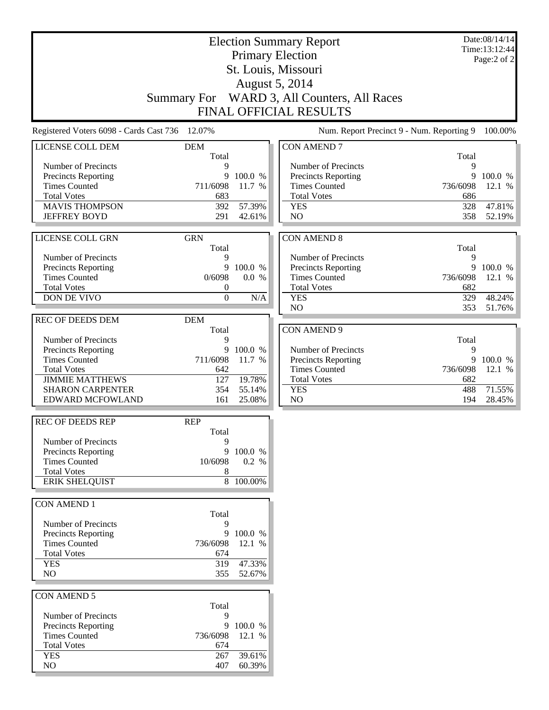|                                                    |                                      |           | <b>Election Summary Report</b><br><b>Primary Election</b> |            | Date:08/14/14<br>Time:13:12:44 |
|----------------------------------------------------|--------------------------------------|-----------|-----------------------------------------------------------|------------|--------------------------------|
|                                                    |                                      |           | St. Louis, Missouri                                       |            | Page:2 of 2                    |
|                                                    |                                      |           | <b>August 5, 2014</b>                                     |            |                                |
|                                                    |                                      |           | Summary For WARD 3, All Counters, All Races               |            |                                |
|                                                    |                                      |           | <b>FINAL OFFICIAL RESULTS</b>                             |            |                                |
| Registered Voters 6098 - Cards Cast 736            | 12.07%                               |           | Num. Report Precinct 9 - Num. Reporting 9                 |            | 100.00%                        |
| LICENSE COLL DEM                                   | <b>DEM</b><br>Total                  |           | <b>CON AMEND 7</b>                                        | Total      |                                |
| Number of Precincts                                | 9                                    |           | Number of Precincts                                       | 9          |                                |
| <b>Precincts Reporting</b>                         | 9                                    | 100.0 %   | <b>Precincts Reporting</b>                                | 9          | 100.0 %                        |
| <b>Times Counted</b>                               | 711/6098                             | 11.7 %    | <b>Times Counted</b>                                      | 736/6098   | 12.1 %                         |
| <b>Total Votes</b><br><b>MAVIS THOMPSON</b>        | 683<br>392                           | 57.39%    | <b>Total Votes</b><br><b>YES</b>                          | 686<br>328 | 47.81%                         |
| <b>JEFFREY BOYD</b>                                | 291                                  | 42.61%    | N <sub>O</sub>                                            | 358        | 52.19%                         |
|                                                    |                                      |           |                                                           |            |                                |
| <b>LICENSE COLL GRN</b>                            | <b>GRN</b><br>Total                  |           | <b>CON AMEND 8</b>                                        | Total      |                                |
| Number of Precincts                                | 9                                    |           | Number of Precincts                                       | 9          |                                |
| <b>Precincts Reporting</b>                         | 9                                    | 100.0 %   | <b>Precincts Reporting</b>                                | 9          | 100.0 %                        |
| <b>Times Counted</b>                               | 0/6098                               | 0.0 %     | <b>Times Counted</b>                                      | 736/6098   | 12.1 %                         |
| <b>Total Votes</b><br>DON DE VIVO                  | $\boldsymbol{0}$<br>$\boldsymbol{0}$ | N/A       | <b>Total Votes</b><br><b>YES</b>                          | 682<br>329 | 48.24%                         |
|                                                    |                                      |           | NO                                                        | 353        | 51.76%                         |
| <b>REC OF DEEDS DEM</b>                            | <b>DEM</b>                           |           |                                                           |            |                                |
|                                                    | Total                                |           | <b>CON AMEND 9</b>                                        |            |                                |
| Number of Precincts                                | 9<br>9                               | 100.0 %   | Number of Precincts                                       | Total<br>9 |                                |
| <b>Precincts Reporting</b><br><b>Times Counted</b> | 711/6098                             | 11.7 %    | Precincts Reporting                                       | 9          | 100.0 %                        |
| <b>Total Votes</b>                                 | 642                                  |           | <b>Times Counted</b>                                      | 736/6098   | 12.1 %                         |
| <b>JIMMIE MATTHEWS</b>                             | 127                                  | 19.78%    | <b>Total Votes</b>                                        | 682        |                                |
| <b>SHARON CARPENTER</b>                            | 354                                  | 55.14%    | <b>YES</b>                                                | 488        | 71.55%                         |
| EDWARD MCFOWLAND                                   | 161                                  | 25.08%    | NO                                                        | 194        | 28.45%                         |
| <b>REC OF DEEDS REP</b>                            | <b>REP</b><br>Total                  |           |                                                           |            |                                |
| Number of Precincts                                | 9                                    |           |                                                           |            |                                |
| <b>Precincts Reporting</b>                         | 9                                    | 100.0 %   |                                                           |            |                                |
| <b>Times Counted</b>                               | 10/6098                              | 0.2 %     |                                                           |            |                                |
| <b>Total Votes</b><br><b>ERIK SHELQUIST</b>        | 8                                    | 8 100.00% |                                                           |            |                                |
|                                                    |                                      |           |                                                           |            |                                |
| <b>CON AMEND 1</b>                                 | Total                                |           |                                                           |            |                                |
| Number of Precincts                                | 9                                    |           |                                                           |            |                                |
| <b>Precincts Reporting</b>                         | 9                                    | 100.0 %   |                                                           |            |                                |
| <b>Times Counted</b><br><b>Total Votes</b>         | 736/6098<br>674                      | 12.1 %    |                                                           |            |                                |
| <b>YES</b>                                         | 319                                  | 47.33%    |                                                           |            |                                |
| NO                                                 | 355                                  | 52.67%    |                                                           |            |                                |
| CON AMEND 5                                        |                                      |           |                                                           |            |                                |
|                                                    | Total                                |           |                                                           |            |                                |
| Number of Precincts                                | 9                                    | 9 100.0 % |                                                           |            |                                |
| Precincts Reporting<br><b>Times Counted</b>        | 736/6098                             | 12.1 %    |                                                           |            |                                |
| <b>Total Votes</b>                                 | 674                                  |           |                                                           |            |                                |
| <b>YES</b>                                         | 267                                  | 39.61%    |                                                           |            |                                |
| NO.                                                | 407                                  | 60.39%    |                                                           |            |                                |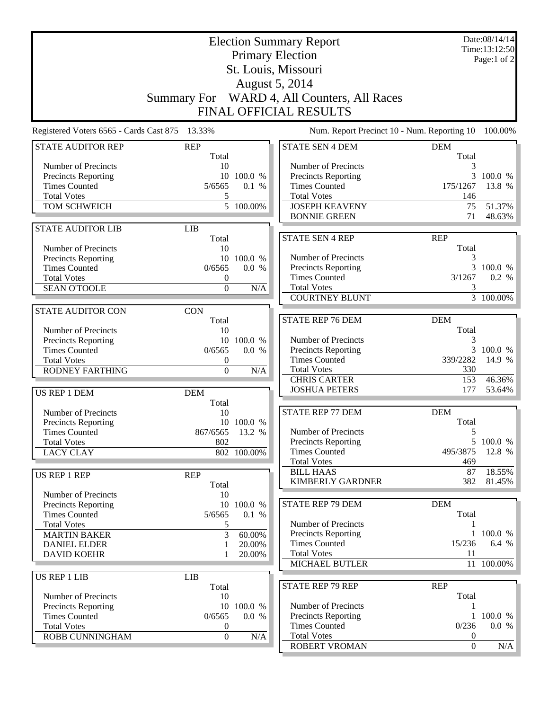| <b>Primary Election</b><br>Page:1 of 2<br>St. Louis, Missouri<br>August 5, 2014<br>Summary For WARD 4, All Counters, All Races              |                  |
|---------------------------------------------------------------------------------------------------------------------------------------------|------------------|
|                                                                                                                                             |                  |
|                                                                                                                                             |                  |
|                                                                                                                                             |                  |
| FINAL OFFICIAL RESULTS                                                                                                                      |                  |
| 13.33%<br>Num. Report Precinct 10 - Num. Reporting 10<br>Registered Voters 6565 - Cards Cast 875                                            | 100.00%          |
| <b>STATE AUDITOR REP</b><br><b>REP</b><br><b>STATE SEN 4 DEM</b><br><b>DEM</b><br>Total<br>Total                                            |                  |
| Number of Precincts<br>Number of Precincts<br>10<br>3                                                                                       |                  |
| <b>Precincts Reporting</b><br>10 100.0 %<br>Precincts Reporting<br>3                                                                        | 100.0 %          |
| <b>Times Counted</b><br>0.1 %<br><b>Times Counted</b><br>175/1267<br>5/6565                                                                 | 13.8 %           |
| <b>Total Votes</b><br><b>Total Votes</b><br>5<br>146                                                                                        |                  |
| $\overline{5}$ 100.00%<br>TOM SCHWEICH<br><b>JOSEPH KEAVENY</b><br>75<br><b>BONNIE GREEN</b><br>71                                          | 51.37%<br>48.63% |
| <b>LIB</b><br><b>STATE AUDITOR LIB</b>                                                                                                      |                  |
| <b>STATE SEN 4 REP</b><br><b>REP</b><br>Total                                                                                               |                  |
| Total<br>Number of Precincts<br>10<br>Number of Precincts<br>3                                                                              |                  |
| 10 100.0 %<br><b>Precincts Reporting</b><br>Precincts Reporting<br>3<br><b>Times Counted</b><br>0/6565<br>0.0 %                             | 100.0 %          |
| <b>Times Counted</b><br>3/1267<br><b>Total Votes</b><br>0                                                                                   | 0.2 %            |
| <b>Total Votes</b><br>$\overline{0}$<br>3<br><b>SEAN O'TOOLE</b><br>N/A                                                                     |                  |
| <b>COURTNEY BLUNT</b><br>3 100.00%                                                                                                          |                  |
| <b>STATE AUDITOR CON</b><br><b>CON</b>                                                                                                      |                  |
| <b>STATE REP 76 DEM</b><br><b>DEM</b><br>Total                                                                                              |                  |
| Total<br>Number of Precincts<br>10                                                                                                          |                  |
| Number of Precincts<br>3<br><b>Precincts Reporting</b><br>10 100.0 %<br>Precincts Reporting<br>3<br><b>Times Counted</b><br>0/6565<br>0.0 % | 100.0 %          |
| <b>Times Counted</b><br><b>Total Votes</b><br>339/2282<br>0                                                                                 | 14.9 %           |
| <b>Total Votes</b><br>330<br><b>RODNEY FARTHING</b><br>N/A<br>$\overline{0}$                                                                |                  |
| <b>CHRIS CARTER</b><br>153                                                                                                                  | 46.36%           |
| <b>JOSHUA PETERS</b><br>177<br>US REP 1 DEM<br><b>DEM</b>                                                                                   | 53.64%           |
| Total<br><b>DEM</b><br><b>STATE REP 77 DEM</b><br>Number of Precincts<br>10                                                                 |                  |
| Total<br>10 100.0 %<br><b>Precincts Reporting</b>                                                                                           |                  |
| 867/6565 13.2 %<br><b>Times Counted</b><br>Number of Precincts<br>5                                                                         |                  |
| 802<br><b>Precincts Reporting</b><br>5 100.0 %<br><b>Total Votes</b>                                                                        |                  |
| <b>Times Counted</b><br>802 100.00%<br>495/3875<br><b>LACY CLAY</b>                                                                         | 12.8 %           |
| <b>Total Votes</b><br>469                                                                                                                   |                  |
| <b>BILL HAAS</b><br>87<br>US REP 1 REP<br><b>REP</b><br><b>KIMBERLY GARDNER</b><br>382                                                      | 18.55%<br>81.45% |
| Total<br>Number of Precincts<br>10                                                                                                          |                  |
| <b>DEM</b><br><b>STATE REP 79 DEM</b><br>10 100.0 %<br><b>Precincts Reporting</b>                                                           |                  |
| Total<br><b>Times Counted</b><br>0.1 %<br>5/6565                                                                                            |                  |
| Number of Precincts<br><b>Total Votes</b><br>5<br>1                                                                                         |                  |
| 3<br>Precincts Reporting<br>60.00%<br><b>MARTIN BAKER</b>                                                                                   | 100.0 %          |
| <b>Times Counted</b><br>15/236<br>20.00%<br><b>DANIEL ELDER</b><br>1                                                                        | 6.4 %            |
| <b>Total Votes</b><br>11<br><b>DAVID KOEHR</b><br>20.00%<br><b>MICHAEL BUTLER</b><br>11 100.00%                                             |                  |
|                                                                                                                                             |                  |
| <b>US REP 1 LIB</b><br><b>LIB</b><br><b>STATE REP 79 REP</b><br><b>REP</b><br>Total                                                         |                  |
| Total<br>Number of Precincts<br>10                                                                                                          |                  |
| Number of Precincts<br>Precincts Reporting<br>10 100.0 %<br>1                                                                               |                  |
| Precincts Reporting<br><b>Times Counted</b><br>0/6565<br>0.0 %<br>$1\,100.0\%$                                                              |                  |
| 0/236<br><b>Times Counted</b><br><b>Total Votes</b><br>0                                                                                    | 0.0 %            |
| <b>Total Votes</b><br>$\boldsymbol{0}$<br>N/A<br>$\boldsymbol{0}$<br>ROBB CUNNINGHAM<br>ROBERT VROMAN<br>$\boldsymbol{0}$                   | N/A              |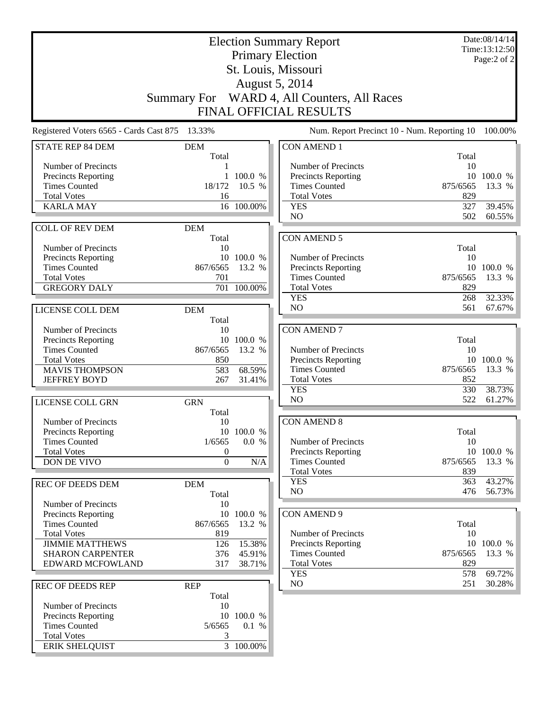|                                                   |                     |                     | <b>Election Summary Report</b>              |            | Date:08/14/14<br>Time:13:12:50 |
|---------------------------------------------------|---------------------|---------------------|---------------------------------------------|------------|--------------------------------|
|                                                   |                     |                     | <b>Primary Election</b>                     |            | Page:2 of 2                    |
|                                                   |                     |                     | St. Louis, Missouri                         |            |                                |
|                                                   |                     |                     | <b>August 5, 2014</b>                       |            |                                |
|                                                   |                     |                     | Summary For WARD 4, All Counters, All Races |            |                                |
|                                                   |                     |                     | <b>FINAL OFFICIAL RESULTS</b>               |            |                                |
| Registered Voters 6565 - Cards Cast 875           | 13.33%              |                     | Num. Report Precinct 10 - Num. Reporting 10 |            | 100.00%                        |
| <b>STATE REP 84 DEM</b>                           | <b>DEM</b><br>Total |                     | <b>CON AMEND 1</b>                          | Total      |                                |
| Number of Precincts                               |                     |                     | Number of Precincts                         | 10         |                                |
| <b>Precincts Reporting</b>                        | $\mathbf{1}$        | 100.0 %             | <b>Precincts Reporting</b>                  |            | 10 100.0 %                     |
| <b>Times Counted</b>                              | 18/172              | 10.5 %              | <b>Times Counted</b>                        | 875/6565   | 13.3 %                         |
| <b>Total Votes</b>                                | 16                  |                     | <b>Total Votes</b>                          | 829        |                                |
| <b>KARLA MAY</b>                                  | 16                  | 100.00%             | <b>YES</b><br>NO                            | 327<br>502 | 39.45%<br>60.55%               |
|                                                   |                     |                     |                                             |            |                                |
| <b>COLL OF REV DEM</b>                            | <b>DEM</b><br>Total |                     | <b>CON AMEND 5</b>                          |            |                                |
| Number of Precincts                               | 10                  |                     |                                             | Total      |                                |
| Precincts Reporting                               |                     | 10 100.0 %          | Number of Precincts                         | 10         |                                |
| <b>Times Counted</b>                              | 867/6565            | 13.2 %              | Precincts Reporting                         |            | 10 100.0 %                     |
| <b>Total Votes</b>                                | 701                 |                     | <b>Times Counted</b>                        | 875/6565   | 13.3 %                         |
| <b>GREGORY DALY</b>                               |                     | 701 100.00%         | <b>Total Votes</b>                          | 829        |                                |
|                                                   |                     |                     | <b>YES</b>                                  | 268        | 32.33%                         |
| LICENSE COLL DEM                                  | <b>DEM</b>          |                     | N <sub>O</sub>                              | 561        | 67.67%                         |
|                                                   | Total               |                     |                                             |            |                                |
| Number of Precincts                               | 10                  |                     | <b>CON AMEND 7</b>                          |            |                                |
| Precincts Reporting                               |                     | 10 100.0 %          |                                             | Total      |                                |
| <b>Times Counted</b><br><b>Total Votes</b>        | 867/6565<br>850     | 13.2 %              | Number of Precincts<br>Precincts Reporting  | 10         | 10 100.0 %                     |
| <b>MAVIS THOMPSON</b>                             | 583                 | 68.59%              | <b>Times Counted</b>                        | 875/6565   | 13.3 %                         |
| <b>JEFFREY BOYD</b>                               | 267                 | 31.41%              | <b>Total Votes</b>                          | 852        |                                |
|                                                   |                     |                     | <b>YES</b>                                  | 330        | 38.73%                         |
| LICENSE COLL GRN                                  | <b>GRN</b>          |                     | N <sub>O</sub>                              | 522        | 61.27%                         |
|                                                   | Total               |                     |                                             |            |                                |
| Number of Precincts                               | 10                  |                     | <b>CON AMEND 8</b>                          |            |                                |
| Precincts Reporting                               |                     | 10 100.0 %          |                                             | Total      |                                |
| <b>Times Counted</b>                              | 1/6565              | 0.0 %               | Number of Precincts                         | 10         |                                |
| <b>Total Votes</b>                                | $\theta$            |                     | <b>Precincts Reporting</b>                  |            | 10 100.0 %                     |
| DON DE VIVO                                       | $\mathbf{0}$        | N/A                 | <b>Times Counted</b>                        | 875/6565   | 13.3 %                         |
|                                                   |                     |                     | <b>Total Votes</b>                          | 839        |                                |
| <b>REC OF DEEDS DEM</b>                           | <b>DEM</b>          |                     | <b>YES</b><br>NO                            | 363<br>476 | 43.27%<br>56.73%               |
|                                                   | Total               |                     |                                             |            |                                |
| Number of Precincts<br><b>Precincts Reporting</b> | 10<br>10            | 100.0 %             | <b>CON AMEND 9</b>                          |            |                                |
| <b>Times Counted</b>                              | 867/6565            | 13.2 %              |                                             | Total      |                                |
| <b>Total Votes</b>                                | 819                 |                     | Number of Precincts                         | 10         |                                |
| <b>JIMMIE MATTHEWS</b>                            | 126                 | 15.38%              | <b>Precincts Reporting</b>                  |            | 10 100.0 %                     |
| <b>SHARON CARPENTER</b>                           | 376                 | 45.91%              | <b>Times Counted</b>                        | 875/6565   | 13.3 %                         |
| EDWARD MCFOWLAND                                  | 317                 | 38.71%              | <b>Total Votes</b>                          | 829        |                                |
|                                                   |                     |                     | <b>YES</b>                                  | 578        | 69.72%                         |
| <b>REC OF DEEDS REP</b>                           | <b>REP</b>          |                     | NO                                          | 251        | 30.28%                         |
|                                                   | Total               |                     |                                             |            |                                |
| Number of Precincts                               | 10                  |                     |                                             |            |                                |
| Precincts Reporting<br><b>Times Counted</b>       | 5/6565              | 10 100.0 %<br>0.1 % |                                             |            |                                |
| <b>Total Votes</b>                                | 3                   |                     |                                             |            |                                |
| <b>ERIK SHELQUIST</b>                             |                     | 3 100.00%           |                                             |            |                                |
|                                                   |                     |                     |                                             |            |                                |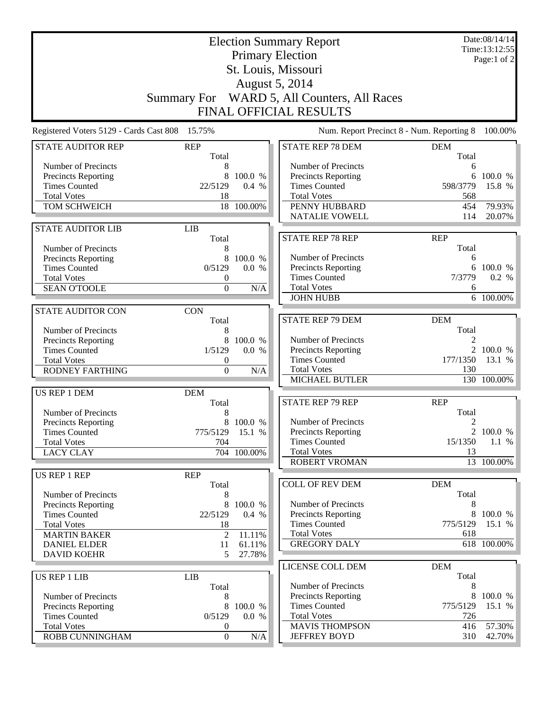| <b>Election Summary Report</b><br><b>Primary Election</b><br>St. Louis, Missouri                                                                              |                                                                        |                                      |                                                                                                                                                  | Date:08/14/14<br>Time:13:12:55<br>Page:1 of $2$       |                                       |
|---------------------------------------------------------------------------------------------------------------------------------------------------------------|------------------------------------------------------------------------|--------------------------------------|--------------------------------------------------------------------------------------------------------------------------------------------------|-------------------------------------------------------|---------------------------------------|
|                                                                                                                                                               |                                                                        |                                      | <b>August 5, 2014</b><br>Summary For WARD 5, All Counters, All Races<br>FINAL OFFICIAL RESULTS                                                   |                                                       |                                       |
| Registered Voters 5129 - Cards Cast 808                                                                                                                       | 15.75%                                                                 |                                      | Num. Report Precinct 8 - Num. Reporting 8                                                                                                        |                                                       | 100.00%                               |
| <b>STATE AUDITOR REP</b>                                                                                                                                      | <b>REP</b><br>Total                                                    |                                      | <b>STATE REP 78 DEM</b>                                                                                                                          | <b>DEM</b><br>Total                                   |                                       |
| Number of Precincts<br>Precincts Reporting<br><b>Times Counted</b><br><b>Total Votes</b><br>TOM SCHWEICH                                                      | 8<br>8<br>22/5129<br>18                                                | 100.0 %<br>0.4 %<br>18 100.00%       | Number of Precincts<br><b>Precincts Reporting</b><br><b>Times Counted</b><br><b>Total Votes</b><br>PENNY HUBBARD<br><b>NATALIE VOWELL</b>        | 6<br>6<br>598/3779<br>568<br>454<br>114               | 100.0 %<br>15.8 %<br>79.93%<br>20.07% |
| <b>STATE AUDITOR LIB</b>                                                                                                                                      | <b>LIB</b>                                                             |                                      |                                                                                                                                                  |                                                       |                                       |
| Number of Precincts<br>Precincts Reporting<br><b>Times Counted</b><br><b>Total Votes</b><br><b>SEAN O'TOOLE</b>                                               | Total<br>8<br>8<br>0/5129<br>0<br>$\overline{0}$                       | 100.0 %<br>0.0 %<br>N/A              | <b>STATE REP 78 REP</b><br>Number of Precincts<br>Precincts Reporting<br><b>Times Counted</b><br><b>Total Votes</b><br><b>JOHN HUBB</b>          | <b>REP</b><br>Total<br>6<br>6<br>7/3779<br>6          | 100.0 %<br>0.2 %<br>6 100.00%         |
| <b>STATE AUDITOR CON</b>                                                                                                                                      | <b>CON</b>                                                             |                                      |                                                                                                                                                  |                                                       |                                       |
| Number of Precincts<br>Precincts Reporting<br><b>Times Counted</b><br><b>Total Votes</b><br><b>RODNEY FARTHING</b>                                            | Total<br>8<br>8<br>1/5129<br>0<br>$\boldsymbol{0}$                     | 100.0 %<br>0.0 %<br>N/A              | <b>STATE REP 79 DEM</b><br>Number of Precincts<br><b>Precincts Reporting</b><br><b>Times Counted</b><br><b>Total Votes</b><br>MICHAEL BUTLER     | <b>DEM</b><br>Total<br>$2^{\circ}$<br>177/1350<br>130 | 100.0 %<br>13.1 %<br>130 100.00%      |
| US REP 1 DEM<br>Number of Precincts<br>Precincts Reporting<br><b>Times Counted</b>                                                                            | <b>DEM</b><br>Total<br>8<br>775/5129 15.1 %                            | 8 100.0 %                            | <b>STATE REP 79 REP</b><br>Number of Precincts<br>Precincts Reporting                                                                            | <b>REP</b><br>Total<br>2                              | 2 100.0 %                             |
| <b>Total Votes</b><br><b>LACY CLAY</b>                                                                                                                        | 704                                                                    | 704 100.00%                          | <b>Times Counted</b><br><b>Total Votes</b>                                                                                                       | 15/1350<br>13                                         | $1.1\%$                               |
|                                                                                                                                                               |                                                                        |                                      | <b>ROBERT VROMAN</b>                                                                                                                             |                                                       | 13 100.00%                            |
| US REP 1 REP<br>Number of Precincts<br><b>Precincts Reporting</b><br><b>Times Counted</b><br><b>Total Votes</b><br><b>MARTIN BAKER</b><br><b>DANIEL ELDER</b> | <b>REP</b><br>Total<br>8<br>8<br>22/5129<br>18<br>$\overline{2}$<br>11 | 100.0 %<br>0.4 %<br>11.11%<br>61.11% | <b>COLL OF REV DEM</b><br>Number of Precincts<br><b>Precincts Reporting</b><br><b>Times Counted</b><br><b>Total Votes</b><br><b>GREGORY DALY</b> | <b>DEM</b><br>Total<br>8<br>775/5129<br>618           | 8 100.0 %<br>15.1 %<br>618 100.00%    |
| <b>DAVID KOEHR</b>                                                                                                                                            | 5                                                                      | 27.78%                               | LICENSE COLL DEM                                                                                                                                 | <b>DEM</b>                                            |                                       |
| US REP 1 LIB<br>Number of Precincts<br>Precincts Reporting<br><b>Times Counted</b><br><b>Total Votes</b>                                                      | <b>LIB</b><br>Total<br>8<br>8<br>0/5129<br>0                           | 100.0 %<br>0.0 %                     | Number of Precincts<br>Precincts Reporting<br><b>Times Counted</b><br><b>Total Votes</b><br><b>MAVIS THOMPSON</b>                                | Total<br>8<br>8<br>775/5129<br>726<br>416             | 100.0 %<br>15.1 %<br>57.30%           |
| ROBB CUNNINGHAM                                                                                                                                               | $\boldsymbol{0}$                                                       | N/A                                  | <b>JEFFREY BOYD</b>                                                                                                                              | 310                                                   | 42.70%                                |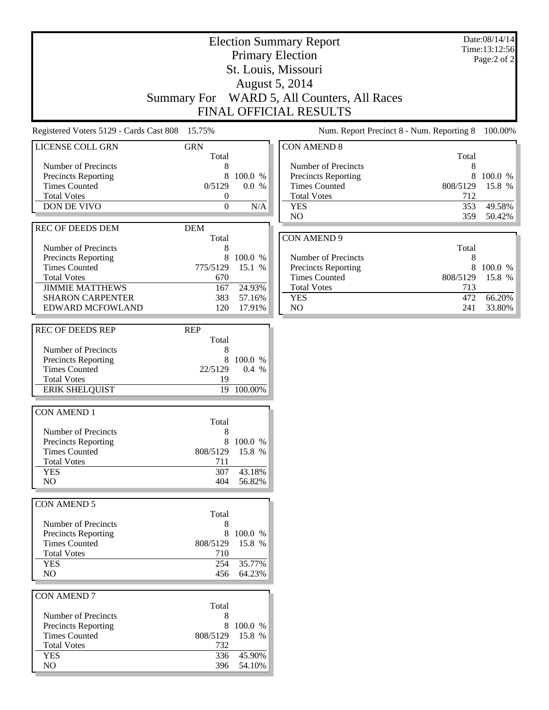Date:08/14/14 Time:13:12:56 Page:2 of 2

## Election Summary Report Primary Election St. Louis, Missouri August 5, 2014 Summary For WARD 5, All Counters, All Races FINAL OFFICIAL RESULTS

Registered Voters 5129 - Cards Cast 808 15.75% Num. Report Precinct 8 - Num. Reporting 8 100.00%

| $\alpha$                   |            |                  |      |
|----------------------------|------------|------------------|------|
| <b>LICENSE COLL GRN</b>    | <b>GRN</b> |                  | CON. |
|                            | Total      |                  |      |
| Number of Precincts        | 8          |                  | Nur  |
| Precincts Reporting        | 8          | 100.0 %          | Preo |
| <b>Times Counted</b>       | 0/5129     | 0.0 %            | Tim  |
| <b>Total Votes</b>         | 0          |                  | Tota |
| <b>DON DE VIVO</b>         | 0          | N/A              | YE.  |
|                            |            |                  | NO   |
| <b>REC OF DEEDS DEM</b>    | <b>DEM</b> |                  |      |
|                            | Total      |                  | CON. |
| Number of Precincts        | 8          |                  |      |
| <b>Precincts Reporting</b> | 8          | 100.0 %          | Nur  |
| <b>Times Counted</b>       | 775/5129   | 15.1 %           | Preo |
| <b>Total Votes</b>         | 670        |                  | Tim  |
| <b>JIMMIE MATTHEWS</b>     | 167        | 24.93%           | Tota |
| <b>SHARON CARPENTER</b>    | 383        | 57.16%           | YE.  |
| <b>EDWARD MCFOWLAND</b>    | 120        | 17.91%           | NO   |
|                            |            |                  |      |
| <b>REC OF DEEDS REP</b>    | <b>REP</b> |                  |      |
|                            | Total      |                  |      |
| Number of Precincts        | 8          |                  |      |
| <b>Precincts Reporting</b> | 8          | 100.0 %          |      |
| <b>Times Counted</b>       | 22/5129    | $0.4\%$          |      |
| <b>Total Votes</b>         | 19         |                  |      |
|                            | 19         | 100.00%          |      |
| <b>ERIK SHELQUIST</b>      |            |                  |      |
|                            |            |                  |      |
| <b>CON AMEND 1</b>         | Total      |                  |      |
|                            |            |                  |      |
| Number of Precincts        | 8          |                  |      |
| Precincts Reporting        | 8          | 100.0 %          |      |
| <b>Times Counted</b>       | 808/5129   | 15.8 %           |      |
| <b>Total Votes</b>         | 711        |                  |      |
| <b>YES</b>                 | 307        | 43.18%           |      |
| NO.                        | 404        | 56.82%           |      |
|                            |            |                  |      |
| <b>CON AMEND 5</b>         |            |                  |      |
|                            | Total      |                  |      |
| Number of Precincts        | 8          |                  |      |
| Precincts Reporting        |            | 8 100.0 %        |      |
| <b>Times Counted</b>       | 808/5129   | 15.8 %           |      |
| <b>Total Votes</b>         | 710        |                  |      |
| <b>YES</b>                 | 254        | 35.77%           |      |
| NO                         | 456        | 64.23%           |      |
|                            |            |                  |      |
| <b>CON AMEND 7</b>         |            |                  |      |
|                            | Total      |                  |      |
| Number of Precincts        | 8          |                  |      |
| <b>Precincts Reporting</b> | 8          | 100.0 %          |      |
| <b>Times Counted</b>       | 808/5129   | 15.8 %           |      |
|                            |            |                  |      |
|                            |            |                  |      |
| <b>Total Votes</b>         | 732        |                  |      |
| <b>YES</b><br>NO           | 336<br>396 | 45.90%<br>54.10% |      |

| <b>CON AMEND 8</b>         |          |         |
|----------------------------|----------|---------|
|                            | Total    |         |
| Number of Precincts        | 8        |         |
| <b>Precincts Reporting</b> | 8        | 100.0 % |
| <b>Times Counted</b>       | 808/5129 | 15.8 %  |
| <b>Total Votes</b>         | 712      |         |
| <b>YES</b>                 | 353      | 49.58%  |
| NO.                        | 359      | 50.42%  |
|                            |          |         |
| <b>CON AMEND 9</b>         |          |         |
|                            | Total    |         |
| Number of Precincts        | 8        |         |
|                            |          |         |

| <b>Precincts Reporting</b> |                 | 8 100.0 % |
|----------------------------|-----------------|-----------|
| <b>Times Counted</b>       | 808/5129 15.8 % |           |
| <b>Total Votes</b>         | 713             |           |
| YES                        | 472.            | 66.20%    |
| NΩ                         | 241             | 33.80%    |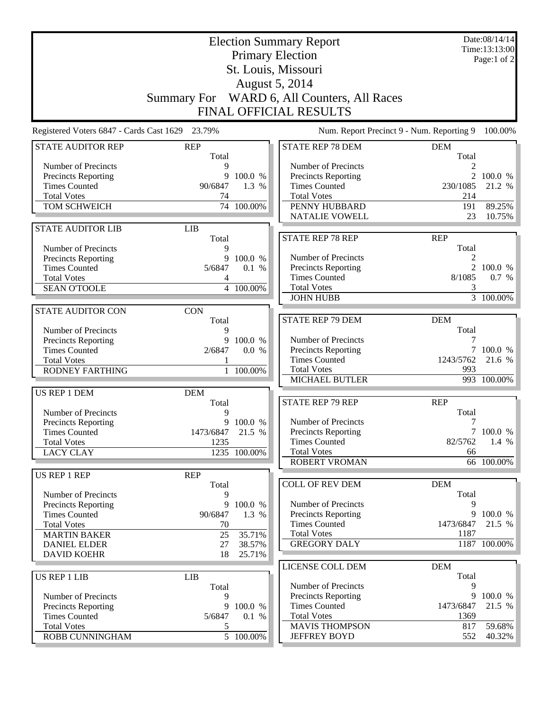|                                                   |                     | Date:08/14/14<br>Time:13:13:00<br>Page:1 of 2 |                                                                     |                |                        |
|---------------------------------------------------|---------------------|-----------------------------------------------|---------------------------------------------------------------------|----------------|------------------------|
|                                                   |                     |                                               |                                                                     |                |                        |
| Registered Voters 6847 - Cards Cast 1629          | 23.79%              |                                               | FINAL OFFICIAL RESULTS<br>Num. Report Precinct 9 - Num. Reporting 9 |                | 100.00%                |
| <b>STATE AUDITOR REP</b>                          | <b>REP</b>          |                                               | <b>STATE REP 78 DEM</b>                                             | <b>DEM</b>     |                        |
|                                                   | Total               |                                               |                                                                     | Total          |                        |
| Number of Precincts<br><b>Precincts Reporting</b> | 9<br>9              | 100.0 %                                       | Number of Precincts<br>Precincts Reporting                          | 2<br>2         | 100.0 %                |
| <b>Times Counted</b>                              | 90/6847             | 1.3 %                                         | <b>Times Counted</b>                                                | 230/1085       | 21.2 %                 |
| <b>Total Votes</b>                                | 74                  |                                               | <b>Total Votes</b>                                                  | 214            |                        |
| TOM SCHWEICH                                      |                     | 74 100.00%                                    | PENNY HUBBARD                                                       | 191            | 89.25%                 |
|                                                   |                     |                                               | <b>NATALIE VOWELL</b>                                               | 23             | 10.75%                 |
| <b>STATE AUDITOR LIB</b>                          | <b>LIB</b>          |                                               | <b>STATE REP 78 REP</b>                                             | <b>REP</b>     |                        |
| Number of Precincts                               | Total<br>9          |                                               |                                                                     | Total          |                        |
| Precincts Reporting                               | 9                   | 100.0 %                                       | Number of Precincts                                                 | 2              |                        |
| <b>Times Counted</b>                              | 5/6847              | 0.1 %                                         | Precincts Reporting                                                 | $\overline{2}$ | 100.0 %                |
| <b>Total Votes</b>                                | 4                   |                                               | <b>Times Counted</b>                                                | 8/1085         | 0.7 %                  |
| <b>SEAN O'TOOLE</b>                               |                     | 4 100.00%                                     | <b>Total Votes</b><br><b>JOHN HUBB</b>                              | 3              | $\overline{3}$ 100.00% |
|                                                   |                     |                                               |                                                                     |                |                        |
| <b>STATE AUDITOR CON</b>                          | <b>CON</b><br>Total |                                               | <b>STATE REP 79 DEM</b>                                             | <b>DEM</b>     |                        |
| Number of Precincts                               | 9                   |                                               |                                                                     | Total          |                        |
| Precincts Reporting                               | 9                   | 100.0 %                                       | Number of Precincts                                                 | 7              |                        |
| <b>Times Counted</b>                              | 2/6847              | 0.0 %                                         | Precincts Reporting                                                 |                | 100.0 %                |
| <b>Total Votes</b>                                |                     |                                               | <b>Times Counted</b>                                                | 1243/5762      | 21.6 %                 |
| <b>RODNEY FARTHING</b>                            |                     | 1 100.00%                                     | <b>Total Votes</b><br>MICHAEL BUTLER                                | 993            | 993 100.00%            |
| US REP 1 DEM                                      | <b>DEM</b>          |                                               |                                                                     |                |                        |
|                                                   | Total               |                                               | <b>STATE REP 79 REP</b>                                             | <b>REP</b>     |                        |
| Number of Precincts                               | 9                   |                                               |                                                                     | Total          |                        |
| Precincts Reporting                               |                     | 9 100.0 %                                     | Number of Precincts                                                 | 7              |                        |
| <b>Times Counted</b>                              | 1473/6847 21.5 %    |                                               | Precincts Reporting                                                 |                | 7 100.0 %              |
| <b>Total Votes</b><br><b>LACY CLAY</b>            | 1235                | 1235 100.00%                                  | <b>Times Counted</b><br><b>Total Votes</b>                          | 82/5762<br>66  | $1.4\%$                |
|                                                   |                     |                                               | <b>ROBERT VROMAN</b>                                                |                | 66 100.00%             |
| US REP 1 REP                                      | <b>REP</b>          |                                               |                                                                     |                |                        |
|                                                   | Total               |                                               | <b>COLL OF REV DEM</b>                                              | <b>DEM</b>     |                        |
| Number of Precincts                               | 9                   |                                               |                                                                     | Total          |                        |
| <b>Precincts Reporting</b>                        | 9                   | 100.0 %                                       | Number of Precincts<br><b>Precincts Reporting</b>                   | 9              |                        |
| <b>Times Counted</b><br><b>Total Votes</b>        | 90/6847<br>70       | 1.3 %                                         | <b>Times Counted</b>                                                | 1473/6847      | 9 100.0 %<br>21.5 %    |
| <b>MARTIN BAKER</b>                               | 25                  | 35.71%                                        | <b>Total Votes</b>                                                  | 1187           |                        |
| <b>DANIEL ELDER</b>                               | 27                  | 38.57%                                        | <b>GREGORY DALY</b>                                                 |                | 1187 100.00%           |
| <b>DAVID KOEHR</b>                                | 18                  | 25.71%                                        |                                                                     |                |                        |
|                                                   |                     |                                               | LICENSE COLL DEM                                                    | <b>DEM</b>     |                        |
| <b>US REP 1 LIB</b>                               | <b>LIB</b>          |                                               |                                                                     | Total          |                        |
| Number of Precincts                               | Total<br>9          |                                               | Number of Precincts<br>Precincts Reporting                          | 9<br>9         | 100.0 %                |
| Precincts Reporting                               | 9                   | 100.0 %                                       | <b>Times Counted</b>                                                | 1473/6847      | 21.5 %                 |
| <b>Times Counted</b>                              | 5/6847              | 0.1 %                                         | <b>Total Votes</b>                                                  | 1369           |                        |
| <b>Total Votes</b>                                | 5                   |                                               | <b>MAVIS THOMPSON</b>                                               | 817            | 59.68%                 |
| ROBB CUNNINGHAM                                   |                     | $\overline{5}$ 100.00%                        | <b>JEFFREY BOYD</b>                                                 | 552            | 40.32%                 |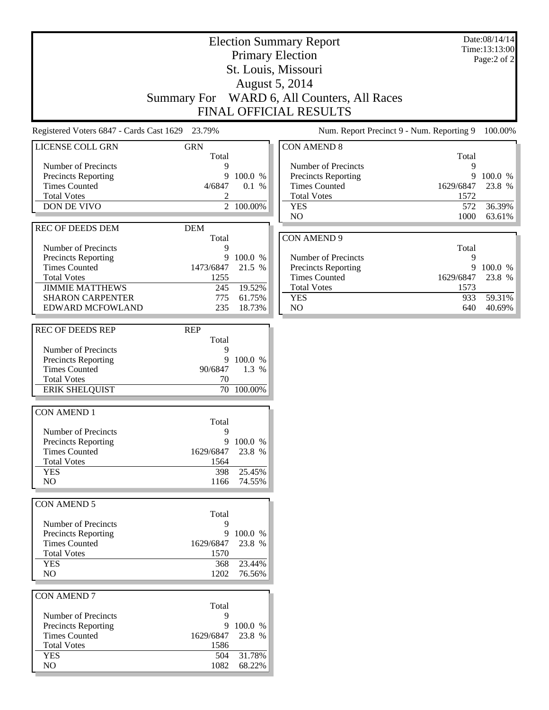# Election Summary Report Primary Election St. Louis, Missouri August 5, 2014 Summary For WARD 6, All Counters, All Races FINAL OFFICIAL RESULTS

Date:08/14/14 Time:13:13:00 Page:2 of 2

| Registered Voters 6847 - Cards Cast 1629 | 23.79%      |                  |                            | Num. Report Precinct 9 - Num. Reporting 9 | 100.00%   |
|------------------------------------------|-------------|------------------|----------------------------|-------------------------------------------|-----------|
| LICENSE COLL GRN                         | <b>GRN</b>  |                  | <b>CON AMEND 8</b>         |                                           |           |
| Number of Precincts                      | Total<br>9  |                  | Number of Precincts        | Total<br>9                                |           |
| Precincts Reporting                      |             | 9 100.0 %        | Precincts Reporting        |                                           | 9 100.0 % |
| <b>Times Counted</b>                     | 4/6847      | 0.1 %            | <b>Times Counted</b>       | 1629/6847                                 | 23.8 %    |
| <b>Total Votes</b>                       | 2           |                  | <b>Total Votes</b>         | 1572                                      |           |
| DON DE VIVO                              |             | 2 100.00%        | <b>YES</b>                 | 572                                       | 36.39%    |
|                                          |             |                  | N <sub>O</sub>             | 1000                                      | 63.61%    |
| <b>REC OF DEEDS DEM</b>                  | <b>DEM</b>  |                  |                            |                                           |           |
|                                          | Total       |                  | <b>CON AMEND 9</b>         |                                           |           |
| Number of Precincts                      | 9           |                  |                            | Total                                     |           |
| <b>Precincts Reporting</b>               | 9           | 100.0 %          | Number of Precincts        | 9                                         |           |
| <b>Times Counted</b>                     | 1473/6847   | 21.5 %           | <b>Precincts Reporting</b> | 9                                         | 100.0 %   |
| <b>Total Votes</b>                       | 1255        |                  | <b>Times Counted</b>       | 1629/6847                                 | 23.8 %    |
| <b>JIMMIE MATTHEWS</b>                   | 245         | 19.52%           | <b>Total Votes</b>         | 1573                                      |           |
| <b>SHARON CARPENTER</b>                  | 775         | 61.75%           | <b>YES</b>                 | 933                                       | 59.31%    |
| EDWARD MCFOWLAND                         | 235         | 18.73%           | NO                         | 640                                       | 40.69%    |
|                                          |             |                  |                            |                                           |           |
| <b>REC OF DEEDS REP</b>                  | <b>REP</b>  |                  |                            |                                           |           |
|                                          | Total       |                  |                            |                                           |           |
| Number of Precincts                      | 9           |                  |                            |                                           |           |
| Precincts Reporting                      | 9           | 100.0 %          |                            |                                           |           |
| <b>Times Counted</b>                     | 90/6847     | 1.3 %            |                            |                                           |           |
| <b>Total Votes</b>                       | 70          |                  |                            |                                           |           |
| <b>ERIK SHELQUIST</b>                    |             | 70 100.00%       |                            |                                           |           |
|                                          |             |                  |                            |                                           |           |
| <b>CON AMEND 1</b>                       | Total       |                  |                            |                                           |           |
| Number of Precincts                      | 9           |                  |                            |                                           |           |
| Precincts Reporting                      | 9           | 100.0 %          |                            |                                           |           |
| <b>Times Counted</b>                     | 1629/6847   | 23.8 %           |                            |                                           |           |
| <b>Total Votes</b>                       | 1564        |                  |                            |                                           |           |
| <b>YES</b>                               | 398         | 25.45%           |                            |                                           |           |
| NO.                                      | 1166        | 74.55%           |                            |                                           |           |
|                                          |             |                  |                            |                                           |           |
| <b>CON AMEND 5</b>                       |             |                  |                            |                                           |           |
|                                          | Total       |                  |                            |                                           |           |
| Number of Precincts                      | 9           |                  |                            |                                           |           |
| <b>Precincts Reporting</b>               | 9           | 100.0 %          |                            |                                           |           |
| <b>Times Counted</b>                     | 1629/6847   | 23.8 %           |                            |                                           |           |
| <b>Total Votes</b>                       | 1570        |                  |                            |                                           |           |
| <b>YES</b>                               | 368         | 23.44%           |                            |                                           |           |
| NO.                                      | 1202        | 76.56%           |                            |                                           |           |
|                                          |             |                  |                            |                                           |           |
| <b>CON AMEND 7</b>                       |             |                  |                            |                                           |           |
|                                          | Total       |                  |                            |                                           |           |
| Number of Precincts                      | 9           |                  |                            |                                           |           |
| Precincts Reporting                      | 9           | 100.0 %          |                            |                                           |           |
| <b>Times Counted</b>                     | 1629/6847   | 23.8 %           |                            |                                           |           |
| <b>Total Votes</b>                       | 1586        |                  |                            |                                           |           |
| <b>YES</b><br>NO                         | 504<br>1082 | 31.78%<br>68.22% |                            |                                           |           |
|                                          |             |                  |                            |                                           |           |

| <b>CON AMEND 8</b>         |                  |        |
|----------------------------|------------------|--------|
|                            | Total            |        |
| Number of Precincts        | 9                |        |
| <b>Precincts Reporting</b> | 9                | 100.0% |
| <b>Times Counted</b>       | 1629/6847 23.8 % |        |
| <b>Total Votes</b>         | 1572             |        |
| <b>YES</b>                 | 572              | 36.39% |
| NO.                        | 1000             | 63.61% |
|                            |                  |        |
| CON AMEND 9                |                  |        |
|                            | Total            |        |

|                            | 1 O.A            |              |
|----------------------------|------------------|--------------|
| Number of Precincts        |                  |              |
| <b>Precincts Reporting</b> |                  | $9\ 100.0\%$ |
| <b>Times Counted</b>       | 1629/6847 23.8 % |              |
| <b>Total Votes</b>         | 1573             |              |
| YES                        | 933.             | 59.31%       |
| NO.                        | 640              | 40.69%       |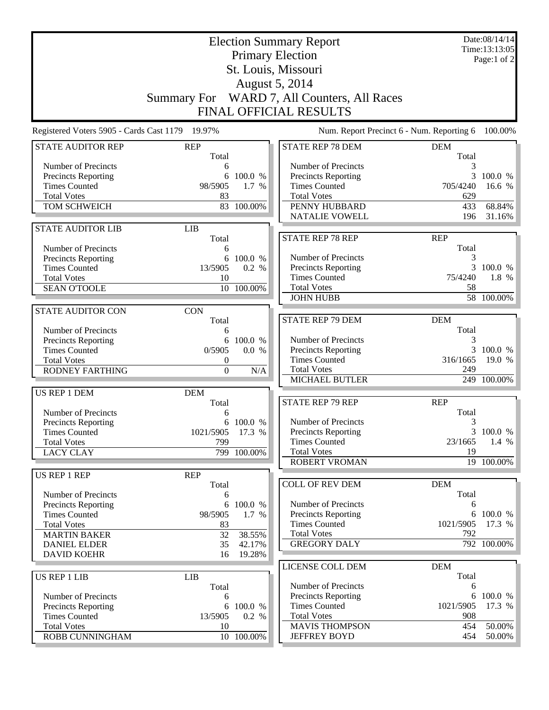|                                                   |                     | Date:08/14/14<br>Time:13:13:05<br>Page:1 of $2$ |                                            |                     |             |
|---------------------------------------------------|---------------------|-------------------------------------------------|--------------------------------------------|---------------------|-------------|
|                                                   |                     |                                                 | St. Louis, Missouri                        |                     |             |
|                                                   |                     |                                                 | August 5, 2014                             |                     |             |
|                                                   | <b>Summary For</b>  |                                                 | WARD 7, All Counters, All Races            |                     |             |
|                                                   |                     |                                                 | FINAL OFFICIAL RESULTS                     |                     |             |
| Registered Voters 5905 - Cards Cast 1179 19.97%   |                     |                                                 | Num. Report Precinct 6 - Num. Reporting 6  |                     | 100.00%     |
| <b>STATE AUDITOR REP</b>                          | <b>REP</b><br>Total |                                                 | <b>STATE REP 78 DEM</b>                    | <b>DEM</b><br>Total |             |
| Number of Precincts                               | 6                   |                                                 | Number of Precincts                        | 3                   |             |
| <b>Precincts Reporting</b>                        | 6                   | 100.0 %                                         | <b>Precincts Reporting</b>                 | 3                   | 100.0 %     |
| <b>Times Counted</b>                              | 98/5905             | 1.7 %                                           | <b>Times Counted</b>                       | 705/4240            | 16.6 %      |
| <b>Total Votes</b><br>TOM SCHWEICH                | 83                  | 83 100.00%                                      | <b>Total Votes</b><br>PENNY HUBBARD        | 629<br>433          | 68.84%      |
|                                                   |                     |                                                 | <b>NATALIE VOWELL</b>                      | 196                 | 31.16%      |
| <b>STATE AUDITOR LIB</b>                          | <b>LIB</b>          |                                                 |                                            |                     |             |
|                                                   | Total               |                                                 | <b>STATE REP 78 REP</b>                    | <b>REP</b>          |             |
| Number of Precincts                               | 6                   |                                                 |                                            | Total               |             |
| Precincts Reporting                               | 6                   | 100.0 %                                         | Number of Precincts                        | 3                   |             |
| <b>Times Counted</b>                              | 13/5905             | 0.2 %                                           | <b>Precincts Reporting</b>                 | 3                   | 100.0 %     |
| <b>Total Votes</b>                                | 10                  |                                                 | <b>Times Counted</b><br><b>Total Votes</b> | 75/4240             | 1.8 %       |
| <b>SEAN O'TOOLE</b>                               |                     | 10 100.00%                                      | <b>JOHN HUBB</b>                           | 58                  | 58 100.00%  |
| <b>STATE AUDITOR CON</b>                          | <b>CON</b>          |                                                 |                                            |                     |             |
|                                                   | Total               |                                                 | <b>STATE REP 79 DEM</b>                    | <b>DEM</b>          |             |
| Number of Precincts                               | 6                   |                                                 |                                            | Total               |             |
| Precincts Reporting                               | 6                   | 100.0 %                                         | Number of Precincts                        | 3                   |             |
| <b>Times Counted</b>                              | 0/5905              | 0.0 %                                           | Precincts Reporting                        | 3                   | 100.0 %     |
| <b>Total Votes</b>                                | $\theta$            |                                                 | <b>Times Counted</b>                       | 316/1665            | 19.0 %      |
| <b>RODNEY FARTHING</b>                            | $\boldsymbol{0}$    | N/A                                             | <b>Total Votes</b>                         | 249                 |             |
|                                                   |                     |                                                 | MICHAEL BUTLER                             |                     | 249 100.00% |
| US REP 1 DEM                                      | <b>DEM</b><br>Total |                                                 | <b>STATE REP 79 REP</b>                    | <b>REP</b>          |             |
| Number of Precincts                               | 6                   |                                                 |                                            | Total               |             |
| Precincts Reporting                               |                     | 6 100.0 %                                       | Number of Precincts                        | 3                   |             |
| <b>Times Counted</b>                              | 1021/5905 17.3 %    |                                                 | Precincts Reporting                        |                     | 3 100.0 %   |
| <b>Total Votes</b>                                | 799                 |                                                 | <b>Times Counted</b>                       | 23/1665             | $1.4\%$     |
| <b>LACY CLAY</b>                                  |                     | 799 100.00%                                     | <b>Total Votes</b>                         | 19                  |             |
|                                                   |                     |                                                 | <b>ROBERT VROMAN</b>                       |                     | 19 100.00%  |
| US REP 1 REP                                      | <b>REP</b>          |                                                 |                                            |                     |             |
|                                                   | Total               |                                                 | <b>COLL OF REV DEM</b>                     | <b>DEM</b><br>Total |             |
| Number of Precincts<br><b>Precincts Reporting</b> | 6<br>6              | 100.0 %                                         | Number of Precincts                        | 6                   |             |
| <b>Times Counted</b>                              | 98/5905             | 1.7 %                                           | <b>Precincts Reporting</b>                 |                     | 6 100.0 %   |
| <b>Total Votes</b>                                | 83                  |                                                 | <b>Times Counted</b>                       | 1021/5905           | 17.3 %      |
| <b>MARTIN BAKER</b>                               | 32                  | 38.55%                                          | <b>Total Votes</b>                         | 792                 |             |
| <b>DANIEL ELDER</b>                               | 35                  | 42.17%                                          | <b>GREGORY DALY</b>                        |                     | 792 100.00% |
| <b>DAVID KOEHR</b>                                | 16                  | 19.28%                                          |                                            |                     |             |
|                                                   |                     |                                                 | LICENSE COLL DEM                           | <b>DEM</b>          |             |
| <b>US REP 1 LIB</b>                               | <b>LIB</b>          |                                                 | Number of Precincts                        | Total               |             |
| Number of Precincts                               | Total<br>6          |                                                 | <b>Precincts Reporting</b>                 | 6<br>6              | 100.0 %     |
| Precincts Reporting                               | 6                   | 100.0 %                                         | <b>Times Counted</b>                       | 1021/5905           | 17.3 %      |
| <b>Times Counted</b>                              | 13/5905             | 0.2 %                                           | <b>Total Votes</b>                         | 908                 |             |
| <b>Total Votes</b>                                | 10                  |                                                 | <b>MAVIS THOMPSON</b>                      | 454                 | 50.00%      |
| ROBB CUNNINGHAM                                   |                     | 10 100.00%                                      | <b>JEFFREY BOYD</b>                        | 454                 | 50.00%      |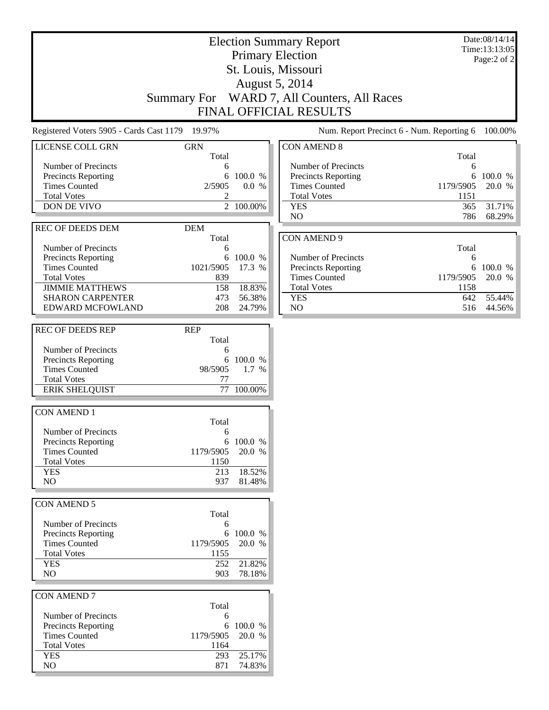Date:08/14/14 Time:13:13:05 Page:2 of 2

### Election Summary Report Primary Election St. Louis, Missouri August 5, 2014 Summary For WARD 7, All Counters, All Races FINAL OFFICIAL RESULTS

Registered Voters 5905 - Cards Cast 1179 19.97% Num. Report Precinct 6 - Num. Reporting 6 100.00%

| $\alpha$                                           |                     |           |                |
|----------------------------------------------------|---------------------|-----------|----------------|
| <b>LICENSE COLL GRN</b>                            | <b>GRN</b>          |           | <b>CON</b>     |
|                                                    | Total               |           |                |
| Number of Precincts                                | 6<br>6              | 100.0 %   | Nι<br>Pr       |
| <b>Precincts Reporting</b><br><b>Times Counted</b> | 2/5905              | 0.0 %     | Ti             |
| <b>Total Votes</b>                                 | 2                   |           | Τo             |
| DON DE VIVO                                        | $\overline{2}$      | 100.00%   | Y              |
|                                                    |                     |           | $\overline{N}$ |
| <b>REC OF DEEDS DEM</b>                            |                     |           |                |
|                                                    | <b>DEM</b><br>Total |           | <b>CON</b>     |
| Number of Precincts                                | 6                   |           |                |
| <b>Precincts Reporting</b>                         | 6                   | 100.0 %   | Nι             |
| <b>Times Counted</b>                               | 1021/5905           | 17.3 %    | Pr             |
| <b>Total Votes</b>                                 | 839                 |           | Ti             |
| <b>JIMMIE MATTHEWS</b>                             | 158                 | 18.83%    | Τo             |
| <b>SHARON CARPENTER</b>                            | 473                 | 56.38%    | Y              |
| <b>EDWARD MCFOWLAND</b>                            | 208                 | 24.79%    |                |
|                                                    |                     |           | $\mathbf N$    |
|                                                    |                     |           |                |
| <b>REC OF DEEDS REP</b>                            | <b>REP</b>          |           |                |
|                                                    | Total               |           |                |
| Number of Precincts                                | 6                   |           |                |
| <b>Precincts Reporting</b>                         | 6                   | 100.0 %   |                |
| <b>Times Counted</b>                               | 98/5905             | $1.7\%$   |                |
| <b>Total Votes</b>                                 | 77                  |           |                |
| <b>ERIK SHELQUIST</b>                              | 77                  | 100.00%   |                |
|                                                    |                     |           |                |
| <b>CON AMEND 1</b>                                 |                     |           |                |
|                                                    | Total               |           |                |
| Number of Precincts                                | 6                   |           |                |
| <b>Precincts Reporting</b>                         |                     | 6 100.0 % |                |
| <b>Times Counted</b>                               | 1179/5905           | 20.0 %    |                |
| <b>Total Votes</b>                                 | 1150                |           |                |
| <b>YES</b>                                         | 213                 | 18.52%    |                |
| N <sub>O</sub>                                     | 937                 | 81.48%    |                |
|                                                    |                     |           |                |
| <b>CON AMEND 5</b>                                 |                     |           |                |
|                                                    | Total               |           |                |
| <b>Number of Precincts</b>                         | 6                   |           |                |
| Precincts Reporting                                |                     | 6 100.0 % |                |
| <b>Times Counted</b>                               | 1179/5905           | 20.0 %    |                |
| <b>Total Votes</b>                                 | 1155                |           |                |
| <b>YES</b>                                         | 252                 | 21.82%    |                |
| NO                                                 | 903                 | 78.18%    |                |
|                                                    |                     |           |                |
| <b>CON AMEND 7</b>                                 |                     |           |                |
|                                                    | Total               |           |                |
| Number of Precincts                                | 6                   |           |                |
| <b>Precincts Reporting</b>                         | 6                   | 100.0 %   |                |
| <b>Times Counted</b>                               | 1179/5905           | 20.0 %    |                |
| <b>Total Votes</b>                                 | 1164                |           |                |
|                                                    |                     |           |                |
| <b>YES</b>                                         | 293                 | 25.17%    |                |
| NO                                                 | 871                 | 74.83%    |                |

| <b>CON AMEND 8</b>         |           |           |
|----------------------------|-----------|-----------|
|                            | Total     |           |
| Number of Precincts        | 6         |           |
| <b>Precincts Reporting</b> |           | 6 100.0 % |
| <b>Times Counted</b>       | 1179/5905 | 20.0 %    |
| <b>Total Votes</b>         | 1151      |           |
| <b>YES</b>                 | 365       | 31.71%    |
| NO                         | 786       | 68.29%    |
|                            |           |           |
| CON AMEND 9                |           |           |
|                            | Total     |           |

| Number of Precincts        |                  |             |
|----------------------------|------------------|-------------|
| <b>Precincts Reporting</b> |                  | 6 100.0 $%$ |
| <b>Times Counted</b>       | 1179/5905 20.0 % |             |
| <b>Total Votes</b>         | 1158             |             |
| YES                        |                  | 642 55.44%  |
| NΩ                         | 516              | 44.56%      |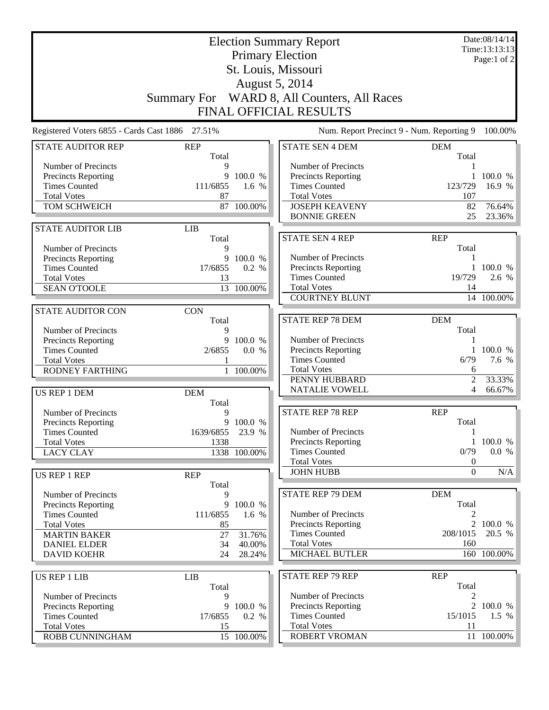|                                                   |                     | Date:08/14/14<br>Time:13:13:13 |                                             |                                  |                  |  |
|---------------------------------------------------|---------------------|--------------------------------|---------------------------------------------|----------------------------------|------------------|--|
|                                                   |                     |                                | <b>Primary Election</b>                     |                                  | Page:1 of 2      |  |
|                                                   |                     |                                | St. Louis, Missouri                         |                                  |                  |  |
| August 5, 2014                                    |                     |                                |                                             |                                  |                  |  |
| Summary For WARD 8, All Counters, All Races       |                     |                                |                                             |                                  |                  |  |
|                                                   |                     |                                | FINAL OFFICIAL RESULTS                      |                                  |                  |  |
| Registered Voters 6855 - Cards Cast 1886 27.51%   |                     |                                | Num. Report Precinct 9 - Num. Reporting 9   |                                  | 100.00%          |  |
| <b>STATE AUDITOR REP</b>                          | <b>REP</b>          |                                | <b>STATE SEN 4 DEM</b>                      | <b>DEM</b>                       |                  |  |
|                                                   | Total               |                                |                                             | Total                            |                  |  |
| Number of Precincts                               | 9                   |                                | Number of Precincts                         |                                  |                  |  |
| Precincts Reporting                               | 9                   | 100.0 %                        | <b>Precincts Reporting</b>                  | 1                                | 100.0 %          |  |
| <b>Times Counted</b>                              | 111/6855            | 1.6 %                          | <b>Times Counted</b>                        | 123/729                          | 16.9 %           |  |
| <b>Total Votes</b>                                | 87                  |                                | <b>Total Votes</b>                          | 107                              |                  |  |
| TOM SCHWEICH                                      |                     | 87 100.00%                     | <b>JOSEPH KEAVENY</b>                       | 82                               | 76.64%           |  |
|                                                   |                     |                                | <b>BONNIE GREEN</b>                         | 25                               | 23.36%           |  |
| <b>STATE AUDITOR LIB</b>                          | <b>LIB</b><br>Total |                                | <b>STATE SEN 4 REP</b>                      | <b>REP</b>                       |                  |  |
| Number of Precincts                               | 9                   |                                |                                             | Total                            |                  |  |
| Precincts Reporting                               | 9                   | 100.0 %                        | Number of Precincts                         |                                  |                  |  |
| <b>Times Counted</b>                              | 17/6855             | 0.2 %                          | Precincts Reporting                         |                                  | 1 100.0 %        |  |
| <b>Total Votes</b>                                | 13                  |                                | <b>Times Counted</b>                        | 19/729                           | $2.6\,$ %        |  |
| <b>SEAN O'TOOLE</b>                               |                     | 13 100.00%                     | <b>Total Votes</b>                          | 14                               |                  |  |
|                                                   |                     |                                | <b>COURTNEY BLUNT</b>                       |                                  | 14 100.00%       |  |
| <b>STATE AUDITOR CON</b>                          | <b>CON</b>          |                                |                                             |                                  |                  |  |
|                                                   | Total               |                                | <b>STATE REP 78 DEM</b>                     | <b>DEM</b>                       |                  |  |
| Number of Precincts                               | 9                   |                                |                                             | Total                            |                  |  |
| Precincts Reporting                               | 9                   | 100.0 %                        | Number of Precincts                         | 1                                |                  |  |
| <b>Times Counted</b>                              | 2/6855              | 0.0 %                          | Precincts Reporting<br><b>Times Counted</b> | 1<br>6/79                        | 100.0 %<br>7.6 % |  |
| <b>Total Votes</b><br>RODNEY FARTHING             |                     | 1 100.00%                      | <b>Total Votes</b>                          | 6                                |                  |  |
|                                                   |                     |                                | PENNY HUBBARD                               | $\overline{2}$                   | 33.33%           |  |
| US REP 1 DEM                                      | <b>DEM</b>          |                                | NATALIE VOWELL                              | 4                                | 66.67%           |  |
|                                                   | Total               |                                |                                             |                                  |                  |  |
| Number of Precincts                               | 9                   |                                | <b>STATE REP 78 REP</b>                     | <b>REP</b>                       |                  |  |
| Precincts Reporting                               |                     | 9 100.0 %                      |                                             | Total                            |                  |  |
| <b>Times Counted</b>                              | 1639/6855           | 23.9 %                         | Number of Precincts                         | 1                                |                  |  |
| <b>Total Votes</b>                                | 1338                |                                | <b>Precincts Reporting</b>                  |                                  | 1 100.0 %        |  |
| <b>LACY CLAY</b>                                  |                     | 1338 100.00%                   | <b>Times Counted</b>                        | 0/79                             | 0.0 %            |  |
|                                                   |                     |                                | <b>Total Votes</b><br><b>JOHN HUBB</b>      | $\boldsymbol{0}$<br>$\mathbf{0}$ |                  |  |
| US REP 1 REP                                      | <b>REP</b>          |                                |                                             |                                  | N/A              |  |
|                                                   | Total<br>9          |                                | <b>STATE REP 79 DEM</b>                     | <b>DEM</b>                       |                  |  |
| Number of Precincts<br><b>Precincts Reporting</b> | 9                   | 100.0 %                        |                                             | Total                            |                  |  |
| <b>Times Counted</b>                              | 111/6855            | 1.6 %                          | Number of Precincts                         | 2                                |                  |  |
| <b>Total Votes</b>                                | 85                  |                                | <b>Precincts Reporting</b>                  | $\overline{2}$                   | 100.0 %          |  |
| <b>MARTIN BAKER</b>                               | 27                  | 31.76%                         | <b>Times Counted</b>                        | 208/1015                         | 20.5 %           |  |
| <b>DANIEL ELDER</b>                               | 34                  | 40.00%                         | <b>Total Votes</b>                          | 160                              |                  |  |
| <b>DAVID KOEHR</b>                                | 24                  | 28.24%                         | <b>MICHAEL BUTLER</b>                       |                                  | 160 100.00%      |  |
|                                                   |                     |                                |                                             |                                  |                  |  |
| US REP 1 LIB                                      | <b>LIB</b>          |                                | <b>STATE REP 79 REP</b>                     | <b>REP</b>                       |                  |  |
|                                                   | Total               |                                |                                             | Total                            |                  |  |
| Number of Precincts                               | 9<br>9              | 100.0 %                        | Number of Precincts<br>Precincts Reporting  | 2<br>$\overline{2}$              | 100.0 %          |  |
| Precincts Reporting<br><b>Times Counted</b>       | 17/6855             | 0.2 %                          | <b>Times Counted</b>                        | 15/1015                          | 1.5 %            |  |
| <b>Total Votes</b>                                | 15                  |                                | <b>Total Votes</b>                          | 11                               |                  |  |
| ROBB CUNNINGHAM                                   |                     | 15 100.00%                     | ROBERT VROMAN                               |                                  | 11 100.00%       |  |
|                                                   |                     |                                |                                             |                                  |                  |  |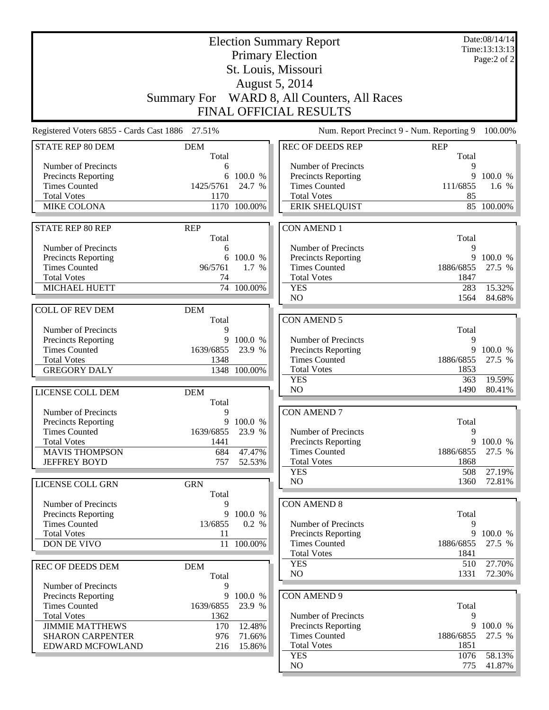|                                                   | Date:08/14/14<br><b>Election Summary Report</b><br>Time:13:13:13 |                     |                                                   |                                           |             |
|---------------------------------------------------|------------------------------------------------------------------|---------------------|---------------------------------------------------|-------------------------------------------|-------------|
|                                                   |                                                                  |                     | <b>Primary Election</b>                           |                                           | Page:2 of 2 |
|                                                   |                                                                  |                     | St. Louis, Missouri                               |                                           |             |
|                                                   |                                                                  |                     | <b>August 5, 2014</b>                             |                                           |             |
|                                                   |                                                                  |                     |                                                   |                                           |             |
|                                                   |                                                                  |                     | Summary For WARD 8, All Counters, All Races       |                                           |             |
|                                                   |                                                                  |                     | <b>FINAL OFFICIAL RESULTS</b>                     |                                           |             |
| Registered Voters 6855 - Cards Cast 1886 27.51%   |                                                                  |                     |                                                   | Num. Report Precinct 9 - Num. Reporting 9 | 100.00%     |
| <b>STATE REP 80 DEM</b>                           | <b>DEM</b>                                                       |                     | <b>REC OF DEEDS REP</b>                           | <b>REP</b>                                |             |
|                                                   | Total                                                            |                     |                                                   | Total                                     |             |
| Number of Precincts<br><b>Precincts Reporting</b> | 6<br>6                                                           | 100.0 %             | Number of Precincts<br><b>Precincts Reporting</b> | 9<br>9                                    | 100.0 %     |
| <b>Times Counted</b>                              | 1425/5761                                                        | 24.7 %              | <b>Times Counted</b>                              | 111/6855                                  | 1.6 $%$     |
| <b>Total Votes</b>                                | 1170                                                             |                     | <b>Total Votes</b>                                | 85                                        |             |
| <b>MIKE COLONA</b>                                |                                                                  | 1170 100.00%        | <b>ERIK SHELQUIST</b>                             |                                           | 85 100.00%  |
|                                                   |                                                                  |                     |                                                   |                                           |             |
| <b>STATE REP 80 REP</b>                           | <b>REP</b>                                                       |                     | <b>CON AMEND 1</b>                                |                                           |             |
|                                                   | Total                                                            |                     |                                                   | Total                                     |             |
| Number of Precincts<br><b>Precincts Reporting</b> | 6                                                                | 6 100.0 %           | Number of Precincts<br>Precincts Reporting        | 9<br>9                                    | 100.0 %     |
| <b>Times Counted</b>                              | 96/5761                                                          | 1.7 %               | <b>Times Counted</b>                              | 1886/6855                                 | 27.5 %      |
| <b>Total Votes</b>                                | 74                                                               |                     | <b>Total Votes</b>                                | 1847                                      |             |
| MICHAEL HUETT                                     |                                                                  | 74 100.00%          | <b>YES</b>                                        | 283                                       | 15.32%      |
|                                                   |                                                                  |                     | NO                                                | 1564                                      | 84.68%      |
| <b>COLL OF REV DEM</b>                            | <b>DEM</b>                                                       |                     |                                                   |                                           |             |
|                                                   | Total                                                            |                     | <b>CON AMEND 5</b>                                |                                           |             |
| Number of Precincts                               | 9                                                                |                     |                                                   | Total                                     |             |
| Precincts Reporting<br><b>Times Counted</b>       | 9<br>1639/6855                                                   | 100.0 %<br>23.9 %   | Number of Precincts<br>Precincts Reporting        | 9<br>9                                    | 100.0 %     |
| <b>Total Votes</b>                                | 1348                                                             |                     | <b>Times Counted</b>                              | 1886/6855                                 | 27.5 %      |
| <b>GREGORY DALY</b>                               |                                                                  | 1348 100.00%        | <b>Total Votes</b>                                | 1853                                      |             |
|                                                   |                                                                  |                     | <b>YES</b>                                        | 363                                       | 19.59%      |
| LICENSE COLL DEM                                  | <b>DEM</b>                                                       |                     | N <sub>O</sub>                                    | 1490                                      | 80.41%      |
|                                                   | Total                                                            |                     |                                                   |                                           |             |
| Number of Precincts                               | 9                                                                |                     | <b>CON AMEND 7</b>                                |                                           |             |
| <b>Precincts Reporting</b>                        | 1639/6855                                                        | 9 100.0 %<br>23.9 % |                                                   | Total<br>9                                |             |
| <b>Times Counted</b><br><b>Total Votes</b>        | 1441                                                             |                     | Number of Precincts<br><b>Precincts Reporting</b> |                                           | 9 100.0 %   |
| <b>MAVIS THOMPSON</b>                             | 684                                                              | 47.47%              | <b>Times Counted</b>                              | 1886/6855                                 | 27.5 %      |
| <b>JEFFREY BOYD</b>                               | 757                                                              | 52.53%              | <b>Total Votes</b>                                | 1868                                      |             |
|                                                   |                                                                  |                     | <b>YES</b>                                        | 508                                       | 27.19%      |
| LICENSE COLL GRN                                  | <b>GRN</b>                                                       |                     | NO                                                | 1360                                      | 72.81%      |
|                                                   | Total                                                            |                     |                                                   |                                           |             |
| Number of Precincts                               | 9                                                                |                     | <b>CON AMEND 8</b>                                |                                           |             |
| Precincts Reporting<br><b>Times Counted</b>       | 9<br>13/6855                                                     | 100.0 %             | Number of Precincts                               | Total<br>9                                |             |
| <b>Total Votes</b>                                | 11                                                               | 0.2 %               | <b>Precincts Reporting</b>                        | 9                                         | 100.0 %     |
| DON DE VIVO                                       | 11                                                               | 100.00%             | <b>Times Counted</b>                              | 1886/6855                                 | 27.5 %      |
|                                                   |                                                                  |                     | <b>Total Votes</b>                                | 1841                                      |             |
| REC OF DEEDS DEM                                  | <b>DEM</b>                                                       |                     | <b>YES</b>                                        | 510                                       | 27.70%      |
|                                                   | Total                                                            |                     | NO                                                | 1331                                      | 72.30%      |
| Number of Precincts                               | 9                                                                |                     |                                                   |                                           |             |
| <b>Precincts Reporting</b>                        | 9                                                                | 100.0 %             | <b>CON AMEND 9</b>                                |                                           |             |
| <b>Times Counted</b>                              | 1639/6855                                                        | 23.9 %              |                                                   | Total                                     |             |
| <b>Total Votes</b><br><b>JIMMIE MATTHEWS</b>      | 1362<br>170                                                      | 12.48%              | Number of Precincts<br><b>Precincts Reporting</b> | 9<br>9                                    | 100.0 %     |
| <b>SHARON CARPENTER</b>                           | 976                                                              | 71.66%              | <b>Times Counted</b>                              | 1886/6855                                 | 27.5 %      |
| EDWARD MCFOWLAND                                  | 216                                                              | 15.86%              | <b>Total Votes</b>                                | 1851                                      |             |
|                                                   |                                                                  |                     | <b>YES</b>                                        | 1076                                      | 58.13%      |
|                                                   |                                                                  |                     | NO                                                | 775                                       | 41.87%      |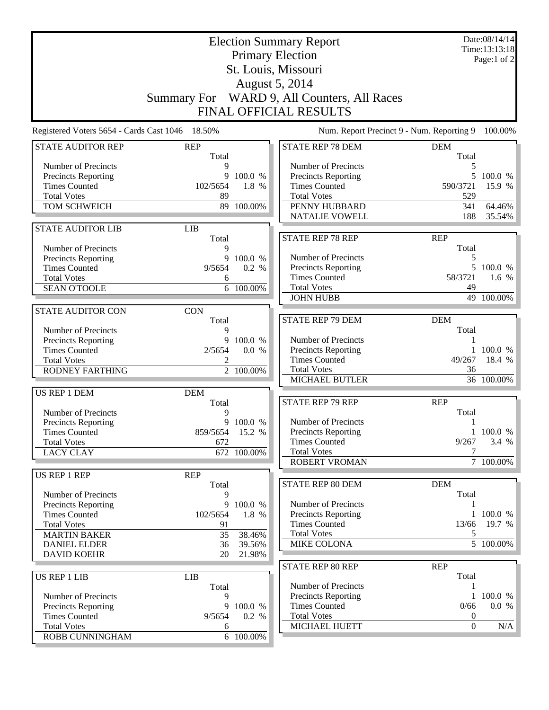|                                                 |                     | Date:08/14/14<br>Time:13:13:18<br>Page:1 of $2$ |                                                |                     |                        |
|-------------------------------------------------|---------------------|-------------------------------------------------|------------------------------------------------|---------------------|------------------------|
|                                                 |                     |                                                 | <b>Primary Election</b><br>St. Louis, Missouri |                     |                        |
|                                                 |                     |                                                 | <b>August 5, 2014</b>                          |                     |                        |
|                                                 | <b>Summary For</b>  |                                                 | WARD 9, All Counters, All Races                |                     |                        |
|                                                 |                     |                                                 | FINAL OFFICIAL RESULTS                         |                     |                        |
| Registered Voters 5654 - Cards Cast 1046 18.50% |                     |                                                 | Num. Report Precinct 9 - Num. Reporting 9      |                     | 100.00%                |
| <b>STATE AUDITOR REP</b>                        | <b>REP</b><br>Total |                                                 | <b>STATE REP 78 DEM</b>                        | <b>DEM</b><br>Total |                        |
| Number of Precincts                             | 9                   |                                                 | Number of Precincts                            | 5                   |                        |
| <b>Precincts Reporting</b>                      | 9                   | 100.0 %                                         | Precincts Reporting                            | 5                   | 100.0 %                |
| <b>Times Counted</b>                            | 102/5654            | 1.8 %                                           | <b>Times Counted</b>                           | 590/3721            | 15.9 %                 |
| <b>Total Votes</b>                              | 89                  |                                                 | <b>Total Votes</b>                             | 529                 |                        |
| TOM SCHWEICH                                    |                     | 89 100.00%                                      | PENNY HUBBARD                                  | 341                 | 64.46%                 |
|                                                 |                     |                                                 | <b>NATALIE VOWELL</b>                          | 188                 | 35.54%                 |
| <b>STATE AUDITOR LIB</b>                        | <b>LIB</b><br>Total |                                                 | <b>STATE REP 78 REP</b>                        | <b>REP</b>          |                        |
| Number of Precincts                             | 9                   |                                                 |                                                | Total               |                        |
| <b>Precincts Reporting</b>                      | 9                   | 100.0 %                                         | Number of Precincts                            | 5                   |                        |
| <b>Times Counted</b>                            | 9/5654              | 0.2 %                                           | Precincts Reporting                            | 5.                  | 100.0 %                |
| <b>Total Votes</b>                              | 6                   |                                                 | <b>Times Counted</b>                           | 58/3721             | $1.6\%$                |
| <b>SEAN O'TOOLE</b>                             |                     | 6 100.00%                                       | <b>Total Votes</b>                             | 49                  |                        |
|                                                 |                     |                                                 | <b>JOHN HUBB</b>                               |                     | 49 100.00%             |
| <b>STATE AUDITOR CON</b>                        | <b>CON</b>          |                                                 |                                                |                     |                        |
|                                                 | Total               |                                                 | <b>STATE REP 79 DEM</b>                        | <b>DEM</b>          |                        |
| Number of Precincts                             | 9                   |                                                 |                                                | Total               |                        |
| Precincts Reporting                             | 9                   | 100.0 %                                         | Number of Precincts<br>Precincts Reporting     |                     | 100.0 %                |
| <b>Times Counted</b><br><b>Total Votes</b>      | 2/5654              | 0.0 %                                           | <b>Times Counted</b>                           | 49/267              | 18.4 %                 |
| <b>RODNEY FARTHING</b>                          |                     | 2 100.00%                                       | <b>Total Votes</b>                             | 36                  |                        |
|                                                 |                     |                                                 | MICHAEL BUTLER                                 |                     | 36 100.00%             |
| US REP 1 DEM                                    | <b>DEM</b>          |                                                 |                                                |                     |                        |
|                                                 | Total               |                                                 | <b>STATE REP 79 REP</b>                        | <b>REP</b>          |                        |
| Number of Precincts                             | 9                   |                                                 |                                                | Total               |                        |
| <b>Precincts Reporting</b>                      |                     | 9 100.0 %                                       | Number of Precincts                            | 1                   |                        |
| <b>Times Counted</b>                            | 859/5654 15.2 %     |                                                 | Precincts Reporting                            |                     | 1 100.0 %              |
| <b>Total Votes</b>                              | 672                 |                                                 | <b>Times Counted</b>                           | 9/267               | 3.4 %                  |
| <b>LACY CLAY</b>                                |                     | 672 100.00%                                     | <b>Total Votes</b><br><b>ROBERT VROMAN</b>     | 7                   | 7 100.00%              |
|                                                 |                     |                                                 |                                                |                     |                        |
| <b>US REP 1 REP</b>                             | <b>REP</b><br>Total |                                                 | STATE REP 80 DEM                               | <b>DEM</b>          |                        |
| Number of Precincts                             | 9                   |                                                 |                                                | Total               |                        |
| <b>Precincts Reporting</b>                      | 9                   | 100.0 %                                         | Number of Precincts                            |                     |                        |
| <b>Times Counted</b>                            | 102/5654            | 1.8 %                                           | <b>Precincts Reporting</b>                     |                     | 1 100.0 %              |
| <b>Total Votes</b>                              | 91                  |                                                 | <b>Times Counted</b>                           | 13/66               | 19.7 %                 |
| <b>MARTIN BAKER</b>                             | 35                  | 38.46%                                          | <b>Total Votes</b>                             | 5                   |                        |
| <b>DANIEL ELDER</b>                             | 36                  | 39.56%                                          | <b>MIKE COLONA</b>                             |                     | $\overline{5}$ 100.00% |
| <b>DAVID KOEHR</b>                              | 20                  | 21.98%                                          |                                                |                     |                        |
|                                                 |                     |                                                 | <b>STATE REP 80 REP</b>                        | <b>REP</b>          |                        |
| <b>US REP 1 LIB</b>                             | <b>LIB</b><br>Total |                                                 | Number of Precincts                            | Total               |                        |
| Number of Precincts                             | 9                   |                                                 | <b>Precincts Reporting</b>                     |                     | 1 100.0 %              |
| Precincts Reporting                             | 9                   | 100.0 %                                         | <b>Times Counted</b>                           | 0/66                | 0.0 %                  |
| <b>Times Counted</b>                            | 9/5654              | 0.2 %                                           | <b>Total Votes</b>                             | $\theta$            |                        |
| <b>Total Votes</b>                              | 6                   |                                                 | MICHAEL HUETT                                  | $\mathbf{0}$        | N/A                    |
| ROBB CUNNINGHAM                                 |                     | 6 100.00%                                       |                                                |                     |                        |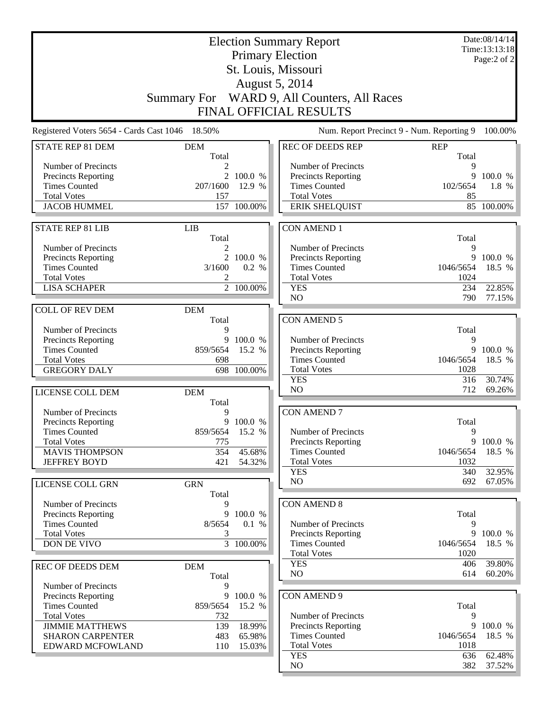| <b>Election Summary Report</b>                    |                               |                    |                                                   |                   | Date:08/14/14<br>Time:13:13:18 |  |  |
|---------------------------------------------------|-------------------------------|--------------------|---------------------------------------------------|-------------------|--------------------------------|--|--|
|                                                   |                               |                    | <b>Primary Election</b>                           |                   | Page:2 of 2                    |  |  |
|                                                   |                               |                    | St. Louis, Missouri                               |                   |                                |  |  |
|                                                   |                               |                    | August 5, 2014                                    |                   |                                |  |  |
|                                                   |                               |                    | Summary For WARD 9, All Counters, All Races       |                   |                                |  |  |
|                                                   |                               |                    |                                                   |                   |                                |  |  |
|                                                   | <b>FINAL OFFICIAL RESULTS</b> |                    |                                                   |                   |                                |  |  |
| Registered Voters 5654 - Cards Cast 1046 18.50%   |                               |                    | Num. Report Precinct 9 - Num. Reporting 9         |                   | 100.00%                        |  |  |
| <b>STATE REP 81 DEM</b>                           | <b>DEM</b>                    |                    | <b>REC OF DEEDS REP</b>                           | <b>REP</b>        |                                |  |  |
|                                                   | Total                         |                    |                                                   | Total             |                                |  |  |
| Number of Precincts<br><b>Precincts Reporting</b> | 2                             | 2 100.0 %          | Number of Precincts<br>Precincts Reporting        | 9<br>9            | 100.0 %                        |  |  |
| <b>Times Counted</b>                              | 207/1600                      | 12.9 %             | <b>Times Counted</b>                              | 102/5654          | 1.8 %                          |  |  |
| <b>Total Votes</b>                                | 157                           |                    | <b>Total Votes</b>                                | 85                |                                |  |  |
| <b>JACOB HUMMEL</b>                               |                               | 157 100.00%        | <b>ERIK SHELQUIST</b>                             |                   | 85 100.00%                     |  |  |
|                                                   |                               |                    |                                                   |                   |                                |  |  |
| <b>STATE REP 81 LIB</b>                           | <b>LIB</b>                    |                    | <b>CON AMEND 1</b>                                |                   |                                |  |  |
|                                                   | Total                         |                    |                                                   | Total             |                                |  |  |
| Number of Precincts                               | 2                             |                    | Number of Precincts                               | 9                 |                                |  |  |
| Precincts Reporting<br><b>Times Counted</b>       | 3/1600                        | 2 100.0 %<br>0.2 % | Precincts Reporting<br><b>Times Counted</b>       | 9<br>1046/5654    | 100.0 %                        |  |  |
| <b>Total Votes</b>                                | 2                             |                    | <b>Total Votes</b>                                | 1024              | 18.5 %                         |  |  |
| <b>LISA SCHAPER</b>                               |                               | 2 100.00%          | <b>YES</b>                                        | 234               | 22.85%                         |  |  |
|                                                   |                               |                    | NO                                                | 790               | 77.15%                         |  |  |
| <b>COLL OF REV DEM</b>                            | <b>DEM</b>                    |                    |                                                   |                   |                                |  |  |
|                                                   | Total                         |                    | <b>CON AMEND 5</b>                                |                   |                                |  |  |
| Number of Precincts                               | 9                             |                    |                                                   | Total             |                                |  |  |
| Precincts Reporting                               | 9                             | 100.0 %            | Number of Precincts                               | 9                 |                                |  |  |
| <b>Times Counted</b>                              | 859/5654                      | 15.2 %             | <b>Precincts Reporting</b>                        | 9                 | 100.0 %                        |  |  |
| <b>Total Votes</b>                                | 698                           |                    | <b>Times Counted</b>                              | 1046/5654         | 18.5 %                         |  |  |
| <b>GREGORY DALY</b>                               |                               | 698 100.00%        | <b>Total Votes</b>                                | 1028              |                                |  |  |
|                                                   |                               |                    | <b>YES</b><br>NO                                  | 316<br>712        | 30.74%<br>69.26%               |  |  |
| LICENSE COLL DEM                                  | <b>DEM</b>                    |                    |                                                   |                   |                                |  |  |
| Number of Precincts                               | Total<br>9                    |                    | <b>CON AMEND 7</b>                                |                   |                                |  |  |
| <b>Precincts Reporting</b>                        |                               | 9 100.0 %          |                                                   | Total             |                                |  |  |
| <b>Times Counted</b>                              | 859/5654 15.2 %               |                    | Number of Precincts                               | 9                 |                                |  |  |
| <b>Total Votes</b>                                | 775                           |                    | Precincts Reporting                               |                   | 9 100.0 %                      |  |  |
| <b>MAVIS THOMPSON</b>                             | 354                           | 45.68%             | <b>Times Counted</b>                              | 1046/5654         | 18.5 %                         |  |  |
| <b>JEFFREY BOYD</b>                               | 421                           | 54.32%             | <b>Total Votes</b>                                | 1032              |                                |  |  |
|                                                   |                               |                    | <b>YES</b>                                        | 340               | 32.95%                         |  |  |
| LICENSE COLL GRN                                  | <b>GRN</b>                    |                    | NO                                                | 692               | $67.05\%$                      |  |  |
|                                                   | Total                         |                    |                                                   |                   |                                |  |  |
| Number of Precincts                               |                               |                    | <b>CON AMEND 8</b>                                |                   |                                |  |  |
| <b>Precincts Reporting</b>                        | 9                             | 100.0 %            |                                                   | Total             |                                |  |  |
| <b>Times Counted</b><br><b>Total Votes</b>        | 8/5654<br>3                   | 0.1 %              | Number of Precincts<br><b>Precincts Reporting</b> | 9<br>9            | 100.0 %                        |  |  |
| DON DE VIVO                                       |                               | 3 100.00%          | <b>Times Counted</b>                              | 1046/5654         | 18.5 %                         |  |  |
|                                                   |                               |                    | <b>Total Votes</b>                                | 1020              |                                |  |  |
| <b>REC OF DEEDS DEM</b>                           | <b>DEM</b>                    |                    | <b>YES</b>                                        | 406               | 39.80%                         |  |  |
|                                                   | Total                         |                    | NO                                                | 614               | $60.20\%$                      |  |  |
| Number of Precincts                               | 9                             |                    |                                                   |                   |                                |  |  |
| Precincts Reporting                               | 9                             | 100.0 %            | <b>CON AMEND 9</b>                                |                   |                                |  |  |
| <b>Times Counted</b>                              | 859/5654                      | 15.2 %             |                                                   | Total             |                                |  |  |
| <b>Total Votes</b>                                | 732                           |                    | Number of Precincts                               | 9                 |                                |  |  |
| <b>JIMMIE MATTHEWS</b>                            | 139                           | 18.99%             | Precincts Reporting                               | 9                 | 100.0 %                        |  |  |
| <b>SHARON CARPENTER</b>                           | 483                           | 65.98%             | <b>Times Counted</b><br><b>Total Votes</b>        | 1046/5654<br>1018 | 18.5 %                         |  |  |
| EDWARD MCFOWLAND                                  | 110                           | 15.03%             | <b>YES</b>                                        | 636               | 62.48%                         |  |  |
|                                                   |                               |                    | NO                                                | 382               | $37.52\%$                      |  |  |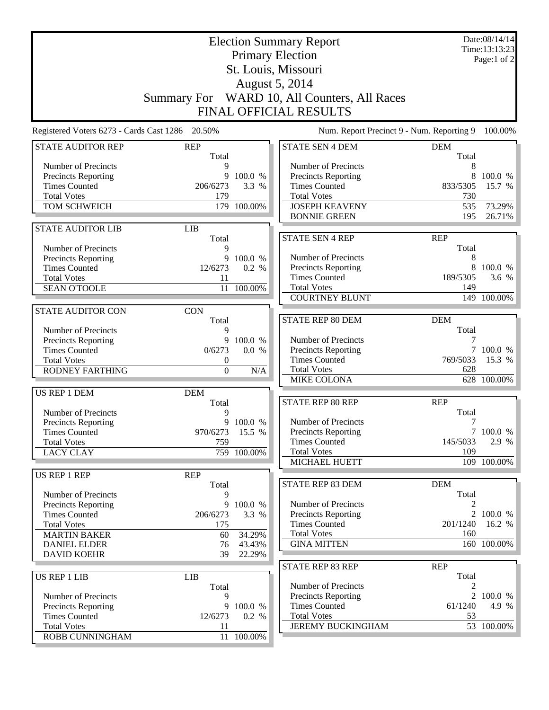|                                                    |                       | <b>Election Summary Report</b><br><b>Primary Election</b> |                                                   | Date:08/14/14<br>Time:13:13:23<br>Page:1 of $2$ |                          |
|----------------------------------------------------|-----------------------|-----------------------------------------------------------|---------------------------------------------------|-------------------------------------------------|--------------------------|
|                                                    |                       |                                                           | St. Louis, Missouri                               |                                                 |                          |
|                                                    |                       |                                                           | August 5, 2014                                    |                                                 |                          |
|                                                    |                       |                                                           |                                                   |                                                 |                          |
|                                                    |                       |                                                           | Summary For WARD 10, All Counters, All Races      |                                                 |                          |
|                                                    |                       |                                                           | FINAL OFFICIAL RESULTS                            |                                                 |                          |
| Registered Voters 6273 - Cards Cast 1286 20.50%    |                       |                                                           | Num. Report Precinct 9 - Num. Reporting 9         |                                                 | 100.00%                  |
| <b>STATE AUDITOR REP</b>                           | <b>REP</b><br>Total   |                                                           | <b>STATE SEN 4 DEM</b>                            | <b>DEM</b><br>Total                             |                          |
| Number of Precincts                                | 9                     |                                                           | Number of Precincts                               | 8                                               |                          |
| <b>Precincts Reporting</b>                         |                       | 9 100.0 %                                                 | <b>Precincts Reporting</b>                        | 8                                               | 100.0 %                  |
| <b>Times Counted</b>                               | 206/6273              | 3.3 %                                                     | <b>Times Counted</b>                              | 833/5305                                        | 15.7 %                   |
| <b>Total Votes</b>                                 | 179                   |                                                           | <b>Total Votes</b>                                | 730                                             |                          |
| TOM SCHWEICH                                       |                       | 179 100.00%                                               | <b>JOSEPH KEAVENY</b><br><b>BONNIE GREEN</b>      | 535<br>195                                      | 73.29%<br>26.71%         |
|                                                    |                       |                                                           |                                                   |                                                 |                          |
| <b>STATE AUDITOR LIB</b>                           | <b>LIB</b><br>Total   |                                                           | <b>STATE SEN 4 REP</b>                            | <b>REP</b>                                      |                          |
| Number of Precincts                                | 9                     |                                                           |                                                   | Total                                           |                          |
| Precincts Reporting                                | 9                     | 100.0 %                                                   | Number of Precincts                               | 8                                               |                          |
| <b>Times Counted</b>                               | 12/6273               | 0.2 %                                                     | Precincts Reporting                               | 8                                               | 100.0 %                  |
| <b>Total Votes</b>                                 | 11                    |                                                           | <b>Times Counted</b>                              | 189/5305                                        | 3.6 %                    |
| <b>SEAN O'TOOLE</b>                                | 11                    | 100.00%                                                   | <b>Total Votes</b>                                | 149                                             |                          |
|                                                    |                       |                                                           | <b>COURTNEY BLUNT</b>                             |                                                 | 149 100.00%              |
| <b>STATE AUDITOR CON</b>                           | <b>CON</b>            |                                                           |                                                   |                                                 |                          |
|                                                    | Total                 |                                                           | <b>STATE REP 80 DEM</b>                           | <b>DEM</b>                                      |                          |
| Number of Precincts                                | 9                     |                                                           |                                                   | Total                                           |                          |
| <b>Precincts Reporting</b>                         | 9                     | 100.0 %                                                   | Number of Precincts                               | 7                                               |                          |
| <b>Times Counted</b>                               | 0/6273                | 0.0 %                                                     | Precincts Reporting<br><b>Times Counted</b>       | 769/5033                                        | 100.0 %<br>15.3 %        |
| <b>Total Votes</b><br><b>RODNEY FARTHING</b>       | 0<br>$\boldsymbol{0}$ | N/A                                                       | <b>Total Votes</b>                                | 628                                             |                          |
|                                                    |                       |                                                           | <b>MIKE COLONA</b>                                |                                                 | 628 100.00%              |
| <b>US REP 1 DEM</b>                                | <b>DEM</b>            |                                                           |                                                   |                                                 |                          |
|                                                    | Total                 |                                                           | <b>STATE REP 80 REP</b>                           | <b>REP</b>                                      |                          |
| Number of Precincts                                | 9                     |                                                           |                                                   | Total                                           |                          |
| <b>Precincts Reporting</b>                         |                       | 9 100.0 %                                                 | Number of Precincts                               | 7                                               |                          |
| <b>Times Counted</b>                               | 970/6273 15.5 %       |                                                           | Precincts Reporting                               |                                                 | 7 100.0 %                |
| <b>Total Votes</b>                                 | 759                   |                                                           | <b>Times Counted</b>                              | 145/5033                                        | 2.9 %                    |
| <b>LACY CLAY</b>                                   |                       | 759 100.00%                                               | <b>Total Votes</b>                                | 109                                             |                          |
|                                                    |                       |                                                           | MICHAEL HUETT                                     |                                                 | $\overline{109}$ 100.00% |
| <b>US REP 1 REP</b>                                | <b>REP</b>            |                                                           |                                                   |                                                 |                          |
|                                                    | Total                 |                                                           | STATE REP 83 DEM                                  | <b>DEM</b>                                      |                          |
| Number of Precincts                                | 9                     |                                                           |                                                   | Total                                           |                          |
| <b>Precincts Reporting</b><br><b>Times Counted</b> | 206/6273              | 9 100.0 %<br>3.3 %                                        | Number of Precincts<br><b>Precincts Reporting</b> |                                                 | 2 100.0 %                |
| <b>Total Votes</b>                                 | 175                   |                                                           | <b>Times Counted</b>                              | 201/1240                                        | 16.2 %                   |
| <b>MARTIN BAKER</b>                                | 60                    | 34.29%                                                    | <b>Total Votes</b>                                | 160                                             |                          |
| <b>DANIEL ELDER</b>                                | 76                    | 43.43%                                                    | <b>GINA MITTEN</b>                                |                                                 | 160 100.00%              |
| <b>DAVID KOEHR</b>                                 | 39                    | 22.29%                                                    |                                                   |                                                 |                          |
|                                                    |                       |                                                           | STATE REP 83 REP                                  | <b>REP</b>                                      |                          |
| <b>US REP 1 LIB</b>                                | <b>LIB</b>            |                                                           |                                                   | Total                                           |                          |
|                                                    | Total                 |                                                           | Number of Precincts                               | 2                                               |                          |
| Number of Precincts                                | 9                     |                                                           | Precincts Reporting                               | 2                                               | 100.0 %                  |
| Precincts Reporting                                |                       | 9 100.0 %                                                 | <b>Times Counted</b>                              | 61/1240                                         | 4.9 %                    |
| <b>Times Counted</b>                               | 12/6273               | 0.2 %                                                     | <b>Total Votes</b>                                | 53                                              |                          |
| <b>Total Votes</b>                                 | 11                    |                                                           | <b>JEREMY BUCKINGHAM</b>                          |                                                 | 53 100.00%               |
| ROBB CUNNINGHAM                                    |                       | 11 100.00%                                                |                                                   |                                                 |                          |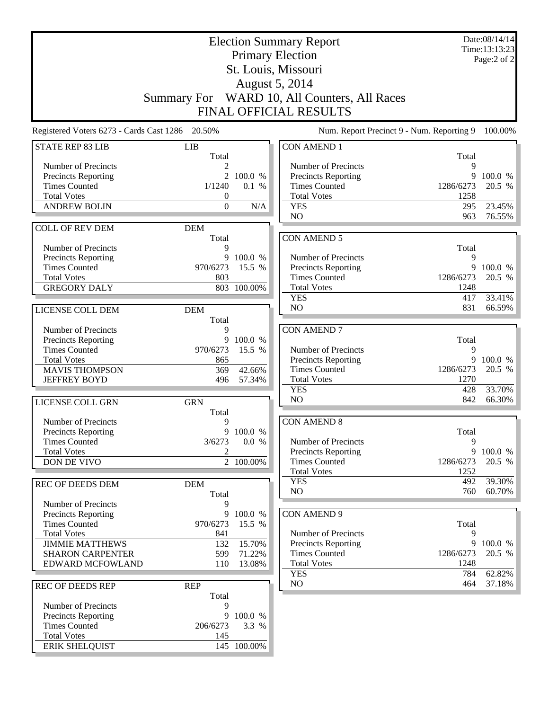|                                                    |                     |                   | <b>Election Summary Report</b>               |                   | Date:08/14/14<br>Time:13:13:23 |
|----------------------------------------------------|---------------------|-------------------|----------------------------------------------|-------------------|--------------------------------|
|                                                    |                     |                   | <b>Primary Election</b>                      |                   | Page:2 of 2                    |
|                                                    |                     |                   | St. Louis, Missouri                          |                   |                                |
| <b>August 5, 2014</b>                              |                     |                   |                                              |                   |                                |
|                                                    |                     |                   |                                              |                   |                                |
|                                                    |                     |                   | Summary For WARD 10, All Counters, All Races |                   |                                |
|                                                    |                     |                   | <b>FINAL OFFICIAL RESULTS</b>                |                   |                                |
| Registered Voters 6273 - Cards Cast 1286 20.50%    |                     |                   | Num. Report Precinct 9 - Num. Reporting 9    |                   | 100.00%                        |
| <b>STATE REP 83 LIB</b>                            | <b>LIB</b><br>Total |                   | <b>CON AMEND 1</b>                           | Total             |                                |
| Number of Precincts                                |                     |                   | Number of Precincts                          | 9                 |                                |
| <b>Precincts Reporting</b>                         | $\overline{2}$      | 100.0 %           | <b>Precincts Reporting</b>                   | 9                 | 100.0 %                        |
| <b>Times Counted</b>                               | 1/1240              | 0.1 %             | <b>Times Counted</b>                         | 1286/6273         | 20.5 %                         |
| <b>Total Votes</b>                                 | $\boldsymbol{0}$    |                   | <b>Total Votes</b>                           | 1258              |                                |
| <b>ANDREW BOLIN</b>                                | $\boldsymbol{0}$    | N/A               | <b>YES</b>                                   | 295               | 23.45%                         |
|                                                    |                     |                   | N <sub>O</sub>                               | 963               | 76.55%                         |
| <b>COLL OF REV DEM</b>                             | <b>DEM</b><br>Total |                   | <b>CON AMEND 5</b>                           |                   |                                |
| Number of Precincts                                | 9                   |                   |                                              | Total             |                                |
| <b>Precincts Reporting</b>                         | 9                   | 100.0 %           | Number of Precincts                          | 9                 |                                |
| <b>Times Counted</b>                               | 970/6273            | 15.5 %            | <b>Precincts Reporting</b>                   | 9                 | 100.0 %                        |
| <b>Total Votes</b>                                 | 803                 |                   | <b>Times Counted</b>                         | 1286/6273         | 20.5 %                         |
| <b>GREGORY DALY</b>                                |                     | 803 100.00%       | <b>Total Votes</b>                           | 1248              |                                |
|                                                    |                     |                   | <b>YES</b>                                   | 417               | 33.41%                         |
| LICENSE COLL DEM                                   | <b>DEM</b>          |                   | NO                                           | 831               | 66.59%                         |
|                                                    | Total               |                   |                                              |                   |                                |
| Number of Precincts                                | 9                   |                   | <b>CON AMEND 7</b>                           |                   |                                |
| <b>Precincts Reporting</b>                         |                     | 9 100.0 %         |                                              | Total             |                                |
| <b>Times Counted</b>                               | 970/6273            | 15.5 %            | Number of Precincts                          | 9                 |                                |
| <b>Total Votes</b>                                 | 865                 |                   | Precincts Reporting                          | 9                 | 100.0 %                        |
| <b>MAVIS THOMPSON</b>                              | 369                 | 42.66%            | <b>Times Counted</b>                         | 1286/6273<br>1270 | 20.5 %                         |
| <b>JEFFREY BOYD</b>                                | 496                 | 57.34%            | <b>Total Votes</b><br><b>YES</b>             | 428               | 33.70%                         |
|                                                    |                     |                   | N <sub>O</sub>                               | 842               | 66.30%                         |
| LICENSE COLL GRN                                   | <b>GRN</b><br>Total |                   |                                              |                   |                                |
| Number of Precincts                                | 9                   |                   | <b>CON AMEND 8</b>                           |                   |                                |
| <b>Precincts Reporting</b>                         |                     | 9 100.0 %         |                                              | Total             |                                |
| <b>Times Counted</b>                               | 3/6273              | 0.0 %             | Number of Precincts                          | 9                 |                                |
| <b>Total Votes</b>                                 | 2                   |                   | <b>Precincts Reporting</b>                   | 9                 | 100.0 %                        |
| DON DE VIVO                                        |                     | 2 100.00%         | <b>Times Counted</b>                         | 1286/6273         | 20.5 %                         |
|                                                    |                     |                   | <b>Total Votes</b>                           | 1252              |                                |
| <b>REC OF DEEDS DEM</b>                            | <b>DEM</b>          |                   | <b>YES</b><br>NO                             | 492<br>760        | 39.30%<br>60.70%               |
|                                                    | Total               |                   |                                              |                   |                                |
| Number of Precincts                                | 9                   |                   |                                              |                   |                                |
| <b>Precincts Reporting</b><br><b>Times Counted</b> | 9<br>970/6273       | 100.0 %<br>15.5 % | <b>CON AMEND 9</b>                           | Total             |                                |
| <b>Total Votes</b>                                 | 841                 |                   | Number of Precincts                          | 9                 |                                |
| <b>JIMMIE MATTHEWS</b>                             | 132                 | 15.70%            | Precincts Reporting                          | 9                 | 100.0 %                        |
| <b>SHARON CARPENTER</b>                            | 599                 | 71.22%            | <b>Times Counted</b>                         | 1286/6273         | 20.5 %                         |
| EDWARD MCFOWLAND                                   | 110                 | 13.08%            | <b>Total Votes</b>                           | 1248              |                                |
|                                                    |                     |                   | <b>YES</b>                                   | 784               | 62.82%                         |
| <b>REC OF DEEDS REP</b>                            | <b>REP</b>          |                   | NO                                           | 464               | 37.18%                         |
|                                                    | Total               |                   |                                              |                   |                                |
| Number of Precincts                                | 9                   |                   |                                              |                   |                                |
| Precincts Reporting                                | 9                   | 100.0 %           |                                              |                   |                                |
| <b>Times Counted</b>                               | 206/6273            | 3.3 %             |                                              |                   |                                |
| <b>Total Votes</b>                                 | 145                 |                   |                                              |                   |                                |
| <b>ERIK SHELQUIST</b>                              |                     | 145 100.00%       |                                              |                   |                                |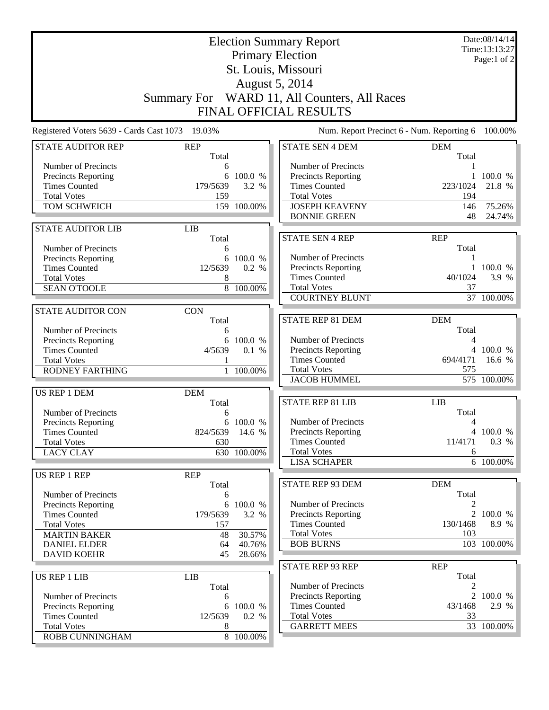|                                                                                                                                                                     | <b>Election Summary Report</b><br><b>Primary Election</b><br>St. Louis, Missouri |                                                  |                                                                                                                                          |                                                  |                                       |
|---------------------------------------------------------------------------------------------------------------------------------------------------------------------|----------------------------------------------------------------------------------|--------------------------------------------------|------------------------------------------------------------------------------------------------------------------------------------------|--------------------------------------------------|---------------------------------------|
|                                                                                                                                                                     |                                                                                  |                                                  | August 5, 2014<br>Summary For WARD 11, All Counters, All Races<br>FINAL OFFICIAL RESULTS                                                 |                                                  |                                       |
| Registered Voters 5639 - Cards Cast 1073                                                                                                                            | 19.03%                                                                           |                                                  | Num. Report Precinct 6 - Num. Reporting 6                                                                                                |                                                  | 100.00%                               |
| <b>STATE AUDITOR REP</b>                                                                                                                                            | <b>REP</b><br>Total                                                              |                                                  | <b>STATE SEN 4 DEM</b>                                                                                                                   | <b>DEM</b><br>Total                              |                                       |
| Number of Precincts<br><b>Precincts Reporting</b><br><b>Times Counted</b><br><b>Total Votes</b><br>TOM SCHWEICH                                                     | 6<br>6<br>179/5639<br>159                                                        | 100.0 %<br>3.2 %<br>159 100.00%                  | Number of Precincts<br>Precincts Reporting<br><b>Times Counted</b><br><b>Total Votes</b><br><b>JOSEPH KEAVENY</b><br><b>BONNIE GREEN</b> | 1<br>223/1024<br>194<br>146<br>48                | 100.0 %<br>21.8 %<br>75.26%<br>24.74% |
| <b>STATE AUDITOR LIB</b>                                                                                                                                            | <b>LIB</b>                                                                       |                                                  |                                                                                                                                          |                                                  |                                       |
| Number of Precincts<br><b>Precincts Reporting</b><br><b>Times Counted</b><br><b>Total Votes</b><br><b>SEAN O'TOOLE</b>                                              | Total<br>6<br>12/5639<br>8                                                       | 6 100.0 %<br>0.2 %<br>8 100.00%                  | <b>STATE SEN 4 REP</b><br>Number of Precincts<br>Precincts Reporting<br><b>Times Counted</b><br><b>Total Votes</b>                       | <b>REP</b><br>Total<br>1<br>40/1024<br>37        | 1 100.0 %<br>3.9 %                    |
| <b>STATE AUDITOR CON</b>                                                                                                                                            | <b>CON</b>                                                                       |                                                  | <b>COURTNEY BLUNT</b>                                                                                                                    |                                                  | 37 100.00%                            |
| Number of Precincts<br>Precincts Reporting<br><b>Times Counted</b><br><b>Total Votes</b><br><b>RODNEY FARTHING</b>                                                  | Total<br>6<br>6<br>4/5639                                                        | 100.0 %<br>0.1 %<br>1 100.00%                    | STATE REP 81 DEM<br>Number of Precincts<br>Precincts Reporting<br><b>Times Counted</b><br><b>Total Votes</b><br><b>JACOB HUMMEL</b>      | <b>DEM</b><br>Total<br>4<br>4<br>694/4171<br>575 | 100.0 %<br>16.6 %<br>575 100.00%      |
| <b>US REP 1 DEM</b><br>Number of Precincts                                                                                                                          | <b>DEM</b><br>Total<br>6                                                         |                                                  | <b>STATE REP 81 LIB</b><br>Number of Precincts                                                                                           | <b>LIB</b><br>Total                              |                                       |
| Precincts Reporting<br><b>Times Counted</b><br><b>Total Votes</b><br><b>LACY CLAY</b>                                                                               | 824/5639 14.6 %<br>630                                                           | 6 100.0 %<br>630 100.00%                         | Precincts Reporting<br><b>Times Counted</b><br><b>Total Votes</b><br><b>LISA SCHAPER</b>                                                 | 4<br>11/4171<br>6                                | 4 100.0 %<br>0.3 %<br>6 100.00%       |
| US REP 1 REP                                                                                                                                                        | <b>REP</b>                                                                       |                                                  |                                                                                                                                          |                                                  |                                       |
| Number of Precincts<br><b>Precincts Reporting</b><br><b>Times Counted</b><br><b>Total Votes</b><br><b>MARTIN BAKER</b><br><b>DANIEL ELDER</b><br><b>DAVID KOEHR</b> | Total<br>6<br>179/5639<br>157<br>48<br>64<br>45                                  | 6 100.0 %<br>3.2 %<br>30.57%<br>40.76%<br>28.66% | STATE REP 93 DEM<br>Number of Precincts<br><b>Precincts Reporting</b><br><b>Times Counted</b><br><b>Total Votes</b><br><b>BOB BURNS</b>  | <b>DEM</b><br>Total<br>130/1468<br>103           | 2 100.0 %<br>8.9 %<br>103 100.00%     |
| <b>US REP 1 LIB</b><br>Number of Precincts                                                                                                                          | <b>LIB</b><br>Total<br>6                                                         |                                                  | STATE REP 93 REP<br>Number of Precincts<br>Precincts Reporting                                                                           | <b>REP</b><br>Total<br>2<br>$\overline{2}$       | 100.0 %                               |
| <b>Precincts Reporting</b><br><b>Times Counted</b><br><b>Total Votes</b><br>ROBB CUNNINGHAM                                                                         | 6<br>12/5639<br>8                                                                | 100.0 %<br>0.2 %<br>8 100.00%                    | <b>Times Counted</b><br><b>Total Votes</b><br><b>GARRETT MEES</b>                                                                        | 43/1468<br>33                                    | 2.9 %<br>33 100.00%                   |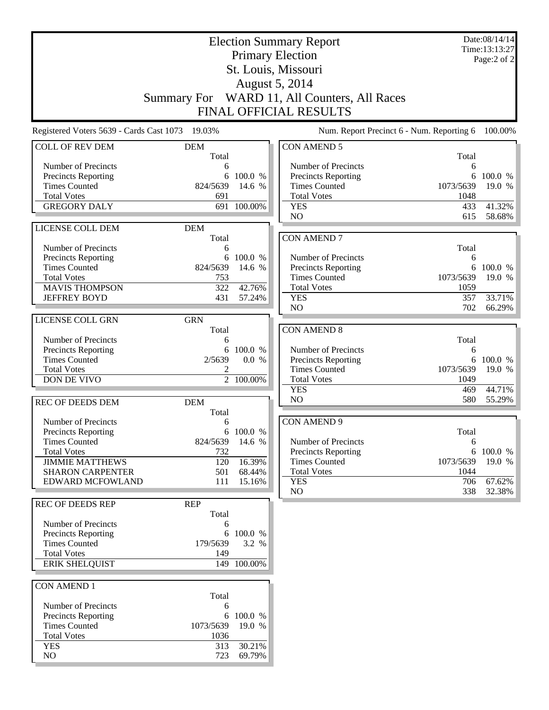| <b>Election Summary Report</b>                     |                     |                    |                                              |             | Date:08/14/14<br>Time:13:13:27 |
|----------------------------------------------------|---------------------|--------------------|----------------------------------------------|-------------|--------------------------------|
|                                                    |                     |                    | <b>Primary Election</b>                      |             | Page:2 of 2                    |
|                                                    |                     |                    | St. Louis, Missouri                          |             |                                |
|                                                    |                     |                    | August 5, 2014                               |             |                                |
|                                                    |                     |                    | Summary For WARD 11, All Counters, All Races |             |                                |
|                                                    |                     |                    | <b>FINAL OFFICIAL RESULTS</b>                |             |                                |
|                                                    |                     |                    |                                              |             |                                |
| Registered Voters 5639 - Cards Cast 1073 19.03%    |                     |                    | Num. Report Precinct 6 - Num. Reporting 6    |             | 100.00%                        |
| <b>COLL OF REV DEM</b>                             | <b>DEM</b>          |                    | <b>CON AMEND 5</b>                           |             |                                |
| Number of Precincts                                | Total<br>6          |                    | Number of Precincts                          | Total<br>6  |                                |
| Precincts Reporting                                | 6                   | 100.0 %            | <b>Precincts Reporting</b>                   | 6           | 100.0 %                        |
| <b>Times Counted</b>                               | 824/5639            | 14.6 %             | <b>Times Counted</b>                         | 1073/5639   | 19.0 %                         |
| <b>Total Votes</b>                                 | 691                 |                    | <b>Total Votes</b>                           | 1048        |                                |
| <b>GREGORY DALY</b>                                |                     | 691 100.00%        | <b>YES</b>                                   | 433         | 41.32%                         |
|                                                    |                     |                    | N <sub>O</sub>                               | 615         | 58.68%                         |
| LICENSE COLL DEM                                   | <b>DEM</b>          |                    | <b>CON AMEND 7</b>                           |             |                                |
| Number of Precincts                                | Total<br>6          |                    |                                              | Total       |                                |
| Precincts Reporting                                | 6                   | 100.0 %            | Number of Precincts                          | 6           |                                |
| <b>Times Counted</b>                               | 824/5639            | 14.6 %             | <b>Precincts Reporting</b>                   |             | 6 100.0 %                      |
| <b>Total Votes</b>                                 | 753                 |                    | <b>Times Counted</b>                         | 1073/5639   | 19.0 %                         |
| <b>MAVIS THOMPSON</b>                              | 322                 | 42.76%             | <b>Total Votes</b>                           | 1059        |                                |
| <b>JEFFREY BOYD</b>                                | 431                 | 57.24%             | <b>YES</b>                                   | 357         | 33.71%                         |
|                                                    |                     |                    | N <sub>O</sub>                               | 702         | 66.29%                         |
| LICENSE COLL GRN                                   | <b>GRN</b><br>Total |                    | <b>CON AMEND 8</b>                           |             |                                |
| Number of Precincts                                | 6                   |                    |                                              | Total       |                                |
| Precincts Reporting                                | 6                   | 100.0 %            | Number of Precincts                          | 6           |                                |
| <b>Times Counted</b>                               | 2/5639              | 0.0 %              | <b>Precincts Reporting</b>                   | 6           | 100.0 %                        |
| <b>Total Votes</b>                                 | 2                   |                    | <b>Times Counted</b>                         | 1073/5639   | 19.0 %                         |
| DON DE VIVO                                        |                     | 2 100.00%          | <b>Total Votes</b>                           | 1049        |                                |
|                                                    |                     |                    | <b>YES</b><br>N <sub>O</sub>                 | 469<br>580  | 44.71%<br>55.29%               |
| <b>REC OF DEEDS DEM</b>                            | <b>DEM</b><br>Total |                    |                                              |             |                                |
| Number of Precincts                                | 6                   |                    | <b>CON AMEND 9</b>                           |             |                                |
| <b>Precincts Reporting</b>                         |                     | 6 100.0 %          |                                              | Total       |                                |
| <b>Times Counted</b>                               | 824/5639            | 14.6 %             | Number of Precincts                          | 6           |                                |
| <b>Total Votes</b>                                 | 732                 |                    | <b>Precincts Reporting</b>                   | 6           | 100.0 %                        |
| <b>JIMMIE MATTHEWS</b>                             | 120                 | 16.39%             | <b>Times Counted</b>                         | 1073/5639   | 19.0 %                         |
| <b>SHARON CARPENTER</b><br>EDWARD MCFOWLAND        | 501<br>111          | 68.44%<br>15.16%   | <b>Total Votes</b><br><b>YES</b>             | 1044<br>706 | 67.62%                         |
|                                                    |                     |                    | NO                                           | 338         | 32.38%                         |
| <b>REC OF DEEDS REP</b>                            | <b>REP</b>          |                    |                                              |             |                                |
|                                                    | Total               |                    |                                              |             |                                |
| Number of Precincts                                | 6                   |                    |                                              |             |                                |
| <b>Precincts Reporting</b><br><b>Times Counted</b> | 179/5639            | 6 100.0 %<br>3.2 % |                                              |             |                                |
| <b>Total Votes</b>                                 | 149                 |                    |                                              |             |                                |
| <b>ERIK SHELQUIST</b>                              |                     | 149 100.00%        |                                              |             |                                |
|                                                    |                     |                    |                                              |             |                                |
| <b>CON AMEND 1</b>                                 |                     |                    |                                              |             |                                |
|                                                    | Total               |                    |                                              |             |                                |
| Number of Precincts                                | 6                   | 100.0 %            |                                              |             |                                |
| Precincts Reporting<br><b>Times Counted</b>        | 6<br>1073/5639      | 19.0 %             |                                              |             |                                |
| <b>Total Votes</b>                                 | 1036                |                    |                                              |             |                                |
| <b>YES</b>                                         | 313                 | 30.21%             |                                              |             |                                |
| NO                                                 | 723                 | 69.79%             |                                              |             |                                |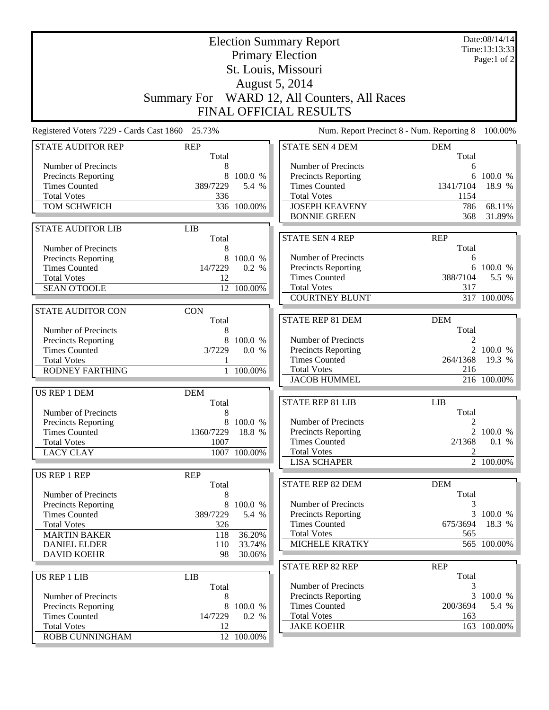|                                                   | <b>Election Summary Report</b><br><b>Primary Election</b><br>St. Louis, Missouri |                  |                                                                |                     |              |
|---------------------------------------------------|----------------------------------------------------------------------------------|------------------|----------------------------------------------------------------|---------------------|--------------|
|                                                   |                                                                                  |                  |                                                                |                     |              |
|                                                   |                                                                                  |                  | August 5, 2014<br>Summary For WARD 12, All Counters, All Races |                     |              |
|                                                   |                                                                                  |                  | FINAL OFFICIAL RESULTS                                         |                     |              |
|                                                   |                                                                                  |                  |                                                                |                     |              |
| Registered Voters 7229 - Cards Cast 1860 25.73%   |                                                                                  |                  | Num. Report Precinct 8 - Num. Reporting 8                      |                     | 100.00%      |
| <b>STATE AUDITOR REP</b>                          | <b>REP</b><br>Total                                                              |                  | <b>STATE SEN 4 DEM</b>                                         | <b>DEM</b><br>Total |              |
| Number of Precincts                               | 8                                                                                |                  | Number of Precincts                                            | 6                   |              |
| <b>Precincts Reporting</b>                        | 8                                                                                | 100.0 %          | Precincts Reporting                                            | 6                   | 100.0 %      |
| <b>Times Counted</b>                              | 389/7229                                                                         | 5.4 %            | <b>Times Counted</b>                                           | 1341/7104           | 18.9 %       |
| <b>Total Votes</b><br>TOM SCHWEICH                | 336                                                                              | 336 100.00%      | <b>Total Votes</b><br><b>JOSEPH KEAVENY</b>                    | 1154<br>786         | 68.11%       |
|                                                   |                                                                                  |                  | <b>BONNIE GREEN</b>                                            | 368                 | 31.89%       |
| <b>STATE AUDITOR LIB</b>                          | <b>LIB</b>                                                                       |                  |                                                                |                     |              |
|                                                   | Total                                                                            |                  | <b>STATE SEN 4 REP</b>                                         | <b>REP</b>          |              |
| Number of Precincts                               | 8                                                                                |                  |                                                                | Total               |              |
| <b>Precincts Reporting</b>                        |                                                                                  | 100.0 %          | Number of Precincts                                            | 6                   |              |
| <b>Times Counted</b>                              | 14/7229                                                                          | 0.2 %            | Precincts Reporting                                            | 6                   | 100.0 %      |
| <b>Total Votes</b>                                | 12                                                                               |                  | <b>Times Counted</b>                                           | 388/7104            | 5.5 %        |
| <b>SEAN O'TOOLE</b>                               |                                                                                  | 12 100.00%       | <b>Total Votes</b>                                             | 317                 |              |
|                                                   |                                                                                  |                  | <b>COURTNEY BLUNT</b>                                          |                     | 317 100.00%  |
| <b>STATE AUDITOR CON</b>                          | <b>CON</b>                                                                       |                  |                                                                |                     |              |
|                                                   | Total                                                                            |                  | STATE REP 81 DEM                                               | <b>DEM</b>          |              |
| Number of Precincts                               | 8                                                                                |                  |                                                                | Total               |              |
| Precincts Reporting                               | 8                                                                                | 100.0 %          | Number of Precincts                                            | 2                   | 2 100.0 %    |
| <b>Times Counted</b><br><b>Total Votes</b>        | 3/7229                                                                           | 0.0 %            | Precincts Reporting<br><b>Times Counted</b>                    | 264/1368            | 19.3 %       |
| <b>RODNEY FARTHING</b>                            |                                                                                  | 1 100.00%        | <b>Total Votes</b>                                             | 216                 |              |
|                                                   |                                                                                  |                  | <b>JACOB HUMMEL</b>                                            |                     | 216 100.00%  |
| <b>US REP 1 DEM</b>                               | <b>DEM</b>                                                                       |                  |                                                                |                     |              |
|                                                   | Total                                                                            |                  | <b>STATE REP 81 LIB</b>                                        | <b>LIB</b>          |              |
| Number of Precincts                               |                                                                                  |                  |                                                                | Total               |              |
| Precincts Reporting                               |                                                                                  | 8 100.0 %        | Number of Precincts                                            | 2                   |              |
| <b>Times Counted</b>                              | 1360/7229 18.8 %                                                                 |                  | Precincts Reporting                                            |                     | 2 100.0 $\%$ |
| <b>Total Votes</b>                                | 1007                                                                             |                  | <b>Times Counted</b>                                           | 2/1368              | 0.1 %        |
| <b>LACY CLAY</b>                                  |                                                                                  | 1007 100.00%     | <b>Total Votes</b>                                             | 2                   |              |
|                                                   |                                                                                  |                  | <b>LISA SCHAPER</b>                                            |                     | 2 100.00%    |
| US REP 1 REP                                      | <b>REP</b>                                                                       |                  |                                                                |                     |              |
|                                                   | Total                                                                            |                  | STATE REP 82 DEM                                               | <b>DEM</b>          |              |
| Number of Precincts<br><b>Precincts Reporting</b> | 8<br>8                                                                           | 100.0 %          | Number of Precincts                                            | Total               |              |
| <b>Times Counted</b>                              | 389/7229                                                                         | 5.4 %            | <b>Precincts Reporting</b>                                     |                     | 3 100.0 %    |
| <b>Total Votes</b>                                | 326                                                                              |                  | <b>Times Counted</b>                                           | 675/3694            | 18.3 %       |
| <b>MARTIN BAKER</b>                               | 118                                                                              | 36.20%           | <b>Total Votes</b>                                             | 565                 |              |
| <b>DANIEL ELDER</b>                               | 110                                                                              | 33.74%           | MICHELE KRATKY                                                 |                     | 565 100.00%  |
| <b>DAVID KOEHR</b>                                | 98                                                                               | 30.06%           |                                                                |                     |              |
|                                                   |                                                                                  |                  | STATE REP 82 REP                                               | <b>REP</b>          |              |
| <b>US REP 1 LIB</b>                               | <b>LIB</b>                                                                       |                  |                                                                | Total               |              |
|                                                   | Total                                                                            |                  | Number of Precincts                                            | 3                   |              |
| Number of Precincts                               | 8                                                                                |                  | Precincts Reporting                                            | 3                   | 100.0 %      |
| Precincts Reporting<br><b>Times Counted</b>       | 8<br>14/7229                                                                     | 100.0 %<br>0.2 % | <b>Times Counted</b><br><b>Total Votes</b>                     | 200/3694<br>163     | 5.4 %        |
| <b>Total Votes</b>                                | 12                                                                               |                  | <b>JAKE KOEHR</b>                                              |                     | 163 100.00%  |
| ROBB CUNNINGHAM                                   |                                                                                  | 12 100.00%       |                                                                |                     |              |
|                                                   |                                                                                  |                  |                                                                |                     |              |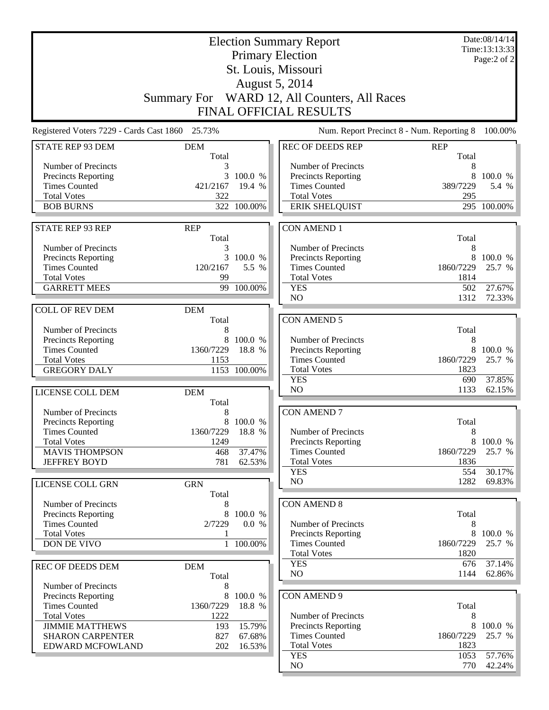|                                                 |                     |                  | <b>Election Summary Report</b>                     |                | Date:08/14/14<br>Time:13:13:33 |
|-------------------------------------------------|---------------------|------------------|----------------------------------------------------|----------------|--------------------------------|
|                                                 |                     |                  | <b>Primary Election</b>                            |                | Page:2 of 2                    |
|                                                 |                     |                  | St. Louis, Missouri                                |                |                                |
|                                                 |                     |                  | August 5, 2014                                     |                |                                |
|                                                 |                     |                  |                                                    |                |                                |
|                                                 |                     |                  | Summary For WARD 12, All Counters, All Races       |                |                                |
|                                                 |                     |                  | FINAL OFFICIAL RESULTS                             |                |                                |
| Registered Voters 7229 - Cards Cast 1860 25.73% |                     |                  | Num. Report Precinct 8 - Num. Reporting 8          |                | 100.00%                        |
| <b>STATE REP 93 DEM</b>                         | <b>DEM</b>          |                  | <b>REC OF DEEDS REP</b>                            | <b>REP</b>     |                                |
|                                                 | Total               |                  |                                                    | Total          |                                |
| Number of Precincts<br>Precincts Reporting      | 3                   | 100.0 %          | Number of Precincts<br>Precincts Reporting         | 8<br>8         | 100.0 %                        |
| <b>Times Counted</b>                            | 421/2167            | 19.4 %           | <b>Times Counted</b>                               | 389/7229       | 5.4 %                          |
| <b>Total Votes</b>                              | 322                 |                  | <b>Total Votes</b>                                 | 295            |                                |
| <b>BOB BURNS</b>                                |                     | 322 100.00%      | <b>ERIK SHELQUIST</b>                              |                | 295 100.00%                    |
|                                                 |                     |                  |                                                    |                |                                |
| <b>STATE REP 93 REP</b>                         | <b>REP</b>          |                  | <b>CON AMEND 1</b>                                 |                |                                |
|                                                 | Total               |                  |                                                    | Total          |                                |
| Number of Precincts                             | 3                   |                  | Number of Precincts                                | 8              |                                |
| Precincts Reporting<br><b>Times Counted</b>     | 3<br>120/2167       | 100.0 %<br>5.5 % | <b>Precincts Reporting</b><br><b>Times Counted</b> | 8<br>1860/7229 | 100.0 %<br>25.7 %              |
| <b>Total Votes</b>                              | 99                  |                  | <b>Total Votes</b>                                 | 1814           |                                |
| <b>GARRETT MEES</b>                             |                     | 99 100.00%       | <b>YES</b>                                         | 502            | 27.67%                         |
|                                                 |                     |                  | N <sub>O</sub>                                     | 1312           | 72.33%                         |
| <b>COLL OF REV DEM</b>                          | <b>DEM</b>          |                  |                                                    |                |                                |
|                                                 | Total               |                  | <b>CON AMEND 5</b>                                 |                |                                |
| Number of Precincts                             | 8                   |                  |                                                    | Total          |                                |
| Precincts Reporting                             | 8                   | 100.0 %          | Number of Precincts                                | 8              |                                |
| <b>Times Counted</b>                            | 1360/7229           | 18.8 %           | Precincts Reporting                                | 8              | 100.0 %                        |
| <b>Total Votes</b>                              | 1153                |                  | <b>Times Counted</b>                               | 1860/7229      | 25.7 %                         |
| <b>GREGORY DALY</b>                             |                     | 1153 100.00%     | <b>Total Votes</b><br><b>YES</b>                   | 1823<br>690    | 37.85%                         |
|                                                 |                     |                  | N <sub>O</sub>                                     | 1133           | 62.15%                         |
| LICENSE COLL DEM                                | <b>DEM</b><br>Total |                  |                                                    |                |                                |
| Number of Precincts                             | 8                   |                  | <b>CON AMEND 7</b>                                 |                |                                |
| <b>Precincts Reporting</b>                      |                     | 8 100.0 %        |                                                    | Total          |                                |
| Times Counted                                   | 1360/7229           | 18.8 %           | Number of Precincts                                | 8              |                                |
| <b>Total Votes</b>                              | 1249                |                  | Precincts Reporting                                | 8              | 100.0 %                        |
| <b>MAVIS THOMPSON</b>                           | 468                 | 37.47%           | <b>Times Counted</b>                               | 1860/7229      | 25.7 %                         |
| <b>JEFFREY BOYD</b>                             | 781                 | 62.53%           | <b>Total Votes</b>                                 | 1836           |                                |
|                                                 |                     |                  | <b>YES</b>                                         | 554            | 30.17%                         |
| LICENSE COLL GRN                                | <b>GRN</b>          |                  | NO                                                 | 1282           | 69.83%                         |
| Number of Precincts                             | Total<br>8          |                  | <b>CON AMEND 8</b>                                 |                |                                |
| Precincts Reporting                             | 8                   | 100.0 %          |                                                    | Total          |                                |
| <b>Times Counted</b>                            | 2/7229              | 0.0 %            | Number of Precincts                                | 8              |                                |
| <b>Total Votes</b>                              | 1                   |                  | <b>Precincts Reporting</b>                         | 8              | 100.0 %                        |
| <b>DON DE VIVO</b>                              | 1                   | 100.00%          | <b>Times Counted</b>                               | 1860/7229      | 25.7 %                         |
|                                                 |                     |                  | <b>Total Votes</b>                                 | 1820           |                                |
| <b>REC OF DEEDS DEM</b>                         | <b>DEM</b>          |                  | <b>YES</b>                                         | 676            | 37.14%                         |
|                                                 | Total               |                  | NO                                                 | 1144           | $62.86\%$                      |
| Number of Precincts                             | 8                   |                  |                                                    |                |                                |
| Precincts Reporting                             | 8                   | 100.0 %          | CON AMEND 9                                        |                |                                |
| <b>Times Counted</b>                            | 1360/7229<br>1222   | 18.8 %           | Number of Precincts                                | Total          |                                |
| <b>Total Votes</b><br><b>JIMMIE MATTHEWS</b>    | 193                 | 15.79%           | <b>Precincts Reporting</b>                         | 8<br>8         | 100.0 %                        |
| <b>SHARON CARPENTER</b>                         | 827                 | 67.68%           | <b>Times Counted</b>                               | 1860/7229      | 25.7 %                         |
| EDWARD MCFOWLAND                                | 202                 | 16.53%           | <b>Total Votes</b>                                 | 1823           |                                |
|                                                 |                     |                  | <b>YES</b>                                         | 1053           | 57.76%                         |
|                                                 |                     |                  | NO                                                 | 770            | $42.24\%$                      |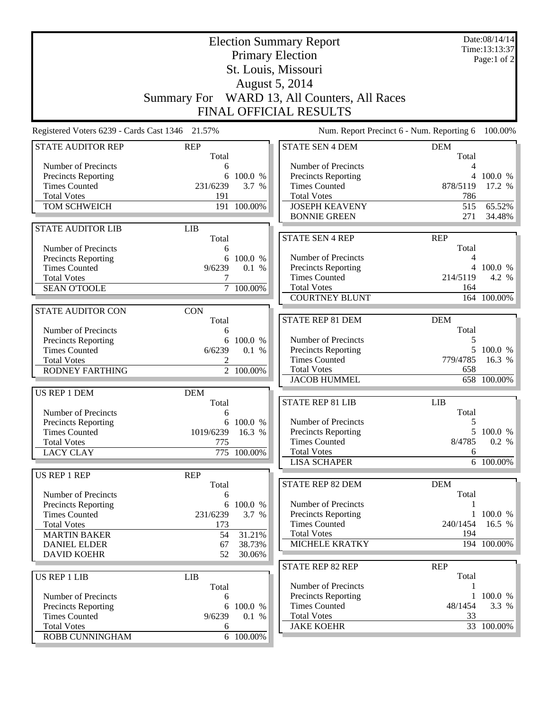| St. Louis, Missouri<br>August 5, 2014<br>Summary For WARD 13, All Counters, All Races<br>FINAL OFFICIAL RESULTS<br>Num. Report Precinct 6 - Num. Reporting 6<br>Registered Voters 6239 - Cards Cast 1346 21.57%<br><b>STATE AUDITOR REP</b><br><b>REP</b><br><b>STATE SEN 4 DEM</b><br><b>DEM</b><br>Total<br>Total<br>Number of Precincts<br>Number of Precincts<br>4<br>6<br><b>Precincts Reporting</b><br>100.0 %<br>Precincts Reporting<br>6<br>4 100.0 %<br><b>Times Counted</b><br>231/6239<br><b>Times Counted</b><br>878/5119<br>3.7 %<br>17.2 %<br><b>Total Votes</b><br><b>Total Votes</b><br>786<br>191<br>TOM SCHWEICH<br>191 100.00%<br><b>JOSEPH KEAVENY</b><br>515<br>65.52%<br><b>BONNIE GREEN</b><br>271<br>34.48%<br><b>STATE AUDITOR LIB</b><br><b>LIB</b><br><b>STATE SEN 4 REP</b><br><b>REP</b><br>Total<br>Total<br>Number of Precincts<br>6<br>Number of Precincts<br>100.0 %<br>Precincts Reporting<br>6<br>4<br>Precincts Reporting<br><b>Times Counted</b><br>4 100.0 %<br>9/6239<br>0.1 %<br><b>Times Counted</b><br>214/5119<br>4.2 %<br><b>Total Votes</b><br><b>Total Votes</b><br>7 100.00%<br>164<br><b>SEAN O'TOOLE</b><br><b>COURTNEY BLUNT</b><br>164 100.00%<br><b>STATE AUDITOR CON</b><br><b>CON</b><br>STATE REP 81 DEM<br><b>DEM</b><br>Total<br>Total<br>Number of Precincts<br>6<br>Number of Precincts<br>5<br>Precincts Reporting<br>100.0 %<br>6<br>5<br>100.0 %<br>Precincts Reporting<br><b>Times Counted</b><br>6/6239<br>0.1 %<br><b>Times Counted</b><br>779/4785<br>16.3 %<br><b>Total Votes</b><br>2<br><b>Total Votes</b><br>658<br><b>RODNEY FARTHING</b><br>2 100.00%<br><b>JACOB HUMMEL</b><br>658 100.00%<br><b>US REP 1 DEM</b><br><b>DEM</b><br><b>STATE REP 81 LIB</b><br><b>LIB</b><br>Total<br>Total<br>Number of Precincts<br>6<br>Number of Precincts<br>5<br>Precincts Reporting<br>6 100.0 %<br>1019/6239 16.3 %<br>5 100.0 %<br>Precincts Reporting<br><b>Times Counted</b><br>0.2 %<br><b>Times Counted</b><br>8/4785<br><b>Total Votes</b><br>775<br><b>Total Votes</b><br><b>LACY CLAY</b><br>775 100.00%<br>6<br><b>LISA SCHAPER</b><br>6 100.00%<br>US REP 1 REP<br><b>REP</b><br>STATE REP 82 DEM<br><b>DEM</b><br>Total<br>Total<br>Number of Precincts<br>6<br>Number of Precincts<br><b>Precincts Reporting</b><br>6 100.0 %<br>1 100.0 %<br><b>Times Counted</b><br>231/6239<br>3.7 %<br><b>Precincts Reporting</b><br><b>Times Counted</b><br>240/1454<br>16.5 %<br><b>Total Votes</b><br>173<br><b>Total Votes</b><br>194<br>31.21%<br><b>MARTIN BAKER</b><br>54<br>MICHELE KRATKY<br>194 100.00%<br><b>DANIEL ELDER</b><br>67<br>38.73%<br><b>DAVID KOEHR</b><br>52<br>30.06%<br>STATE REP 82 REP<br><b>REP</b><br>Total<br><b>US REP 1 LIB</b><br><b>LIB</b><br>Number of Precincts<br>Total<br>1<br>Precincts Reporting<br>100.0 %<br>Number of Precincts<br>1<br>6<br><b>Times Counted</b><br>48/1454<br>3.3 %<br>Precincts Reporting<br>6<br>100.0 %<br><b>Times Counted</b><br>9/6239<br>0.1 %<br><b>Total Votes</b><br>33<br><b>Total Votes</b><br><b>JAKE KOEHR</b><br>33 100.00%<br>6<br>6 100.00% |                 | <b>Election Summary Report</b><br><b>Primary Election</b> |               |  |  |  |
|---------------------------------------------------------------------------------------------------------------------------------------------------------------------------------------------------------------------------------------------------------------------------------------------------------------------------------------------------------------------------------------------------------------------------------------------------------------------------------------------------------------------------------------------------------------------------------------------------------------------------------------------------------------------------------------------------------------------------------------------------------------------------------------------------------------------------------------------------------------------------------------------------------------------------------------------------------------------------------------------------------------------------------------------------------------------------------------------------------------------------------------------------------------------------------------------------------------------------------------------------------------------------------------------------------------------------------------------------------------------------------------------------------------------------------------------------------------------------------------------------------------------------------------------------------------------------------------------------------------------------------------------------------------------------------------------------------------------------------------------------------------------------------------------------------------------------------------------------------------------------------------------------------------------------------------------------------------------------------------------------------------------------------------------------------------------------------------------------------------------------------------------------------------------------------------------------------------------------------------------------------------------------------------------------------------------------------------------------------------------------------------------------------------------------------------------------------------------------------------------------------------------------------------------------------------------------------------------------------------------------------------------------------------------------------------------------------------------------------------------------------------------------------------------------------------------------------------------------------------------------------------------------------------------------------------------------------------------------------------------------------------------------------------------------------------------------------------------|-----------------|-----------------------------------------------------------|---------------|--|--|--|
| 100.00%                                                                                                                                                                                                                                                                                                                                                                                                                                                                                                                                                                                                                                                                                                                                                                                                                                                                                                                                                                                                                                                                                                                                                                                                                                                                                                                                                                                                                                                                                                                                                                                                                                                                                                                                                                                                                                                                                                                                                                                                                                                                                                                                                                                                                                                                                                                                                                                                                                                                                                                                                                                                                                                                                                                                                                                                                                                                                                                                                                                                                                                                                     |                 |                                                           | Page:1 of $2$ |  |  |  |
|                                                                                                                                                                                                                                                                                                                                                                                                                                                                                                                                                                                                                                                                                                                                                                                                                                                                                                                                                                                                                                                                                                                                                                                                                                                                                                                                                                                                                                                                                                                                                                                                                                                                                                                                                                                                                                                                                                                                                                                                                                                                                                                                                                                                                                                                                                                                                                                                                                                                                                                                                                                                                                                                                                                                                                                                                                                                                                                                                                                                                                                                                             |                 |                                                           |               |  |  |  |
|                                                                                                                                                                                                                                                                                                                                                                                                                                                                                                                                                                                                                                                                                                                                                                                                                                                                                                                                                                                                                                                                                                                                                                                                                                                                                                                                                                                                                                                                                                                                                                                                                                                                                                                                                                                                                                                                                                                                                                                                                                                                                                                                                                                                                                                                                                                                                                                                                                                                                                                                                                                                                                                                                                                                                                                                                                                                                                                                                                                                                                                                                             |                 |                                                           |               |  |  |  |
|                                                                                                                                                                                                                                                                                                                                                                                                                                                                                                                                                                                                                                                                                                                                                                                                                                                                                                                                                                                                                                                                                                                                                                                                                                                                                                                                                                                                                                                                                                                                                                                                                                                                                                                                                                                                                                                                                                                                                                                                                                                                                                                                                                                                                                                                                                                                                                                                                                                                                                                                                                                                                                                                                                                                                                                                                                                                                                                                                                                                                                                                                             |                 |                                                           |               |  |  |  |
|                                                                                                                                                                                                                                                                                                                                                                                                                                                                                                                                                                                                                                                                                                                                                                                                                                                                                                                                                                                                                                                                                                                                                                                                                                                                                                                                                                                                                                                                                                                                                                                                                                                                                                                                                                                                                                                                                                                                                                                                                                                                                                                                                                                                                                                                                                                                                                                                                                                                                                                                                                                                                                                                                                                                                                                                                                                                                                                                                                                                                                                                                             |                 |                                                           |               |  |  |  |
|                                                                                                                                                                                                                                                                                                                                                                                                                                                                                                                                                                                                                                                                                                                                                                                                                                                                                                                                                                                                                                                                                                                                                                                                                                                                                                                                                                                                                                                                                                                                                                                                                                                                                                                                                                                                                                                                                                                                                                                                                                                                                                                                                                                                                                                                                                                                                                                                                                                                                                                                                                                                                                                                                                                                                                                                                                                                                                                                                                                                                                                                                             |                 |                                                           |               |  |  |  |
|                                                                                                                                                                                                                                                                                                                                                                                                                                                                                                                                                                                                                                                                                                                                                                                                                                                                                                                                                                                                                                                                                                                                                                                                                                                                                                                                                                                                                                                                                                                                                                                                                                                                                                                                                                                                                                                                                                                                                                                                                                                                                                                                                                                                                                                                                                                                                                                                                                                                                                                                                                                                                                                                                                                                                                                                                                                                                                                                                                                                                                                                                             |                 |                                                           |               |  |  |  |
|                                                                                                                                                                                                                                                                                                                                                                                                                                                                                                                                                                                                                                                                                                                                                                                                                                                                                                                                                                                                                                                                                                                                                                                                                                                                                                                                                                                                                                                                                                                                                                                                                                                                                                                                                                                                                                                                                                                                                                                                                                                                                                                                                                                                                                                                                                                                                                                                                                                                                                                                                                                                                                                                                                                                                                                                                                                                                                                                                                                                                                                                                             |                 |                                                           |               |  |  |  |
|                                                                                                                                                                                                                                                                                                                                                                                                                                                                                                                                                                                                                                                                                                                                                                                                                                                                                                                                                                                                                                                                                                                                                                                                                                                                                                                                                                                                                                                                                                                                                                                                                                                                                                                                                                                                                                                                                                                                                                                                                                                                                                                                                                                                                                                                                                                                                                                                                                                                                                                                                                                                                                                                                                                                                                                                                                                                                                                                                                                                                                                                                             |                 |                                                           |               |  |  |  |
|                                                                                                                                                                                                                                                                                                                                                                                                                                                                                                                                                                                                                                                                                                                                                                                                                                                                                                                                                                                                                                                                                                                                                                                                                                                                                                                                                                                                                                                                                                                                                                                                                                                                                                                                                                                                                                                                                                                                                                                                                                                                                                                                                                                                                                                                                                                                                                                                                                                                                                                                                                                                                                                                                                                                                                                                                                                                                                                                                                                                                                                                                             |                 |                                                           |               |  |  |  |
|                                                                                                                                                                                                                                                                                                                                                                                                                                                                                                                                                                                                                                                                                                                                                                                                                                                                                                                                                                                                                                                                                                                                                                                                                                                                                                                                                                                                                                                                                                                                                                                                                                                                                                                                                                                                                                                                                                                                                                                                                                                                                                                                                                                                                                                                                                                                                                                                                                                                                                                                                                                                                                                                                                                                                                                                                                                                                                                                                                                                                                                                                             |                 |                                                           |               |  |  |  |
|                                                                                                                                                                                                                                                                                                                                                                                                                                                                                                                                                                                                                                                                                                                                                                                                                                                                                                                                                                                                                                                                                                                                                                                                                                                                                                                                                                                                                                                                                                                                                                                                                                                                                                                                                                                                                                                                                                                                                                                                                                                                                                                                                                                                                                                                                                                                                                                                                                                                                                                                                                                                                                                                                                                                                                                                                                                                                                                                                                                                                                                                                             |                 |                                                           |               |  |  |  |
|                                                                                                                                                                                                                                                                                                                                                                                                                                                                                                                                                                                                                                                                                                                                                                                                                                                                                                                                                                                                                                                                                                                                                                                                                                                                                                                                                                                                                                                                                                                                                                                                                                                                                                                                                                                                                                                                                                                                                                                                                                                                                                                                                                                                                                                                                                                                                                                                                                                                                                                                                                                                                                                                                                                                                                                                                                                                                                                                                                                                                                                                                             |                 |                                                           |               |  |  |  |
|                                                                                                                                                                                                                                                                                                                                                                                                                                                                                                                                                                                                                                                                                                                                                                                                                                                                                                                                                                                                                                                                                                                                                                                                                                                                                                                                                                                                                                                                                                                                                                                                                                                                                                                                                                                                                                                                                                                                                                                                                                                                                                                                                                                                                                                                                                                                                                                                                                                                                                                                                                                                                                                                                                                                                                                                                                                                                                                                                                                                                                                                                             |                 |                                                           |               |  |  |  |
|                                                                                                                                                                                                                                                                                                                                                                                                                                                                                                                                                                                                                                                                                                                                                                                                                                                                                                                                                                                                                                                                                                                                                                                                                                                                                                                                                                                                                                                                                                                                                                                                                                                                                                                                                                                                                                                                                                                                                                                                                                                                                                                                                                                                                                                                                                                                                                                                                                                                                                                                                                                                                                                                                                                                                                                                                                                                                                                                                                                                                                                                                             |                 |                                                           |               |  |  |  |
|                                                                                                                                                                                                                                                                                                                                                                                                                                                                                                                                                                                                                                                                                                                                                                                                                                                                                                                                                                                                                                                                                                                                                                                                                                                                                                                                                                                                                                                                                                                                                                                                                                                                                                                                                                                                                                                                                                                                                                                                                                                                                                                                                                                                                                                                                                                                                                                                                                                                                                                                                                                                                                                                                                                                                                                                                                                                                                                                                                                                                                                                                             |                 |                                                           |               |  |  |  |
|                                                                                                                                                                                                                                                                                                                                                                                                                                                                                                                                                                                                                                                                                                                                                                                                                                                                                                                                                                                                                                                                                                                                                                                                                                                                                                                                                                                                                                                                                                                                                                                                                                                                                                                                                                                                                                                                                                                                                                                                                                                                                                                                                                                                                                                                                                                                                                                                                                                                                                                                                                                                                                                                                                                                                                                                                                                                                                                                                                                                                                                                                             |                 |                                                           |               |  |  |  |
|                                                                                                                                                                                                                                                                                                                                                                                                                                                                                                                                                                                                                                                                                                                                                                                                                                                                                                                                                                                                                                                                                                                                                                                                                                                                                                                                                                                                                                                                                                                                                                                                                                                                                                                                                                                                                                                                                                                                                                                                                                                                                                                                                                                                                                                                                                                                                                                                                                                                                                                                                                                                                                                                                                                                                                                                                                                                                                                                                                                                                                                                                             |                 |                                                           |               |  |  |  |
|                                                                                                                                                                                                                                                                                                                                                                                                                                                                                                                                                                                                                                                                                                                                                                                                                                                                                                                                                                                                                                                                                                                                                                                                                                                                                                                                                                                                                                                                                                                                                                                                                                                                                                                                                                                                                                                                                                                                                                                                                                                                                                                                                                                                                                                                                                                                                                                                                                                                                                                                                                                                                                                                                                                                                                                                                                                                                                                                                                                                                                                                                             |                 |                                                           |               |  |  |  |
|                                                                                                                                                                                                                                                                                                                                                                                                                                                                                                                                                                                                                                                                                                                                                                                                                                                                                                                                                                                                                                                                                                                                                                                                                                                                                                                                                                                                                                                                                                                                                                                                                                                                                                                                                                                                                                                                                                                                                                                                                                                                                                                                                                                                                                                                                                                                                                                                                                                                                                                                                                                                                                                                                                                                                                                                                                                                                                                                                                                                                                                                                             |                 |                                                           |               |  |  |  |
|                                                                                                                                                                                                                                                                                                                                                                                                                                                                                                                                                                                                                                                                                                                                                                                                                                                                                                                                                                                                                                                                                                                                                                                                                                                                                                                                                                                                                                                                                                                                                                                                                                                                                                                                                                                                                                                                                                                                                                                                                                                                                                                                                                                                                                                                                                                                                                                                                                                                                                                                                                                                                                                                                                                                                                                                                                                                                                                                                                                                                                                                                             |                 |                                                           |               |  |  |  |
|                                                                                                                                                                                                                                                                                                                                                                                                                                                                                                                                                                                                                                                                                                                                                                                                                                                                                                                                                                                                                                                                                                                                                                                                                                                                                                                                                                                                                                                                                                                                                                                                                                                                                                                                                                                                                                                                                                                                                                                                                                                                                                                                                                                                                                                                                                                                                                                                                                                                                                                                                                                                                                                                                                                                                                                                                                                                                                                                                                                                                                                                                             |                 |                                                           |               |  |  |  |
|                                                                                                                                                                                                                                                                                                                                                                                                                                                                                                                                                                                                                                                                                                                                                                                                                                                                                                                                                                                                                                                                                                                                                                                                                                                                                                                                                                                                                                                                                                                                                                                                                                                                                                                                                                                                                                                                                                                                                                                                                                                                                                                                                                                                                                                                                                                                                                                                                                                                                                                                                                                                                                                                                                                                                                                                                                                                                                                                                                                                                                                                                             |                 |                                                           |               |  |  |  |
|                                                                                                                                                                                                                                                                                                                                                                                                                                                                                                                                                                                                                                                                                                                                                                                                                                                                                                                                                                                                                                                                                                                                                                                                                                                                                                                                                                                                                                                                                                                                                                                                                                                                                                                                                                                                                                                                                                                                                                                                                                                                                                                                                                                                                                                                                                                                                                                                                                                                                                                                                                                                                                                                                                                                                                                                                                                                                                                                                                                                                                                                                             |                 |                                                           |               |  |  |  |
|                                                                                                                                                                                                                                                                                                                                                                                                                                                                                                                                                                                                                                                                                                                                                                                                                                                                                                                                                                                                                                                                                                                                                                                                                                                                                                                                                                                                                                                                                                                                                                                                                                                                                                                                                                                                                                                                                                                                                                                                                                                                                                                                                                                                                                                                                                                                                                                                                                                                                                                                                                                                                                                                                                                                                                                                                                                                                                                                                                                                                                                                                             |                 |                                                           |               |  |  |  |
|                                                                                                                                                                                                                                                                                                                                                                                                                                                                                                                                                                                                                                                                                                                                                                                                                                                                                                                                                                                                                                                                                                                                                                                                                                                                                                                                                                                                                                                                                                                                                                                                                                                                                                                                                                                                                                                                                                                                                                                                                                                                                                                                                                                                                                                                                                                                                                                                                                                                                                                                                                                                                                                                                                                                                                                                                                                                                                                                                                                                                                                                                             |                 |                                                           |               |  |  |  |
|                                                                                                                                                                                                                                                                                                                                                                                                                                                                                                                                                                                                                                                                                                                                                                                                                                                                                                                                                                                                                                                                                                                                                                                                                                                                                                                                                                                                                                                                                                                                                                                                                                                                                                                                                                                                                                                                                                                                                                                                                                                                                                                                                                                                                                                                                                                                                                                                                                                                                                                                                                                                                                                                                                                                                                                                                                                                                                                                                                                                                                                                                             |                 |                                                           |               |  |  |  |
|                                                                                                                                                                                                                                                                                                                                                                                                                                                                                                                                                                                                                                                                                                                                                                                                                                                                                                                                                                                                                                                                                                                                                                                                                                                                                                                                                                                                                                                                                                                                                                                                                                                                                                                                                                                                                                                                                                                                                                                                                                                                                                                                                                                                                                                                                                                                                                                                                                                                                                                                                                                                                                                                                                                                                                                                                                                                                                                                                                                                                                                                                             |                 |                                                           |               |  |  |  |
|                                                                                                                                                                                                                                                                                                                                                                                                                                                                                                                                                                                                                                                                                                                                                                                                                                                                                                                                                                                                                                                                                                                                                                                                                                                                                                                                                                                                                                                                                                                                                                                                                                                                                                                                                                                                                                                                                                                                                                                                                                                                                                                                                                                                                                                                                                                                                                                                                                                                                                                                                                                                                                                                                                                                                                                                                                                                                                                                                                                                                                                                                             |                 |                                                           |               |  |  |  |
|                                                                                                                                                                                                                                                                                                                                                                                                                                                                                                                                                                                                                                                                                                                                                                                                                                                                                                                                                                                                                                                                                                                                                                                                                                                                                                                                                                                                                                                                                                                                                                                                                                                                                                                                                                                                                                                                                                                                                                                                                                                                                                                                                                                                                                                                                                                                                                                                                                                                                                                                                                                                                                                                                                                                                                                                                                                                                                                                                                                                                                                                                             |                 |                                                           |               |  |  |  |
|                                                                                                                                                                                                                                                                                                                                                                                                                                                                                                                                                                                                                                                                                                                                                                                                                                                                                                                                                                                                                                                                                                                                                                                                                                                                                                                                                                                                                                                                                                                                                                                                                                                                                                                                                                                                                                                                                                                                                                                                                                                                                                                                                                                                                                                                                                                                                                                                                                                                                                                                                                                                                                                                                                                                                                                                                                                                                                                                                                                                                                                                                             |                 |                                                           |               |  |  |  |
|                                                                                                                                                                                                                                                                                                                                                                                                                                                                                                                                                                                                                                                                                                                                                                                                                                                                                                                                                                                                                                                                                                                                                                                                                                                                                                                                                                                                                                                                                                                                                                                                                                                                                                                                                                                                                                                                                                                                                                                                                                                                                                                                                                                                                                                                                                                                                                                                                                                                                                                                                                                                                                                                                                                                                                                                                                                                                                                                                                                                                                                                                             |                 |                                                           |               |  |  |  |
|                                                                                                                                                                                                                                                                                                                                                                                                                                                                                                                                                                                                                                                                                                                                                                                                                                                                                                                                                                                                                                                                                                                                                                                                                                                                                                                                                                                                                                                                                                                                                                                                                                                                                                                                                                                                                                                                                                                                                                                                                                                                                                                                                                                                                                                                                                                                                                                                                                                                                                                                                                                                                                                                                                                                                                                                                                                                                                                                                                                                                                                                                             |                 |                                                           |               |  |  |  |
|                                                                                                                                                                                                                                                                                                                                                                                                                                                                                                                                                                                                                                                                                                                                                                                                                                                                                                                                                                                                                                                                                                                                                                                                                                                                                                                                                                                                                                                                                                                                                                                                                                                                                                                                                                                                                                                                                                                                                                                                                                                                                                                                                                                                                                                                                                                                                                                                                                                                                                                                                                                                                                                                                                                                                                                                                                                                                                                                                                                                                                                                                             |                 |                                                           |               |  |  |  |
|                                                                                                                                                                                                                                                                                                                                                                                                                                                                                                                                                                                                                                                                                                                                                                                                                                                                                                                                                                                                                                                                                                                                                                                                                                                                                                                                                                                                                                                                                                                                                                                                                                                                                                                                                                                                                                                                                                                                                                                                                                                                                                                                                                                                                                                                                                                                                                                                                                                                                                                                                                                                                                                                                                                                                                                                                                                                                                                                                                                                                                                                                             |                 |                                                           |               |  |  |  |
|                                                                                                                                                                                                                                                                                                                                                                                                                                                                                                                                                                                                                                                                                                                                                                                                                                                                                                                                                                                                                                                                                                                                                                                                                                                                                                                                                                                                                                                                                                                                                                                                                                                                                                                                                                                                                                                                                                                                                                                                                                                                                                                                                                                                                                                                                                                                                                                                                                                                                                                                                                                                                                                                                                                                                                                                                                                                                                                                                                                                                                                                                             |                 |                                                           |               |  |  |  |
|                                                                                                                                                                                                                                                                                                                                                                                                                                                                                                                                                                                                                                                                                                                                                                                                                                                                                                                                                                                                                                                                                                                                                                                                                                                                                                                                                                                                                                                                                                                                                                                                                                                                                                                                                                                                                                                                                                                                                                                                                                                                                                                                                                                                                                                                                                                                                                                                                                                                                                                                                                                                                                                                                                                                                                                                                                                                                                                                                                                                                                                                                             |                 |                                                           |               |  |  |  |
|                                                                                                                                                                                                                                                                                                                                                                                                                                                                                                                                                                                                                                                                                                                                                                                                                                                                                                                                                                                                                                                                                                                                                                                                                                                                                                                                                                                                                                                                                                                                                                                                                                                                                                                                                                                                                                                                                                                                                                                                                                                                                                                                                                                                                                                                                                                                                                                                                                                                                                                                                                                                                                                                                                                                                                                                                                                                                                                                                                                                                                                                                             |                 |                                                           |               |  |  |  |
|                                                                                                                                                                                                                                                                                                                                                                                                                                                                                                                                                                                                                                                                                                                                                                                                                                                                                                                                                                                                                                                                                                                                                                                                                                                                                                                                                                                                                                                                                                                                                                                                                                                                                                                                                                                                                                                                                                                                                                                                                                                                                                                                                                                                                                                                                                                                                                                                                                                                                                                                                                                                                                                                                                                                                                                                                                                                                                                                                                                                                                                                                             |                 |                                                           |               |  |  |  |
|                                                                                                                                                                                                                                                                                                                                                                                                                                                                                                                                                                                                                                                                                                                                                                                                                                                                                                                                                                                                                                                                                                                                                                                                                                                                                                                                                                                                                                                                                                                                                                                                                                                                                                                                                                                                                                                                                                                                                                                                                                                                                                                                                                                                                                                                                                                                                                                                                                                                                                                                                                                                                                                                                                                                                                                                                                                                                                                                                                                                                                                                                             |                 |                                                           |               |  |  |  |
|                                                                                                                                                                                                                                                                                                                                                                                                                                                                                                                                                                                                                                                                                                                                                                                                                                                                                                                                                                                                                                                                                                                                                                                                                                                                                                                                                                                                                                                                                                                                                                                                                                                                                                                                                                                                                                                                                                                                                                                                                                                                                                                                                                                                                                                                                                                                                                                                                                                                                                                                                                                                                                                                                                                                                                                                                                                                                                                                                                                                                                                                                             |                 |                                                           |               |  |  |  |
|                                                                                                                                                                                                                                                                                                                                                                                                                                                                                                                                                                                                                                                                                                                                                                                                                                                                                                                                                                                                                                                                                                                                                                                                                                                                                                                                                                                                                                                                                                                                                                                                                                                                                                                                                                                                                                                                                                                                                                                                                                                                                                                                                                                                                                                                                                                                                                                                                                                                                                                                                                                                                                                                                                                                                                                                                                                                                                                                                                                                                                                                                             |                 |                                                           |               |  |  |  |
|                                                                                                                                                                                                                                                                                                                                                                                                                                                                                                                                                                                                                                                                                                                                                                                                                                                                                                                                                                                                                                                                                                                                                                                                                                                                                                                                                                                                                                                                                                                                                                                                                                                                                                                                                                                                                                                                                                                                                                                                                                                                                                                                                                                                                                                                                                                                                                                                                                                                                                                                                                                                                                                                                                                                                                                                                                                                                                                                                                                                                                                                                             |                 |                                                           |               |  |  |  |
|                                                                                                                                                                                                                                                                                                                                                                                                                                                                                                                                                                                                                                                                                                                                                                                                                                                                                                                                                                                                                                                                                                                                                                                                                                                                                                                                                                                                                                                                                                                                                                                                                                                                                                                                                                                                                                                                                                                                                                                                                                                                                                                                                                                                                                                                                                                                                                                                                                                                                                                                                                                                                                                                                                                                                                                                                                                                                                                                                                                                                                                                                             |                 |                                                           |               |  |  |  |
|                                                                                                                                                                                                                                                                                                                                                                                                                                                                                                                                                                                                                                                                                                                                                                                                                                                                                                                                                                                                                                                                                                                                                                                                                                                                                                                                                                                                                                                                                                                                                                                                                                                                                                                                                                                                                                                                                                                                                                                                                                                                                                                                                                                                                                                                                                                                                                                                                                                                                                                                                                                                                                                                                                                                                                                                                                                                                                                                                                                                                                                                                             |                 |                                                           |               |  |  |  |
|                                                                                                                                                                                                                                                                                                                                                                                                                                                                                                                                                                                                                                                                                                                                                                                                                                                                                                                                                                                                                                                                                                                                                                                                                                                                                                                                                                                                                                                                                                                                                                                                                                                                                                                                                                                                                                                                                                                                                                                                                                                                                                                                                                                                                                                                                                                                                                                                                                                                                                                                                                                                                                                                                                                                                                                                                                                                                                                                                                                                                                                                                             |                 |                                                           |               |  |  |  |
|                                                                                                                                                                                                                                                                                                                                                                                                                                                                                                                                                                                                                                                                                                                                                                                                                                                                                                                                                                                                                                                                                                                                                                                                                                                                                                                                                                                                                                                                                                                                                                                                                                                                                                                                                                                                                                                                                                                                                                                                                                                                                                                                                                                                                                                                                                                                                                                                                                                                                                                                                                                                                                                                                                                                                                                                                                                                                                                                                                                                                                                                                             |                 |                                                           |               |  |  |  |
|                                                                                                                                                                                                                                                                                                                                                                                                                                                                                                                                                                                                                                                                                                                                                                                                                                                                                                                                                                                                                                                                                                                                                                                                                                                                                                                                                                                                                                                                                                                                                                                                                                                                                                                                                                                                                                                                                                                                                                                                                                                                                                                                                                                                                                                                                                                                                                                                                                                                                                                                                                                                                                                                                                                                                                                                                                                                                                                                                                                                                                                                                             |                 |                                                           |               |  |  |  |
|                                                                                                                                                                                                                                                                                                                                                                                                                                                                                                                                                                                                                                                                                                                                                                                                                                                                                                                                                                                                                                                                                                                                                                                                                                                                                                                                                                                                                                                                                                                                                                                                                                                                                                                                                                                                                                                                                                                                                                                                                                                                                                                                                                                                                                                                                                                                                                                                                                                                                                                                                                                                                                                                                                                                                                                                                                                                                                                                                                                                                                                                                             |                 |                                                           |               |  |  |  |
|                                                                                                                                                                                                                                                                                                                                                                                                                                                                                                                                                                                                                                                                                                                                                                                                                                                                                                                                                                                                                                                                                                                                                                                                                                                                                                                                                                                                                                                                                                                                                                                                                                                                                                                                                                                                                                                                                                                                                                                                                                                                                                                                                                                                                                                                                                                                                                                                                                                                                                                                                                                                                                                                                                                                                                                                                                                                                                                                                                                                                                                                                             | ROBB CUNNINGHAM |                                                           |               |  |  |  |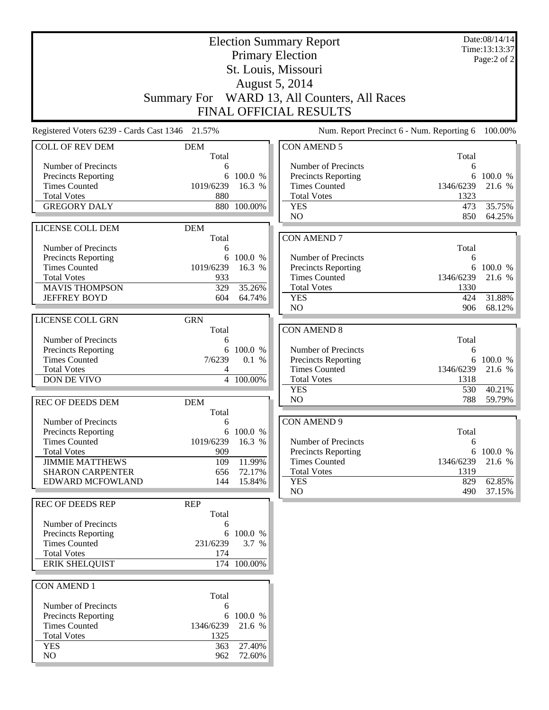|                                                    | <b>Election Summary Report</b> |                    |                                              |             | Date:08/14/14<br>Time:13:13:37 |
|----------------------------------------------------|--------------------------------|--------------------|----------------------------------------------|-------------|--------------------------------|
|                                                    |                                |                    | <b>Primary Election</b>                      |             | Page:2 of 2                    |
|                                                    |                                |                    | St. Louis, Missouri                          |             |                                |
|                                                    |                                |                    | August 5, 2014                               |             |                                |
|                                                    |                                |                    | Summary For WARD 13, All Counters, All Races |             |                                |
|                                                    |                                |                    | <b>FINAL OFFICIAL RESULTS</b>                |             |                                |
|                                                    |                                |                    |                                              |             |                                |
| Registered Voters 6239 - Cards Cast 1346 21.57%    |                                |                    | Num. Report Precinct 6 - Num. Reporting 6    |             | 100.00%                        |
| <b>COLL OF REV DEM</b>                             | <b>DEM</b><br>Total            |                    | <b>CON AMEND 5</b>                           | Total       |                                |
| Number of Precincts                                | 6                              |                    | Number of Precincts                          | 6           |                                |
| Precincts Reporting                                | 6                              | 100.0 %            | <b>Precincts Reporting</b>                   | 6           | 100.0 %                        |
| <b>Times Counted</b>                               | 1019/6239                      | 16.3 %             | <b>Times Counted</b>                         | 1346/6239   | 21.6 %                         |
| <b>Total Votes</b>                                 | 880                            |                    | <b>Total Votes</b>                           | 1323        |                                |
| <b>GREGORY DALY</b>                                | 880                            | 100.00%            | <b>YES</b>                                   | 473         | 35.75%                         |
| LICENSE COLL DEM                                   |                                |                    | N <sub>O</sub>                               | 850         | 64.25%                         |
|                                                    | <b>DEM</b><br>Total            |                    | <b>CON AMEND 7</b>                           |             |                                |
| Number of Precincts                                | 6                              |                    |                                              | Total       |                                |
| Precincts Reporting                                | 6                              | 100.0 %            | Number of Precincts                          | 6           |                                |
| <b>Times Counted</b>                               | 1019/6239                      | 16.3 %             | Precincts Reporting                          |             | 6 100.0 %                      |
| <b>Total Votes</b>                                 | 933                            |                    | <b>Times Counted</b>                         | 1346/6239   | 21.6 %                         |
| <b>MAVIS THOMPSON</b>                              | 329                            | 35.26%             | <b>Total Votes</b>                           | 1330        |                                |
| <b>JEFFREY BOYD</b>                                | 604                            | 64.74%             | <b>YES</b><br>N <sub>O</sub>                 | 424<br>906  | 31.88%<br>68.12%               |
| LICENSE COLL GRN                                   | <b>GRN</b>                     |                    |                                              |             |                                |
|                                                    | Total                          |                    | <b>CON AMEND 8</b>                           |             |                                |
| Number of Precincts                                | 6                              |                    |                                              | Total       |                                |
| Precincts Reporting                                | 6                              | 100.0 %            | Number of Precincts                          | 6           |                                |
| <b>Times Counted</b>                               | 7/6239                         | 0.1 %              | <b>Precincts Reporting</b>                   | 6           | 100.0 %                        |
| <b>Total Votes</b>                                 | 4                              |                    | <b>Times Counted</b>                         | 1346/6239   | 21.6 %                         |
| DON DE VIVO                                        |                                | 4 100.00%          | <b>Total Votes</b><br><b>YES</b>             | 1318<br>530 | 40.21%                         |
|                                                    |                                |                    | N <sub>O</sub>                               | 788         | 59.79%                         |
| <b>REC OF DEEDS DEM</b>                            | <b>DEM</b><br>Total            |                    |                                              |             |                                |
| Number of Precincts                                | 6                              |                    | <b>CON AMEND 9</b>                           |             |                                |
| <b>Precincts Reporting</b>                         |                                | 6 100.0 %          |                                              | Total       |                                |
| <b>Times Counted</b>                               | 1019/6239                      | 16.3 %             | Number of Precincts                          | 6           |                                |
| <b>Total Votes</b>                                 | 909                            |                    | <b>Precincts Reporting</b>                   |             | 6 100.0 %                      |
| <b>JIMMIE MATTHEWS</b>                             | 109                            | 11.99%             | <b>Times Counted</b>                         | 1346/6239   | 21.6 %                         |
| <b>SHARON CARPENTER</b><br>EDWARD MCFOWLAND        | 656<br>144                     | 72.17%<br>15.84%   | <b>Total Votes</b><br><b>YES</b>             | 1319<br>829 | 62.85%                         |
|                                                    |                                |                    | NO                                           | 490         | 37.15%                         |
| <b>REC OF DEEDS REP</b>                            | <b>REP</b>                     |                    |                                              |             |                                |
|                                                    | Total                          |                    |                                              |             |                                |
| Number of Precincts                                | 6                              |                    |                                              |             |                                |
| <b>Precincts Reporting</b><br><b>Times Counted</b> | 231/6239                       | 6 100.0 %<br>3.7 % |                                              |             |                                |
| <b>Total Votes</b>                                 | 174                            |                    |                                              |             |                                |
| <b>ERIK SHELQUIST</b>                              |                                | 174 100.00%        |                                              |             |                                |
|                                                    |                                |                    |                                              |             |                                |
| <b>CON AMEND 1</b>                                 |                                |                    |                                              |             |                                |
|                                                    | Total                          |                    |                                              |             |                                |
| Number of Precincts                                | 6<br>6                         | 100.0 %            |                                              |             |                                |
| Precincts Reporting<br><b>Times Counted</b>        | 1346/6239                      | 21.6 %             |                                              |             |                                |
| <b>Total Votes</b>                                 | 1325                           |                    |                                              |             |                                |
| <b>YES</b>                                         | 363                            | 27.40%             |                                              |             |                                |
| NO                                                 | 962                            | 72.60%             |                                              |             |                                |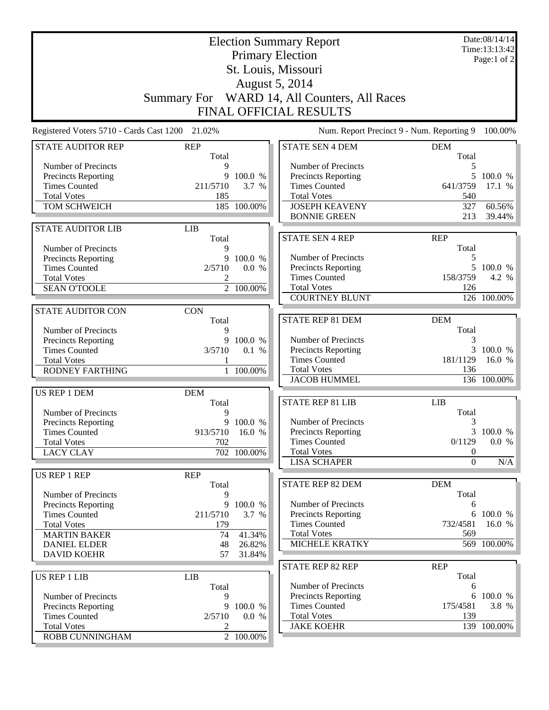| St. Louis, Missouri<br>August 5, 2014<br>Summary For WARD 14, All Counters, All Races<br>FINAL OFFICIAL RESULTS<br>Num. Report Precinct 9 - Num. Reporting 9<br>Registered Voters 5710 - Cards Cast 1200<br>21.02%<br>100.00%<br><b>STATE AUDITOR REP</b><br><b>REP</b><br><b>STATE SEN 4 DEM</b><br><b>DEM</b><br>Total<br>Total<br>Number of Precincts<br>Number of Precincts<br>9<br>5<br>5<br><b>Precincts Reporting</b><br>100.0 %<br>Precincts Reporting<br>9<br>100.0 %<br><b>Times Counted</b><br>211/5710<br><b>Times Counted</b><br>641/3759<br>3.7 %<br>17.1 %<br><b>Total Votes</b><br><b>Total Votes</b><br>540<br>185<br>TOM SCHWEICH<br>185 100.00%<br><b>JOSEPH KEAVENY</b><br>327<br>60.56%<br><b>BONNIE GREEN</b><br>213<br>39.44%<br><b>STATE AUDITOR LIB</b><br><b>LIB</b><br><b>STATE SEN 4 REP</b><br><b>REP</b><br>Total<br>Total<br>Number of Precincts<br>9<br>Number of Precincts<br>9<br>100.0 %<br><b>Precincts Reporting</b><br>5<br>Precincts Reporting<br>5 100.0 %<br><b>Times Counted</b><br>2/5710<br>0.0 %<br><b>Times Counted</b><br>158/3759<br>4.2 %<br><b>Total Votes</b><br>2<br><b>Total Votes</b><br>126<br>$\overline{2}$ 100.00%<br><b>SEAN O'TOOLE</b><br><b>COURTNEY BLUNT</b><br>126 100.00%<br><b>STATE AUDITOR CON</b><br><b>CON</b><br><b>STATE REP 81 DEM</b><br><b>DEM</b><br>Total<br>Total<br>Number of Precincts<br>9<br>Number of Precincts<br>3<br>Precincts Reporting<br>9<br>100.0 %<br>Precincts Reporting<br>3 100.0 %<br><b>Times Counted</b><br>3/5710<br>0.1 %<br><b>Times Counted</b><br>181/1129<br>16.0 %<br><b>Total Votes</b><br><b>Total Votes</b><br>136<br><b>RODNEY FARTHING</b><br>1 100.00%<br><b>JACOB HUMMEL</b><br>136 100.00%<br><b>US REP 1 DEM</b><br><b>DEM</b><br><b>STATE REP 81 LIB</b><br><b>LIB</b><br>Total<br>Total<br>Number of Precincts<br>9<br>Number of Precincts<br>3<br>9 100.0 %<br>Precincts Reporting<br>3 100.0 %<br>913/5710 16.0 %<br>Precincts Reporting<br><b>Times Counted</b><br>0.0 %<br>702<br><b>Times Counted</b><br>0/1129<br><b>Total Votes</b><br><b>Total Votes</b><br><b>LACY CLAY</b><br>702 100.00%<br>$\boldsymbol{0}$<br><b>LISA SCHAPER</b><br>$\Omega$<br>N/A<br>US REP 1 REP<br><b>REP</b><br>STATE REP 82 DEM<br><b>DEM</b><br>Total<br>Total<br>Number of Precincts<br>9<br>Number of Precincts<br><b>Precincts Reporting</b><br>100.0 %<br>6<br>9<br>6 100.0 %<br><b>Times Counted</b><br>211/5710<br>3.7 %<br><b>Precincts Reporting</b><br><b>Times Counted</b><br>732/4581<br>16.0 %<br><b>Total Votes</b><br>179<br><b>Total Votes</b><br>569<br>41.34%<br><b>MARTIN BAKER</b><br>74<br>MICHELE KRATKY<br>569 100.00%<br><b>DANIEL ELDER</b><br>48<br>26.82%<br><b>DAVID KOEHR</b><br>57<br>31.84%<br>STATE REP 82 REP<br><b>REP</b><br>Total<br><b>US REP 1 LIB</b><br><b>LIB</b><br>Number of Precincts<br>Total<br>6<br>Precincts Reporting<br>6 100.0 %<br>Number of Precincts<br>9<br><b>Times Counted</b><br>175/4581<br>3.8 %<br>Precincts Reporting<br>9 100.0 %<br><b>Times Counted</b><br>2/5710<br><b>Total Votes</b><br>139<br>0.0 %<br>139 100.00%<br><b>Total Votes</b><br><b>JAKE KOEHR</b><br>2<br>2 100.00%<br>ROBB CUNNINGHAM |  | <b>Election Summary Report</b><br><b>Primary Election</b> |  |  |  |  |
|----------------------------------------------------------------------------------------------------------------------------------------------------------------------------------------------------------------------------------------------------------------------------------------------------------------------------------------------------------------------------------------------------------------------------------------------------------------------------------------------------------------------------------------------------------------------------------------------------------------------------------------------------------------------------------------------------------------------------------------------------------------------------------------------------------------------------------------------------------------------------------------------------------------------------------------------------------------------------------------------------------------------------------------------------------------------------------------------------------------------------------------------------------------------------------------------------------------------------------------------------------------------------------------------------------------------------------------------------------------------------------------------------------------------------------------------------------------------------------------------------------------------------------------------------------------------------------------------------------------------------------------------------------------------------------------------------------------------------------------------------------------------------------------------------------------------------------------------------------------------------------------------------------------------------------------------------------------------------------------------------------------------------------------------------------------------------------------------------------------------------------------------------------------------------------------------------------------------------------------------------------------------------------------------------------------------------------------------------------------------------------------------------------------------------------------------------------------------------------------------------------------------------------------------------------------------------------------------------------------------------------------------------------------------------------------------------------------------------------------------------------------------------------------------------------------------------------------------------------------------------------------------------------------------------------------------------------------------------------------------------------------------------------------------------------------------------------------------------------------------------------------------------------------------------------|--|-----------------------------------------------------------|--|--|--|--|
|                                                                                                                                                                                                                                                                                                                                                                                                                                                                                                                                                                                                                                                                                                                                                                                                                                                                                                                                                                                                                                                                                                                                                                                                                                                                                                                                                                                                                                                                                                                                                                                                                                                                                                                                                                                                                                                                                                                                                                                                                                                                                                                                                                                                                                                                                                                                                                                                                                                                                                                                                                                                                                                                                                                                                                                                                                                                                                                                                                                                                                                                                                                                                                                  |  |                                                           |  |  |  |  |
|                                                                                                                                                                                                                                                                                                                                                                                                                                                                                                                                                                                                                                                                                                                                                                                                                                                                                                                                                                                                                                                                                                                                                                                                                                                                                                                                                                                                                                                                                                                                                                                                                                                                                                                                                                                                                                                                                                                                                                                                                                                                                                                                                                                                                                                                                                                                                                                                                                                                                                                                                                                                                                                                                                                                                                                                                                                                                                                                                                                                                                                                                                                                                                                  |  |                                                           |  |  |  |  |
|                                                                                                                                                                                                                                                                                                                                                                                                                                                                                                                                                                                                                                                                                                                                                                                                                                                                                                                                                                                                                                                                                                                                                                                                                                                                                                                                                                                                                                                                                                                                                                                                                                                                                                                                                                                                                                                                                                                                                                                                                                                                                                                                                                                                                                                                                                                                                                                                                                                                                                                                                                                                                                                                                                                                                                                                                                                                                                                                                                                                                                                                                                                                                                                  |  |                                                           |  |  |  |  |
|                                                                                                                                                                                                                                                                                                                                                                                                                                                                                                                                                                                                                                                                                                                                                                                                                                                                                                                                                                                                                                                                                                                                                                                                                                                                                                                                                                                                                                                                                                                                                                                                                                                                                                                                                                                                                                                                                                                                                                                                                                                                                                                                                                                                                                                                                                                                                                                                                                                                                                                                                                                                                                                                                                                                                                                                                                                                                                                                                                                                                                                                                                                                                                                  |  |                                                           |  |  |  |  |
|                                                                                                                                                                                                                                                                                                                                                                                                                                                                                                                                                                                                                                                                                                                                                                                                                                                                                                                                                                                                                                                                                                                                                                                                                                                                                                                                                                                                                                                                                                                                                                                                                                                                                                                                                                                                                                                                                                                                                                                                                                                                                                                                                                                                                                                                                                                                                                                                                                                                                                                                                                                                                                                                                                                                                                                                                                                                                                                                                                                                                                                                                                                                                                                  |  |                                                           |  |  |  |  |
|                                                                                                                                                                                                                                                                                                                                                                                                                                                                                                                                                                                                                                                                                                                                                                                                                                                                                                                                                                                                                                                                                                                                                                                                                                                                                                                                                                                                                                                                                                                                                                                                                                                                                                                                                                                                                                                                                                                                                                                                                                                                                                                                                                                                                                                                                                                                                                                                                                                                                                                                                                                                                                                                                                                                                                                                                                                                                                                                                                                                                                                                                                                                                                                  |  |                                                           |  |  |  |  |
|                                                                                                                                                                                                                                                                                                                                                                                                                                                                                                                                                                                                                                                                                                                                                                                                                                                                                                                                                                                                                                                                                                                                                                                                                                                                                                                                                                                                                                                                                                                                                                                                                                                                                                                                                                                                                                                                                                                                                                                                                                                                                                                                                                                                                                                                                                                                                                                                                                                                                                                                                                                                                                                                                                                                                                                                                                                                                                                                                                                                                                                                                                                                                                                  |  |                                                           |  |  |  |  |
|                                                                                                                                                                                                                                                                                                                                                                                                                                                                                                                                                                                                                                                                                                                                                                                                                                                                                                                                                                                                                                                                                                                                                                                                                                                                                                                                                                                                                                                                                                                                                                                                                                                                                                                                                                                                                                                                                                                                                                                                                                                                                                                                                                                                                                                                                                                                                                                                                                                                                                                                                                                                                                                                                                                                                                                                                                                                                                                                                                                                                                                                                                                                                                                  |  |                                                           |  |  |  |  |
|                                                                                                                                                                                                                                                                                                                                                                                                                                                                                                                                                                                                                                                                                                                                                                                                                                                                                                                                                                                                                                                                                                                                                                                                                                                                                                                                                                                                                                                                                                                                                                                                                                                                                                                                                                                                                                                                                                                                                                                                                                                                                                                                                                                                                                                                                                                                                                                                                                                                                                                                                                                                                                                                                                                                                                                                                                                                                                                                                                                                                                                                                                                                                                                  |  |                                                           |  |  |  |  |
|                                                                                                                                                                                                                                                                                                                                                                                                                                                                                                                                                                                                                                                                                                                                                                                                                                                                                                                                                                                                                                                                                                                                                                                                                                                                                                                                                                                                                                                                                                                                                                                                                                                                                                                                                                                                                                                                                                                                                                                                                                                                                                                                                                                                                                                                                                                                                                                                                                                                                                                                                                                                                                                                                                                                                                                                                                                                                                                                                                                                                                                                                                                                                                                  |  |                                                           |  |  |  |  |
|                                                                                                                                                                                                                                                                                                                                                                                                                                                                                                                                                                                                                                                                                                                                                                                                                                                                                                                                                                                                                                                                                                                                                                                                                                                                                                                                                                                                                                                                                                                                                                                                                                                                                                                                                                                                                                                                                                                                                                                                                                                                                                                                                                                                                                                                                                                                                                                                                                                                                                                                                                                                                                                                                                                                                                                                                                                                                                                                                                                                                                                                                                                                                                                  |  |                                                           |  |  |  |  |
|                                                                                                                                                                                                                                                                                                                                                                                                                                                                                                                                                                                                                                                                                                                                                                                                                                                                                                                                                                                                                                                                                                                                                                                                                                                                                                                                                                                                                                                                                                                                                                                                                                                                                                                                                                                                                                                                                                                                                                                                                                                                                                                                                                                                                                                                                                                                                                                                                                                                                                                                                                                                                                                                                                                                                                                                                                                                                                                                                                                                                                                                                                                                                                                  |  |                                                           |  |  |  |  |
|                                                                                                                                                                                                                                                                                                                                                                                                                                                                                                                                                                                                                                                                                                                                                                                                                                                                                                                                                                                                                                                                                                                                                                                                                                                                                                                                                                                                                                                                                                                                                                                                                                                                                                                                                                                                                                                                                                                                                                                                                                                                                                                                                                                                                                                                                                                                                                                                                                                                                                                                                                                                                                                                                                                                                                                                                                                                                                                                                                                                                                                                                                                                                                                  |  |                                                           |  |  |  |  |
|                                                                                                                                                                                                                                                                                                                                                                                                                                                                                                                                                                                                                                                                                                                                                                                                                                                                                                                                                                                                                                                                                                                                                                                                                                                                                                                                                                                                                                                                                                                                                                                                                                                                                                                                                                                                                                                                                                                                                                                                                                                                                                                                                                                                                                                                                                                                                                                                                                                                                                                                                                                                                                                                                                                                                                                                                                                                                                                                                                                                                                                                                                                                                                                  |  |                                                           |  |  |  |  |
|                                                                                                                                                                                                                                                                                                                                                                                                                                                                                                                                                                                                                                                                                                                                                                                                                                                                                                                                                                                                                                                                                                                                                                                                                                                                                                                                                                                                                                                                                                                                                                                                                                                                                                                                                                                                                                                                                                                                                                                                                                                                                                                                                                                                                                                                                                                                                                                                                                                                                                                                                                                                                                                                                                                                                                                                                                                                                                                                                                                                                                                                                                                                                                                  |  |                                                           |  |  |  |  |
|                                                                                                                                                                                                                                                                                                                                                                                                                                                                                                                                                                                                                                                                                                                                                                                                                                                                                                                                                                                                                                                                                                                                                                                                                                                                                                                                                                                                                                                                                                                                                                                                                                                                                                                                                                                                                                                                                                                                                                                                                                                                                                                                                                                                                                                                                                                                                                                                                                                                                                                                                                                                                                                                                                                                                                                                                                                                                                                                                                                                                                                                                                                                                                                  |  |                                                           |  |  |  |  |
|                                                                                                                                                                                                                                                                                                                                                                                                                                                                                                                                                                                                                                                                                                                                                                                                                                                                                                                                                                                                                                                                                                                                                                                                                                                                                                                                                                                                                                                                                                                                                                                                                                                                                                                                                                                                                                                                                                                                                                                                                                                                                                                                                                                                                                                                                                                                                                                                                                                                                                                                                                                                                                                                                                                                                                                                                                                                                                                                                                                                                                                                                                                                                                                  |  |                                                           |  |  |  |  |
|                                                                                                                                                                                                                                                                                                                                                                                                                                                                                                                                                                                                                                                                                                                                                                                                                                                                                                                                                                                                                                                                                                                                                                                                                                                                                                                                                                                                                                                                                                                                                                                                                                                                                                                                                                                                                                                                                                                                                                                                                                                                                                                                                                                                                                                                                                                                                                                                                                                                                                                                                                                                                                                                                                                                                                                                                                                                                                                                                                                                                                                                                                                                                                                  |  |                                                           |  |  |  |  |
|                                                                                                                                                                                                                                                                                                                                                                                                                                                                                                                                                                                                                                                                                                                                                                                                                                                                                                                                                                                                                                                                                                                                                                                                                                                                                                                                                                                                                                                                                                                                                                                                                                                                                                                                                                                                                                                                                                                                                                                                                                                                                                                                                                                                                                                                                                                                                                                                                                                                                                                                                                                                                                                                                                                                                                                                                                                                                                                                                                                                                                                                                                                                                                                  |  |                                                           |  |  |  |  |
|                                                                                                                                                                                                                                                                                                                                                                                                                                                                                                                                                                                                                                                                                                                                                                                                                                                                                                                                                                                                                                                                                                                                                                                                                                                                                                                                                                                                                                                                                                                                                                                                                                                                                                                                                                                                                                                                                                                                                                                                                                                                                                                                                                                                                                                                                                                                                                                                                                                                                                                                                                                                                                                                                                                                                                                                                                                                                                                                                                                                                                                                                                                                                                                  |  |                                                           |  |  |  |  |
|                                                                                                                                                                                                                                                                                                                                                                                                                                                                                                                                                                                                                                                                                                                                                                                                                                                                                                                                                                                                                                                                                                                                                                                                                                                                                                                                                                                                                                                                                                                                                                                                                                                                                                                                                                                                                                                                                                                                                                                                                                                                                                                                                                                                                                                                                                                                                                                                                                                                                                                                                                                                                                                                                                                                                                                                                                                                                                                                                                                                                                                                                                                                                                                  |  |                                                           |  |  |  |  |
|                                                                                                                                                                                                                                                                                                                                                                                                                                                                                                                                                                                                                                                                                                                                                                                                                                                                                                                                                                                                                                                                                                                                                                                                                                                                                                                                                                                                                                                                                                                                                                                                                                                                                                                                                                                                                                                                                                                                                                                                                                                                                                                                                                                                                                                                                                                                                                                                                                                                                                                                                                                                                                                                                                                                                                                                                                                                                                                                                                                                                                                                                                                                                                                  |  |                                                           |  |  |  |  |
|                                                                                                                                                                                                                                                                                                                                                                                                                                                                                                                                                                                                                                                                                                                                                                                                                                                                                                                                                                                                                                                                                                                                                                                                                                                                                                                                                                                                                                                                                                                                                                                                                                                                                                                                                                                                                                                                                                                                                                                                                                                                                                                                                                                                                                                                                                                                                                                                                                                                                                                                                                                                                                                                                                                                                                                                                                                                                                                                                                                                                                                                                                                                                                                  |  |                                                           |  |  |  |  |
|                                                                                                                                                                                                                                                                                                                                                                                                                                                                                                                                                                                                                                                                                                                                                                                                                                                                                                                                                                                                                                                                                                                                                                                                                                                                                                                                                                                                                                                                                                                                                                                                                                                                                                                                                                                                                                                                                                                                                                                                                                                                                                                                                                                                                                                                                                                                                                                                                                                                                                                                                                                                                                                                                                                                                                                                                                                                                                                                                                                                                                                                                                                                                                                  |  |                                                           |  |  |  |  |
|                                                                                                                                                                                                                                                                                                                                                                                                                                                                                                                                                                                                                                                                                                                                                                                                                                                                                                                                                                                                                                                                                                                                                                                                                                                                                                                                                                                                                                                                                                                                                                                                                                                                                                                                                                                                                                                                                                                                                                                                                                                                                                                                                                                                                                                                                                                                                                                                                                                                                                                                                                                                                                                                                                                                                                                                                                                                                                                                                                                                                                                                                                                                                                                  |  |                                                           |  |  |  |  |
|                                                                                                                                                                                                                                                                                                                                                                                                                                                                                                                                                                                                                                                                                                                                                                                                                                                                                                                                                                                                                                                                                                                                                                                                                                                                                                                                                                                                                                                                                                                                                                                                                                                                                                                                                                                                                                                                                                                                                                                                                                                                                                                                                                                                                                                                                                                                                                                                                                                                                                                                                                                                                                                                                                                                                                                                                                                                                                                                                                                                                                                                                                                                                                                  |  |                                                           |  |  |  |  |
|                                                                                                                                                                                                                                                                                                                                                                                                                                                                                                                                                                                                                                                                                                                                                                                                                                                                                                                                                                                                                                                                                                                                                                                                                                                                                                                                                                                                                                                                                                                                                                                                                                                                                                                                                                                                                                                                                                                                                                                                                                                                                                                                                                                                                                                                                                                                                                                                                                                                                                                                                                                                                                                                                                                                                                                                                                                                                                                                                                                                                                                                                                                                                                                  |  |                                                           |  |  |  |  |
|                                                                                                                                                                                                                                                                                                                                                                                                                                                                                                                                                                                                                                                                                                                                                                                                                                                                                                                                                                                                                                                                                                                                                                                                                                                                                                                                                                                                                                                                                                                                                                                                                                                                                                                                                                                                                                                                                                                                                                                                                                                                                                                                                                                                                                                                                                                                                                                                                                                                                                                                                                                                                                                                                                                                                                                                                                                                                                                                                                                                                                                                                                                                                                                  |  |                                                           |  |  |  |  |
|                                                                                                                                                                                                                                                                                                                                                                                                                                                                                                                                                                                                                                                                                                                                                                                                                                                                                                                                                                                                                                                                                                                                                                                                                                                                                                                                                                                                                                                                                                                                                                                                                                                                                                                                                                                                                                                                                                                                                                                                                                                                                                                                                                                                                                                                                                                                                                                                                                                                                                                                                                                                                                                                                                                                                                                                                                                                                                                                                                                                                                                                                                                                                                                  |  |                                                           |  |  |  |  |
|                                                                                                                                                                                                                                                                                                                                                                                                                                                                                                                                                                                                                                                                                                                                                                                                                                                                                                                                                                                                                                                                                                                                                                                                                                                                                                                                                                                                                                                                                                                                                                                                                                                                                                                                                                                                                                                                                                                                                                                                                                                                                                                                                                                                                                                                                                                                                                                                                                                                                                                                                                                                                                                                                                                                                                                                                                                                                                                                                                                                                                                                                                                                                                                  |  |                                                           |  |  |  |  |
|                                                                                                                                                                                                                                                                                                                                                                                                                                                                                                                                                                                                                                                                                                                                                                                                                                                                                                                                                                                                                                                                                                                                                                                                                                                                                                                                                                                                                                                                                                                                                                                                                                                                                                                                                                                                                                                                                                                                                                                                                                                                                                                                                                                                                                                                                                                                                                                                                                                                                                                                                                                                                                                                                                                                                                                                                                                                                                                                                                                                                                                                                                                                                                                  |  |                                                           |  |  |  |  |
|                                                                                                                                                                                                                                                                                                                                                                                                                                                                                                                                                                                                                                                                                                                                                                                                                                                                                                                                                                                                                                                                                                                                                                                                                                                                                                                                                                                                                                                                                                                                                                                                                                                                                                                                                                                                                                                                                                                                                                                                                                                                                                                                                                                                                                                                                                                                                                                                                                                                                                                                                                                                                                                                                                                                                                                                                                                                                                                                                                                                                                                                                                                                                                                  |  |                                                           |  |  |  |  |
|                                                                                                                                                                                                                                                                                                                                                                                                                                                                                                                                                                                                                                                                                                                                                                                                                                                                                                                                                                                                                                                                                                                                                                                                                                                                                                                                                                                                                                                                                                                                                                                                                                                                                                                                                                                                                                                                                                                                                                                                                                                                                                                                                                                                                                                                                                                                                                                                                                                                                                                                                                                                                                                                                                                                                                                                                                                                                                                                                                                                                                                                                                                                                                                  |  |                                                           |  |  |  |  |
|                                                                                                                                                                                                                                                                                                                                                                                                                                                                                                                                                                                                                                                                                                                                                                                                                                                                                                                                                                                                                                                                                                                                                                                                                                                                                                                                                                                                                                                                                                                                                                                                                                                                                                                                                                                                                                                                                                                                                                                                                                                                                                                                                                                                                                                                                                                                                                                                                                                                                                                                                                                                                                                                                                                                                                                                                                                                                                                                                                                                                                                                                                                                                                                  |  |                                                           |  |  |  |  |
|                                                                                                                                                                                                                                                                                                                                                                                                                                                                                                                                                                                                                                                                                                                                                                                                                                                                                                                                                                                                                                                                                                                                                                                                                                                                                                                                                                                                                                                                                                                                                                                                                                                                                                                                                                                                                                                                                                                                                                                                                                                                                                                                                                                                                                                                                                                                                                                                                                                                                                                                                                                                                                                                                                                                                                                                                                                                                                                                                                                                                                                                                                                                                                                  |  |                                                           |  |  |  |  |
|                                                                                                                                                                                                                                                                                                                                                                                                                                                                                                                                                                                                                                                                                                                                                                                                                                                                                                                                                                                                                                                                                                                                                                                                                                                                                                                                                                                                                                                                                                                                                                                                                                                                                                                                                                                                                                                                                                                                                                                                                                                                                                                                                                                                                                                                                                                                                                                                                                                                                                                                                                                                                                                                                                                                                                                                                                                                                                                                                                                                                                                                                                                                                                                  |  |                                                           |  |  |  |  |
|                                                                                                                                                                                                                                                                                                                                                                                                                                                                                                                                                                                                                                                                                                                                                                                                                                                                                                                                                                                                                                                                                                                                                                                                                                                                                                                                                                                                                                                                                                                                                                                                                                                                                                                                                                                                                                                                                                                                                                                                                                                                                                                                                                                                                                                                                                                                                                                                                                                                                                                                                                                                                                                                                                                                                                                                                                                                                                                                                                                                                                                                                                                                                                                  |  |                                                           |  |  |  |  |
|                                                                                                                                                                                                                                                                                                                                                                                                                                                                                                                                                                                                                                                                                                                                                                                                                                                                                                                                                                                                                                                                                                                                                                                                                                                                                                                                                                                                                                                                                                                                                                                                                                                                                                                                                                                                                                                                                                                                                                                                                                                                                                                                                                                                                                                                                                                                                                                                                                                                                                                                                                                                                                                                                                                                                                                                                                                                                                                                                                                                                                                                                                                                                                                  |  |                                                           |  |  |  |  |
|                                                                                                                                                                                                                                                                                                                                                                                                                                                                                                                                                                                                                                                                                                                                                                                                                                                                                                                                                                                                                                                                                                                                                                                                                                                                                                                                                                                                                                                                                                                                                                                                                                                                                                                                                                                                                                                                                                                                                                                                                                                                                                                                                                                                                                                                                                                                                                                                                                                                                                                                                                                                                                                                                                                                                                                                                                                                                                                                                                                                                                                                                                                                                                                  |  |                                                           |  |  |  |  |
|                                                                                                                                                                                                                                                                                                                                                                                                                                                                                                                                                                                                                                                                                                                                                                                                                                                                                                                                                                                                                                                                                                                                                                                                                                                                                                                                                                                                                                                                                                                                                                                                                                                                                                                                                                                                                                                                                                                                                                                                                                                                                                                                                                                                                                                                                                                                                                                                                                                                                                                                                                                                                                                                                                                                                                                                                                                                                                                                                                                                                                                                                                                                                                                  |  |                                                           |  |  |  |  |
|                                                                                                                                                                                                                                                                                                                                                                                                                                                                                                                                                                                                                                                                                                                                                                                                                                                                                                                                                                                                                                                                                                                                                                                                                                                                                                                                                                                                                                                                                                                                                                                                                                                                                                                                                                                                                                                                                                                                                                                                                                                                                                                                                                                                                                                                                                                                                                                                                                                                                                                                                                                                                                                                                                                                                                                                                                                                                                                                                                                                                                                                                                                                                                                  |  |                                                           |  |  |  |  |
|                                                                                                                                                                                                                                                                                                                                                                                                                                                                                                                                                                                                                                                                                                                                                                                                                                                                                                                                                                                                                                                                                                                                                                                                                                                                                                                                                                                                                                                                                                                                                                                                                                                                                                                                                                                                                                                                                                                                                                                                                                                                                                                                                                                                                                                                                                                                                                                                                                                                                                                                                                                                                                                                                                                                                                                                                                                                                                                                                                                                                                                                                                                                                                                  |  |                                                           |  |  |  |  |
|                                                                                                                                                                                                                                                                                                                                                                                                                                                                                                                                                                                                                                                                                                                                                                                                                                                                                                                                                                                                                                                                                                                                                                                                                                                                                                                                                                                                                                                                                                                                                                                                                                                                                                                                                                                                                                                                                                                                                                                                                                                                                                                                                                                                                                                                                                                                                                                                                                                                                                                                                                                                                                                                                                                                                                                                                                                                                                                                                                                                                                                                                                                                                                                  |  |                                                           |  |  |  |  |
|                                                                                                                                                                                                                                                                                                                                                                                                                                                                                                                                                                                                                                                                                                                                                                                                                                                                                                                                                                                                                                                                                                                                                                                                                                                                                                                                                                                                                                                                                                                                                                                                                                                                                                                                                                                                                                                                                                                                                                                                                                                                                                                                                                                                                                                                                                                                                                                                                                                                                                                                                                                                                                                                                                                                                                                                                                                                                                                                                                                                                                                                                                                                                                                  |  |                                                           |  |  |  |  |
|                                                                                                                                                                                                                                                                                                                                                                                                                                                                                                                                                                                                                                                                                                                                                                                                                                                                                                                                                                                                                                                                                                                                                                                                                                                                                                                                                                                                                                                                                                                                                                                                                                                                                                                                                                                                                                                                                                                                                                                                                                                                                                                                                                                                                                                                                                                                                                                                                                                                                                                                                                                                                                                                                                                                                                                                                                                                                                                                                                                                                                                                                                                                                                                  |  |                                                           |  |  |  |  |
|                                                                                                                                                                                                                                                                                                                                                                                                                                                                                                                                                                                                                                                                                                                                                                                                                                                                                                                                                                                                                                                                                                                                                                                                                                                                                                                                                                                                                                                                                                                                                                                                                                                                                                                                                                                                                                                                                                                                                                                                                                                                                                                                                                                                                                                                                                                                                                                                                                                                                                                                                                                                                                                                                                                                                                                                                                                                                                                                                                                                                                                                                                                                                                                  |  |                                                           |  |  |  |  |
|                                                                                                                                                                                                                                                                                                                                                                                                                                                                                                                                                                                                                                                                                                                                                                                                                                                                                                                                                                                                                                                                                                                                                                                                                                                                                                                                                                                                                                                                                                                                                                                                                                                                                                                                                                                                                                                                                                                                                                                                                                                                                                                                                                                                                                                                                                                                                                                                                                                                                                                                                                                                                                                                                                                                                                                                                                                                                                                                                                                                                                                                                                                                                                                  |  |                                                           |  |  |  |  |
|                                                                                                                                                                                                                                                                                                                                                                                                                                                                                                                                                                                                                                                                                                                                                                                                                                                                                                                                                                                                                                                                                                                                                                                                                                                                                                                                                                                                                                                                                                                                                                                                                                                                                                                                                                                                                                                                                                                                                                                                                                                                                                                                                                                                                                                                                                                                                                                                                                                                                                                                                                                                                                                                                                                                                                                                                                                                                                                                                                                                                                                                                                                                                                                  |  |                                                           |  |  |  |  |
|                                                                                                                                                                                                                                                                                                                                                                                                                                                                                                                                                                                                                                                                                                                                                                                                                                                                                                                                                                                                                                                                                                                                                                                                                                                                                                                                                                                                                                                                                                                                                                                                                                                                                                                                                                                                                                                                                                                                                                                                                                                                                                                                                                                                                                                                                                                                                                                                                                                                                                                                                                                                                                                                                                                                                                                                                                                                                                                                                                                                                                                                                                                                                                                  |  |                                                           |  |  |  |  |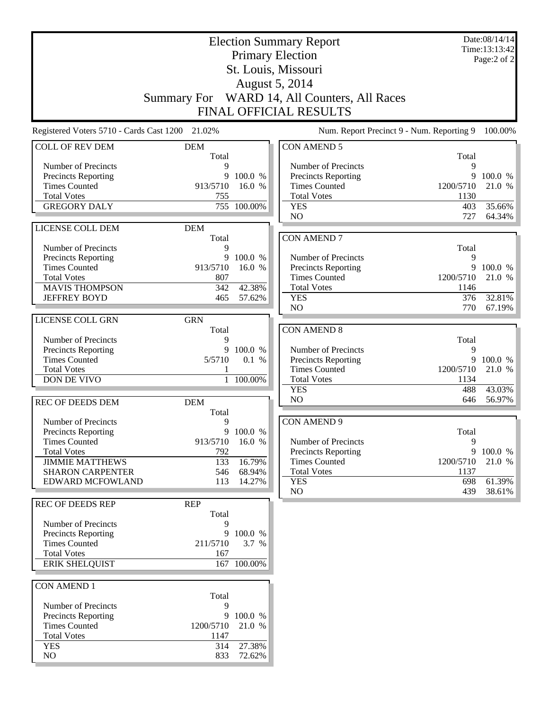| <b>Election Summary Report</b>                     |                     |                    |                                                    |                   | Date:08/14/14<br>Time:13:13:42 |
|----------------------------------------------------|---------------------|--------------------|----------------------------------------------------|-------------------|--------------------------------|
|                                                    |                     |                    | <b>Primary Election</b>                            |                   | Page:2 of 2                    |
| St. Louis, Missouri                                |                     |                    |                                                    |                   |                                |
|                                                    |                     |                    | August 5, 2014                                     |                   |                                |
|                                                    |                     |                    | Summary For WARD 14, All Counters, All Races       |                   |                                |
|                                                    |                     |                    | <b>FINAL OFFICIAL RESULTS</b>                      |                   |                                |
| Registered Voters 5710 - Cards Cast 1200 21.02%    |                     |                    | Num. Report Precinct 9 - Num. Reporting 9          |                   | 100.00%                        |
| <b>COLL OF REV DEM</b>                             | <b>DEM</b>          |                    | <b>CON AMEND 5</b>                                 |                   |                                |
| Number of Precincts                                | Total<br>9          |                    | Number of Precincts                                | Total<br>9        |                                |
| Precincts Reporting                                | 9                   | 100.0 %            | <b>Precincts Reporting</b>                         | 9                 | 100.0 %                        |
| <b>Times Counted</b>                               | 913/5710            | 16.0 %             | <b>Times Counted</b>                               | 1200/5710         | 21.0 %                         |
| <b>Total Votes</b>                                 | 755                 |                    | <b>Total Votes</b>                                 | 1130              |                                |
| <b>GREGORY DALY</b>                                | 755                 | 100.00%            | <b>YES</b>                                         | 403               | 35.66%                         |
|                                                    |                     |                    | N <sub>O</sub>                                     | 727               | 64.34%                         |
| LICENSE COLL DEM                                   | <b>DEM</b><br>Total |                    | <b>CON AMEND 7</b>                                 |                   |                                |
| Number of Precincts                                | 9                   |                    |                                                    | Total             |                                |
| Precincts Reporting                                | 9                   | 100.0 %            | Number of Precincts                                | 9                 |                                |
| <b>Times Counted</b>                               | 913/5710            | 16.0 %             | <b>Precincts Reporting</b>                         |                   | 9 100.0 %                      |
| <b>Total Votes</b>                                 | 807                 |                    | <b>Times Counted</b>                               | 1200/5710         | 21.0 %                         |
| <b>MAVIS THOMPSON</b>                              | 342                 | 42.38%             | <b>Total Votes</b>                                 | 1146              |                                |
| <b>JEFFREY BOYD</b>                                | 465                 | 57.62%             | <b>YES</b><br>N <sub>O</sub>                       | 376<br>770        | 32.81%<br>67.19%               |
| LICENSE COLL GRN                                   | <b>GRN</b>          |                    |                                                    |                   |                                |
|                                                    | Total               |                    | <b>CON AMEND 8</b>                                 |                   |                                |
| Number of Precincts                                | 9                   |                    |                                                    | Total             |                                |
| Precincts Reporting                                | 9                   | 100.0 %            | Number of Precincts                                | 9                 |                                |
| <b>Times Counted</b>                               | 5/5710              | 0.1 %              | <b>Precincts Reporting</b>                         | 9                 | 100.0 %                        |
| <b>Total Votes</b><br>DON DE VIVO                  | 1                   | 1 100.00%          | <b>Times Counted</b><br><b>Total Votes</b>         | 1200/5710<br>1134 | 21.0 %                         |
|                                                    |                     |                    | <b>YES</b>                                         | 488               | 43.03%                         |
| <b>REC OF DEEDS DEM</b>                            | <b>DEM</b>          |                    | N <sub>O</sub>                                     | 646               | 56.97%                         |
|                                                    | Total               |                    |                                                    |                   |                                |
| Number of Precincts                                | 9                   |                    | <b>CON AMEND 9</b>                                 |                   |                                |
| <b>Precincts Reporting</b>                         | 9                   | 100.0 %            |                                                    | Total             |                                |
| <b>Times Counted</b>                               | 913/5710            | 16.0 %             | Number of Precincts                                | 9                 |                                |
| <b>Total Votes</b><br><b>JIMMIE MATTHEWS</b>       | 792<br>133          | 16.79%             | <b>Precincts Reporting</b><br><b>Times Counted</b> | 1200/5710         | 9 100.0 %<br>21.0 %            |
| <b>SHARON CARPENTER</b>                            | 546                 | 68.94%             | <b>Total Votes</b>                                 | 1137              |                                |
| EDWARD MCFOWLAND                                   | 113                 | 14.27%             | <b>YES</b>                                         | 698               | 61.39%                         |
|                                                    |                     |                    | NO                                                 | 439               | 38.61%                         |
| <b>REC OF DEEDS REP</b>                            | <b>REP</b>          |                    |                                                    |                   |                                |
|                                                    | Total               |                    |                                                    |                   |                                |
| Number of Precincts                                | 9                   |                    |                                                    |                   |                                |
| <b>Precincts Reporting</b><br><b>Times Counted</b> | 211/5710            | 9 100.0 %<br>3.7 % |                                                    |                   |                                |
| <b>Total Votes</b>                                 | 167                 |                    |                                                    |                   |                                |
| <b>ERIK SHELQUIST</b>                              |                     | 167 100.00%        |                                                    |                   |                                |
|                                                    |                     |                    |                                                    |                   |                                |
| <b>CON AMEND 1</b>                                 |                     |                    |                                                    |                   |                                |
|                                                    | Total               |                    |                                                    |                   |                                |
| Number of Precincts                                | 9                   |                    |                                                    |                   |                                |
| Precincts Reporting<br><b>Times Counted</b>        | 9<br>1200/5710      | 100.0 %<br>21.0 %  |                                                    |                   |                                |
| <b>Total Votes</b>                                 | 1147                |                    |                                                    |                   |                                |
| <b>YES</b>                                         | 314                 | 27.38%             |                                                    |                   |                                |
| NO                                                 | 833                 | 72.62%             |                                                    |                   |                                |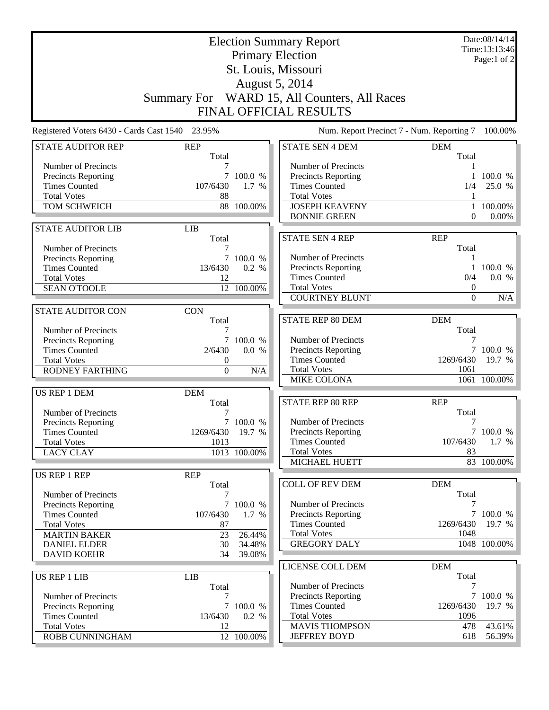|                                                                                                                                                                     | Summary For WARD 15, All Counters, All Races                | Date:08/14/14<br>Time:13:13:46<br>Page:1 of 2    |                                                                                                                                                  |                                               |                                         |
|---------------------------------------------------------------------------------------------------------------------------------------------------------------------|-------------------------------------------------------------|--------------------------------------------------|--------------------------------------------------------------------------------------------------------------------------------------------------|-----------------------------------------------|-----------------------------------------|
|                                                                                                                                                                     |                                                             |                                                  | FINAL OFFICIAL RESULTS                                                                                                                           |                                               |                                         |
| Registered Voters 6430 - Cards Cast 1540 23.95%                                                                                                                     |                                                             |                                                  | Num. Report Precinct 7 - Num. Reporting 7                                                                                                        |                                               | 100.00%                                 |
| <b>STATE AUDITOR REP</b>                                                                                                                                            | <b>REP</b><br>Total                                         |                                                  | <b>STATE SEN 4 DEM</b>                                                                                                                           | <b>DEM</b><br>Total                           |                                         |
| Number of Precincts<br><b>Precincts Reporting</b><br><b>Times Counted</b><br><b>Total Votes</b><br>TOM SCHWEICH                                                     | 7<br>$7^{\circ}$<br>107/6430<br>88                          | 100.0 %<br>1.7 %<br>88 100.00%                   | Number of Precincts<br>Precincts Reporting<br><b>Times Counted</b><br><b>Total Votes</b><br><b>JOSEPH KEAVENY</b><br><b>BONNIE GREEN</b>         | 1/4<br>$\Omega$                               | 100.0 %<br>25.0 %<br>100.00%<br>0.00%   |
| <b>STATE AUDITOR LIB</b>                                                                                                                                            | <b>LIB</b>                                                  |                                                  |                                                                                                                                                  |                                               |                                         |
| Number of Precincts<br>Precincts Reporting<br><b>Times Counted</b><br><b>Total Votes</b><br><b>SEAN O'TOOLE</b>                                                     | Total<br>7<br>13/6430<br>12                                 | 100.0 %<br>0.2 %<br>12 100.00%                   | <b>STATE SEN 4 REP</b><br>Number of Precincts<br>Precincts Reporting<br><b>Times Counted</b><br><b>Total Votes</b>                               | <b>REP</b><br>Total<br>1<br>0/4<br>0          | 100.0 %<br>0.0 %                        |
|                                                                                                                                                                     |                                                             |                                                  | <b>COURTNEY BLUNT</b>                                                                                                                            | $\Omega$                                      | N/A                                     |
| <b>STATE AUDITOR CON</b><br>Number of Precincts<br>Precincts Reporting<br><b>Times Counted</b><br><b>Total Votes</b><br><b>RODNEY FARTHING</b>                      | <b>CON</b><br>Total<br>7<br>2/6430<br>0<br>$\boldsymbol{0}$ | 7 100.0 %<br>0.0 %<br>N/A                        | <b>STATE REP 80 DEM</b><br>Number of Precincts<br>Precincts Reporting<br><b>Times Counted</b><br><b>Total Votes</b><br>MIKE COLONA               | <b>DEM</b><br>Total<br>7<br>1269/6430<br>1061 | 7 100.0 %<br>19.7 %<br>1061 100.00%     |
| US REP 1 DEM<br>Number of Precincts                                                                                                                                 | <b>DEM</b><br>Total                                         |                                                  | STATE REP 80 REP                                                                                                                                 | <b>REP</b><br>Total                           |                                         |
| <b>Precincts Reporting</b><br><b>Times Counted</b><br><b>Total Votes</b><br><b>LACY CLAY</b>                                                                        | 1269/6430 19.7 %<br>1013                                    | 7 100.0 %<br>1013 100.00%                        | Number of Precincts<br>Precincts Reporting<br><b>Times Counted</b><br><b>Total Votes</b><br>MICHAEL HUETT                                        | 7<br>107/6430<br>83                           | 7 100.0 %<br>$1.7\%$<br>83 100.00%      |
| US REP 1 REP                                                                                                                                                        | <b>REP</b>                                                  |                                                  |                                                                                                                                                  |                                               |                                         |
| Number of Precincts<br><b>Precincts Reporting</b><br><b>Times Counted</b><br><b>Total Votes</b><br><b>MARTIN BAKER</b><br><b>DANIEL ELDER</b><br><b>DAVID KOEHR</b> | Total<br>7<br>107/6430<br>87<br>23<br>30<br>34              | 7 100.0 %<br>1.7 %<br>26.44%<br>34.48%<br>39.08% | <b>COLL OF REV DEM</b><br>Number of Precincts<br><b>Precincts Reporting</b><br><b>Times Counted</b><br><b>Total Votes</b><br><b>GREGORY DALY</b> | <b>DEM</b><br>Total<br>7<br>1269/6430<br>1048 | 7 100.0 %<br>19.7 %<br>1048 100.00%     |
|                                                                                                                                                                     |                                                             |                                                  | LICENSE COLL DEM                                                                                                                                 | <b>DEM</b>                                    |                                         |
| <b>US REP 1 LIB</b><br>Number of Precincts<br>Precincts Reporting<br><b>Times Counted</b><br><b>Total Votes</b><br>ROBB CUNNINGHAM                                  | <b>LIB</b><br>Total<br>7<br>13/6430<br>12                   | 7 100.0 %<br>0.2 %<br>12 100.00%                 | Number of Precincts<br><b>Precincts Reporting</b><br><b>Times Counted</b><br><b>Total Votes</b><br><b>MAVIS THOMPSON</b><br><b>JEFFREY BOYD</b>  | Total<br>7<br>1269/6430<br>1096<br>478<br>618 | 7 100.0 %<br>19.7 %<br>43.61%<br>56.39% |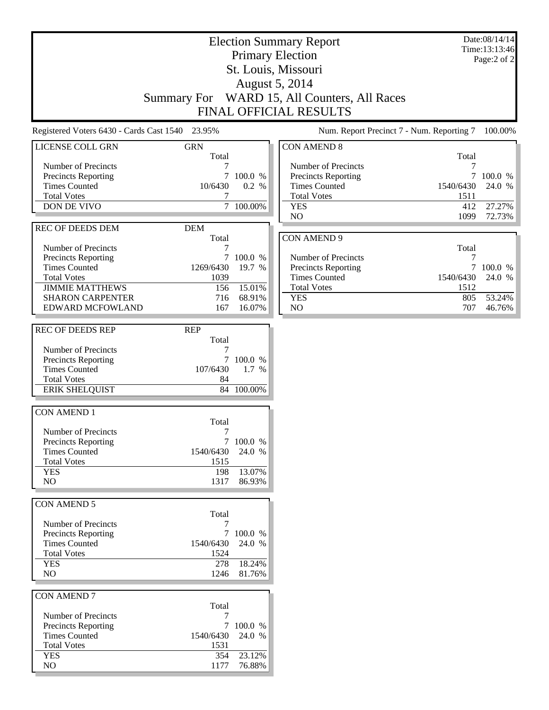|                                                    |                         |                        | <b>Election Summary Report</b>            |           | Date:08/14/14<br>Time:13:13:46 |
|----------------------------------------------------|-------------------------|------------------------|-------------------------------------------|-----------|--------------------------------|
|                                                    | <b>Primary Election</b> |                        |                                           |           |                                |
|                                                    |                         |                        | St. Louis, Missouri                       |           | Page:2 of 2                    |
|                                                    |                         |                        | <b>August 5, 2014</b>                     |           |                                |
|                                                    |                         |                        | WARD 15, All Counters, All Races          |           |                                |
|                                                    | <b>Summary For</b>      |                        |                                           |           |                                |
|                                                    |                         |                        | FINAL OFFICIAL RESULTS                    |           |                                |
| Registered Voters 6430 - Cards Cast 1540 23.95%    |                         |                        | Num. Report Precinct 7 - Num. Reporting 7 |           | 100.00%                        |
| LICENSE COLL GRN                                   | <b>GRN</b><br>Total     |                        | <b>CON AMEND 8</b>                        | Total     |                                |
| Number of Precincts                                |                         |                        | Number of Precincts                       | 7         |                                |
| <b>Precincts Reporting</b>                         | $\tau$                  | 100.0 %                | Precincts Reporting                       | 7         | 100.0 %                        |
| <b>Times Counted</b>                               | 10/6430                 | 0.2 %                  | <b>Times Counted</b>                      | 1540/6430 | 24.0 %                         |
| <b>Total Votes</b>                                 | 7                       |                        | <b>Total Votes</b>                        | 1511      |                                |
| DON DE VIVO                                        |                         | $\overline{7}$ 100.00% | <b>YES</b>                                | 412       | 27.27%                         |
|                                                    |                         |                        | NO                                        | 1099      | 72.73%                         |
| <b>REC OF DEEDS DEM</b>                            | <b>DEM</b>              |                        |                                           |           |                                |
| Number of Precincts                                | Total<br>7              |                        | <b>CON AMEND 9</b>                        | Total     |                                |
| <b>Precincts Reporting</b>                         |                         | 7 100.0 %              | Number of Precincts                       | 7         |                                |
| <b>Times Counted</b>                               | 1269/6430               | 19.7 %                 | Precincts Reporting                       | $\tau$    | 100.0 %                        |
| <b>Total Votes</b>                                 | 1039                    |                        | <b>Times Counted</b>                      | 1540/6430 | 24.0 %                         |
| <b>JIMMIE MATTHEWS</b>                             | 156                     | 15.01%                 | <b>Total Votes</b>                        | 1512      |                                |
| <b>SHARON CARPENTER</b>                            | 716                     | 68.91%                 | <b>YES</b>                                | 805       | 53.24%                         |
| EDWARD MCFOWLAND                                   | 167                     | 16.07%                 | NO                                        | 707       | 46.76%                         |
| <b>REC OF DEEDS REP</b>                            | <b>REP</b>              |                        |                                           |           |                                |
|                                                    | Total                   |                        |                                           |           |                                |
| Number of Precincts                                |                         |                        |                                           |           |                                |
| <b>Precincts Reporting</b>                         |                         | 7 100.0 %              |                                           |           |                                |
| <b>Times Counted</b><br><b>Total Votes</b>         | 107/6430<br>84          | 1.7 %                  |                                           |           |                                |
| <b>ERIK SHELQUIST</b>                              |                         | 84 100.00%             |                                           |           |                                |
|                                                    |                         |                        |                                           |           |                                |
| <b>CON AMEND 1</b>                                 |                         |                        |                                           |           |                                |
|                                                    | Total                   |                        |                                           |           |                                |
| Number of Precincts                                |                         |                        |                                           |           |                                |
| <b>Precincts Reporting</b><br><b>Times Counted</b> | 1540/6430               | 7 100.0 %<br>24.0 %    |                                           |           |                                |
| <b>Total Votes</b>                                 | 1515                    |                        |                                           |           |                                |
| <b>YES</b>                                         | 198                     | 13.07%                 |                                           |           |                                |
| NO                                                 | 1317                    | 86.93%                 |                                           |           |                                |
|                                                    |                         |                        |                                           |           |                                |
| <b>CON AMEND 5</b>                                 |                         |                        |                                           |           |                                |
|                                                    | Total                   |                        |                                           |           |                                |
| Number of Precincts                                | 7                       | 7 100.0 %              |                                           |           |                                |
| Precincts Reporting<br><b>Times Counted</b>        | 1540/6430               | 24.0 %                 |                                           |           |                                |
| <b>Total Votes</b>                                 | 1524                    |                        |                                           |           |                                |
| <b>YES</b>                                         | 278                     | 18.24%                 |                                           |           |                                |
| NO                                                 | 1246                    | 81.76%                 |                                           |           |                                |
|                                                    |                         |                        |                                           |           |                                |
| <b>CON AMEND 7</b>                                 |                         |                        |                                           |           |                                |
|                                                    | Total                   |                        |                                           |           |                                |
| Number of Precincts<br><b>Precincts Reporting</b>  | 7<br>$\tau$             | 100.0 %                |                                           |           |                                |
| <b>Times Counted</b>                               | 1540/6430               | 24.0 %                 |                                           |           |                                |
| <b>Total Votes</b>                                 | 1531                    |                        |                                           |           |                                |
| <b>YES</b>                                         | 354                     | 23.12%                 |                                           |           |                                |
| $\rm NO$                                           | 1177                    | 76.88%                 |                                           |           |                                |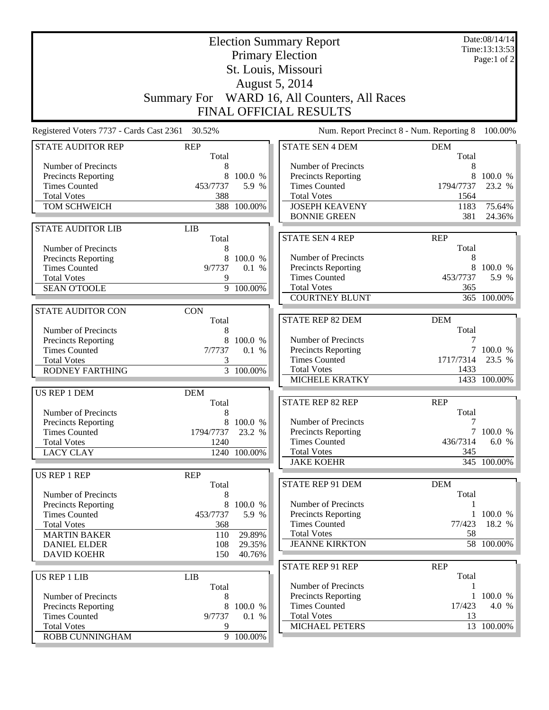| <b>Election Summary Report</b><br><b>Primary Election</b> |             |                        |                                              |                     | Date:08/14/14<br>Time:13:13:53<br>Page:1 of $2$ |
|-----------------------------------------------------------|-------------|------------------------|----------------------------------------------|---------------------|-------------------------------------------------|
|                                                           |             |                        | St. Louis, Missouri                          |                     |                                                 |
|                                                           |             |                        | <b>August 5, 2014</b>                        |                     |                                                 |
|                                                           |             |                        | Summary For WARD 16, All Counters, All Races |                     |                                                 |
|                                                           |             |                        | FINAL OFFICIAL RESULTS                       |                     |                                                 |
| Registered Voters 7737 - Cards Cast 2361                  | 30.52%      |                        | Num. Report Precinct 8 - Num. Reporting 8    |                     | 100.00%                                         |
| <b>STATE AUDITOR REP</b>                                  | <b>REP</b>  |                        | <b>STATE SEN 4 DEM</b>                       | <b>DEM</b>          |                                                 |
| Number of Precincts                                       | Total<br>8  |                        | Number of Precincts                          | Total<br>8          |                                                 |
| <b>Precincts Reporting</b>                                | 8           | 100.0 %                | <b>Precincts Reporting</b>                   | 8                   | 100.0 %                                         |
| <b>Times Counted</b>                                      | 453/7737    | 5.9 %                  | <b>Times Counted</b>                         | 1794/7737           | 23.2 %                                          |
| <b>Total Votes</b>                                        | 388         |                        | <b>Total Votes</b>                           | 1564                |                                                 |
| TOM SCHWEICH                                              |             | 388 100.00%            | <b>JOSEPH KEAVENY</b>                        | 1183                | 75.64%                                          |
|                                                           |             |                        | <b>BONNIE GREEN</b>                          | 381                 | 24.36%                                          |
| <b>STATE AUDITOR LIB</b>                                  | <b>LIB</b>  |                        | <b>STATE SEN 4 REP</b>                       | <b>REP</b>          |                                                 |
| Number of Precincts                                       | Total<br>8  |                        |                                              | Total               |                                                 |
| <b>Precincts Reporting</b>                                | 8           | 100.0 %                | Number of Precincts                          | 8                   |                                                 |
| <b>Times Counted</b>                                      | 9/7737      | 0.1 %                  | Precincts Reporting                          | 8                   | 100.0 %                                         |
| <b>Total Votes</b>                                        | 9           |                        | <b>Times Counted</b>                         | 453/7737            | 5.9 %                                           |
| <b>SEAN O'TOOLE</b>                                       |             | $\overline{9}$ 100.00% | <b>Total Votes</b>                           | 365                 |                                                 |
|                                                           |             |                        | <b>COURTNEY BLUNT</b>                        |                     | 365 100.00%                                     |
| <b>STATE AUDITOR CON</b>                                  | <b>CON</b>  |                        |                                              |                     |                                                 |
|                                                           | Total       |                        | <b>STATE REP 82 DEM</b>                      | <b>DEM</b>          |                                                 |
| Number of Precincts                                       | 8           |                        |                                              | Total               |                                                 |
| Precincts Reporting                                       | 8           | 100.0 %                | Number of Precincts                          |                     | 100.0 %                                         |
| <b>Times Counted</b><br><b>Total Votes</b>                | 7/7737<br>3 | 0.1 %                  | Precincts Reporting<br><b>Times Counted</b>  | 1717/7314           | 23.5 %                                          |
| <b>RODNEY FARTHING</b>                                    |             | $\overline{3}$ 100.00% | <b>Total Votes</b>                           | 1433                |                                                 |
|                                                           |             |                        | <b>MICHELE KRATKY</b>                        |                     | 1433 100.00%                                    |
| US REP 1 DEM                                              | <b>DEM</b>  |                        |                                              |                     |                                                 |
|                                                           | Total       |                        | STATE REP 82 REP                             | <b>REP</b>          |                                                 |
| Number of Precincts                                       | 8           |                        |                                              | Total               |                                                 |
| Precincts Reporting                                       |             | 8 100.0 %              | Number of Precincts                          | 7                   |                                                 |
| <b>Times Counted</b>                                      | 1794/7737   | 23.2 %                 | Precincts Reporting                          |                     | 7 100.0 %                                       |
| <b>Total Votes</b>                                        | 1240        |                        | <b>Times Counted</b><br><b>Total Votes</b>   | 436/7314<br>345     | 6.0 %                                           |
| <b>LACY CLAY</b>                                          |             | 1240 100.00%           | <b>JAKE KOEHR</b>                            |                     | 345 100.00%                                     |
| US REP 1 REP                                              | <b>REP</b>  |                        |                                              |                     |                                                 |
|                                                           | Total       |                        | STATE REP 91 DEM                             | <b>DEM</b>          |                                                 |
| Number of Precincts                                       | 8           |                        |                                              | Total               |                                                 |
| <b>Precincts Reporting</b>                                | 8           | 100.0 %                | Number of Precincts                          |                     |                                                 |
| <b>Times Counted</b>                                      | 453/7737    | 5.9 %                  | <b>Precincts Reporting</b>                   |                     | 1 100.0 %                                       |
| <b>Total Votes</b>                                        | 368         |                        | <b>Times Counted</b>                         | 77/423              | 18.2 %                                          |
| <b>MARTIN BAKER</b>                                       | 110         | 29.89%                 | <b>Total Votes</b>                           | 58                  |                                                 |
| <b>DANIEL ELDER</b>                                       | 108         | 29.35%                 | <b>JEANNE KIRKTON</b>                        |                     | 58 100.00%                                      |
| <b>DAVID KOEHR</b>                                        | 150         | 40.76%                 |                                              |                     |                                                 |
| <b>US REP 1 LIB</b>                                       | <b>LIB</b>  |                        | <b>STATE REP 91 REP</b>                      | <b>REP</b><br>Total |                                                 |
|                                                           | Total       |                        | Number of Precincts                          |                     |                                                 |
| Number of Precincts                                       | 8           |                        | <b>Precincts Reporting</b>                   |                     | 1 100.0 %                                       |
| Precincts Reporting                                       | 8           | 100.0 %                | <b>Times Counted</b>                         | 17/423              | 4.0 %                                           |
| <b>Times Counted</b>                                      | 9/7737      | 0.1 %                  | <b>Total Votes</b>                           | 13                  |                                                 |
| <b>Total Votes</b>                                        | 9           |                        | MICHAEL PETERS                               |                     | 13 100.00%                                      |
| ROBB CUNNINGHAM                                           |             | 9 100.00%              |                                              |                     |                                                 |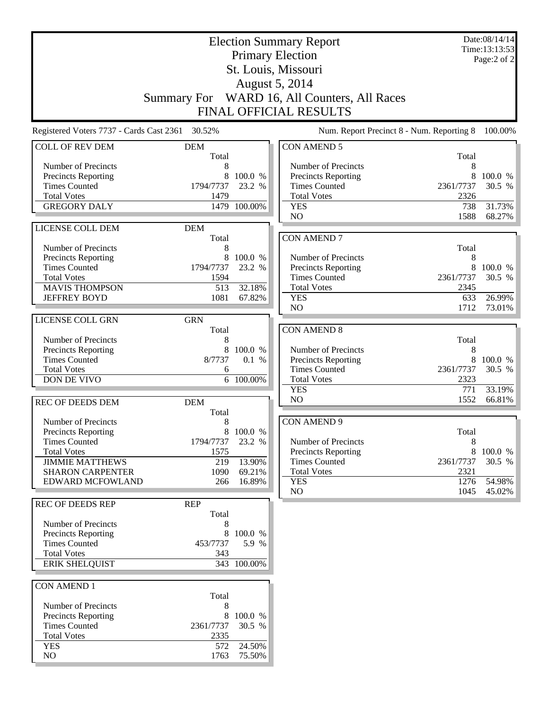| <b>Election Summary Report</b>                     |                   |                    |                                                   | Date:08/14/14<br>Time:13:13:53 |             |
|----------------------------------------------------|-------------------|--------------------|---------------------------------------------------|--------------------------------|-------------|
|                                                    |                   |                    | <b>Primary Election</b>                           |                                | Page:2 of 2 |
| St. Louis, Missouri                                |                   |                    |                                                   |                                |             |
|                                                    |                   |                    | August 5, 2014                                    |                                |             |
|                                                    |                   |                    | Summary For WARD 16, All Counters, All Races      |                                |             |
|                                                    |                   |                    | <b>FINAL OFFICIAL RESULTS</b>                     |                                |             |
| Registered Voters 7737 - Cards Cast 2361 30.52%    |                   |                    | Num. Report Precinct 8 - Num. Reporting 8         |                                | 100.00%     |
| <b>COLL OF REV DEM</b>                             | <b>DEM</b>        |                    | <b>CON AMEND 5</b>                                |                                |             |
| Number of Precincts                                | Total<br>8        |                    | Number of Precincts                               | Total<br>8                     |             |
| Precincts Reporting                                | 8                 | 100.0 %            | <b>Precincts Reporting</b>                        | 8                              | 100.0 %     |
| <b>Times Counted</b>                               | 1794/7737         | 23.2 %             | <b>Times Counted</b>                              | 2361/7737                      | 30.5 %      |
| <b>Total Votes</b>                                 | 1479              |                    | <b>Total Votes</b>                                | 2326                           |             |
| <b>GREGORY DALY</b>                                | 1479              | 100.00%            | <b>YES</b>                                        | 738                            | 31.73%      |
|                                                    |                   |                    | N <sub>O</sub>                                    | 1588                           | 68.27%      |
| LICENSE COLL DEM                                   | <b>DEM</b>        |                    |                                                   |                                |             |
|                                                    | Total             |                    | <b>CON AMEND 7</b>                                |                                |             |
| Number of Precincts<br>Precincts Reporting         | 8<br>8            | 100.0 %            | Number of Precincts                               | Total<br>8                     |             |
| <b>Times Counted</b>                               | 1794/7737         | 23.2 %             | <b>Precincts Reporting</b>                        | 8                              | 100.0 %     |
| <b>Total Votes</b>                                 | 1594              |                    | <b>Times Counted</b>                              | 2361/7737                      | 30.5 %      |
| <b>MAVIS THOMPSON</b>                              | 513               | 32.18%             | <b>Total Votes</b>                                | 2345                           |             |
| <b>JEFFREY BOYD</b>                                | 1081              | 67.82%             | <b>YES</b>                                        | 633                            | 26.99%      |
|                                                    |                   |                    | N <sub>O</sub>                                    | 1712                           | 73.01%      |
| LICENSE COLL GRN                                   | <b>GRN</b>        |                    |                                                   |                                |             |
|                                                    | Total             |                    | <b>CON AMEND 8</b>                                |                                |             |
| Number of Precincts                                | 8<br>8            | 100.0 %            |                                                   | Total<br>8                     |             |
| Precincts Reporting<br><b>Times Counted</b>        | 8/7737            | 0.1 %              | Number of Precincts<br>Precincts Reporting        | 8                              | 100.0 %     |
| <b>Total Votes</b>                                 | 6                 |                    | <b>Times Counted</b>                              | 2361/7737                      | 30.5 %      |
| DON DE VIVO                                        |                   | 6 100.00%          | <b>Total Votes</b>                                | 2323                           |             |
|                                                    |                   |                    | <b>YES</b>                                        | 771                            | 33.19%      |
| <b>REC OF DEEDS DEM</b>                            | <b>DEM</b>        |                    | N <sub>O</sub>                                    | 1552                           | 66.81%      |
|                                                    | Total             |                    |                                                   |                                |             |
| Number of Precincts                                | 8                 |                    | <b>CON AMEND 9</b>                                |                                |             |
| Precincts Reporting<br><b>Times Counted</b>        | 8                 | 100.0%<br>23.2 %   |                                                   | Total<br>8                     |             |
| <b>Total Votes</b>                                 | 1794/7737<br>1575 |                    | Number of Precincts<br><b>Precincts Reporting</b> | 8                              | 100.0 %     |
| <b>JIMMIE MATTHEWS</b>                             | 219               | 13.90%             | <b>Times Counted</b>                              | 2361/7737                      | 30.5 %      |
| <b>SHARON CARPENTER</b>                            | 1090              | 69.21%             | <b>Total Votes</b>                                | 2321                           |             |
| EDWARD MCFOWLAND                                   | 266               | 16.89%             | <b>YES</b>                                        | 1276                           | 54.98%      |
|                                                    |                   |                    | NO                                                | 1045                           | 45.02%      |
| <b>REC OF DEEDS REP</b>                            | <b>REP</b>        |                    |                                                   |                                |             |
|                                                    | Total             |                    |                                                   |                                |             |
| Number of Precincts                                | 8                 |                    |                                                   |                                |             |
| <b>Precincts Reporting</b><br><b>Times Counted</b> | 453/7737          | 8 100.0 %<br>5.9 % |                                                   |                                |             |
| <b>Total Votes</b>                                 | 343               |                    |                                                   |                                |             |
| <b>ERIK SHELQUIST</b>                              |                   | 343 100.00%        |                                                   |                                |             |
|                                                    |                   |                    |                                                   |                                |             |
| <b>CON AMEND 1</b>                                 |                   |                    |                                                   |                                |             |
|                                                    | Total             |                    |                                                   |                                |             |
| Number of Precincts                                | 8                 |                    |                                                   |                                |             |
| Precincts Reporting                                | 8                 | 100.0 %            |                                                   |                                |             |
| <b>Times Counted</b><br><b>Total Votes</b>         | 2361/7737<br>2335 | 30.5 %             |                                                   |                                |             |
| <b>YES</b>                                         | 572               | 24.50%             |                                                   |                                |             |
| NO                                                 | 1763              | 75.50%             |                                                   |                                |             |
|                                                    |                   |                    |                                                   |                                |             |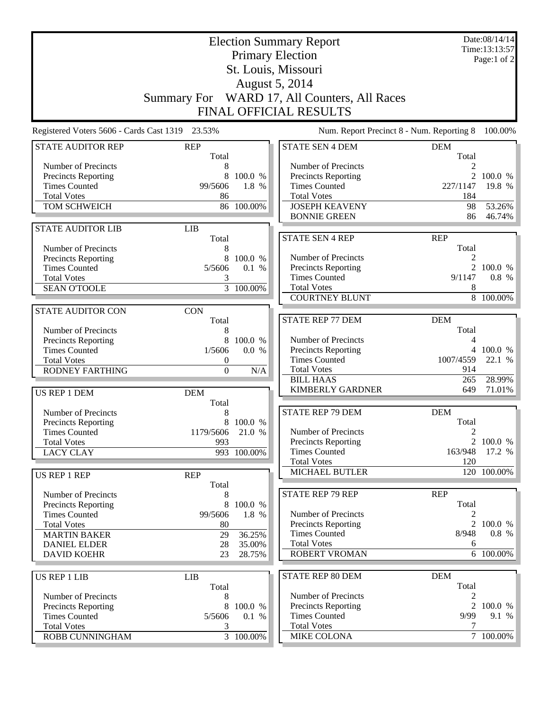| <b>Election Summary Report</b><br><b>Primary Election</b> |                         |                  |                                                   |                     | Date:08/14/14<br>Time:13:13:57<br>Page:1 of $2$ |
|-----------------------------------------------------------|-------------------------|------------------|---------------------------------------------------|---------------------|-------------------------------------------------|
|                                                           |                         |                  | St. Louis, Missouri                               |                     |                                                 |
|                                                           |                         |                  | August 5, 2014                                    |                     |                                                 |
|                                                           |                         |                  | Summary For WARD 17, All Counters, All Races      |                     |                                                 |
|                                                           |                         |                  |                                                   |                     |                                                 |
|                                                           |                         |                  | FINAL OFFICIAL RESULTS                            |                     |                                                 |
| Registered Voters 5606 - Cards Cast 1319 23.53%           |                         |                  | Num. Report Precinct 8 - Num. Reporting 8         |                     | 100.00%                                         |
| <b>STATE AUDITOR REP</b>                                  | <b>REP</b><br>Total     |                  | <b>STATE SEN 4 DEM</b>                            | <b>DEM</b><br>Total |                                                 |
| Number of Precincts                                       | 8                       |                  | Number of Precincts                               | 2                   |                                                 |
| <b>Precincts Reporting</b>                                | 8                       | 100.0 %          | <b>Precincts Reporting</b>                        | 2                   | 100.0 %                                         |
| <b>Times Counted</b>                                      | 99/5606                 | 1.8 %            | <b>Times Counted</b>                              | 227/1147            | 19.8 %                                          |
| <b>Total Votes</b>                                        | 86                      |                  | <b>Total Votes</b>                                | 184                 |                                                 |
| TOM SCHWEICH                                              |                         | 86 100.00%       | <b>JOSEPH KEAVENY</b><br><b>BONNIE GREEN</b>      | 98<br>86            | 53.26%<br>46.74%                                |
| <b>STATE AUDITOR LIB</b>                                  | <b>LIB</b>              |                  |                                                   |                     |                                                 |
|                                                           | Total                   |                  | <b>STATE SEN 4 REP</b>                            | <b>REP</b>          |                                                 |
| Number of Precincts                                       | 8                       |                  |                                                   | Total               |                                                 |
| Precincts Reporting                                       | 8                       | 100.0 %          | Number of Precincts                               | 2                   |                                                 |
| <b>Times Counted</b>                                      | 5/5606                  | 0.1 %            | Precincts Reporting                               |                     | 2 100.0 %                                       |
| <b>Total Votes</b>                                        | 3                       |                  | <b>Times Counted</b>                              | 9/1147              | 0.8 %                                           |
| <b>SEAN O'TOOLE</b>                                       | $\overline{3}$          | 100.00%          | <b>Total Votes</b>                                | 8                   |                                                 |
|                                                           |                         |                  | <b>COURTNEY BLUNT</b>                             |                     | 8 100.00%                                       |
| <b>STATE AUDITOR CON</b>                                  | <b>CON</b>              |                  |                                                   |                     |                                                 |
|                                                           | Total                   |                  | <b>STATE REP 77 DEM</b>                           | <b>DEM</b><br>Total |                                                 |
| Number of Precincts<br><b>Precincts Reporting</b>         | 8<br>8                  | 100.0 %          | Number of Precincts                               | 4                   |                                                 |
| <b>Times Counted</b>                                      | 1/5606                  | 0.0 %            | Precincts Reporting                               | 4                   | 100.0 %                                         |
| <b>Total Votes</b>                                        | 0                       |                  | <b>Times Counted</b>                              | 1007/4559           | 22.1 %                                          |
| <b>RODNEY FARTHING</b>                                    | $\boldsymbol{0}$        | N/A              | <b>Total Votes</b>                                | 914                 |                                                 |
|                                                           |                         |                  | <b>BILL HAAS</b>                                  | 265                 | 28.99%                                          |
| US REP 1 DEM                                              | <b>DEM</b>              |                  | <b>KIMBERLY GARDNER</b>                           | 649                 | 71.01%                                          |
|                                                           | Total                   |                  |                                                   |                     |                                                 |
| Number of Precincts                                       | 8                       |                  | <b>STATE REP 79 DEM</b>                           | <b>DEM</b>          |                                                 |
| <b>Precincts Reporting</b>                                |                         | 8 100.0 %        |                                                   | Total               |                                                 |
| <b>Times Counted</b><br><b>Total Votes</b>                | 1179/5606 21.0 %<br>993 |                  | Number of Precincts<br><b>Precincts Reporting</b> | 2                   | 2 100.0 %                                       |
| <b>LACY CLAY</b>                                          |                         | 993 100.00%      | <b>Times Counted</b>                              | 163/948             | 17.2 %                                          |
|                                                           |                         |                  | <b>Total Votes</b>                                | 120                 |                                                 |
| US REP 1 REP                                              | <b>REP</b>              |                  | MICHAEL BUTLER                                    |                     | $\frac{120}{120}$ 100.00%                       |
|                                                           | Total                   |                  |                                                   |                     |                                                 |
| Number of Precincts                                       | 8                       |                  | <b>STATE REP 79 REP</b>                           | <b>REP</b>          |                                                 |
| <b>Precincts Reporting</b>                                | 8                       | 100.0 %          |                                                   | Total               |                                                 |
| <b>Times Counted</b>                                      | 99/5606                 | 1.8 %            | Number of Precincts                               | 2                   |                                                 |
| <b>Total Votes</b>                                        | 80                      |                  | <b>Precincts Reporting</b>                        |                     | 2 100.0 %                                       |
| <b>MARTIN BAKER</b>                                       | 29                      | 36.25%           | <b>Times Counted</b>                              | 8/948               | 0.8 %                                           |
| <b>DANIEL ELDER</b><br><b>DAVID KOEHR</b>                 | 28<br>23                | 35.00%<br>28.75% | <b>Total Votes</b><br><b>ROBERT VROMAN</b>        | 6                   | 6 100.00%                                       |
|                                                           |                         |                  |                                                   |                     |                                                 |
| <b>US REP 1 LIB</b>                                       | <b>LIB</b>              |                  | <b>STATE REP 80 DEM</b>                           | <b>DEM</b>          |                                                 |
|                                                           | Total                   |                  |                                                   | Total               |                                                 |
| Number of Precincts                                       | 8                       |                  | Number of Precincts                               | 2                   |                                                 |
| Precincts Reporting                                       | 8                       | 100.0 %          | Precincts Reporting                               |                     | 2 100.0 %                                       |
| <b>Times Counted</b>                                      | 5/5606                  | 0.1 %            | <b>Times Counted</b>                              | 9/99                | 9.1 %                                           |
| <b>Total Votes</b>                                        | 3                       |                  | <b>Total Votes</b>                                | 7                   |                                                 |
| ROBB CUNNINGHAM                                           |                         | 3 100.00%        | MIKE COLONA                                       |                     | 7 100.00%                                       |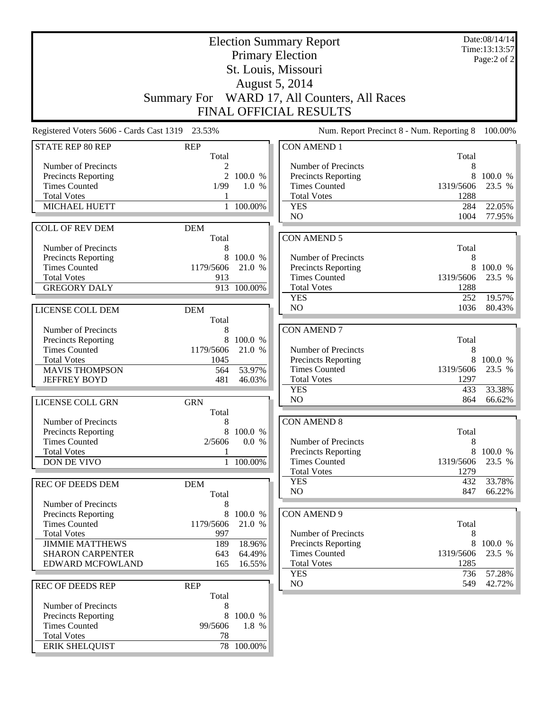| <b>Election Summary Report</b>                  |                     |                   |                                              |                   | Date:08/14/14<br>Time:13:13:57 |
|-------------------------------------------------|---------------------|-------------------|----------------------------------------------|-------------------|--------------------------------|
|                                                 |                     |                   | <b>Primary Election</b>                      |                   | Page:2 of 2                    |
|                                                 |                     |                   | St. Louis, Missouri                          |                   |                                |
|                                                 |                     |                   | August 5, 2014                               |                   |                                |
|                                                 |                     |                   | Summary For WARD 17, All Counters, All Races |                   |                                |
|                                                 |                     |                   |                                              |                   |                                |
|                                                 |                     |                   | <b>FINAL OFFICIAL RESULTS</b>                |                   |                                |
| Registered Voters 5606 - Cards Cast 1319 23.53% |                     |                   | Num. Report Precinct 8 - Num. Reporting 8    |                   | 100.00%                        |
| <b>STATE REP 80 REP</b>                         | <b>REP</b><br>Total |                   | <b>CON AMEND 1</b>                           | Total             |                                |
| Number of Precincts                             |                     |                   | Number of Precincts                          | 8                 |                                |
| <b>Precincts Reporting</b>                      |                     | 2 100.0 %         | Precincts Reporting                          | 8                 | 100.0 %                        |
| <b>Times Counted</b>                            | 1/99                | 1.0 %             | <b>Times Counted</b>                         | 1319/5606         | 23.5 %                         |
| <b>Total Votes</b>                              |                     |                   | <b>Total Votes</b>                           | 1288              |                                |
| MICHAEL HUETT                                   | $\mathbf{1}$        | 100.00%           | <b>YES</b>                                   | 284               | 22.05%                         |
|                                                 |                     |                   | N <sub>O</sub>                               | 1004              | 77.95%                         |
| <b>COLL OF REV DEM</b>                          | <b>DEM</b><br>Total |                   | <b>CON AMEND 5</b>                           |                   |                                |
| Number of Precincts                             | 8                   |                   |                                              | Total             |                                |
| Precincts Reporting                             | 8                   | 100.0 %           | Number of Precincts                          | 8                 |                                |
| <b>Times Counted</b>                            | 1179/5606           | 21.0 %            | Precincts Reporting                          |                   | 8 100.0 %                      |
| <b>Total Votes</b>                              | 913                 |                   | <b>Times Counted</b>                         | 1319/5606         | 23.5 %                         |
| <b>GREGORY DALY</b>                             |                     | 913 100.00%       | <b>Total Votes</b>                           | 1288              |                                |
|                                                 |                     |                   | <b>YES</b>                                   | 252               | 19.57%                         |
| LICENSE COLL DEM                                | <b>DEM</b>          |                   | N <sub>O</sub>                               | 1036              | 80.43%                         |
|                                                 | Total               |                   |                                              |                   |                                |
| Number of Precincts                             | 8                   |                   | <b>CON AMEND 7</b>                           |                   |                                |
| Precincts Reporting<br><b>Times Counted</b>     | 8<br>1179/5606      | 100.0 %<br>21.0 % | Number of Precincts                          | Total<br>8        |                                |
| <b>Total Votes</b>                              | 1045                |                   | Precincts Reporting                          | 8                 | 100.0 %                        |
| <b>MAVIS THOMPSON</b>                           | 564                 | 53.97%            | <b>Times Counted</b>                         | 1319/5606         | 23.5 %                         |
| <b>JEFFREY BOYD</b>                             | 481                 | 46.03%            | <b>Total Votes</b>                           | 1297              |                                |
|                                                 |                     |                   | <b>YES</b>                                   | 433               | 33.38%                         |
| LICENSE COLL GRN                                | <b>GRN</b>          |                   | NO                                           | 864               | 66.62%                         |
|                                                 | Total               |                   |                                              |                   |                                |
| Number of Precincts                             | 8                   |                   | <b>CON AMEND 8</b>                           |                   |                                |
| Precincts Reporting                             | 8                   | 100.0 %           |                                              | Total             |                                |
| <b>Times Counted</b><br><b>Total Votes</b>      | 2/5606              | 0.0 %             | Number of Precincts<br>Precincts Reporting   | 8                 | 8 100.0 %                      |
| DON DE VIVO                                     |                     | 1 100.00%         | <b>Times Counted</b>                         | 1319/5606         | 23.5 %                         |
|                                                 |                     |                   | <b>Total Votes</b>                           | 1279              |                                |
| <b>REC OF DEEDS DEM</b>                         | <b>DEM</b>          |                   | <b>YES</b>                                   | 432               | 33.78%                         |
|                                                 | Total               |                   | N <sub>O</sub>                               | 847               | 66.22%                         |
| Number of Precincts                             |                     |                   |                                              |                   |                                |
| <b>Precincts Reporting</b>                      | 8                   | 100.0 %           | <b>CON AMEND 9</b>                           |                   |                                |
| <b>Times Counted</b>                            | 1179/5606           | 21.0 %            |                                              | Total             |                                |
| <b>Total Votes</b>                              | 997                 |                   | Number of Precincts                          | 8                 |                                |
| <b>JIMMIE MATTHEWS</b>                          | 189                 | 18.96%            | Precincts Reporting                          | 8                 | 100.0 %                        |
| <b>SHARON CARPENTER</b><br>EDWARD MCFOWLAND     | 643<br>165          | 64.49%<br>16.55%  | <b>Times Counted</b><br><b>Total Votes</b>   | 1319/5606<br>1285 | 23.5 %                         |
|                                                 |                     |                   | <b>YES</b>                                   | 736               | 57.28%                         |
| <b>REC OF DEEDS REP</b>                         | <b>REP</b>          |                   | NO                                           | 549               | 42.72%                         |
|                                                 | Total               |                   |                                              |                   |                                |
| Number of Precincts                             | 8                   |                   |                                              |                   |                                |
| Precincts Reporting                             | 8                   | 100.0 %           |                                              |                   |                                |
| <b>Times Counted</b>                            | 99/5606             | 1.8 %             |                                              |                   |                                |
| <b>Total Votes</b>                              | 78                  |                   |                                              |                   |                                |
| <b>ERIK SHELQUIST</b>                           |                     | 78 100.00%        |                                              |                   |                                |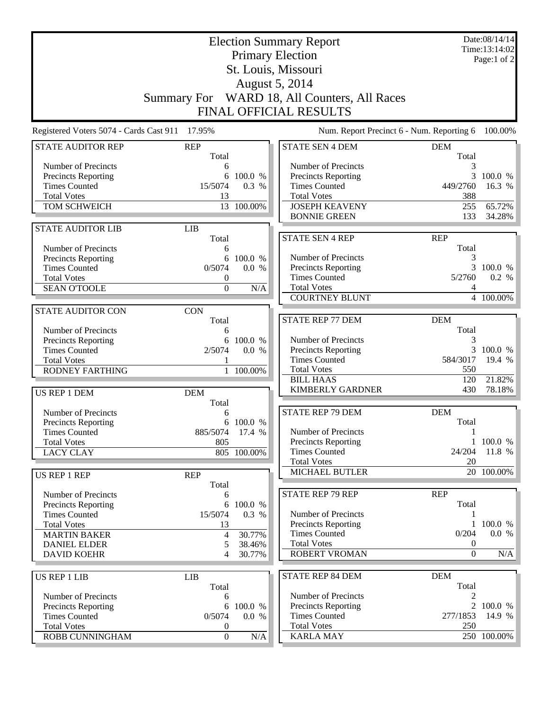| <b>Election Summary Report</b><br><b>Primary Election</b><br>St. Louis, Missouri                                                                                    |                                                                   |                                                |                                                                                                                                                                           |                                                                              | Date:08/14/14<br>Time:13:14:02<br>Page:1 of 2 |
|---------------------------------------------------------------------------------------------------------------------------------------------------------------------|-------------------------------------------------------------------|------------------------------------------------|---------------------------------------------------------------------------------------------------------------------------------------------------------------------------|------------------------------------------------------------------------------|-----------------------------------------------|
|                                                                                                                                                                     |                                                                   |                                                | <b>August 5, 2014</b><br>Summary For WARD 18, All Counters, All Races<br>FINAL OFFICIAL RESULTS                                                                           |                                                                              |                                               |
| Registered Voters 5074 - Cards Cast 911                                                                                                                             | 17.95%                                                            |                                                | Num. Report Precinct 6 - Num. Reporting 6                                                                                                                                 |                                                                              | 100.00%                                       |
| <b>STATE AUDITOR REP</b>                                                                                                                                            | <b>REP</b><br>Total                                               |                                                | <b>STATE SEN 4 DEM</b>                                                                                                                                                    | <b>DEM</b><br>Total                                                          |                                               |
| Number of Precincts<br><b>Precincts Reporting</b><br><b>Times Counted</b><br><b>Total Votes</b><br>TOM SCHWEICH                                                     | 6<br>6<br>15/5074<br>13                                           | 100.0 %<br>0.3 %<br>13 100.00%                 | Number of Precincts<br>Precincts Reporting<br><b>Times Counted</b><br><b>Total Votes</b><br><b>JOSEPH KEAVENY</b><br><b>BONNIE GREEN</b>                                  | 3<br>3<br>449/2760<br>388<br>255<br>133                                      | 100.0 %<br>16.3 %<br>65.72%<br>34.28%         |
| <b>STATE AUDITOR LIB</b>                                                                                                                                            | <b>LIB</b>                                                        |                                                | <b>STATE SEN 4 REP</b>                                                                                                                                                    | <b>REP</b>                                                                   |                                               |
| Number of Precincts<br>Precincts Reporting<br><b>Times Counted</b><br><b>Total Votes</b><br><b>SEAN O'TOOLE</b>                                                     | Total<br>6<br>6<br>0/5074<br>$\boldsymbol{0}$<br>$\boldsymbol{0}$ | 100.0 %<br>0.0 %<br>N/A                        | Number of Precincts<br><b>Precincts Reporting</b><br><b>Times Counted</b><br><b>Total Votes</b><br><b>COURTNEY BLUNT</b>                                                  | Total<br>3<br>3<br>5/2760<br>4                                               | 100.0 %<br>0.2 %<br>4 100.00%                 |
| <b>STATE AUDITOR CON</b>                                                                                                                                            | <b>CON</b>                                                        |                                                |                                                                                                                                                                           |                                                                              |                                               |
| Number of Precincts<br>Precincts Reporting<br><b>Times Counted</b><br><b>Total Votes</b><br><b>RODNEY FARTHING</b><br>US REP 1 DEM                                  | Total<br>6<br>2/5074<br><b>DEM</b><br>Total                       | 6 100.0 %<br>0.0 %<br>1 100.00%                | <b>STATE REP 77 DEM</b><br>Number of Precincts<br><b>Precincts Reporting</b><br><b>Times Counted</b><br><b>Total Votes</b><br><b>BILL HAAS</b><br><b>KIMBERLY GARDNER</b> | <b>DEM</b><br>Total<br>3<br>3<br>584/3017<br>550<br>120<br>430               | 100.0 %<br>19.4 %<br>21.82%<br>78.18%         |
| Number of Precincts<br>Precincts Reporting<br><b>Times Counted</b><br><b>Total Votes</b><br><b>LACY CLAY</b>                                                        | 6<br>885/5074 17.4 %<br>805                                       | 6 100.0 %<br>805 100.00%                       | <b>STATE REP 79 DEM</b><br>Number of Precincts<br><b>Precincts Reporting</b><br><b>Times Counted</b><br><b>Total Votes</b>                                                | <b>DEM</b><br>Total<br>1<br>24/204<br>20                                     | 1 100.0 %<br>11.8 %                           |
| US REP 1 REP                                                                                                                                                        | <b>REP</b><br>Total                                               |                                                | MICHAEL BUTLER                                                                                                                                                            |                                                                              | 20 100.00%                                    |
| Number of Precincts<br><b>Precincts Reporting</b><br><b>Times Counted</b><br><b>Total Votes</b><br><b>MARTIN BAKER</b><br><b>DANIEL ELDER</b><br><b>DAVID KOEHR</b> | 6<br>6<br>15/5074<br>13<br>4<br>5<br>4                            | 100.0 %<br>0.3 %<br>30.77%<br>38.46%<br>30.77% | <b>STATE REP 79 REP</b><br>Number of Precincts<br><b>Precincts Reporting</b><br><b>Times Counted</b><br><b>Total Votes</b><br><b>ROBERT VROMAN</b>                        | <b>REP</b><br>Total<br>$\mathbf{1}$<br>0/204<br>$\boldsymbol{0}$<br>$\Omega$ | 100.0 %<br>0.0 %<br>N/A                       |
| <b>US REP 1 LIB</b>                                                                                                                                                 | <b>LIB</b><br>Total                                               |                                                | <b>STATE REP 84 DEM</b>                                                                                                                                                   | <b>DEM</b><br>Total                                                          |                                               |
| Number of Precincts<br>Precincts Reporting<br><b>Times Counted</b><br><b>Total Votes</b><br>ROBB CUNNINGHAM                                                         | 6<br>6<br>0/5074<br>0<br>$\boldsymbol{0}$                         | 100.0 %<br>0.0 %<br>N/A                        | Number of Precincts<br>Precincts Reporting<br><b>Times Counted</b><br><b>Total Votes</b><br><b>KARLA MAY</b>                                                              | 2<br>$\overline{2}$<br>277/1853<br>250                                       | 100.0 %<br>14.9 %<br>250 100.00%              |
|                                                                                                                                                                     |                                                                   |                                                |                                                                                                                                                                           |                                                                              |                                               |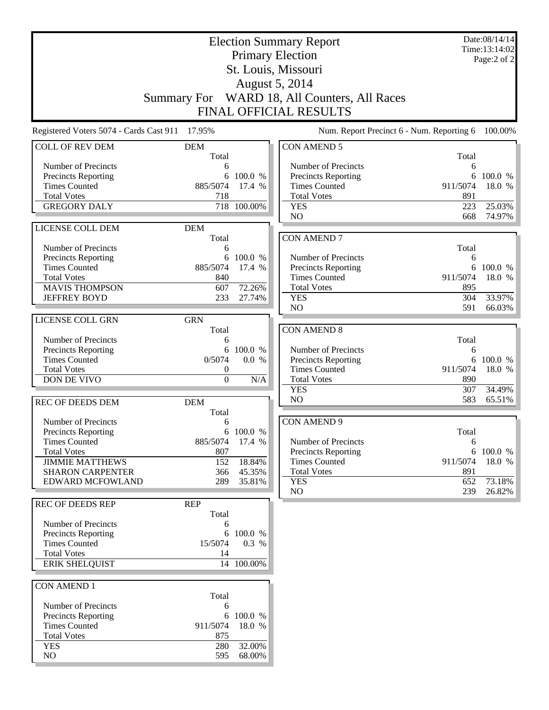| <b>Election Summary Report</b>              |                     |             |                                              | Date:08/14/14<br>Time:13:14:02 |                  |
|---------------------------------------------|---------------------|-------------|----------------------------------------------|--------------------------------|------------------|
|                                             |                     |             | <b>Primary Election</b>                      |                                | Page:2 of 2      |
|                                             |                     |             | St. Louis, Missouri                          |                                |                  |
|                                             |                     |             | August 5, 2014                               |                                |                  |
|                                             |                     |             | Summary For WARD 18, All Counters, All Races |                                |                  |
|                                             |                     |             | FINAL OFFICIAL RESULTS                       |                                |                  |
| Registered Voters 5074 - Cards Cast 911     | 17.95%              |             | Num. Report Precinct 6 - Num. Reporting 6    |                                | 100.00%          |
| <b>COLL OF REV DEM</b>                      | <b>DEM</b><br>Total |             | <b>CON AMEND 5</b>                           | Total                          |                  |
| Number of Precincts                         | 6                   |             | Number of Precincts                          | 6                              |                  |
| Precincts Reporting                         | 6                   | 100.0 %     | <b>Precincts Reporting</b>                   | 6                              | 100.0 %          |
| <b>Times Counted</b>                        | 885/5074            | 17.4 %      | <b>Times Counted</b>                         | 911/5074                       | 18.0 %           |
| <b>Total Votes</b>                          | 718                 |             | <b>Total Votes</b>                           | 891                            |                  |
| <b>GREGORY DALY</b>                         |                     | 718 100.00% | <b>YES</b><br>N <sub>O</sub>                 | 223                            | 25.03%           |
|                                             |                     |             |                                              | 668                            | 74.97%           |
| LICENSE COLL DEM                            | <b>DEM</b><br>Total |             | <b>CON AMEND 7</b>                           |                                |                  |
| Number of Precincts                         | 6                   |             |                                              | Total                          |                  |
| Precincts Reporting                         | 6                   | 100.0 %     | Number of Precincts                          | 6                              |                  |
| <b>Times Counted</b>                        | 885/5074            | 17.4 %      | <b>Precincts Reporting</b>                   | 6                              | 100.0 %          |
| <b>Total Votes</b>                          | 840                 |             | <b>Times Counted</b>                         | 911/5074                       | 18.0 %           |
| <b>MAVIS THOMPSON</b>                       | 607                 | 72.26%      | <b>Total Votes</b>                           | 895                            |                  |
| <b>JEFFREY BOYD</b>                         | 233                 | 27.74%      | <b>YES</b><br>N <sub>O</sub>                 | 304                            | 33.97%<br>66.03% |
|                                             |                     |             |                                              | 591                            |                  |
| LICENSE COLL GRN                            | <b>GRN</b><br>Total |             | <b>CON AMEND 8</b>                           |                                |                  |
| Number of Precincts                         | 6                   |             |                                              | Total                          |                  |
| Precincts Reporting                         | 6                   | 100.0 %     | Number of Precincts                          | 6                              |                  |
| <b>Times Counted</b>                        | 0/5074              | 0.0 %       | Precincts Reporting                          | 6                              | 100.0 %          |
| <b>Total Votes</b>                          | $\boldsymbol{0}$    |             | <b>Times Counted</b>                         | 911/5074                       | 18.0 %           |
| DON DE VIVO                                 | $\boldsymbol{0}$    | N/A         | <b>Total Votes</b>                           | 890                            |                  |
|                                             |                     |             | <b>YES</b><br>NO                             | 307                            | 34.49%           |
| <b>REC OF DEEDS DEM</b>                     | <b>DEM</b>          |             |                                              | 583                            | 65.51%           |
| Number of Precincts                         | Total<br>6          |             | <b>CON AMEND 9</b>                           |                                |                  |
| Precincts Reporting                         |                     | 6 100.0 %   |                                              | Total                          |                  |
| <b>Times Counted</b>                        | 885/5074            | 17.4 %      | Number of Precincts                          | 6                              |                  |
| <b>Total Votes</b>                          | 807                 |             | <b>Precincts Reporting</b>                   | 6                              | 100.0 %          |
| <b>JIMMIE MATTHEWS</b>                      | 152                 | 18.84%      | <b>Times Counted</b>                         | 911/5074                       | 18.0 %           |
| <b>SHARON CARPENTER</b>                     | 366                 | 45.35%      | <b>Total Votes</b>                           | 891                            |                  |
| <b>EDWARD MCFOWLAND</b>                     | 289                 | 35.81%      | <b>YES</b><br>NO                             | 652                            | 73.18%           |
| <b>REC OF DEEDS REP</b>                     | <b>REP</b>          |             |                                              | 239                            | 26.82%           |
|                                             | Total               |             |                                              |                                |                  |
| Number of Precincts                         | 6                   |             |                                              |                                |                  |
| <b>Precincts Reporting</b>                  | 6                   | 100.0 %     |                                              |                                |                  |
| <b>Times Counted</b>                        | 15/5074             | 0.3 %       |                                              |                                |                  |
| <b>Total Votes</b><br><b>ERIK SHELQUIST</b> | 14                  | 14 100.00%  |                                              |                                |                  |
|                                             |                     |             |                                              |                                |                  |
| <b>CON AMEND 1</b>                          |                     |             |                                              |                                |                  |
|                                             | Total               |             |                                              |                                |                  |
| Number of Precincts                         | 6                   |             |                                              |                                |                  |
| Precincts Reporting                         | 6                   | 100.0 %     |                                              |                                |                  |
| <b>Times Counted</b>                        | 911/5074            | 18.0 %      |                                              |                                |                  |
| <b>Total Votes</b><br><b>YES</b>            | 875<br>280          | 32.00%      |                                              |                                |                  |
| NO                                          | 595                 | 68.00%      |                                              |                                |                  |
|                                             |                     |             |                                              |                                |                  |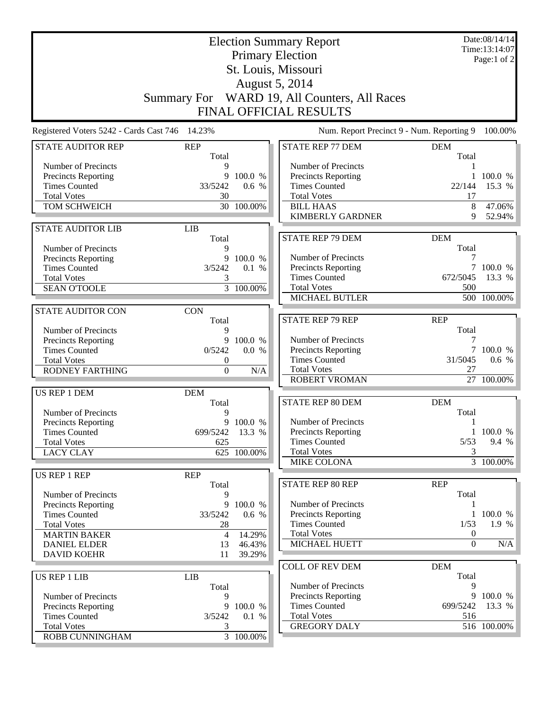| <b>Election Summary Report</b><br><b>Primary Election</b> |                     |                        |                                              |                     | Date:08/14/14<br>Time:13:14:07 |
|-----------------------------------------------------------|---------------------|------------------------|----------------------------------------------|---------------------|--------------------------------|
|                                                           |                     |                        | St. Louis, Missouri                          |                     | Page:1 of 2                    |
|                                                           |                     |                        | August 5, 2014                               |                     |                                |
|                                                           |                     |                        |                                              |                     |                                |
|                                                           |                     |                        | Summary For WARD 19, All Counters, All Races |                     |                                |
|                                                           |                     |                        | FINAL OFFICIAL RESULTS                       |                     |                                |
| Registered Voters 5242 - Cards Cast 746 14.23%            |                     |                        | Num. Report Precinct 9 - Num. Reporting 9    |                     | 100.00%                        |
| <b>STATE AUDITOR REP</b>                                  | <b>REP</b><br>Total |                        | <b>STATE REP 77 DEM</b>                      | <b>DEM</b><br>Total |                                |
| Number of Precincts                                       | 9                   |                        | Number of Precincts                          |                     |                                |
| Precincts Reporting                                       | 9                   | 100.0 %                | <b>Precincts Reporting</b>                   | 1                   | 100.0 %                        |
| <b>Times Counted</b>                                      | 33/5242             | 0.6 %                  | <b>Times Counted</b>                         | 22/144              | 15.3 %                         |
| <b>Total Votes</b>                                        | 30                  |                        | <b>Total Votes</b>                           | 17                  |                                |
| TOM SCHWEICH                                              |                     | 30 100.00%             | <b>BILL HAAS</b><br><b>KIMBERLY GARDNER</b>  | 8<br>9              | 47.06%<br>52.94%               |
| <b>STATE AUDITOR LIB</b>                                  | <b>LIB</b>          |                        |                                              |                     |                                |
|                                                           | Total               |                        | <b>STATE REP 79 DEM</b>                      | <b>DEM</b>          |                                |
| Number of Precincts                                       | 9                   |                        |                                              | Total               |                                |
| <b>Precincts Reporting</b>                                | 9                   | 100.0 %                | Number of Precincts                          | 7                   |                                |
| <b>Times Counted</b>                                      | 3/5242              | 0.1 %                  | Precincts Reporting                          |                     | 100.0 %                        |
| <b>Total Votes</b>                                        | 3                   |                        | <b>Times Counted</b>                         | 672/5045            | 13.3 %                         |
| <b>SEAN O'TOOLE</b>                                       |                     | $3\overline{100.00\%}$ | <b>Total Votes</b>                           | 500                 |                                |
|                                                           |                     |                        | <b>MICHAEL BUTLER</b>                        |                     | 500 100.00%                    |
| <b>STATE AUDITOR CON</b>                                  | <b>CON</b>          |                        |                                              |                     |                                |
|                                                           | Total               |                        | <b>STATE REP 79 REP</b>                      | <b>REP</b>          |                                |
| Number of Precincts                                       | 9                   |                        |                                              | Total               |                                |
| Precincts Reporting<br><b>Times Counted</b>               | 9<br>0/5242         | 100.0 %<br>0.0 %       | Number of Precincts<br>Precincts Reporting   | 7                   | 7 100.0 %                      |
| <b>Total Votes</b>                                        | $\boldsymbol{0}$    |                        | <b>Times Counted</b>                         | 31/5045             | 0.6 %                          |
| RODNEY FARTHING                                           | $\boldsymbol{0}$    | N/A                    | <b>Total Votes</b>                           | 27                  |                                |
|                                                           |                     |                        | <b>ROBERT VROMAN</b>                         |                     | 27 100.00%                     |
| US REP 1 DEM                                              | <b>DEM</b>          |                        |                                              |                     |                                |
|                                                           | Total               |                        | STATE REP 80 DEM                             | <b>DEM</b>          |                                |
| Number of Precincts                                       | 9                   |                        |                                              | Total               |                                |
| Precincts Reporting                                       |                     | 9 100.0 %              | Number of Precincts                          | 1                   |                                |
| <b>Times Counted</b>                                      | 699/5242 13.3 %     |                        | Precincts Reporting                          |                     | 1 100.0 %                      |
| <b>Total Votes</b>                                        | 625                 |                        | <b>Times Counted</b><br><b>Total Votes</b>   | 5/53<br>3           | 9.4 %                          |
| <b>LACY CLAY</b>                                          |                     | 625 100.00%            | <b>MIKE COLONA</b>                           |                     | 3 100.00%                      |
| US REP 1 REP                                              | <b>REP</b>          |                        |                                              |                     |                                |
|                                                           | Total               |                        | STATE REP 80 REP                             | <b>REP</b>          |                                |
| Number of Precincts                                       | 9                   |                        |                                              | Total               |                                |
| <b>Precincts Reporting</b>                                | 9                   | 100.0 %                | Number of Precincts                          |                     |                                |
| <b>Times Counted</b>                                      | 33/5242             | 0.6 %                  | <b>Precincts Reporting</b>                   |                     | 1 100.0 %                      |
| <b>Total Votes</b>                                        | 28                  |                        | <b>Times Counted</b>                         | 1/53                | 1.9%                           |
| <b>MARTIN BAKER</b>                                       | $\overline{4}$      | 14.29%                 | <b>Total Votes</b>                           | $\boldsymbol{0}$    |                                |
| <b>DANIEL ELDER</b>                                       | 13                  | 46.43%                 | MICHAEL HUETT                                | $\theta$            | N/A                            |
| <b>DAVID KOEHR</b>                                        | 11                  | 39.29%                 |                                              |                     |                                |
|                                                           |                     |                        | <b>COLL OF REV DEM</b>                       | <b>DEM</b>          |                                |
| US REP 1 LIB                                              | <b>LIB</b><br>Total |                        | Number of Precincts                          | Total<br>9          |                                |
| Number of Precincts                                       | 9                   |                        | <b>Precincts Reporting</b>                   | 9                   | 100.0 %                        |
| Precincts Reporting                                       | 9                   | 100.0 %                | <b>Times Counted</b>                         | 699/5242            | 13.3 %                         |
| <b>Times Counted</b>                                      | 3/5242              | 0.1 %                  | <b>Total Votes</b>                           | 516                 |                                |
| <b>Total Votes</b>                                        | 3                   |                        | <b>GREGORY DALY</b>                          |                     | 516 100.00%                    |
| ROBB CUNNINGHAM                                           |                     | $\overline{3}$ 100.00% |                                              |                     |                                |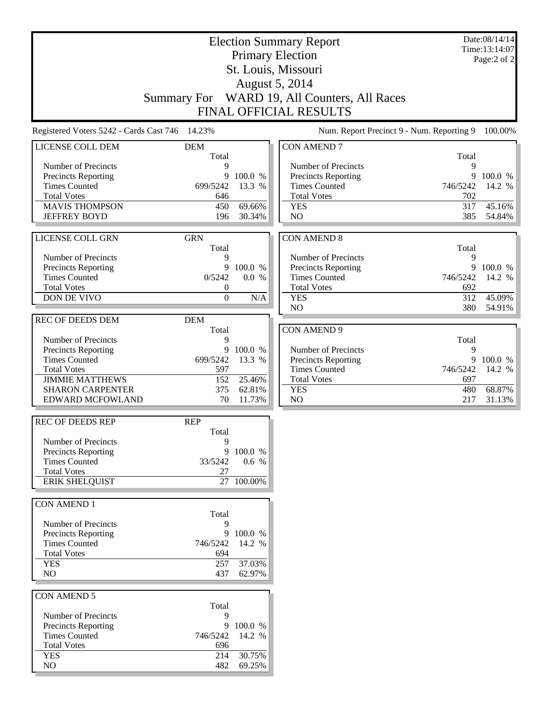| <b>Election Summary Report</b><br><b>Primary Election</b> |                     |                  |                                              |                  | Date:08/14/14<br>Time:13:14:07<br>Page:2 of 2 |
|-----------------------------------------------------------|---------------------|------------------|----------------------------------------------|------------------|-----------------------------------------------|
|                                                           |                     |                  | St. Louis, Missouri                          |                  |                                               |
|                                                           |                     |                  | <b>August 5, 2014</b>                        |                  |                                               |
|                                                           |                     |                  | Summary For WARD 19, All Counters, All Races |                  |                                               |
|                                                           |                     |                  | <b>FINAL OFFICIAL RESULTS</b>                |                  |                                               |
| Registered Voters 5242 - Cards Cast 746 14.23%            |                     |                  | Num. Report Precinct 9 - Num. Reporting 9    |                  | 100.00%                                       |
| LICENSE COLL DEM                                          | <b>DEM</b><br>Total |                  | <b>CON AMEND 7</b>                           | Total            |                                               |
| Number of Precincts                                       | 9                   |                  | Number of Precincts                          | 9                |                                               |
| <b>Precincts Reporting</b>                                | 9                   | 100.0 %          | <b>Precincts Reporting</b>                   | 9                | 100.0 %                                       |
| <b>Times Counted</b><br><b>Total Votes</b>                | 699/5242<br>646     | 13.3 %           | <b>Times Counted</b><br><b>Total Votes</b>   | 746/5242<br>702  | 14.2 %                                        |
| <b>MAVIS THOMPSON</b>                                     | 450                 | 69.66%           | <b>YES</b>                                   | 317              | 45.16%                                        |
| <b>JEFFREY BOYD</b>                                       | 196                 | 30.34%           | N <sub>O</sub>                               | 385              | 54.84%                                        |
| LICENSE COLL GRN                                          | <b>GRN</b>          |                  | <b>CON AMEND 8</b>                           |                  |                                               |
|                                                           | Total               |                  |                                              | Total            |                                               |
| Number of Precincts                                       | 9                   |                  | Number of Precincts                          | 9                |                                               |
| <b>Precincts Reporting</b><br><b>Times Counted</b>        | 9<br>0/5242         | 100.0 %<br>0.0 % | Precincts Reporting<br><b>Times Counted</b>  | 9<br>746/5242    | 100.0 %<br>14.2 %                             |
| <b>Total Votes</b>                                        | 0                   |                  | <b>Total Votes</b>                           | 692              |                                               |
| <b>DON DE VIVO</b>                                        | $\mathbf{0}$        | N/A              | <b>YES</b>                                   | $\overline{312}$ | 45.09%                                        |
|                                                           |                     |                  | N <sub>O</sub>                               | 380              | 54.91%                                        |
| <b>REC OF DEEDS DEM</b>                                   | <b>DEM</b>          |                  | <b>CON AMEND 9</b>                           |                  |                                               |
| Number of Precincts                                       | Total<br>9          |                  |                                              | Total            |                                               |
| Precincts Reporting                                       | 9                   | 100.0 %          | Number of Precincts                          | 9                |                                               |
| <b>Times Counted</b>                                      | 699/5242            | 13.3 %           | Precincts Reporting                          | 9                | 100.0 %                                       |
| <b>Total Votes</b><br><b>JIMMIE MATTHEWS</b>              | 597<br>152          | 25.46%           | <b>Times Counted</b><br><b>Total Votes</b>   | 746/5242<br>697  | 14.2 %                                        |
| <b>SHARON CARPENTER</b>                                   | 375                 | 62.81%           | <b>YES</b>                                   | 480              | 68.87%                                        |
| <b>EDWARD MCFOWLAND</b>                                   | 70                  | 11.73%           | NO                                           | 217              | 31.13%                                        |
| <b>REC OF DEEDS REP</b>                                   | <b>REP</b>          |                  |                                              |                  |                                               |
| Number of Precincts                                       | Total<br>9          |                  |                                              |                  |                                               |
| Precincts Reporting                                       | 9                   | 100.0 %          |                                              |                  |                                               |
| <b>Times Counted</b>                                      | 33/5242             | 0.6 %            |                                              |                  |                                               |
| <b>Total Votes</b><br><b>ERIK SHELQUIST</b>               | 27                  |                  |                                              |                  |                                               |
|                                                           |                     | 27 100.00%       |                                              |                  |                                               |
| <b>CON AMEND 1</b>                                        | Total               |                  |                                              |                  |                                               |
| Number of Precincts                                       | 9                   |                  |                                              |                  |                                               |
| Precincts Reporting                                       | 9                   | 100.0 %          |                                              |                  |                                               |
| <b>Times Counted</b><br><b>Total Votes</b>                | 746/5242<br>694     | 14.2 %           |                                              |                  |                                               |
| <b>YES</b>                                                | 257                 | 37.03%           |                                              |                  |                                               |
| NO                                                        | 437                 | 62.97%           |                                              |                  |                                               |
|                                                           |                     |                  |                                              |                  |                                               |
| CON AMEND 5                                               | Total               |                  |                                              |                  |                                               |
| Number of Precincts                                       | 9                   |                  |                                              |                  |                                               |
| Precincts Reporting                                       |                     | 9 100.0 %        |                                              |                  |                                               |
| <b>Times Counted</b><br><b>Total Votes</b>                | 746/5242<br>696     | 14.2 %           |                                              |                  |                                               |
| <b>YES</b>                                                | 214                 | 30.75%           |                                              |                  |                                               |
| NO                                                        | 482                 | 69.25%           |                                              |                  |                                               |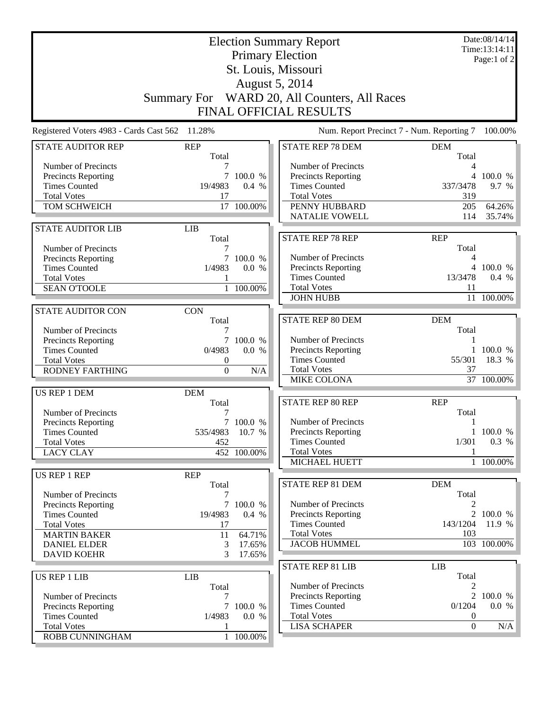| <b>August 5, 2014</b><br>Summary For WARD 20, All Counters, All Races<br>FINAL OFFICIAL RESULTS<br>11.28%<br>Registered Voters 4983 - Cards Cast 562<br>Num. Report Precinct 7 - Num. Reporting 7<br>100.00%<br><b>REP</b><br><b>STATE REP 78 DEM</b><br><b>STATE AUDITOR REP</b><br><b>DEM</b><br>Total<br>Total<br>Number of Precincts<br>Number of Precincts<br>7<br>4<br>Precincts Reporting<br><b>Precincts Reporting</b><br>$\tau$<br>100.0 %<br>4 100.0 %<br><b>Times Counted</b><br>19/4983<br>0.4 %<br><b>Times Counted</b><br>337/3478<br>9.7 %<br><b>Total Votes</b><br><b>Total Votes</b><br>17<br>319<br>TOM SCHWEICH<br>17 100.00%<br>PENNY HUBBARD<br>64.26%<br>205<br><b>NATALIE VOWELL</b><br>35.74%<br>114<br><b>LIB</b><br><b>STATE AUDITOR LIB</b><br><b>STATE REP 78 REP</b><br><b>REP</b><br>Total<br>Total<br>Number of Precincts<br>Number of Precincts<br>7<br>100.0 %<br>Precincts Reporting<br>4<br>Precincts Reporting<br>4 100.0 %<br><b>Times Counted</b><br>1/4983<br>0.0 %<br><b>Times Counted</b><br>13/3478<br>$0.4\%$<br><b>Total Votes</b><br><b>Total Votes</b><br>11<br><b>SEAN O'TOOLE</b><br>$\mathbf{1}$<br>100.00%<br><b>JOHN HUBB</b><br>11 100.00%<br><b>STATE AUDITOR CON</b><br><b>CON</b><br><b>STATE REP 80 DEM</b><br><b>DEM</b><br>Total<br>Total<br>Number of Precincts<br>7<br>$\overline{7}$<br>Number of Precincts<br>Precincts Reporting<br>100.0 %<br>Precincts Reporting<br>100.0 %<br><b>Times Counted</b><br>0/4983<br>0.0 %<br><b>Times Counted</b><br>55/301<br>18.3 %<br><b>Total Votes</b><br>0<br><b>Total Votes</b><br>37<br><b>RODNEY FARTHING</b><br>$\boldsymbol{0}$<br>N/A<br><b>MIKE COLONA</b><br>37 100.00%<br>US REP 1 DEM<br><b>DEM</b><br>STATE REP 80 REP<br><b>REP</b><br>Total<br>Total<br>Number of Precincts<br>Number of Precincts<br>Precincts Reporting<br>1<br>7 100.0 %<br>535/4983 10.7 %<br>1 100.0 %<br>Precincts Reporting<br><b>Times Counted</b><br>0.3 %<br><b>Times Counted</b><br><b>Total Votes</b><br>452<br>1/301<br><b>Total Votes</b><br><b>LACY CLAY</b><br>452 100.00%<br>MICHAEL HUETT<br>1 100.00%<br><b>REP</b><br><b>US REP 1 REP</b><br><b>STATE REP 81 DEM</b><br><b>DEM</b><br>Total<br>Total<br>Number of Precincts<br>7<br>Number of Precincts<br><b>Precincts Reporting</b><br>7 100.0 %<br><b>Precincts Reporting</b><br>2 100.0 %<br><b>Times Counted</b><br>19/4983<br>0.4 %<br><b>Times Counted</b><br>143/1204<br>11.9 %<br><b>Total Votes</b><br>17<br><b>Total Votes</b><br>103<br><b>MARTIN BAKER</b><br>11<br>64.71%<br><b>JACOB HUMMEL</b><br>103 100.00%<br><b>DANIEL ELDER</b><br>3<br>17.65%<br><b>DAVID KOEHR</b><br>3<br>17.65%<br><b>STATE REP 81 LIB</b><br><b>LIB</b><br>Total<br>US REP 1 LIB<br><b>LIB</b><br>Number of Precincts<br>Total<br>2<br>Precincts Reporting<br>2 100.0 %<br>Number of Precincts<br>7<br><b>Times Counted</b><br>0.0 %<br>Precincts Reporting<br>0/1204<br>7 100.0 %<br><b>Total Votes</b><br><b>Times Counted</b><br>1/4983<br>0.0 %<br>$\theta$<br><b>LISA SCHAPER</b><br><b>Total Votes</b><br>$\mathbf{0}$<br>N/A<br>1 100.00% | <b>Election Summary Report</b><br><b>Primary Election</b><br>St. Louis, Missouri |  |  |  | Date:08/14/14<br>Time:13:14:11<br>Page:1 of 2 |
|-------------------------------------------------------------------------------------------------------------------------------------------------------------------------------------------------------------------------------------------------------------------------------------------------------------------------------------------------------------------------------------------------------------------------------------------------------------------------------------------------------------------------------------------------------------------------------------------------------------------------------------------------------------------------------------------------------------------------------------------------------------------------------------------------------------------------------------------------------------------------------------------------------------------------------------------------------------------------------------------------------------------------------------------------------------------------------------------------------------------------------------------------------------------------------------------------------------------------------------------------------------------------------------------------------------------------------------------------------------------------------------------------------------------------------------------------------------------------------------------------------------------------------------------------------------------------------------------------------------------------------------------------------------------------------------------------------------------------------------------------------------------------------------------------------------------------------------------------------------------------------------------------------------------------------------------------------------------------------------------------------------------------------------------------------------------------------------------------------------------------------------------------------------------------------------------------------------------------------------------------------------------------------------------------------------------------------------------------------------------------------------------------------------------------------------------------------------------------------------------------------------------------------------------------------------------------------------------------------------------------------------------------------------------------------------------------------------------------------------------------------------------------------------------------------------------------------------------------------------------------------------------------------------------------------------------------------------------------------------------------------------------------------------------------------------------------------------------------|----------------------------------------------------------------------------------|--|--|--|-----------------------------------------------|
|                                                                                                                                                                                                                                                                                                                                                                                                                                                                                                                                                                                                                                                                                                                                                                                                                                                                                                                                                                                                                                                                                                                                                                                                                                                                                                                                                                                                                                                                                                                                                                                                                                                                                                                                                                                                                                                                                                                                                                                                                                                                                                                                                                                                                                                                                                                                                                                                                                                                                                                                                                                                                                                                                                                                                                                                                                                                                                                                                                                                                                                                                                 |                                                                                  |  |  |  |                                               |
|                                                                                                                                                                                                                                                                                                                                                                                                                                                                                                                                                                                                                                                                                                                                                                                                                                                                                                                                                                                                                                                                                                                                                                                                                                                                                                                                                                                                                                                                                                                                                                                                                                                                                                                                                                                                                                                                                                                                                                                                                                                                                                                                                                                                                                                                                                                                                                                                                                                                                                                                                                                                                                                                                                                                                                                                                                                                                                                                                                                                                                                                                                 |                                                                                  |  |  |  |                                               |
|                                                                                                                                                                                                                                                                                                                                                                                                                                                                                                                                                                                                                                                                                                                                                                                                                                                                                                                                                                                                                                                                                                                                                                                                                                                                                                                                                                                                                                                                                                                                                                                                                                                                                                                                                                                                                                                                                                                                                                                                                                                                                                                                                                                                                                                                                                                                                                                                                                                                                                                                                                                                                                                                                                                                                                                                                                                                                                                                                                                                                                                                                                 |                                                                                  |  |  |  |                                               |
|                                                                                                                                                                                                                                                                                                                                                                                                                                                                                                                                                                                                                                                                                                                                                                                                                                                                                                                                                                                                                                                                                                                                                                                                                                                                                                                                                                                                                                                                                                                                                                                                                                                                                                                                                                                                                                                                                                                                                                                                                                                                                                                                                                                                                                                                                                                                                                                                                                                                                                                                                                                                                                                                                                                                                                                                                                                                                                                                                                                                                                                                                                 |                                                                                  |  |  |  |                                               |
|                                                                                                                                                                                                                                                                                                                                                                                                                                                                                                                                                                                                                                                                                                                                                                                                                                                                                                                                                                                                                                                                                                                                                                                                                                                                                                                                                                                                                                                                                                                                                                                                                                                                                                                                                                                                                                                                                                                                                                                                                                                                                                                                                                                                                                                                                                                                                                                                                                                                                                                                                                                                                                                                                                                                                                                                                                                                                                                                                                                                                                                                                                 |                                                                                  |  |  |  |                                               |
|                                                                                                                                                                                                                                                                                                                                                                                                                                                                                                                                                                                                                                                                                                                                                                                                                                                                                                                                                                                                                                                                                                                                                                                                                                                                                                                                                                                                                                                                                                                                                                                                                                                                                                                                                                                                                                                                                                                                                                                                                                                                                                                                                                                                                                                                                                                                                                                                                                                                                                                                                                                                                                                                                                                                                                                                                                                                                                                                                                                                                                                                                                 |                                                                                  |  |  |  |                                               |
|                                                                                                                                                                                                                                                                                                                                                                                                                                                                                                                                                                                                                                                                                                                                                                                                                                                                                                                                                                                                                                                                                                                                                                                                                                                                                                                                                                                                                                                                                                                                                                                                                                                                                                                                                                                                                                                                                                                                                                                                                                                                                                                                                                                                                                                                                                                                                                                                                                                                                                                                                                                                                                                                                                                                                                                                                                                                                                                                                                                                                                                                                                 |                                                                                  |  |  |  |                                               |
|                                                                                                                                                                                                                                                                                                                                                                                                                                                                                                                                                                                                                                                                                                                                                                                                                                                                                                                                                                                                                                                                                                                                                                                                                                                                                                                                                                                                                                                                                                                                                                                                                                                                                                                                                                                                                                                                                                                                                                                                                                                                                                                                                                                                                                                                                                                                                                                                                                                                                                                                                                                                                                                                                                                                                                                                                                                                                                                                                                                                                                                                                                 |                                                                                  |  |  |  |                                               |
|                                                                                                                                                                                                                                                                                                                                                                                                                                                                                                                                                                                                                                                                                                                                                                                                                                                                                                                                                                                                                                                                                                                                                                                                                                                                                                                                                                                                                                                                                                                                                                                                                                                                                                                                                                                                                                                                                                                                                                                                                                                                                                                                                                                                                                                                                                                                                                                                                                                                                                                                                                                                                                                                                                                                                                                                                                                                                                                                                                                                                                                                                                 |                                                                                  |  |  |  |                                               |
|                                                                                                                                                                                                                                                                                                                                                                                                                                                                                                                                                                                                                                                                                                                                                                                                                                                                                                                                                                                                                                                                                                                                                                                                                                                                                                                                                                                                                                                                                                                                                                                                                                                                                                                                                                                                                                                                                                                                                                                                                                                                                                                                                                                                                                                                                                                                                                                                                                                                                                                                                                                                                                                                                                                                                                                                                                                                                                                                                                                                                                                                                                 |                                                                                  |  |  |  |                                               |
|                                                                                                                                                                                                                                                                                                                                                                                                                                                                                                                                                                                                                                                                                                                                                                                                                                                                                                                                                                                                                                                                                                                                                                                                                                                                                                                                                                                                                                                                                                                                                                                                                                                                                                                                                                                                                                                                                                                                                                                                                                                                                                                                                                                                                                                                                                                                                                                                                                                                                                                                                                                                                                                                                                                                                                                                                                                                                                                                                                                                                                                                                                 |                                                                                  |  |  |  |                                               |
|                                                                                                                                                                                                                                                                                                                                                                                                                                                                                                                                                                                                                                                                                                                                                                                                                                                                                                                                                                                                                                                                                                                                                                                                                                                                                                                                                                                                                                                                                                                                                                                                                                                                                                                                                                                                                                                                                                                                                                                                                                                                                                                                                                                                                                                                                                                                                                                                                                                                                                                                                                                                                                                                                                                                                                                                                                                                                                                                                                                                                                                                                                 |                                                                                  |  |  |  |                                               |
|                                                                                                                                                                                                                                                                                                                                                                                                                                                                                                                                                                                                                                                                                                                                                                                                                                                                                                                                                                                                                                                                                                                                                                                                                                                                                                                                                                                                                                                                                                                                                                                                                                                                                                                                                                                                                                                                                                                                                                                                                                                                                                                                                                                                                                                                                                                                                                                                                                                                                                                                                                                                                                                                                                                                                                                                                                                                                                                                                                                                                                                                                                 |                                                                                  |  |  |  |                                               |
|                                                                                                                                                                                                                                                                                                                                                                                                                                                                                                                                                                                                                                                                                                                                                                                                                                                                                                                                                                                                                                                                                                                                                                                                                                                                                                                                                                                                                                                                                                                                                                                                                                                                                                                                                                                                                                                                                                                                                                                                                                                                                                                                                                                                                                                                                                                                                                                                                                                                                                                                                                                                                                                                                                                                                                                                                                                                                                                                                                                                                                                                                                 |                                                                                  |  |  |  |                                               |
|                                                                                                                                                                                                                                                                                                                                                                                                                                                                                                                                                                                                                                                                                                                                                                                                                                                                                                                                                                                                                                                                                                                                                                                                                                                                                                                                                                                                                                                                                                                                                                                                                                                                                                                                                                                                                                                                                                                                                                                                                                                                                                                                                                                                                                                                                                                                                                                                                                                                                                                                                                                                                                                                                                                                                                                                                                                                                                                                                                                                                                                                                                 |                                                                                  |  |  |  |                                               |
|                                                                                                                                                                                                                                                                                                                                                                                                                                                                                                                                                                                                                                                                                                                                                                                                                                                                                                                                                                                                                                                                                                                                                                                                                                                                                                                                                                                                                                                                                                                                                                                                                                                                                                                                                                                                                                                                                                                                                                                                                                                                                                                                                                                                                                                                                                                                                                                                                                                                                                                                                                                                                                                                                                                                                                                                                                                                                                                                                                                                                                                                                                 |                                                                                  |  |  |  |                                               |
|                                                                                                                                                                                                                                                                                                                                                                                                                                                                                                                                                                                                                                                                                                                                                                                                                                                                                                                                                                                                                                                                                                                                                                                                                                                                                                                                                                                                                                                                                                                                                                                                                                                                                                                                                                                                                                                                                                                                                                                                                                                                                                                                                                                                                                                                                                                                                                                                                                                                                                                                                                                                                                                                                                                                                                                                                                                                                                                                                                                                                                                                                                 |                                                                                  |  |  |  |                                               |
|                                                                                                                                                                                                                                                                                                                                                                                                                                                                                                                                                                                                                                                                                                                                                                                                                                                                                                                                                                                                                                                                                                                                                                                                                                                                                                                                                                                                                                                                                                                                                                                                                                                                                                                                                                                                                                                                                                                                                                                                                                                                                                                                                                                                                                                                                                                                                                                                                                                                                                                                                                                                                                                                                                                                                                                                                                                                                                                                                                                                                                                                                                 |                                                                                  |  |  |  |                                               |
|                                                                                                                                                                                                                                                                                                                                                                                                                                                                                                                                                                                                                                                                                                                                                                                                                                                                                                                                                                                                                                                                                                                                                                                                                                                                                                                                                                                                                                                                                                                                                                                                                                                                                                                                                                                                                                                                                                                                                                                                                                                                                                                                                                                                                                                                                                                                                                                                                                                                                                                                                                                                                                                                                                                                                                                                                                                                                                                                                                                                                                                                                                 |                                                                                  |  |  |  |                                               |
|                                                                                                                                                                                                                                                                                                                                                                                                                                                                                                                                                                                                                                                                                                                                                                                                                                                                                                                                                                                                                                                                                                                                                                                                                                                                                                                                                                                                                                                                                                                                                                                                                                                                                                                                                                                                                                                                                                                                                                                                                                                                                                                                                                                                                                                                                                                                                                                                                                                                                                                                                                                                                                                                                                                                                                                                                                                                                                                                                                                                                                                                                                 |                                                                                  |  |  |  |                                               |
|                                                                                                                                                                                                                                                                                                                                                                                                                                                                                                                                                                                                                                                                                                                                                                                                                                                                                                                                                                                                                                                                                                                                                                                                                                                                                                                                                                                                                                                                                                                                                                                                                                                                                                                                                                                                                                                                                                                                                                                                                                                                                                                                                                                                                                                                                                                                                                                                                                                                                                                                                                                                                                                                                                                                                                                                                                                                                                                                                                                                                                                                                                 |                                                                                  |  |  |  |                                               |
|                                                                                                                                                                                                                                                                                                                                                                                                                                                                                                                                                                                                                                                                                                                                                                                                                                                                                                                                                                                                                                                                                                                                                                                                                                                                                                                                                                                                                                                                                                                                                                                                                                                                                                                                                                                                                                                                                                                                                                                                                                                                                                                                                                                                                                                                                                                                                                                                                                                                                                                                                                                                                                                                                                                                                                                                                                                                                                                                                                                                                                                                                                 |                                                                                  |  |  |  |                                               |
|                                                                                                                                                                                                                                                                                                                                                                                                                                                                                                                                                                                                                                                                                                                                                                                                                                                                                                                                                                                                                                                                                                                                                                                                                                                                                                                                                                                                                                                                                                                                                                                                                                                                                                                                                                                                                                                                                                                                                                                                                                                                                                                                                                                                                                                                                                                                                                                                                                                                                                                                                                                                                                                                                                                                                                                                                                                                                                                                                                                                                                                                                                 |                                                                                  |  |  |  |                                               |
|                                                                                                                                                                                                                                                                                                                                                                                                                                                                                                                                                                                                                                                                                                                                                                                                                                                                                                                                                                                                                                                                                                                                                                                                                                                                                                                                                                                                                                                                                                                                                                                                                                                                                                                                                                                                                                                                                                                                                                                                                                                                                                                                                                                                                                                                                                                                                                                                                                                                                                                                                                                                                                                                                                                                                                                                                                                                                                                                                                                                                                                                                                 |                                                                                  |  |  |  |                                               |
|                                                                                                                                                                                                                                                                                                                                                                                                                                                                                                                                                                                                                                                                                                                                                                                                                                                                                                                                                                                                                                                                                                                                                                                                                                                                                                                                                                                                                                                                                                                                                                                                                                                                                                                                                                                                                                                                                                                                                                                                                                                                                                                                                                                                                                                                                                                                                                                                                                                                                                                                                                                                                                                                                                                                                                                                                                                                                                                                                                                                                                                                                                 |                                                                                  |  |  |  |                                               |
|                                                                                                                                                                                                                                                                                                                                                                                                                                                                                                                                                                                                                                                                                                                                                                                                                                                                                                                                                                                                                                                                                                                                                                                                                                                                                                                                                                                                                                                                                                                                                                                                                                                                                                                                                                                                                                                                                                                                                                                                                                                                                                                                                                                                                                                                                                                                                                                                                                                                                                                                                                                                                                                                                                                                                                                                                                                                                                                                                                                                                                                                                                 |                                                                                  |  |  |  |                                               |
|                                                                                                                                                                                                                                                                                                                                                                                                                                                                                                                                                                                                                                                                                                                                                                                                                                                                                                                                                                                                                                                                                                                                                                                                                                                                                                                                                                                                                                                                                                                                                                                                                                                                                                                                                                                                                                                                                                                                                                                                                                                                                                                                                                                                                                                                                                                                                                                                                                                                                                                                                                                                                                                                                                                                                                                                                                                                                                                                                                                                                                                                                                 |                                                                                  |  |  |  |                                               |
|                                                                                                                                                                                                                                                                                                                                                                                                                                                                                                                                                                                                                                                                                                                                                                                                                                                                                                                                                                                                                                                                                                                                                                                                                                                                                                                                                                                                                                                                                                                                                                                                                                                                                                                                                                                                                                                                                                                                                                                                                                                                                                                                                                                                                                                                                                                                                                                                                                                                                                                                                                                                                                                                                                                                                                                                                                                                                                                                                                                                                                                                                                 |                                                                                  |  |  |  |                                               |
|                                                                                                                                                                                                                                                                                                                                                                                                                                                                                                                                                                                                                                                                                                                                                                                                                                                                                                                                                                                                                                                                                                                                                                                                                                                                                                                                                                                                                                                                                                                                                                                                                                                                                                                                                                                                                                                                                                                                                                                                                                                                                                                                                                                                                                                                                                                                                                                                                                                                                                                                                                                                                                                                                                                                                                                                                                                                                                                                                                                                                                                                                                 |                                                                                  |  |  |  |                                               |
|                                                                                                                                                                                                                                                                                                                                                                                                                                                                                                                                                                                                                                                                                                                                                                                                                                                                                                                                                                                                                                                                                                                                                                                                                                                                                                                                                                                                                                                                                                                                                                                                                                                                                                                                                                                                                                                                                                                                                                                                                                                                                                                                                                                                                                                                                                                                                                                                                                                                                                                                                                                                                                                                                                                                                                                                                                                                                                                                                                                                                                                                                                 |                                                                                  |  |  |  |                                               |
|                                                                                                                                                                                                                                                                                                                                                                                                                                                                                                                                                                                                                                                                                                                                                                                                                                                                                                                                                                                                                                                                                                                                                                                                                                                                                                                                                                                                                                                                                                                                                                                                                                                                                                                                                                                                                                                                                                                                                                                                                                                                                                                                                                                                                                                                                                                                                                                                                                                                                                                                                                                                                                                                                                                                                                                                                                                                                                                                                                                                                                                                                                 |                                                                                  |  |  |  |                                               |
|                                                                                                                                                                                                                                                                                                                                                                                                                                                                                                                                                                                                                                                                                                                                                                                                                                                                                                                                                                                                                                                                                                                                                                                                                                                                                                                                                                                                                                                                                                                                                                                                                                                                                                                                                                                                                                                                                                                                                                                                                                                                                                                                                                                                                                                                                                                                                                                                                                                                                                                                                                                                                                                                                                                                                                                                                                                                                                                                                                                                                                                                                                 |                                                                                  |  |  |  |                                               |
|                                                                                                                                                                                                                                                                                                                                                                                                                                                                                                                                                                                                                                                                                                                                                                                                                                                                                                                                                                                                                                                                                                                                                                                                                                                                                                                                                                                                                                                                                                                                                                                                                                                                                                                                                                                                                                                                                                                                                                                                                                                                                                                                                                                                                                                                                                                                                                                                                                                                                                                                                                                                                                                                                                                                                                                                                                                                                                                                                                                                                                                                                                 |                                                                                  |  |  |  |                                               |
|                                                                                                                                                                                                                                                                                                                                                                                                                                                                                                                                                                                                                                                                                                                                                                                                                                                                                                                                                                                                                                                                                                                                                                                                                                                                                                                                                                                                                                                                                                                                                                                                                                                                                                                                                                                                                                                                                                                                                                                                                                                                                                                                                                                                                                                                                                                                                                                                                                                                                                                                                                                                                                                                                                                                                                                                                                                                                                                                                                                                                                                                                                 |                                                                                  |  |  |  |                                               |
|                                                                                                                                                                                                                                                                                                                                                                                                                                                                                                                                                                                                                                                                                                                                                                                                                                                                                                                                                                                                                                                                                                                                                                                                                                                                                                                                                                                                                                                                                                                                                                                                                                                                                                                                                                                                                                                                                                                                                                                                                                                                                                                                                                                                                                                                                                                                                                                                                                                                                                                                                                                                                                                                                                                                                                                                                                                                                                                                                                                                                                                                                                 |                                                                                  |  |  |  |                                               |
|                                                                                                                                                                                                                                                                                                                                                                                                                                                                                                                                                                                                                                                                                                                                                                                                                                                                                                                                                                                                                                                                                                                                                                                                                                                                                                                                                                                                                                                                                                                                                                                                                                                                                                                                                                                                                                                                                                                                                                                                                                                                                                                                                                                                                                                                                                                                                                                                                                                                                                                                                                                                                                                                                                                                                                                                                                                                                                                                                                                                                                                                                                 |                                                                                  |  |  |  |                                               |
|                                                                                                                                                                                                                                                                                                                                                                                                                                                                                                                                                                                                                                                                                                                                                                                                                                                                                                                                                                                                                                                                                                                                                                                                                                                                                                                                                                                                                                                                                                                                                                                                                                                                                                                                                                                                                                                                                                                                                                                                                                                                                                                                                                                                                                                                                                                                                                                                                                                                                                                                                                                                                                                                                                                                                                                                                                                                                                                                                                                                                                                                                                 |                                                                                  |  |  |  |                                               |
|                                                                                                                                                                                                                                                                                                                                                                                                                                                                                                                                                                                                                                                                                                                                                                                                                                                                                                                                                                                                                                                                                                                                                                                                                                                                                                                                                                                                                                                                                                                                                                                                                                                                                                                                                                                                                                                                                                                                                                                                                                                                                                                                                                                                                                                                                                                                                                                                                                                                                                                                                                                                                                                                                                                                                                                                                                                                                                                                                                                                                                                                                                 |                                                                                  |  |  |  |                                               |
|                                                                                                                                                                                                                                                                                                                                                                                                                                                                                                                                                                                                                                                                                                                                                                                                                                                                                                                                                                                                                                                                                                                                                                                                                                                                                                                                                                                                                                                                                                                                                                                                                                                                                                                                                                                                                                                                                                                                                                                                                                                                                                                                                                                                                                                                                                                                                                                                                                                                                                                                                                                                                                                                                                                                                                                                                                                                                                                                                                                                                                                                                                 |                                                                                  |  |  |  |                                               |
|                                                                                                                                                                                                                                                                                                                                                                                                                                                                                                                                                                                                                                                                                                                                                                                                                                                                                                                                                                                                                                                                                                                                                                                                                                                                                                                                                                                                                                                                                                                                                                                                                                                                                                                                                                                                                                                                                                                                                                                                                                                                                                                                                                                                                                                                                                                                                                                                                                                                                                                                                                                                                                                                                                                                                                                                                                                                                                                                                                                                                                                                                                 |                                                                                  |  |  |  |                                               |
|                                                                                                                                                                                                                                                                                                                                                                                                                                                                                                                                                                                                                                                                                                                                                                                                                                                                                                                                                                                                                                                                                                                                                                                                                                                                                                                                                                                                                                                                                                                                                                                                                                                                                                                                                                                                                                                                                                                                                                                                                                                                                                                                                                                                                                                                                                                                                                                                                                                                                                                                                                                                                                                                                                                                                                                                                                                                                                                                                                                                                                                                                                 |                                                                                  |  |  |  |                                               |
|                                                                                                                                                                                                                                                                                                                                                                                                                                                                                                                                                                                                                                                                                                                                                                                                                                                                                                                                                                                                                                                                                                                                                                                                                                                                                                                                                                                                                                                                                                                                                                                                                                                                                                                                                                                                                                                                                                                                                                                                                                                                                                                                                                                                                                                                                                                                                                                                                                                                                                                                                                                                                                                                                                                                                                                                                                                                                                                                                                                                                                                                                                 |                                                                                  |  |  |  |                                               |
|                                                                                                                                                                                                                                                                                                                                                                                                                                                                                                                                                                                                                                                                                                                                                                                                                                                                                                                                                                                                                                                                                                                                                                                                                                                                                                                                                                                                                                                                                                                                                                                                                                                                                                                                                                                                                                                                                                                                                                                                                                                                                                                                                                                                                                                                                                                                                                                                                                                                                                                                                                                                                                                                                                                                                                                                                                                                                                                                                                                                                                                                                                 |                                                                                  |  |  |  |                                               |
|                                                                                                                                                                                                                                                                                                                                                                                                                                                                                                                                                                                                                                                                                                                                                                                                                                                                                                                                                                                                                                                                                                                                                                                                                                                                                                                                                                                                                                                                                                                                                                                                                                                                                                                                                                                                                                                                                                                                                                                                                                                                                                                                                                                                                                                                                                                                                                                                                                                                                                                                                                                                                                                                                                                                                                                                                                                                                                                                                                                                                                                                                                 |                                                                                  |  |  |  |                                               |
|                                                                                                                                                                                                                                                                                                                                                                                                                                                                                                                                                                                                                                                                                                                                                                                                                                                                                                                                                                                                                                                                                                                                                                                                                                                                                                                                                                                                                                                                                                                                                                                                                                                                                                                                                                                                                                                                                                                                                                                                                                                                                                                                                                                                                                                                                                                                                                                                                                                                                                                                                                                                                                                                                                                                                                                                                                                                                                                                                                                                                                                                                                 |                                                                                  |  |  |  |                                               |
|                                                                                                                                                                                                                                                                                                                                                                                                                                                                                                                                                                                                                                                                                                                                                                                                                                                                                                                                                                                                                                                                                                                                                                                                                                                                                                                                                                                                                                                                                                                                                                                                                                                                                                                                                                                                                                                                                                                                                                                                                                                                                                                                                                                                                                                                                                                                                                                                                                                                                                                                                                                                                                                                                                                                                                                                                                                                                                                                                                                                                                                                                                 |                                                                                  |  |  |  |                                               |
|                                                                                                                                                                                                                                                                                                                                                                                                                                                                                                                                                                                                                                                                                                                                                                                                                                                                                                                                                                                                                                                                                                                                                                                                                                                                                                                                                                                                                                                                                                                                                                                                                                                                                                                                                                                                                                                                                                                                                                                                                                                                                                                                                                                                                                                                                                                                                                                                                                                                                                                                                                                                                                                                                                                                                                                                                                                                                                                                                                                                                                                                                                 | ROBB CUNNINGHAM                                                                  |  |  |  |                                               |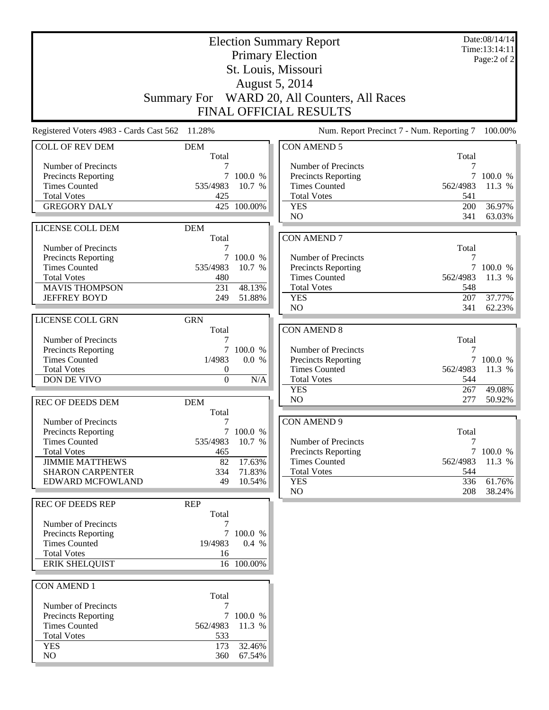| <b>Election Summary Report</b>                 |                     |            |                                              | Date:08/14/14<br>Time:13:14:11 |             |
|------------------------------------------------|---------------------|------------|----------------------------------------------|--------------------------------|-------------|
|                                                |                     |            | <b>Primary Election</b>                      |                                | Page:2 of 2 |
|                                                |                     |            | St. Louis, Missouri                          |                                |             |
|                                                |                     |            | August 5, 2014                               |                                |             |
|                                                |                     |            | Summary For WARD 20, All Counters, All Races |                                |             |
|                                                |                     |            | <b>FINAL OFFICIAL RESULTS</b>                |                                |             |
|                                                |                     |            |                                              |                                |             |
| Registered Voters 4983 - Cards Cast 562 11.28% |                     |            | Num. Report Precinct 7 - Num. Reporting 7    |                                | 100.00%     |
| <b>COLL OF REV DEM</b>                         | <b>DEM</b>          |            | <b>CON AMEND 5</b>                           |                                |             |
| Number of Precincts                            | Total               |            | Number of Precincts                          | Total<br>7                     |             |
| Precincts Reporting                            | $\tau$              | 100.0 %    | <b>Precincts Reporting</b>                   |                                | 7 100.0 %   |
| <b>Times Counted</b>                           | 535/4983            | 10.7 %     | <b>Times Counted</b>                         | 562/4983                       | 11.3 %      |
| <b>Total Votes</b>                             | 425                 |            | <b>Total Votes</b>                           | 541                            |             |
| <b>GREGORY DALY</b>                            | 425                 | 100.00%    | <b>YES</b>                                   | 200                            | 36.97%      |
|                                                |                     |            | N <sub>O</sub>                               | 341                            | 63.03%      |
| LICENSE COLL DEM                               | <b>DEM</b>          |            |                                              |                                |             |
| Number of Precincts                            | Total<br>7          |            | <b>CON AMEND 7</b>                           | Total                          |             |
| Precincts Reporting                            | $\tau$              | 100.0 %    | Number of Precincts                          | 7                              |             |
| <b>Times Counted</b>                           | 535/4983            | 10.7 %     | Precincts Reporting                          |                                | 7 100.0 %   |
| <b>Total Votes</b>                             | 480                 |            | <b>Times Counted</b>                         | 562/4983                       | 11.3 %      |
| <b>MAVIS THOMPSON</b>                          | 231                 | 48.13%     | <b>Total Votes</b>                           | 548                            |             |
| <b>JEFFREY BOYD</b>                            | 249                 | 51.88%     | <b>YES</b>                                   | 207                            | 37.77%      |
|                                                |                     |            | N <sub>O</sub>                               | 341                            | 62.23%      |
| LICENSE COLL GRN                               | <b>GRN</b>          |            |                                              |                                |             |
| Number of Precincts                            | Total<br>7          |            | <b>CON AMEND 8</b>                           | Total                          |             |
| Precincts Reporting                            | $\tau$              | 100.0 %    | Number of Precincts                          | 7                              |             |
| <b>Times Counted</b>                           | 1/4983              | 0.0 %      | Precincts Reporting                          | $\tau$                         | 100.0 %     |
| <b>Total Votes</b>                             | $\boldsymbol{0}$    |            | <b>Times Counted</b>                         | 562/4983                       | 11.3 %      |
| DON DE VIVO                                    | $\boldsymbol{0}$    | N/A        | <b>Total Votes</b>                           | 544                            |             |
|                                                |                     |            | <b>YES</b>                                   | 267                            | 49.08%      |
| <b>REC OF DEEDS DEM</b>                        | <b>DEM</b>          |            | N <sub>O</sub>                               | 277                            | 50.92%      |
| Number of Precincts                            | Total<br>7          |            | <b>CON AMEND 9</b>                           |                                |             |
| Precincts Reporting                            | $\tau$              | 100.0 %    |                                              | Total                          |             |
| <b>Times Counted</b>                           | 535/4983            | 10.7 %     | Number of Precincts                          | 7                              |             |
| <b>Total Votes</b>                             | 465                 |            | <b>Precincts Reporting</b>                   |                                | 7 100.0 %   |
| <b>JIMMIE MATTHEWS</b>                         | 82                  | 17.63%     | <b>Times Counted</b>                         | 562/4983                       | 11.3 %      |
| <b>SHARON CARPENTER</b>                        | 334                 | 71.83%     | <b>Total Votes</b>                           | 544                            |             |
| EDWARD MCFOWLAND                               | 49                  | 10.54%     | <b>YES</b>                                   | 336                            | 61.76%      |
|                                                |                     |            | NO                                           | 208                            | 38.24%      |
| <b>REC OF DEEDS REP</b>                        | <b>REP</b><br>Total |            |                                              |                                |             |
| Number of Precincts                            | 7                   |            |                                              |                                |             |
| <b>Precincts Reporting</b>                     |                     | 7 100.0 %  |                                              |                                |             |
| <b>Times Counted</b>                           | 19/4983             | 0.4 %      |                                              |                                |             |
| <b>Total Votes</b>                             | 16                  |            |                                              |                                |             |
| <b>ERIK SHELQUIST</b>                          |                     | 16 100.00% |                                              |                                |             |
|                                                |                     |            |                                              |                                |             |
| <b>CON AMEND 1</b>                             | Total               |            |                                              |                                |             |
| Number of Precincts                            | 7                   |            |                                              |                                |             |
| <b>Precincts Reporting</b>                     |                     | 7 100.0 %  |                                              |                                |             |
| <b>Times Counted</b>                           | 562/4983            | 11.3 %     |                                              |                                |             |
| <b>Total Votes</b>                             | 533                 |            |                                              |                                |             |
| <b>YES</b>                                     | 173                 | 32.46%     |                                              |                                |             |
| NO                                             | 360                 | 67.54%     |                                              |                                |             |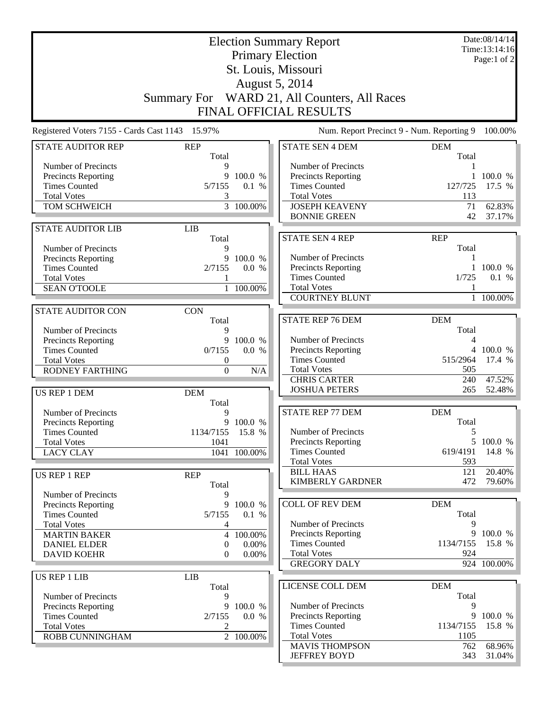| <b>Election Summary Report</b><br><b>Primary Election</b> |                     |                        |                                              | Date:08/14/14<br>Time:13:14:16 |                       |
|-----------------------------------------------------------|---------------------|------------------------|----------------------------------------------|--------------------------------|-----------------------|
|                                                           |                     |                        | St. Louis, Missouri                          |                                | Page:1 of $2$         |
|                                                           |                     |                        | August 5, 2014                               |                                |                       |
|                                                           |                     |                        |                                              |                                |                       |
|                                                           |                     |                        | Summary For WARD 21, All Counters, All Races |                                |                       |
|                                                           |                     |                        | FINAL OFFICIAL RESULTS                       |                                |                       |
| Registered Voters 7155 - Cards Cast 1143 15.97%           |                     |                        | Num. Report Precinct 9 - Num. Reporting 9    |                                | 100.00%               |
| <b>STATE AUDITOR REP</b>                                  | <b>REP</b><br>Total |                        | <b>STATE SEN 4 DEM</b>                       | <b>DEM</b><br>Total            |                       |
| Number of Precincts                                       | 9                   |                        | Number of Precincts                          |                                |                       |
| <b>Precincts Reporting</b>                                | 9                   | 100.0 %                | Precincts Reporting                          | 1                              | 100.0 %               |
| <b>Times Counted</b>                                      | 5/7155              | 0.1 %                  | <b>Times Counted</b>                         | 127/725                        | 17.5 %                |
| <b>Total Votes</b><br>TOM SCHWEICH                        | 3<br>$\overline{3}$ | 100.00%                | <b>Total Votes</b><br><b>JOSEPH KEAVENY</b>  | 113<br>71                      | 62.83%                |
|                                                           |                     |                        | <b>BONNIE GREEN</b>                          | 42                             | 37.17%                |
| <b>STATE AUDITOR LIB</b>                                  | <b>LIB</b>          |                        |                                              |                                |                       |
|                                                           | Total               |                        | <b>STATE SEN 4 REP</b>                       | <b>REP</b>                     |                       |
| Number of Precincts                                       | 9                   |                        |                                              | Total                          |                       |
| <b>Precincts Reporting</b>                                | 9                   | 100.0 %                | Number of Precincts                          | 1                              |                       |
| <b>Times Counted</b><br><b>Total Votes</b>                | 2/7155              | 0.0 %                  | Precincts Reporting<br><b>Times Counted</b>  | 1/725                          | $1\,100.0\%$<br>0.1 % |
| <b>SEAN O'TOOLE</b>                                       |                     | 1 100.00%              | <b>Total Votes</b>                           |                                |                       |
|                                                           |                     |                        | <b>COURTNEY BLUNT</b>                        |                                | 1 100.00%             |
| <b>STATE AUDITOR CON</b>                                  | <b>CON</b>          |                        |                                              |                                |                       |
|                                                           | Total               |                        | <b>STATE REP 76 DEM</b>                      | <b>DEM</b>                     |                       |
| Number of Precincts                                       | 9<br>9              |                        | Number of Precincts                          | Total<br>4                     |                       |
| Precincts Reporting<br><b>Times Counted</b>               | 0/7155              | 100.0 %<br>0.0 %       | Precincts Reporting                          | 4                              | 100.0 %               |
| <b>Total Votes</b>                                        | 0                   |                        | <b>Times Counted</b>                         | 515/2964                       | 17.4 %                |
| <b>RODNEY FARTHING</b>                                    | $\overline{0}$      | N/A                    | <b>Total Votes</b>                           | 505                            |                       |
|                                                           |                     |                        | <b>CHRIS CARTER</b>                          | 240                            | 47.52%                |
| US REP 1 DEM                                              | <b>DEM</b>          |                        | <b>JOSHUA PETERS</b>                         | 265                            | 52.48%                |
| Number of Precincts                                       | Total<br>9          |                        | STATE REP 77 DEM                             | <b>DEM</b>                     |                       |
| Precincts Reporting                                       |                     | 9 100.0 %              |                                              | Total                          |                       |
| <b>Times Counted</b>                                      | 1134/7155 15.8 %    |                        | Number of Precincts                          | 5                              |                       |
| <b>Total Votes</b>                                        | 1041                |                        | <b>Precincts Reporting</b>                   |                                | 5 100.0 %             |
| <b>LACY CLAY</b>                                          |                     | 1041 100.00%           | <b>Times Counted</b><br><b>Total Votes</b>   | 619/4191<br>593                | 14.8 %                |
|                                                           |                     |                        | <b>BILL HAAS</b>                             | 121                            | 20.40%                |
| <b>US REP 1 REP</b>                                       | <b>REP</b><br>Total |                        | <b>KIMBERLY GARDNER</b>                      | 472                            | 79.60%                |
| Number of Precincts                                       | 9                   |                        |                                              |                                |                       |
| <b>Precincts Reporting</b>                                | 9                   | 100.0 %                | <b>COLL OF REV DEM</b>                       | DEM                            |                       |
| <b>Times Counted</b>                                      | 5/7155              | 0.1 %                  |                                              | Total                          |                       |
| <b>Total Votes</b>                                        | 4<br>$\overline{4}$ | 100.00%                | Number of Precincts<br>Precincts Reporting   | 9<br>9                         | 100.0 %               |
| <b>MARTIN BAKER</b><br><b>DANIEL ELDER</b>                | 0                   | 0.00%                  | <b>Times Counted</b>                         | 1134/7155                      | 15.8 %                |
| <b>DAVID KOEHR</b>                                        | $\Omega$            | $0.00\%$               | <b>Total Votes</b>                           | 924                            |                       |
|                                                           |                     |                        | <b>GREGORY DALY</b>                          |                                | 924 100.00%           |
| <b>US REP 1 LIB</b>                                       | <b>LIB</b>          |                        |                                              |                                |                       |
| Number of Precincts                                       | Total<br>9          |                        | LICENSE COLL DEM                             | <b>DEM</b><br>Total            |                       |
| Precincts Reporting                                       | 9                   | 100.0 %                | Number of Precincts                          | 9                              |                       |
| <b>Times Counted</b>                                      | 2/7155              | 0.0 %                  | Precincts Reporting                          |                                | 9 100.0 %             |
| <b>Total Votes</b>                                        | 2                   |                        | <b>Times Counted</b>                         | 1134/7155                      | 15.8 %                |
| ROBB CUNNINGHAM                                           |                     | $\overline{2}$ 100.00% | <b>Total Votes</b>                           | 1105                           |                       |
|                                                           |                     |                        | <b>MAVIS THOMPSON</b><br><b>JEFFREY BOYD</b> | 762<br>343                     | 68.96%<br>$31.04\%$   |
|                                                           |                     |                        |                                              |                                |                       |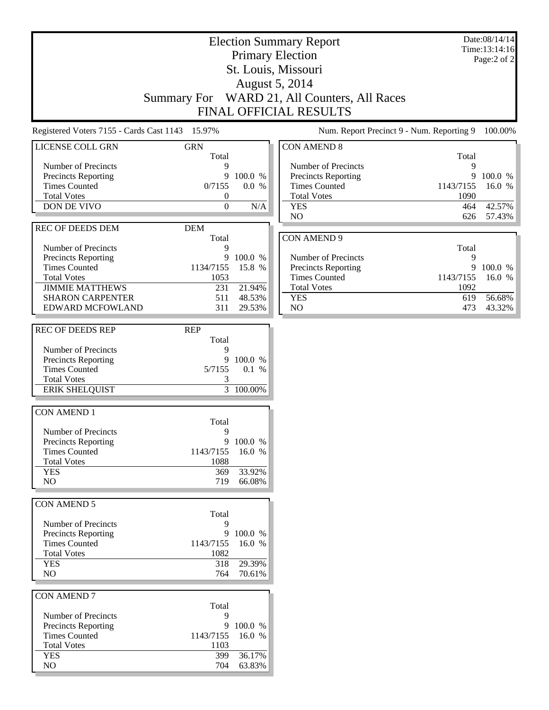## Election Summary Report Primary Election St. Louis, Missouri August 5, 2014 Summary For WARD 21, All Counters, All Races FINAL OFFICIAL RESULTS

Registered Voters 7155 - Cards Cast 1143 15.97% Num. Report Precinct 9 - Num. Reporting 9 100.00%

| LICENSE COLL GRN           | <b>GRN</b>       |         | CO |
|----------------------------|------------------|---------|----|
|                            | Total            |         |    |
| Number of Precincts        | 9                |         | N  |
| <b>Precincts Reporting</b> | 9                | 100.0 % | P  |
| <b>Times Counted</b>       | 0/7155           | 0.0 %   | Ί  |
| <b>Total Votes</b>         | 0                |         | Ί  |
| <b>DON DE VIVO</b>         | $\theta$         | N/A     | Ÿ  |
|                            |                  |         | N  |
| <b>REC OF DEEDS DEM</b>    | <b>DEM</b>       |         |    |
|                            | Total            |         | CO |
| Number of Precincts        | 9                |         |    |
| <b>Precincts Reporting</b> | 9                | 100.0 % | N  |
| <b>Times Counted</b>       | 1134/7155        | 15.8 %  | P  |
| <b>Total Votes</b>         | 1053             |         | Ί  |
| <b>JIMMIE MATTHEWS</b>     | 231              | 21.94%  | Ί  |
| <b>SHARON CARPENTER</b>    | 511              | 48.53%  | Y  |
| EDWARD MCFOWLAND           | 311              | 29.53%  | N  |
|                            |                  |         |    |
| <b>REC OF DEEDS REP</b>    | <b>REP</b>       |         |    |
|                            | Total            |         |    |
| Number of Precincts        | 9                |         |    |
| <b>Precincts Reporting</b> | 9                | 100.0 % |    |
| <b>Times Counted</b>       | 5/7155           | 0.1 %   |    |
| <b>Total Votes</b>         | 3                |         |    |
| <b>ERIK SHELQUIST</b>      | 3                | 100.00% |    |
|                            |                  |         |    |
| <b>CON AMEND 1</b>         |                  |         |    |
|                            | Total            |         |    |
| Number of Precincts        | 9                |         |    |
| <b>Precincts Reporting</b> | 9                | 100.0 % |    |
| <b>Times Counted</b>       | 1143/7155        | 16.0 %  |    |
| <b>Total Votes</b>         | 1088             |         |    |
| <b>YES</b>                 | 369              | 33.92%  |    |
| NO.                        | 719              | 66.08%  |    |
|                            |                  |         |    |
|                            |                  |         |    |
| CON AMEND 5                |                  |         |    |
|                            | Total            |         |    |
| Number of Precincts        | 9<br>9           | 100.0%  |    |
| <b>Precincts Reporting</b> |                  |         |    |
| <b>Times Counted</b>       | 1143/7155 16.0 % |         |    |
| <b>Total Votes</b>         | 1082             |         |    |
| <b>YES</b>                 | 318              | 29.39%  |    |
| NO.                        | 764              | 70.61%  |    |
|                            |                  |         |    |
| <b>CON AMEND 7</b>         |                  |         |    |
|                            | Total            |         |    |
| Number of Precincts        | 9                |         |    |
| <b>Precincts Reporting</b> | 9                | 100.0 % |    |
| <b>Times Counted</b>       | 1143/7155        | 16.0 %  |    |
| <b>Total Votes</b>         | 1103             |         |    |
| <b>YES</b>                 | 399              | 36.17%  |    |
| NO                         | 704              | 63.83%  |    |
|                            |                  |         |    |

| CON AMEND 8                |           |        |
|----------------------------|-----------|--------|
|                            | Total     |        |
| Number of Precincts        | 9         |        |
| <b>Precincts Reporting</b> | 9         | 100.0% |
| <b>Times Counted</b>       | 1143/7155 | 16.0 % |
| <b>Total Votes</b>         | 1090      |        |
| <b>YES</b>                 | 464       | 42.57% |
| N <sub>O</sub>             | 626       | 57.43% |
|                            |           |        |
| CON AMEND 9                |           |        |
|                            | Total     |        |
|                            |           |        |

| Number of Precincts        |                    |          |
|----------------------------|--------------------|----------|
| <b>Precincts Reporting</b> |                    | 9100.0%  |
| Times Counted              | $1143/7155$ 16.0 % |          |
| <b>Total Votes</b>         | 1092               |          |
| YES.                       | 619.               | - 56.68% |
| N()                        | 473                | 43.32%   |

#### Date:08/14/14 Time:13:14:16 Page:2 of 2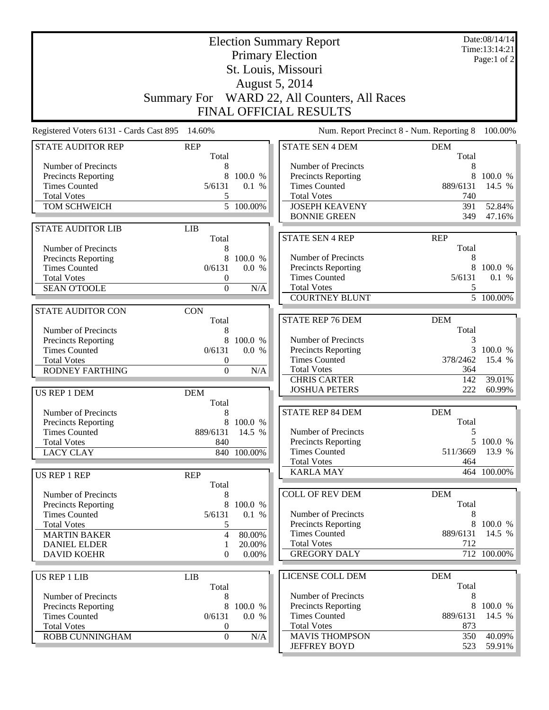| <b>Election Summary Report</b><br><b>Primary Election</b> |                                              |                        |                                              |                                           | Date:08/14/14<br>Time:13:14:21<br>Page:1 of 2 |  |  |
|-----------------------------------------------------------|----------------------------------------------|------------------------|----------------------------------------------|-------------------------------------------|-----------------------------------------------|--|--|
|                                                           |                                              |                        | St. Louis, Missouri                          |                                           |                                               |  |  |
|                                                           | August 5, 2014                               |                        |                                              |                                           |                                               |  |  |
|                                                           | Summary For WARD 22, All Counters, All Races |                        |                                              |                                           |                                               |  |  |
|                                                           |                                              |                        | FINAL OFFICIAL RESULTS                       |                                           |                                               |  |  |
| Registered Voters 6131 - Cards Cast 895                   | 14.60%                                       |                        |                                              | Num. Report Precinct 8 - Num. Reporting 8 | 100.00%                                       |  |  |
| <b>STATE AUDITOR REP</b>                                  | <b>REP</b><br>Total                          |                        | <b>STATE SEN 4 DEM</b>                       | <b>DEM</b><br>Total                       |                                               |  |  |
| Number of Precincts                                       | 8                                            |                        | Number of Precincts                          | 8                                         |                                               |  |  |
| <b>Precincts Reporting</b>                                | 8                                            | 100.0 %                | Precincts Reporting                          | 8                                         | 100.0 %                                       |  |  |
| <b>Times Counted</b>                                      | 5/6131                                       | 0.1 %                  | <b>Times Counted</b>                         | 889/6131                                  | 14.5 %                                        |  |  |
| <b>Total Votes</b>                                        | 5                                            |                        | <b>Total Votes</b>                           | 740                                       |                                               |  |  |
| TOM SCHWEICH                                              |                                              | $\overline{5}$ 100.00% | <b>JOSEPH KEAVENY</b><br><b>BONNIE GREEN</b> | 391<br>349                                | 52.84%<br>47.16%                              |  |  |
| <b>STATE AUDITOR LIB</b>                                  | <b>LIB</b>                                   |                        |                                              |                                           |                                               |  |  |
|                                                           | Total                                        |                        | <b>STATE SEN 4 REP</b>                       | <b>REP</b>                                |                                               |  |  |
| Number of Precincts                                       | 8                                            |                        |                                              | Total                                     |                                               |  |  |
| <b>Precincts Reporting</b>                                | 8                                            | 100.0 %                | Number of Precincts                          | 8                                         |                                               |  |  |
| <b>Times Counted</b>                                      | 0/6131                                       | 0.0 %                  | Precincts Reporting                          | 8                                         | 100.0 %                                       |  |  |
| <b>Total Votes</b>                                        | 0                                            |                        | <b>Times Counted</b><br><b>Total Votes</b>   | 5/6131                                    | 0.1 %                                         |  |  |
| <b>SEAN O'TOOLE</b>                                       | $\overline{0}$                               | N/A                    | <b>COURTNEY BLUNT</b>                        | 5                                         | $\overline{5}$ 100.00%                        |  |  |
| <b>STATE AUDITOR CON</b>                                  | <b>CON</b>                                   |                        |                                              |                                           |                                               |  |  |
|                                                           | Total                                        |                        | <b>STATE REP 76 DEM</b>                      | <b>DEM</b>                                |                                               |  |  |
| Number of Precincts                                       | 8                                            |                        |                                              | Total                                     |                                               |  |  |
| <b>Precincts Reporting</b>                                | 8                                            | 100.0 %                | Number of Precincts                          | 3                                         |                                               |  |  |
| <b>Times Counted</b>                                      | 0/6131                                       | 0.0 %                  | Precincts Reporting                          | 3                                         | 100.0 %                                       |  |  |
| <b>Total Votes</b>                                        | 0                                            |                        | <b>Times Counted</b>                         | 378/2462                                  | 15.4 %                                        |  |  |
| <b>RODNEY FARTHING</b>                                    | $\boldsymbol{0}$                             | N/A                    | <b>Total Votes</b>                           | 364                                       |                                               |  |  |
|                                                           |                                              |                        | <b>CHRIS CARTER</b><br><b>JOSHUA PETERS</b>  | 142<br>222                                | 39.01%<br>60.99%                              |  |  |
| US REP 1 DEM                                              | <b>DEM</b><br>Total                          |                        |                                              |                                           |                                               |  |  |
| Number of Precincts                                       | 8                                            |                        | <b>STATE REP 84 DEM</b>                      | <b>DEM</b>                                |                                               |  |  |
| <b>Precincts Reporting</b>                                |                                              | 8 100.0 %              |                                              | Total                                     |                                               |  |  |
| <b>Times Counted</b>                                      | 889/6131 14.5 %                              |                        | Number of Precincts                          | 5                                         |                                               |  |  |
| <b>Total Votes</b>                                        | 840                                          |                        | <b>Precincts Reporting</b>                   |                                           | 5 100.0 %                                     |  |  |
| <b>LACY CLAY</b>                                          |                                              | 840 100.00%            | <b>Times Counted</b>                         | 511/3669                                  | 13.9 %                                        |  |  |
|                                                           |                                              |                        | <b>Total Votes</b><br><b>KARLA MAY</b>       | 464                                       | 464 100.00%                                   |  |  |
| <b>US REP 1 REP</b>                                       | <b>REP</b>                                   |                        |                                              |                                           |                                               |  |  |
|                                                           | Total                                        |                        | <b>COLL OF REV DEM</b>                       | <b>DEM</b>                                |                                               |  |  |
| Number of Precincts<br><b>Precincts Reporting</b>         | 8<br>8                                       | 100.0 %                |                                              | Total                                     |                                               |  |  |
| <b>Times Counted</b>                                      | 5/6131                                       | 0.1 %                  | Number of Precincts                          | 8                                         |                                               |  |  |
| <b>Total Votes</b>                                        | 5                                            |                        | Precincts Reporting                          | 8                                         | 100.0 %                                       |  |  |
| <b>MARTIN BAKER</b>                                       | $\overline{4}$                               | 80.00%                 | <b>Times Counted</b>                         | 889/6131                                  | 14.5 %                                        |  |  |
| <b>DANIEL ELDER</b>                                       | 1                                            | 20.00%                 | <b>Total Votes</b>                           | 712                                       |                                               |  |  |
| <b>DAVID KOEHR</b>                                        | $\overline{0}$                               | 0.00%                  | <b>GREGORY DALY</b>                          |                                           | 712 100.00%                                   |  |  |
| <b>US REP 1 LIB</b>                                       | <b>LIB</b>                                   |                        | LICENSE COLL DEM                             | <b>DEM</b>                                |                                               |  |  |
|                                                           | Total                                        |                        |                                              | Total                                     |                                               |  |  |
| Number of Precincts                                       | 8                                            |                        | Number of Precincts                          | 8                                         |                                               |  |  |
| <b>Precincts Reporting</b>                                | 8                                            | 100.0 %                | Precincts Reporting                          | 8                                         | 100.0 %                                       |  |  |
| <b>Times Counted</b>                                      | 0/6131                                       | 0.0 %                  | <b>Times Counted</b>                         | 889/6131                                  | 14.5 %                                        |  |  |
| <b>Total Votes</b><br>ROBB CUNNINGHAM                     | 0                                            |                        | <b>Total Votes</b><br><b>MAVIS THOMPSON</b>  | 873<br>350                                | 40.09%                                        |  |  |
|                                                           | $\boldsymbol{0}$                             | N/A                    | <b>JEFFREY BOYD</b>                          | 523                                       | 59.91%                                        |  |  |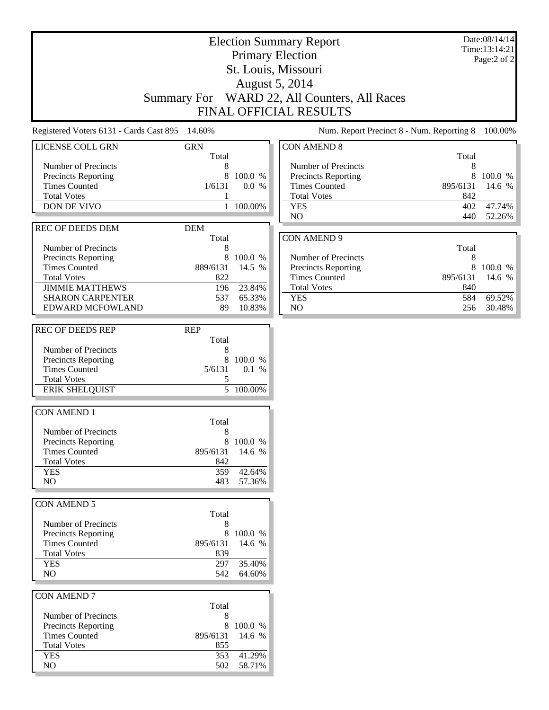#### Date:08/14/14 Time:13:14:21 Page:2 of 2

## Primary Election St. Louis, Missouri August 5, 2014 Summary For WARD 22, All Counters, All Races FINAL OFFICIAL RESULTS

Election Summary Report

Registered Voters 6131 - Cards Cast 895 14.60% Num. Report Precinct 8 - Num. Reporting 8 100.00%

| $\mathbf{R}$                                       |                     |           |     |
|----------------------------------------------------|---------------------|-----------|-----|
| LICENSE COLL GRN                                   | <b>GRN</b><br>Total |           | CON |
| Number of Precincts                                | 8                   |           | Nι  |
| <b>Precincts Reporting</b>                         | 8                   | 100.0 %   | Pr  |
| <b>Times Counted</b>                               | 1/6131              | $0.0\%$   | Ti  |
| <b>Total Votes</b>                                 | 1                   |           | Tc  |
| <b>DON DE VIVO</b>                                 | 1                   | 100.00%   | YI  |
|                                                    |                     |           | N(  |
| <b>REC OF DEEDS DEM</b>                            | <b>DEM</b>          |           |     |
|                                                    | Total               |           | CON |
| Number of Precincts                                | 8                   |           |     |
| <b>Precincts Reporting</b>                         | 8                   | 100.0 %   | Nι  |
| <b>Times Counted</b>                               | 889/6131            | 14.5 %    | Pr  |
| <b>Total Votes</b>                                 | 822                 |           | Ti  |
| <b>JIMMIE MATTHEWS</b>                             | 196                 | 23.84%    | Tc  |
| <b>SHARON CARPENTER</b>                            | 537                 | 65.33%    | YI  |
| <b>EDWARD MCFOWLAND</b>                            |                     |           |     |
|                                                    | 89                  | 10.83%    | N(  |
| <b>REC OF DEEDS REP</b>                            | <b>REP</b>          |           |     |
|                                                    | Total               |           |     |
| Number of Precincts                                | 8                   |           |     |
|                                                    | 8                   | 100.0%    |     |
| <b>Precincts Reporting</b><br><b>Times Counted</b> | 5/6131              | 0.1 %     |     |
| <b>Total Votes</b>                                 | 5                   |           |     |
| <b>ERIK SHELQUIST</b>                              | 5                   | 100.00%   |     |
|                                                    |                     |           |     |
| <b>CON AMEND 1</b>                                 |                     |           |     |
|                                                    | Total               |           |     |
| Number of Precincts                                | 8                   |           |     |
| <b>Precincts Reporting</b>                         | 8                   | 100.0 %   |     |
| <b>Times Counted</b>                               | 895/6131            | 14.6 %    |     |
| <b>Total Votes</b>                                 | 842                 |           |     |
| <b>YES</b>                                         | 359                 | 42.64%    |     |
| N <sub>O</sub>                                     | 483                 | 57.36%    |     |
|                                                    |                     |           |     |
| <b>CON AMEND 5</b>                                 |                     |           |     |
|                                                    | Total               |           |     |
| Number of Precincts                                | 8                   |           |     |
| Precincts Reporting                                |                     | 8 100.0 % |     |
| <b>Times Counted</b>                               | 895/6131            | 14.6 %    |     |
| <b>Total Votes</b>                                 | 839                 |           |     |
| <b>YES</b>                                         | 297                 | 35.40%    |     |
| NO                                                 | 542                 | 64.60%    |     |
|                                                    |                     |           |     |
| <b>CON AMEND 7</b>                                 |                     |           |     |
|                                                    | Total               |           |     |
| Number of Precincts                                | 8                   |           |     |
| <b>Precincts Reporting</b>                         | 8                   | 100.0 %   |     |
| <b>Times Counted</b>                               | 895/6131            | 14.6 %    |     |
| <b>Total Votes</b>                                 | 855                 |           |     |
|                                                    |                     |           |     |
| <b>YES</b>                                         | 353                 | 41.29%    |     |
| NO                                                 | 502                 | 58.71%    |     |

| <b>CON AMEND 8</b>         |                 |           |
|----------------------------|-----------------|-----------|
|                            | Total           |           |
| Number of Precincts        | 8               |           |
| <b>Precincts Reporting</b> | 8               | $100.0\%$ |
| <b>Times Counted</b>       | 895/6131 14.6 % |           |
| <b>Total Votes</b>         | 842             |           |
| <b>YES</b>                 | 402             | 47.74%    |
| NO.                        | 440             | 52.26%    |
|                            |                 |           |
| CON AMEND 9                |                 |           |
|                            |                 |           |

|                            | Total           |           |
|----------------------------|-----------------|-----------|
| Number of Precincts        |                 |           |
| <b>Precincts Reporting</b> |                 | 8 100.0 % |
| <b>Times Counted</b>       | 895/6131 14.6 % |           |
| <b>Total Votes</b>         | 840             |           |
| YES                        | 584             | 69.52%    |
| NΟ                         | 256             | 30.48%    |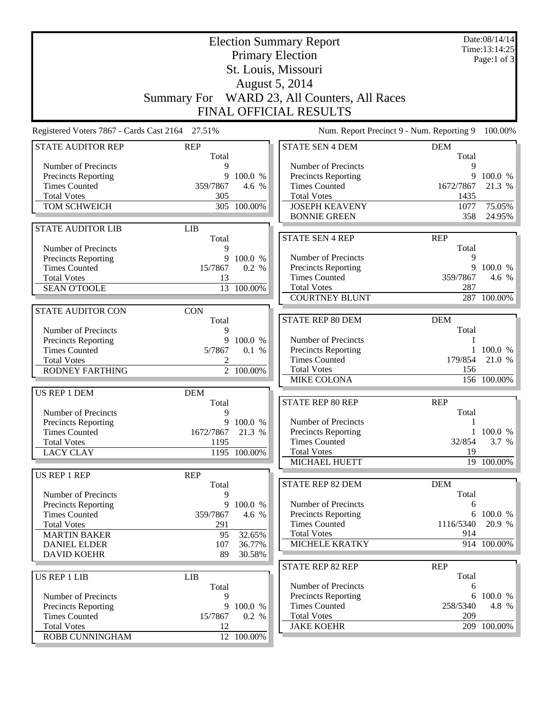| <b>Election Summary Report</b>                     |                     |                  |                                              |                     | Date:08/14/14<br>Time:13:14:25 |
|----------------------------------------------------|---------------------|------------------|----------------------------------------------|---------------------|--------------------------------|
|                                                    |                     |                  | <b>Primary Election</b>                      |                     | Page:1 of $3$                  |
|                                                    |                     |                  | St. Louis, Missouri                          |                     |                                |
|                                                    |                     |                  | August 5, 2014                               |                     |                                |
|                                                    |                     |                  |                                              |                     |                                |
|                                                    |                     |                  | Summary For WARD 23, All Counters, All Races |                     |                                |
|                                                    |                     |                  | FINAL OFFICIAL RESULTS                       |                     |                                |
| Registered Voters 7867 - Cards Cast 2164 27.51%    |                     |                  | Num. Report Precinct 9 - Num. Reporting 9    |                     | 100.00%                        |
| <b>STATE AUDITOR REP</b>                           | <b>REP</b><br>Total |                  | <b>STATE SEN 4 DEM</b>                       | <b>DEM</b><br>Total |                                |
| Number of Precincts                                | 9                   |                  | Number of Precincts                          | 9                   |                                |
| Precincts Reporting                                |                     | 9 100.0 %        | Precincts Reporting                          | 9                   | 100.0 %                        |
| <b>Times Counted</b>                               | 359/7867            | 4.6 %            | <b>Times Counted</b>                         | 1672/7867           | 21.3 %                         |
| <b>Total Votes</b>                                 | 305                 |                  | <b>Total Votes</b>                           | 1435                |                                |
| TOM SCHWEICH                                       |                     | 305 100.00%      | <b>JOSEPH KEAVENY</b>                        | 1077                | 75.05%                         |
|                                                    |                     |                  | <b>BONNIE GREEN</b>                          | 358                 | 24.95%                         |
| <b>STATE AUDITOR LIB</b>                           | <b>LIB</b>          |                  |                                              |                     |                                |
|                                                    | Total               |                  | <b>STATE SEN 4 REP</b>                       | <b>REP</b>          |                                |
| Number of Precincts                                | 9                   |                  |                                              | Total               |                                |
| <b>Precincts Reporting</b><br><b>Times Counted</b> | 9<br>15/7867        | 100.0 %<br>0.2 % | Number of Precincts<br>Precincts Reporting   | 9                   | 9 100.0 %                      |
| <b>Total Votes</b>                                 | 13                  |                  | <b>Times Counted</b>                         | 359/7867            | 4.6 %                          |
| <b>SEAN O'TOOLE</b>                                |                     | 13 100.00%       | <b>Total Votes</b>                           | 287                 |                                |
|                                                    |                     |                  | <b>COURTNEY BLUNT</b>                        |                     | 287 100.00%                    |
| <b>STATE AUDITOR CON</b>                           | <b>CON</b>          |                  |                                              |                     |                                |
|                                                    | Total               |                  | <b>STATE REP 80 DEM</b>                      | <b>DEM</b>          |                                |
| Number of Precincts                                | 9                   |                  |                                              | Total               |                                |
| Precincts Reporting                                | 9                   | 100.0 %          | Number of Precincts                          |                     |                                |
| <b>Times Counted</b>                               | 5/7867              | 0.1 %            | Precincts Reporting                          |                     | 100.0 %                        |
| <b>Total Votes</b>                                 | 2                   |                  | <b>Times Counted</b>                         | 179/854             | 21.0 %                         |
| RODNEY FARTHING                                    |                     | 2 100.00%        | <b>Total Votes</b>                           | 156                 |                                |
|                                                    |                     |                  | <b>MIKE COLONA</b>                           |                     | 156 100.00%                    |
| US REP 1 DEM                                       | <b>DEM</b>          |                  |                                              |                     |                                |
|                                                    | Total               |                  | STATE REP 80 REP                             | <b>REP</b><br>Total |                                |
| Number of Precincts<br>Precincts Reporting         | 9                   | 9 100.0 %        | Number of Precincts                          | 1                   |                                |
| <b>Times Counted</b>                               | 1672/7867 21.3 %    |                  | Precincts Reporting                          |                     | 1 100.0 %                      |
| <b>Total Votes</b>                                 | 1195                |                  | <b>Times Counted</b>                         | 32/854              | 3.7 %                          |
| <b>LACY CLAY</b>                                   |                     | 1195 100.00%     | <b>Total Votes</b>                           | 19                  |                                |
|                                                    |                     |                  | MICHAEL HUETT                                |                     | 19 100.00%                     |
| US REP 1 REP                                       | <b>REP</b>          |                  |                                              |                     |                                |
|                                                    | Total               |                  | STATE REP 82 DEM                             | <b>DEM</b>          |                                |
| Number of Precincts                                | 9                   |                  |                                              | Total               |                                |
| <b>Precincts Reporting</b>                         |                     | 9 100.0 %        | Number of Precincts                          | 6                   |                                |
| <b>Times Counted</b>                               | 359/7867            | 4.6 %            | <b>Precincts Reporting</b>                   |                     | 6 100.0 %                      |
| <b>Total Votes</b><br><b>MARTIN BAKER</b>          | 291<br>95           |                  | <b>Times Counted</b><br><b>Total Votes</b>   | 1116/5340<br>914    | 20.9 %                         |
| <b>DANIEL ELDER</b>                                | 107                 | 32.65%<br>36.77% | <b>MICHELE KRATKY</b>                        |                     | 914 100.00%                    |
| <b>DAVID KOEHR</b>                                 | 89                  | 30.58%           |                                              |                     |                                |
|                                                    |                     |                  | STATE REP 82 REP                             | <b>REP</b>          |                                |
| <b>US REP 1 LIB</b>                                | <b>LIB</b>          |                  |                                              | Total               |                                |
|                                                    | Total               |                  | Number of Precincts                          | 6                   |                                |
| Number of Precincts                                | 9                   |                  | Precincts Reporting                          |                     | 6 100.0 %                      |
| Precincts Reporting                                |                     | 9 100.0 %        | <b>Times Counted</b>                         | 258/5340            | 4.8 %                          |
| <b>Times Counted</b>                               | 15/7867             | 0.2 %            | <b>Total Votes</b>                           | 209                 |                                |
| <b>Total Votes</b>                                 | 12                  |                  | <b>JAKE KOEHR</b>                            |                     | 209 100.00%                    |
| ROBB CUNNINGHAM                                    |                     | 12 100.00%       |                                              |                     |                                |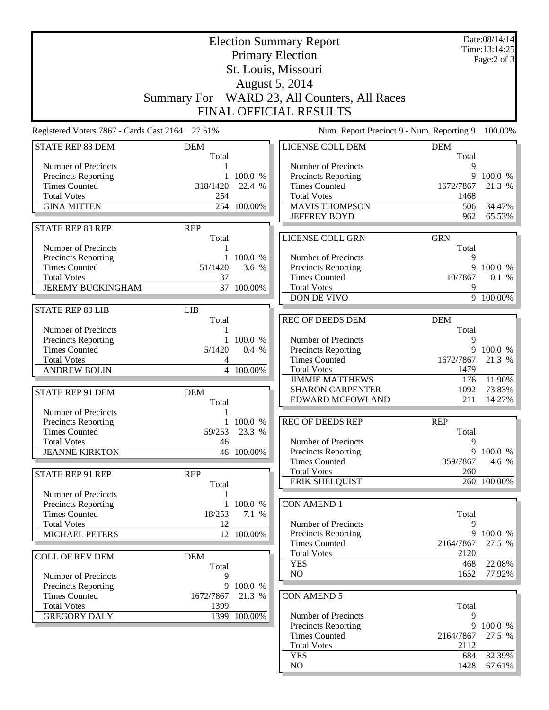|                                                 |                     |              | <b>Election Summary Report</b>               |            | Date:08/14/14<br>Time:13:14:25 |
|-------------------------------------------------|---------------------|--------------|----------------------------------------------|------------|--------------------------------|
|                                                 |                     |              | <b>Primary Election</b>                      |            | Page:2 of 3                    |
|                                                 |                     |              | St. Louis, Missouri                          |            |                                |
|                                                 |                     |              | August 5, 2014                               |            |                                |
|                                                 |                     |              |                                              |            |                                |
|                                                 |                     |              | Summary For WARD 23, All Counters, All Races |            |                                |
|                                                 |                     |              | <b>FINAL OFFICIAL RESULTS</b>                |            |                                |
| Registered Voters 7867 - Cards Cast 2164 27.51% |                     |              | Num. Report Precinct 9 - Num. Reporting 9    |            | 100.00%                        |
| <b>STATE REP 83 DEM</b>                         | <b>DEM</b>          |              | LICENSE COLL DEM                             | <b>DEM</b> |                                |
|                                                 | Total               |              |                                              | Total      |                                |
| Number of Precincts                             | 1                   | 100.0 %      | Number of Precincts                          | 9<br>9     | 100.0 %                        |
| Precincts Reporting<br><b>Times Counted</b>     | 1<br>318/1420       | 22.4 %       | Precincts Reporting<br><b>Times Counted</b>  | 1672/7867  | 21.3 %                         |
| <b>Total Votes</b>                              | 254                 |              | <b>Total Votes</b>                           | 1468       |                                |
| <b>GINA MITTEN</b>                              |                     | 254 100.00%  | <b>MAVIS THOMPSON</b>                        | 506        | 34.47%                         |
|                                                 |                     |              | <b>JEFFREY BOYD</b>                          | 962        | 65.53%                         |
| <b>STATE REP 83 REP</b>                         | <b>REP</b>          |              |                                              |            |                                |
|                                                 | Total               |              | LICENSE COLL GRN                             | <b>GRN</b> |                                |
| Number of Precincts                             | 1                   |              |                                              | Total      |                                |
| Precincts Reporting                             |                     | 1 100.0 %    | Number of Precincts                          | 9          |                                |
| <b>Times Counted</b>                            | 51/1420             | 3.6 %        | <b>Precincts Reporting</b>                   | 9          | 100.0 %                        |
| <b>Total Votes</b>                              | 37                  |              | <b>Times Counted</b>                         | 10/7867    | 0.1 %                          |
| <b>JEREMY BUCKINGHAM</b>                        |                     | 37 100.00%   | <b>Total Votes</b><br>DON DE VIVO            | 9          | 9 100.00%                      |
|                                                 |                     |              |                                              |            |                                |
| <b>STATE REP 83 LIB</b>                         | <b>LIB</b><br>Total |              | <b>REC OF DEEDS DEM</b>                      | <b>DEM</b> |                                |
| Number of Precincts                             | 1                   |              |                                              | Total      |                                |
| Precincts Reporting                             |                     | 1 100.0 %    | Number of Precincts                          | 9          |                                |
| <b>Times Counted</b>                            | 5/1420              | 0.4 %        | Precincts Reporting                          | 9          | 100.0 %                        |
| <b>Total Votes</b>                              | 4                   |              | <b>Times Counted</b>                         | 1672/7867  | 21.3 %                         |
| <b>ANDREW BOLIN</b>                             |                     | 4 100.00%    | <b>Total Votes</b>                           | 1479       |                                |
|                                                 |                     |              | <b>JIMMIE MATTHEWS</b>                       | 176        | 11.90%                         |
| STATE REP 91 DEM                                | <b>DEM</b>          |              | <b>SHARON CARPENTER</b>                      | 1092       | 73.83%                         |
|                                                 | Total               |              | <b>EDWARD MCFOWLAND</b>                      | 211        | 14.27%                         |
| Number of Precincts                             |                     |              |                                              |            |                                |
| Precincts Reporting                             |                     | 1 100.0 %    | <b>REC OF DEEDS REP</b>                      | <b>REP</b> |                                |
| <b>Times Counted</b>                            | 59/253              | 23.3 %       |                                              | Total      |                                |
| <b>Total Votes</b>                              | 46                  |              | Number of Precincts                          | 9          | 9 100.0 %                      |
| <b>JEANNE KIRKTON</b>                           |                     | 46 100.00%   | Precincts Reporting<br><b>Times Counted</b>  | 359/7867   | 4.6 %                          |
|                                                 |                     |              | <b>Total Votes</b>                           | 260        |                                |
| <b>STATE REP 91 REP</b>                         | <b>REP</b><br>Total |              | <b>ERIK SHELQUIST</b>                        |            | 260 100.00%                    |
| Number of Precincts                             | 1                   |              |                                              |            |                                |
| Precincts Reporting                             | 1                   | 100.0 %      | <b>CON AMEND 1</b>                           |            |                                |
| <b>Times Counted</b>                            | 18/253              | 7.1 %        |                                              | Total      |                                |
| <b>Total Votes</b>                              | 12                  |              | Number of Precincts                          | 9          |                                |
| <b>MICHAEL PETERS</b>                           |                     | 12 100.00%   | <b>Precincts Reporting</b>                   |            | 9 100.0 %                      |
|                                                 |                     |              | <b>Times Counted</b>                         | 2164/7867  | 27.5 %                         |
| <b>COLL OF REV DEM</b>                          | <b>DEM</b>          |              | <b>Total Votes</b>                           | 2120       |                                |
|                                                 | Total               |              | <b>YES</b>                                   | 468        | 22.08%                         |
| Number of Precincts                             | 9                   |              | NO                                           | 1652       | 77.92%                         |
| Precincts Reporting                             |                     | 9 100.0 %    |                                              |            |                                |
| <b>Times Counted</b>                            | 1672/7867           | 21.3 %       | <b>CON AMEND 5</b>                           |            |                                |
| <b>Total Votes</b><br><b>GREGORY DALY</b>       | 1399                |              | Number of Precincts                          | Total<br>9 |                                |
|                                                 |                     | 1399 100.00% | Precincts Reporting                          | 9          | 100.0 %                        |
|                                                 |                     |              | <b>Times Counted</b>                         | 2164/7867  | 27.5 %                         |
|                                                 |                     |              | <b>Total Votes</b>                           | 2112       |                                |
|                                                 |                     |              | <b>YES</b>                                   | 684        | 32.39%                         |
|                                                 |                     |              | NO                                           | 1428       | $67.61\%$                      |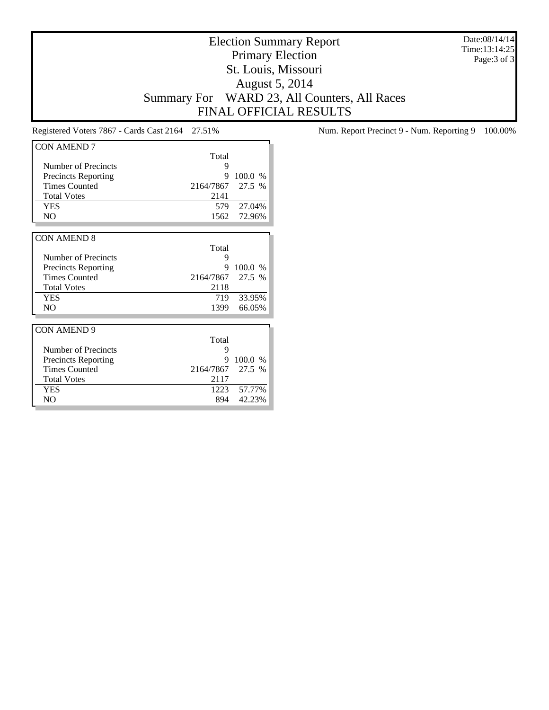Election Summary Report Primary Election St. Louis, Missouri August 5, 2014 Summary For WARD 23, All Counters, All Races FINAL OFFICIAL RESULTS

Date:08/14/14 Time:13:14:25 Page:3 of 3

| <b>CON AMEND 7</b>         |           |               |
|----------------------------|-----------|---------------|
|                            | Total     |               |
| Number of Precincts        | 9         |               |
| <b>Precincts Reporting</b> | 9         | 100.0 %       |
| <b>Times Counted</b>       | 2164/7867 | 27.5 %        |
| <b>Total Votes</b>         | 2141      |               |
| <b>YES</b>                 | 579       | 27.04%        |
| N <sub>O</sub>             | 1562      | 72.96%        |
|                            |           |               |
| <b>CON AMEND 8</b>         |           |               |
|                            | Total     |               |
| Number of Precincts        | 9         |               |
| <b>Precincts Reporting</b> | 9         | 100.0<br>$\%$ |
| <b>Times Counted</b>       | 2164/7867 | 27.5 %        |
| <b>Total Votes</b>         | 2118      |               |
| <b>YES</b>                 | 719       | 33.95%        |
| N <sub>O</sub>             | 1399      | 66.05%        |
|                            |           |               |
| <b>CON AMEND 9</b>         |           |               |
|                            | Total     |               |
| Number of Precincts        | 9         |               |
| <b>Precincts Reporting</b> | 9         | 100.0 %       |
| <b>Times Counted</b>       | 2164/7867 | 27.5 %        |
| <b>Total Votes</b>         | 2117      |               |
| <b>YES</b>                 | 1223      | 57.77%        |
| N <sub>O</sub>             | 894       | 42.23%        |

Registered Voters 7867 - Cards Cast 2164 27.51% Num. Report Precinct 9 - Num. Reporting 9 100.00%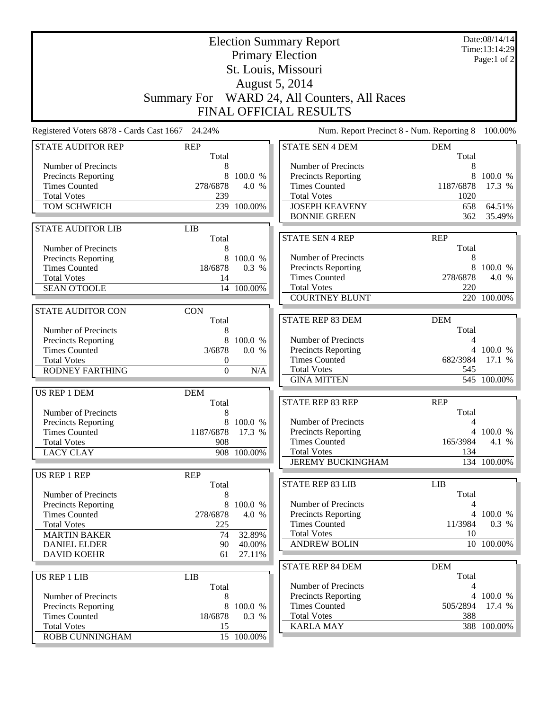| <b>Election Summary Report</b><br><b>Primary Election</b><br>St. Louis, Missouri |                                      |                  |                                                            |                     | Date:08/14/14<br>Time:13:14:29<br>Page:1 of $2$ |
|----------------------------------------------------------------------------------|--------------------------------------|------------------|------------------------------------------------------------|---------------------|-------------------------------------------------|
|                                                                                  |                                      |                  |                                                            |                     |                                                 |
|                                                                                  |                                      |                  | August 5, 2014                                             |                     |                                                 |
|                                                                                  | <b>Summary For</b>                   |                  | WARD 24, All Counters, All Races<br>FINAL OFFICIAL RESULTS |                     |                                                 |
|                                                                                  |                                      |                  |                                                            |                     |                                                 |
| Registered Voters 6878 - Cards Cast 1667                                         | 24.24%                               |                  | Num. Report Precinct 8 - Num. Reporting 8                  |                     | 100.00%                                         |
| <b>STATE AUDITOR REP</b>                                                         | <b>REP</b><br>Total                  |                  | <b>STATE SEN 4 DEM</b>                                     | <b>DEM</b><br>Total |                                                 |
| Number of Precincts                                                              | 8                                    |                  | Number of Precincts                                        | 8                   |                                                 |
| <b>Precincts Reporting</b><br><b>Times Counted</b>                               | 8<br>278/6878                        | 100.0 %<br>4.0 % | Precincts Reporting<br><b>Times Counted</b>                | 8<br>1187/6878      | 100.0 %<br>17.3 %                               |
| <b>Total Votes</b>                                                               | 239                                  |                  | <b>Total Votes</b>                                         | 1020                |                                                 |
| TOM SCHWEICH                                                                     |                                      | 239 100.00%      | <b>JOSEPH KEAVENY</b>                                      | 658                 | 64.51%                                          |
|                                                                                  |                                      |                  | <b>BONNIE GREEN</b>                                        | 362                 | 35.49%                                          |
| <b>STATE AUDITOR LIB</b>                                                         | <b>LIB</b>                           |                  |                                                            |                     |                                                 |
|                                                                                  | Total                                |                  | <b>STATE SEN 4 REP</b>                                     | <b>REP</b>          |                                                 |
| Number of Precincts                                                              | 8                                    |                  |                                                            | Total               |                                                 |
| <b>Precincts Reporting</b>                                                       | 8                                    | 100.0 %          | Number of Precincts                                        | 8                   |                                                 |
| <b>Times Counted</b><br><b>Total Votes</b>                                       | 18/6878<br>14                        | 0.3 %            | Precincts Reporting<br><b>Times Counted</b>                | 8<br>278/6878       | 100.0 %<br>4.0 %                                |
| <b>SEAN O'TOOLE</b>                                                              |                                      | 14 100.00%       | <b>Total Votes</b>                                         | 220                 |                                                 |
|                                                                                  |                                      |                  | <b>COURTNEY BLUNT</b>                                      |                     | 220 100.00%                                     |
| <b>STATE AUDITOR CON</b>                                                         | <b>CON</b>                           |                  |                                                            |                     |                                                 |
|                                                                                  | Total                                |                  | <b>STATE REP 83 DEM</b>                                    | <b>DEM</b>          |                                                 |
| Number of Precincts                                                              | 8                                    |                  |                                                            | Total               |                                                 |
| Precincts Reporting                                                              | 8                                    | 100.0 %          | Number of Precincts                                        | 4                   |                                                 |
| <b>Times Counted</b>                                                             | 3/6878                               | 0.0 %            | Precincts Reporting                                        |                     | 4 100.0 %                                       |
| <b>Total Votes</b><br><b>RODNEY FARTHING</b>                                     | $\boldsymbol{0}$<br>$\boldsymbol{0}$ | N/A              | <b>Times Counted</b><br><b>Total Votes</b>                 | 682/3984<br>545     | 17.1 %                                          |
|                                                                                  |                                      |                  | <b>GINA MITTEN</b>                                         |                     | 545 100.00%                                     |
| US REP 1 DEM                                                                     | <b>DEM</b>                           |                  |                                                            |                     |                                                 |
|                                                                                  | Total                                |                  | <b>STATE REP 83 REP</b>                                    | <b>REP</b>          |                                                 |
| Number of Precincts                                                              |                                      |                  |                                                            | Total               |                                                 |
| Precincts Reporting                                                              |                                      | 8 100.0 %        | Number of Precincts                                        | 4                   |                                                 |
| <b>Times Counted</b>                                                             | 1187/6878 17.3 %                     |                  | Precincts Reporting                                        |                     | 4 100.0 %                                       |
| <b>Total Votes</b>                                                               | 908                                  |                  | <b>Times Counted</b><br><b>Total Votes</b>                 | 165/3984<br>134     | 4.1 %                                           |
| <b>LACY CLAY</b>                                                                 |                                      | 908 100.00%      | <b>JEREMY BUCKINGHAM</b>                                   |                     | 134 100.00%                                     |
| US REP 1 REP                                                                     | <b>REP</b>                           |                  |                                                            |                     |                                                 |
|                                                                                  | Total                                |                  | <b>STATE REP 83 LIB</b>                                    | <b>LIB</b>          |                                                 |
| Number of Precincts                                                              | 8                                    |                  |                                                            | Total               |                                                 |
| <b>Precincts Reporting</b>                                                       | 8                                    | 100.0 %          | Number of Precincts                                        | 4                   |                                                 |
| <b>Times Counted</b>                                                             | 278/6878                             | 4.0 %            | <b>Precincts Reporting</b>                                 |                     | 4 100.0 %                                       |
| <b>Total Votes</b>                                                               | 225                                  |                  | <b>Times Counted</b>                                       | 11/3984             | 0.3 %                                           |
| <b>MARTIN BAKER</b>                                                              | 74                                   | 32.89%           | <b>Total Votes</b><br><b>ANDREW BOLIN</b>                  | 10                  | 10 100.00%                                      |
| <b>DANIEL ELDER</b><br><b>DAVID KOEHR</b>                                        | 90<br>61                             | 40.00%<br>27.11% |                                                            |                     |                                                 |
|                                                                                  |                                      |                  | <b>STATE REP 84 DEM</b>                                    | <b>DEM</b>          |                                                 |
| <b>US REP 1 LIB</b>                                                              | <b>LIB</b>                           |                  |                                                            | Total               |                                                 |
|                                                                                  | Total                                |                  | Number of Precincts                                        | 4                   |                                                 |
| Number of Precincts                                                              | 8                                    |                  | Precincts Reporting                                        |                     | 4 100.0 %                                       |
| Precincts Reporting                                                              | 8                                    | 100.0 %          | <b>Times Counted</b>                                       | 505/2894            | 17.4 %                                          |
| <b>Times Counted</b>                                                             | 18/6878                              | 0.3 %            | <b>Total Votes</b>                                         | 388                 |                                                 |
| <b>Total Votes</b><br>ROBB CUNNINGHAM                                            | 15                                   | 15 100.00%       | <b>KARLA MAY</b>                                           |                     | 388 100.00%                                     |
|                                                                                  |                                      |                  |                                                            |                     |                                                 |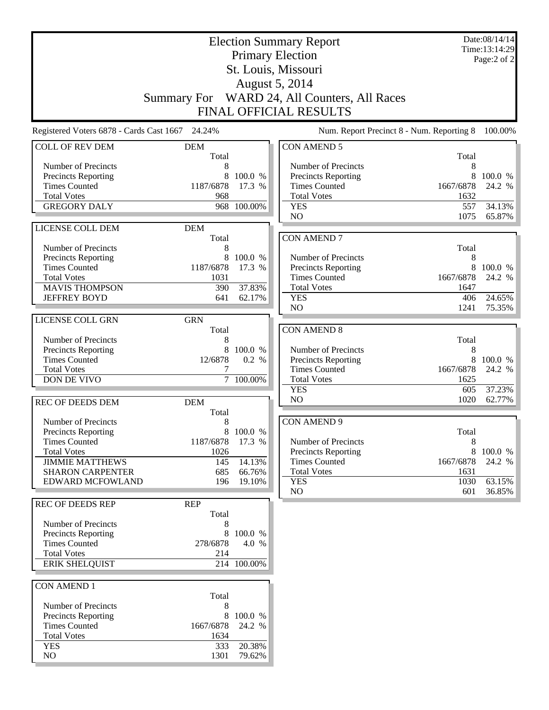|                                                 | <b>Election Summary Report</b> |                     |                                              |                | Date:08/14/14<br>Time:13:14:29 |
|-------------------------------------------------|--------------------------------|---------------------|----------------------------------------------|----------------|--------------------------------|
|                                                 |                                |                     | <b>Primary Election</b>                      |                | Page:2 of 2                    |
|                                                 |                                |                     | St. Louis, Missouri                          |                |                                |
|                                                 |                                |                     | August 5, 2014                               |                |                                |
|                                                 |                                |                     | Summary For WARD 24, All Counters, All Races |                |                                |
|                                                 |                                |                     | <b>FINAL OFFICIAL RESULTS</b>                |                |                                |
| Registered Voters 6878 - Cards Cast 1667 24.24% |                                |                     | Num. Report Precinct 8 - Num. Reporting 8    |                | 100.00%                        |
| <b>COLL OF REV DEM</b>                          | <b>DEM</b><br>Total            |                     | <b>CON AMEND 5</b>                           | Total          |                                |
| Number of Precincts                             | 8                              |                     | Number of Precincts                          | 8              |                                |
| Precincts Reporting                             | 8                              | 100.0 %             | <b>Precincts Reporting</b>                   | 8              | 100.0 %                        |
| <b>Times Counted</b>                            | 1187/6878                      | 17.3 %              | <b>Times Counted</b>                         | 1667/6878      | 24.2 %                         |
| <b>Total Votes</b><br><b>GREGORY DALY</b>       | 968<br>968                     | 100.00%             | <b>Total Votes</b><br><b>YES</b>             | 1632<br>557    | 34.13%                         |
|                                                 |                                |                     | NO                                           | 1075           | 65.87%                         |
| LICENSE COLL DEM                                | <b>DEM</b>                     |                     |                                              |                |                                |
|                                                 | Total                          |                     | <b>CON AMEND 7</b>                           |                |                                |
| Number of Precincts                             | 8                              |                     |                                              | Total          |                                |
| Precincts Reporting                             | 8                              | 100.0 %             | Number of Precincts                          | 8              |                                |
| <b>Times Counted</b><br><b>Total Votes</b>      | 1187/6878<br>1031              | 17.3 %              | Precincts Reporting<br><b>Times Counted</b>  | 8<br>1667/6878 | 100.0 %<br>24.2 %              |
| <b>MAVIS THOMPSON</b>                           | 390                            | 37.83%              | <b>Total Votes</b>                           | 1647           |                                |
| <b>JEFFREY BOYD</b>                             | 641                            | 62.17%              | <b>YES</b>                                   | 406            | 24.65%                         |
|                                                 |                                |                     | N <sub>O</sub>                               | 1241           | 75.35%                         |
| LICENSE COLL GRN                                | <b>GRN</b>                     |                     |                                              |                |                                |
|                                                 | Total                          |                     | <b>CON AMEND 8</b>                           |                |                                |
| Number of Precincts                             | 8                              |                     |                                              | Total          |                                |
| Precincts Reporting<br><b>Times Counted</b>     | 8<br>12/6878                   | 100.0 %<br>0.2 %    | Number of Precincts                          | 8<br>8         |                                |
| <b>Total Votes</b>                              | 7                              |                     | Precincts Reporting<br><b>Times Counted</b>  | 1667/6878      | 100.0 %<br>24.2 %              |
| DON DE VIVO                                     |                                | 7 100.00%           | <b>Total Votes</b>                           | 1625           |                                |
|                                                 |                                |                     | <b>YES</b>                                   | 605            | 37.23%                         |
| <b>REC OF DEEDS DEM</b>                         | <b>DEM</b>                     |                     | N <sub>O</sub>                               | 1020           | 62.77%                         |
|                                                 | Total                          |                     |                                              |                |                                |
| Number of Precincts                             | 8                              |                     | <b>CON AMEND 9</b>                           |                |                                |
| Precincts Reporting<br><b>Times Counted</b>     | 1187/6878                      | 8 100.0 %<br>17.3 % | Number of Precincts                          | Total<br>8     |                                |
| <b>Total Votes</b>                              | 1026                           |                     | <b>Precincts Reporting</b>                   | 8              | 100.0 %                        |
| <b>JIMMIE MATTHEWS</b>                          | 145                            | 14.13%              | <b>Times Counted</b>                         | 1667/6878      | 24.2 %                         |
| <b>SHARON CARPENTER</b>                         | 685                            | 66.76%              | <b>Total Votes</b>                           | 1631           |                                |
| EDWARD MCFOWLAND                                | 196                            | 19.10%              | <b>YES</b>                                   | 1030           | 63.15%                         |
|                                                 |                                |                     | NO                                           | 601            | 36.85%                         |
| REC OF DEEDS REP                                | <b>REP</b>                     |                     |                                              |                |                                |
| Number of Precincts                             | Total<br>8                     |                     |                                              |                |                                |
| <b>Precincts Reporting</b>                      | 8.                             | 100.0 %             |                                              |                |                                |
| <b>Times Counted</b>                            | 278/6878                       | 4.0 %               |                                              |                |                                |
| <b>Total Votes</b>                              | 214                            |                     |                                              |                |                                |
| <b>ERIK SHELQUIST</b>                           |                                | 214 100.00%         |                                              |                |                                |
|                                                 |                                |                     |                                              |                |                                |
| <b>CON AMEND 1</b>                              | Total                          |                     |                                              |                |                                |
| Number of Precincts                             | 8                              |                     |                                              |                |                                |
| Precincts Reporting                             | 8                              | 100.0 %             |                                              |                |                                |
| <b>Times Counted</b>                            | 1667/6878                      | 24.2 %              |                                              |                |                                |
| <b>Total Votes</b>                              | 1634                           |                     |                                              |                |                                |
| <b>YES</b>                                      | 333                            | 20.38%              |                                              |                |                                |
| NO                                              | 1301                           | 79.62%              |                                              |                |                                |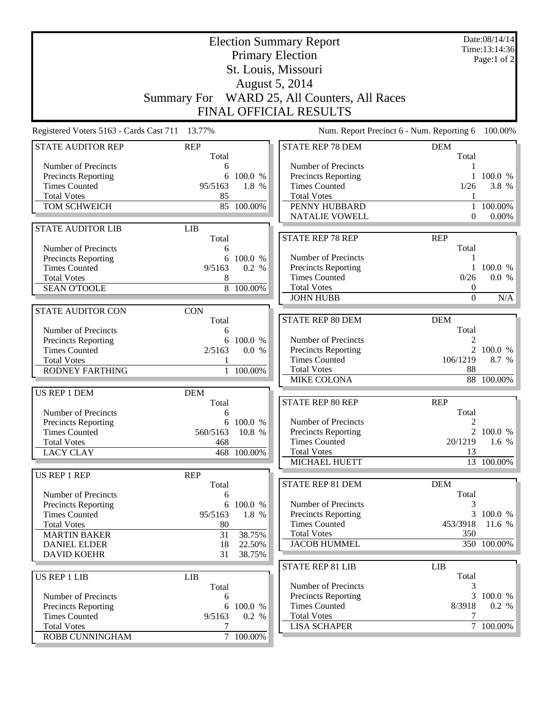| <b>Election Summary Report</b><br><b>Primary Election</b><br>St. Louis, Missouri |                     |                  |                                           |                      | Date:08/14/14<br>Time:13:14:36<br>Page:1 of $2$ |  |
|----------------------------------------------------------------------------------|---------------------|------------------|-------------------------------------------|----------------------|-------------------------------------------------|--|
|                                                                                  |                     |                  |                                           |                      |                                                 |  |
| August 5, 2014<br>Summary For WARD 25, All Counters, All Races                   |                     |                  |                                           |                      |                                                 |  |
|                                                                                  |                     |                  |                                           |                      |                                                 |  |
|                                                                                  |                     |                  | <b>FINAL OFFICIAL RESULTS</b>             |                      |                                                 |  |
| Registered Voters 5163 - Cards Cast 711                                          | 13.77%              |                  | Num. Report Precinct 6 - Num. Reporting 6 |                      | 100.00%                                         |  |
| <b>STATE AUDITOR REP</b>                                                         | <b>REP</b><br>Total |                  | <b>STATE REP 78 DEM</b>                   | <b>DEM</b><br>Total  |                                                 |  |
| Number of Precincts                                                              | 6                   |                  | Number of Precincts                       |                      |                                                 |  |
| Precincts Reporting                                                              | 6                   | 100.0 %          | <b>Precincts Reporting</b>                | 1                    | 100.0 %                                         |  |
| <b>Times Counted</b>                                                             | 95/5163             | 1.8 %            | <b>Times Counted</b>                      | 1/26                 | 3.8 %                                           |  |
| <b>Total Votes</b><br>TOM SCHWEICH                                               | 85                  | 85 100.00%       | <b>Total Votes</b><br>PENNY HUBBARD       | 1                    | 100.00%                                         |  |
|                                                                                  |                     |                  | <b>NATALIE VOWELL</b>                     | $\Omega$             | 0.00%                                           |  |
| <b>STATE AUDITOR LIB</b>                                                         | <b>LIB</b>          |                  |                                           |                      |                                                 |  |
|                                                                                  | Total               |                  | <b>STATE REP 78 REP</b>                   | <b>REP</b>           |                                                 |  |
| Number of Precincts                                                              | 6                   |                  |                                           | Total                |                                                 |  |
| <b>Precincts Reporting</b>                                                       | 6                   | 100.0 %          | Number of Precincts                       | 1                    |                                                 |  |
| <b>Times Counted</b>                                                             | 9/5163              | 0.2 %            | Precincts Reporting                       | $\mathbf{1}$         | 100.0 %                                         |  |
| <b>Total Votes</b>                                                               | 8                   |                  | <b>Times Counted</b>                      | 0/26                 | 0.0 %                                           |  |
| <b>SEAN O'TOOLE</b>                                                              |                     | $8 - 100.00\%$   | <b>Total Votes</b><br><b>JOHN HUBB</b>    | $\theta$<br>$\Omega$ | N/A                                             |  |
|                                                                                  |                     |                  |                                           |                      |                                                 |  |
| <b>STATE AUDITOR CON</b>                                                         | <b>CON</b><br>Total |                  | <b>STATE REP 80 DEM</b>                   | <b>DEM</b>           |                                                 |  |
| Number of Precincts                                                              | 6                   |                  |                                           | Total                |                                                 |  |
| Precincts Reporting                                                              | 6                   | 100.0 %          | Number of Precincts                       | 2                    |                                                 |  |
| <b>Times Counted</b>                                                             | 2/5163              | 0.0 %            | Precincts Reporting                       | $\overline{2}$       | 100.0 %                                         |  |
| <b>Total Votes</b>                                                               |                     |                  | <b>Times Counted</b>                      | 106/1219             | 8.7 %                                           |  |
| <b>RODNEY FARTHING</b>                                                           |                     | $1\quad100.00\%$ | <b>Total Votes</b>                        | 88                   |                                                 |  |
|                                                                                  |                     |                  | <b>MIKE COLONA</b>                        |                      | 88 100.00%                                      |  |
| US REP 1 DEM                                                                     | <b>DEM</b>          |                  |                                           |                      |                                                 |  |
| Number of Precincts                                                              | Total<br>6          |                  | STATE REP 80 REP                          | <b>REP</b><br>Total  |                                                 |  |
| Precincts Reporting                                                              |                     | 6 100.0 %        | Number of Precincts                       | 2                    |                                                 |  |
| <b>Times Counted</b>                                                             | 560/5163 10.8 %     |                  | Precincts Reporting                       |                      | 2 100.0 %                                       |  |
| <b>Total Votes</b>                                                               | 468                 |                  | <b>Times Counted</b>                      | 20/1219              | $1.6\%$                                         |  |
| <b>LACY CLAY</b>                                                                 |                     | 468 100.00%      | <b>Total Votes</b>                        | 13                   |                                                 |  |
|                                                                                  |                     |                  | MICHAEL HUETT                             |                      | 13 100.00%                                      |  |
| US REP 1 REP                                                                     | <b>REP</b>          |                  |                                           |                      |                                                 |  |
|                                                                                  | Total               |                  | <b>STATE REP 81 DEM</b>                   | <b>DEM</b><br>Total  |                                                 |  |
| Number of Precincts<br><b>Precincts Reporting</b>                                | 6<br>6              | 100.0 %          | Number of Precincts                       | 3                    |                                                 |  |
| <b>Times Counted</b>                                                             | 95/5163             | 1.8 %            | <b>Precincts Reporting</b>                |                      | 3 100.0 %                                       |  |
| <b>Total Votes</b>                                                               | 80                  |                  | <b>Times Counted</b>                      | 453/3918             | 11.6 %                                          |  |
| <b>MARTIN BAKER</b>                                                              | 31                  | 38.75%           | <b>Total Votes</b>                        | 350                  |                                                 |  |
| <b>DANIEL ELDER</b>                                                              | 18                  | 22.50%           | <b>JACOB HUMMEL</b>                       |                      | $\overline{350}$ 100.00%                        |  |
| <b>DAVID KOEHR</b>                                                               | 31                  | 38.75%           |                                           |                      |                                                 |  |
|                                                                                  |                     |                  | <b>STATE REP 81 LIB</b>                   | <b>LIB</b>           |                                                 |  |
| US REP 1 LIB                                                                     | <b>LIB</b><br>Total |                  | Number of Precincts                       | Total<br>3           |                                                 |  |
| Number of Precincts                                                              | 6                   |                  | Precincts Reporting                       | 3                    | 100.0 %                                         |  |
| Precincts Reporting                                                              | 6                   | 100.0 %          | <b>Times Counted</b>                      | 8/3918               | 0.2 %                                           |  |
| <b>Times Counted</b>                                                             | 9/5163              | 0.2 %            | <b>Total Votes</b>                        | 7                    |                                                 |  |
| <b>Total Votes</b>                                                               | 7                   |                  | <b>LISA SCHAPER</b>                       |                      | 7 100.00%                                       |  |
| ROBB CUNNINGHAM                                                                  |                     | 7 100.00%        |                                           |                      |                                                 |  |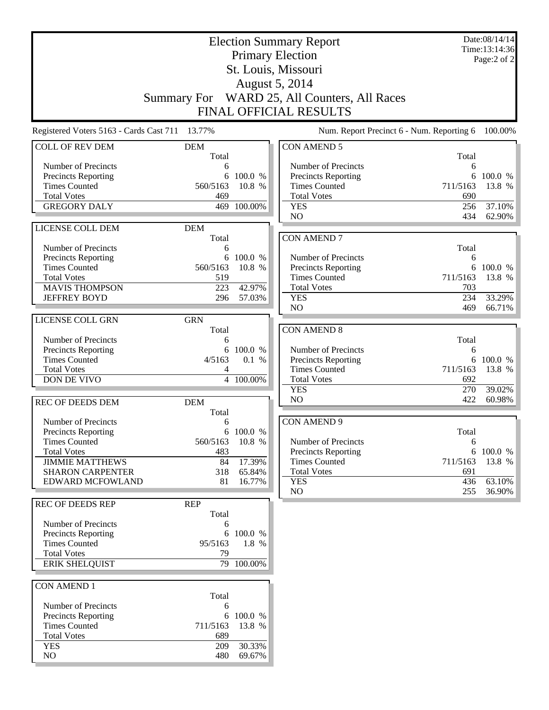| <b>Election Summary Report</b>                     |                     |                  |                                              |            | Date:08/14/14<br>Time:13:14:36 |  |  |
|----------------------------------------------------|---------------------|------------------|----------------------------------------------|------------|--------------------------------|--|--|
| <b>Primary Election</b>                            |                     |                  |                                              |            | Page:2 of 2                    |  |  |
| St. Louis, Missouri                                |                     |                  |                                              |            |                                |  |  |
| August 5, 2014                                     |                     |                  |                                              |            |                                |  |  |
|                                                    |                     |                  | Summary For WARD 25, All Counters, All Races |            |                                |  |  |
| <b>FINAL OFFICIAL RESULTS</b>                      |                     |                  |                                              |            |                                |  |  |
| Registered Voters 5163 - Cards Cast 711 13.77%     |                     |                  | Num. Report Precinct 6 - Num. Reporting 6    |            | 100.00%                        |  |  |
| <b>COLL OF REV DEM</b>                             | <b>DEM</b><br>Total |                  | <b>CON AMEND 5</b>                           | Total      |                                |  |  |
| Number of Precincts                                | 6                   |                  | Number of Precincts                          | 6          |                                |  |  |
| Precincts Reporting                                | 6                   | 100.0 %          | <b>Precincts Reporting</b>                   | 6          | 100.0 %                        |  |  |
| <b>Times Counted</b>                               | 560/5163            | 10.8 %           | <b>Times Counted</b>                         | 711/5163   | 13.8 %                         |  |  |
| <b>Total Votes</b>                                 | 469                 |                  | <b>Total Votes</b>                           | 690        |                                |  |  |
| <b>GREGORY DALY</b>                                | 469                 | 100.00%          | <b>YES</b><br>NO                             | 256<br>434 | 37.10%<br>62.90%               |  |  |
| LICENSE COLL DEM                                   | <b>DEM</b>          |                  |                                              |            |                                |  |  |
|                                                    | Total               |                  | <b>CON AMEND 7</b>                           |            |                                |  |  |
| Number of Precincts                                | 6                   |                  |                                              | Total      |                                |  |  |
| Precincts Reporting                                | 6                   | 100.0 %          | Number of Precincts                          | 6          |                                |  |  |
| <b>Times Counted</b>                               | 560/5163            | 10.8 %           | <b>Precincts Reporting</b>                   |            | 6 100.0 %                      |  |  |
| <b>Total Votes</b>                                 | 519                 |                  | <b>Times Counted</b>                         | 711/5163   | 13.8 %                         |  |  |
| <b>MAVIS THOMPSON</b>                              | 223                 | 42.97%           | <b>Total Votes</b>                           | 703        |                                |  |  |
| <b>JEFFREY BOYD</b>                                | 296                 | 57.03%           | <b>YES</b><br>N <sub>O</sub>                 | 234<br>469 | 33.29%<br>66.71%               |  |  |
| LICENSE COLL GRN                                   | <b>GRN</b>          |                  |                                              |            |                                |  |  |
|                                                    | Total               |                  | <b>CON AMEND 8</b>                           |            |                                |  |  |
| Number of Precincts                                | 6                   |                  |                                              | Total      |                                |  |  |
| Precincts Reporting                                | 6                   | 100.0 %          | Number of Precincts                          | 6          |                                |  |  |
| <b>Times Counted</b>                               | 4/5163              | 0.1 %            | <b>Precincts Reporting</b>                   | 6          | 100.0 %                        |  |  |
| <b>Total Votes</b>                                 | 4                   |                  | <b>Times Counted</b>                         | 711/5163   | 13.8 %                         |  |  |
| <b>DON DE VIVO</b>                                 | $\overline{4}$      | $100.00\%$       | <b>Total Votes</b><br><b>YES</b>             | 692<br>270 | 39.02%                         |  |  |
| <b>REC OF DEEDS DEM</b>                            | <b>DEM</b>          |                  | N <sub>O</sub>                               | 422        | 60.98%                         |  |  |
|                                                    | Total               |                  |                                              |            |                                |  |  |
| Number of Precincts                                | 6                   |                  | <b>CON AMEND 9</b>                           |            |                                |  |  |
| <b>Precincts Reporting</b>                         |                     | 6 100.0 %        |                                              | Total      |                                |  |  |
| <b>Times Counted</b>                               | 560/5163            | 10.8 %           | Number of Precincts                          | 6          |                                |  |  |
| <b>Total Votes</b>                                 | 483                 |                  | <b>Precincts Reporting</b>                   |            | 6 100.0 %                      |  |  |
| <b>JIMMIE MATTHEWS</b>                             | 84                  | 17.39%           | <b>Times Counted</b>                         | 711/5163   | 13.8 %                         |  |  |
| <b>SHARON CARPENTER</b><br>EDWARD MCFOWLAND        | 318<br>81           | 65.84%<br>16.77% | <b>Total Votes</b><br><b>YES</b>             | 691<br>436 | 63.10%                         |  |  |
|                                                    |                     |                  | NO <sub>1</sub>                              | 255        | 36.90%                         |  |  |
| <b>REC OF DEEDS REP</b>                            | <b>REP</b>          |                  |                                              |            |                                |  |  |
|                                                    | Total               |                  |                                              |            |                                |  |  |
| Number of Precincts<br>Precincts Reporting         | 6<br>6              | 100.0 %          |                                              |            |                                |  |  |
| <b>Times Counted</b>                               | 95/5163             | 1.8 %            |                                              |            |                                |  |  |
| <b>Total Votes</b>                                 | 79                  |                  |                                              |            |                                |  |  |
| <b>ERIK SHELQUIST</b>                              |                     | 79 100.00%       |                                              |            |                                |  |  |
|                                                    |                     |                  |                                              |            |                                |  |  |
| <b>CON AMEND 1</b>                                 |                     |                  |                                              |            |                                |  |  |
|                                                    | Total               |                  |                                              |            |                                |  |  |
| Number of Precincts                                | 6<br>6              | 100.0 %          |                                              |            |                                |  |  |
| <b>Precincts Reporting</b><br><b>Times Counted</b> | 711/5163            | 13.8 %           |                                              |            |                                |  |  |
| <b>Total Votes</b>                                 | 689                 |                  |                                              |            |                                |  |  |
| <b>YES</b>                                         | 209                 | 30.33%           |                                              |            |                                |  |  |
| NO                                                 | 480                 | 69.67%           |                                              |            |                                |  |  |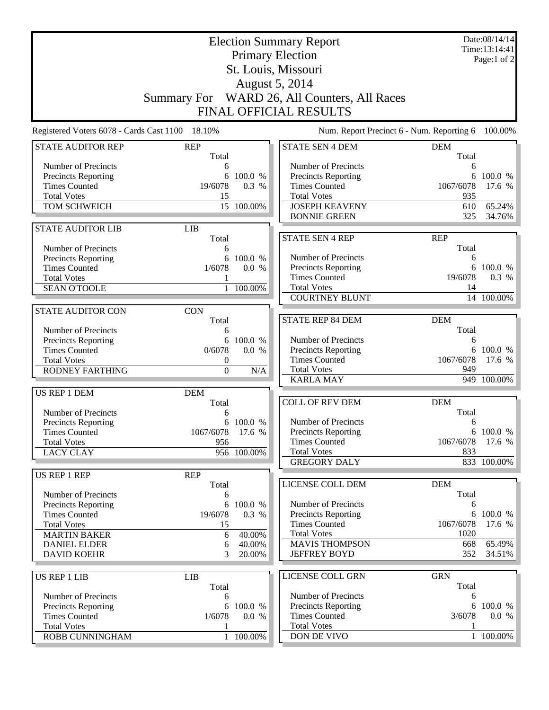| <b>Election Summary Report</b><br><b>Primary Election</b><br>St. Louis, Missouri                                                                                    |                                                              |                                                |                                                                                                                                                 |                                               | Date:08/14/14<br>Time: 13:14:41<br>Page:1 of 2 |  |
|---------------------------------------------------------------------------------------------------------------------------------------------------------------------|--------------------------------------------------------------|------------------------------------------------|-------------------------------------------------------------------------------------------------------------------------------------------------|-----------------------------------------------|------------------------------------------------|--|
| <b>August 5, 2014</b><br>Summary For WARD 26, All Counters, All Races<br><b>FINAL OFFICIAL RESULTS</b>                                                              |                                                              |                                                |                                                                                                                                                 |                                               |                                                |  |
| Registered Voters 6078 - Cards Cast 1100 18.10%                                                                                                                     |                                                              |                                                | Num. Report Precinct 6 - Num. Reporting 6 100.00%                                                                                               |                                               |                                                |  |
| <b>STATE AUDITOR REP</b>                                                                                                                                            | <b>REP</b><br>Total                                          |                                                | <b>STATE SEN 4 DEM</b>                                                                                                                          | <b>DEM</b><br>Total                           |                                                |  |
| Number of Precincts<br><b>Precincts Reporting</b><br><b>Times Counted</b><br><b>Total Votes</b><br><b>TOM SCHWEICH</b>                                              | 6<br>6<br>19/6078<br>15                                      | 100.0 %<br>0.3 %<br>15 100.00%                 | Number of Precincts<br>Precincts Reporting<br><b>Times Counted</b><br><b>Total Votes</b><br><b>JOSEPH KEAVENY</b><br><b>BONNIE GREEN</b>        | 6<br>1067/6078<br>935<br>610<br>325           | 6 100.0 %<br>17.6 %<br>65.24%<br>34.76%        |  |
| <b>STATE AUDITOR LIB</b>                                                                                                                                            | <b>LIB</b><br>Total                                          |                                                | <b>STATE SEN 4 REP</b>                                                                                                                          | <b>REP</b>                                    |                                                |  |
| Number of Precincts<br><b>Precincts Reporting</b><br><b>Times Counted</b><br><b>Total Votes</b><br><b>SEAN O'TOOLE</b>                                              | 6<br>6<br>1/6078<br>$\mathbf{1}$                             | 100.0 %<br>0.0 %<br>100.00%                    | Number of Precincts<br><b>Precincts Reporting</b><br><b>Times Counted</b><br><b>Total Votes</b>                                                 | Total<br>6<br>19/6078<br>14                   | 6 100.0 %<br>0.3 %                             |  |
| <b>STATE AUDITOR CON</b>                                                                                                                                            | <b>CON</b>                                                   |                                                | <b>COURTNEY BLUNT</b>                                                                                                                           |                                               | $\overline{14}$ 100.00%                        |  |
| Number of Precincts<br>Precincts Reporting<br><b>Times Counted</b><br><b>Total Votes</b><br><b>RODNEY FARTHING</b>                                                  | Total<br>6<br>0/6078<br>$\boldsymbol{0}$<br>$\boldsymbol{0}$ | 6 100.0 %<br>0.0 %<br>N/A                      | <b>STATE REP 84 DEM</b><br>Number of Precincts<br>Precincts Reporting<br><b>Times Counted</b><br><b>Total Votes</b>                             | <b>DEM</b><br>Total<br>6<br>1067/6078<br>949  | 6 100.0 %<br>17.6 %                            |  |
|                                                                                                                                                                     |                                                              |                                                | <b>KARLA MAY</b>                                                                                                                                |                                               | 949 100.00%                                    |  |
| US REP 1 DEM<br>Number of Precincts<br><b>Precincts Reporting</b><br><b>Times Counted</b><br><b>Total Votes</b>                                                     | <b>DEM</b><br>Total<br>6<br>1067/6078 17.6 %<br>956          | 6 100.0 %                                      | <b>COLL OF REV DEM</b><br>Number of Precincts<br>Precincts Reporting<br><b>Times Counted</b>                                                    | <b>DEM</b><br>Total<br>6<br>1067/6078         | 6 100.0 %<br>17.6 %                            |  |
| <b>LACY CLAY</b>                                                                                                                                                    |                                                              | 956 100.00%                                    | <b>Total Votes</b><br><b>GREGORY DALY</b>                                                                                                       | 833                                           | 833 100.00%                                    |  |
| US REP 1 REP                                                                                                                                                        | <b>REP</b><br>Total                                          |                                                | LICENSE COLL DEM                                                                                                                                | <b>DEM</b>                                    |                                                |  |
| Number of Precincts<br><b>Precincts Reporting</b><br><b>Times Counted</b><br><b>Total Votes</b><br><b>MARTIN BAKER</b><br><b>DANIEL ELDER</b><br><b>DAVID KOEHR</b> | 6<br>6<br>19/6078<br>15<br>6<br>6<br>3                       | 100.0 %<br>0.3 %<br>40.00%<br>40.00%<br>20.00% | Number of Precincts<br><b>Precincts Reporting</b><br><b>Times Counted</b><br><b>Total Votes</b><br><b>MAVIS THOMPSON</b><br><b>JEFFREY BOYD</b> | Total<br>6<br>1067/6078<br>1020<br>668<br>352 | 6 100.0 %<br>17.6 %<br>65.49%<br>34.51%        |  |
| <b>US REP 1 LIB</b>                                                                                                                                                 | <b>LIB</b>                                                   |                                                | LICENSE COLL GRN                                                                                                                                | <b>GRN</b>                                    |                                                |  |
| Number of Precincts<br><b>Precincts Reporting</b><br><b>Times Counted</b><br><b>Total Votes</b><br>ROBB CUNNINGHAM                                                  | Total<br>6<br>6<br>1/6078                                    | 100.0 %<br>0.0 %<br>1 100.00%                  | Number of Precincts<br>Precincts Reporting<br><b>Times Counted</b><br><b>Total Votes</b><br>DON DE VIVO                                         | Total<br>6<br>3/6078                          | 6 100.0 %<br>0.0 %<br>1 100.00%                |  |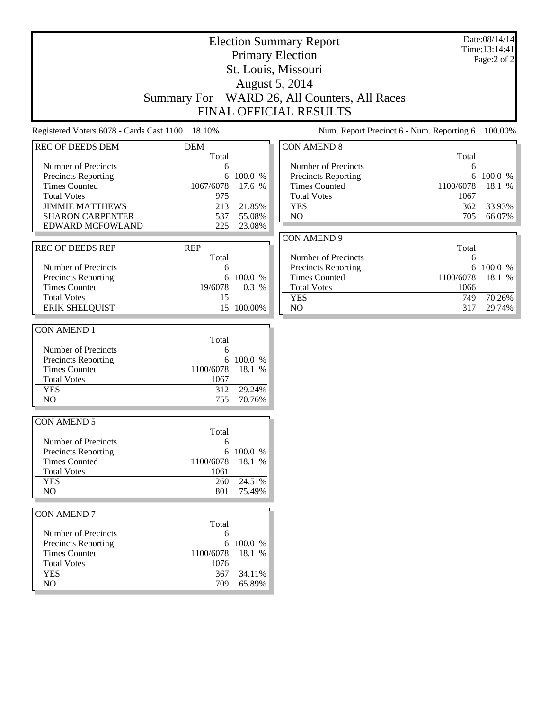| <b>Election Summary Report</b>                  |                     |            |                                              |           | Date:08/14/14<br>Time:13:14:41 |  |
|-------------------------------------------------|---------------------|------------|----------------------------------------------|-----------|--------------------------------|--|
| <b>Primary Election</b>                         |                     |            |                                              |           | Page:2 of 2                    |  |
| St. Louis, Missouri                             |                     |            |                                              |           |                                |  |
|                                                 |                     |            |                                              |           |                                |  |
|                                                 |                     |            | <b>August 5, 2014</b>                        |           |                                |  |
|                                                 |                     |            | Summary For WARD 26, All Counters, All Races |           |                                |  |
|                                                 |                     |            | <b>FINAL OFFICIAL RESULTS</b>                |           |                                |  |
| Registered Voters 6078 - Cards Cast 1100 18.10% |                     |            | Num. Report Precinct 6 - Num. Reporting 6    |           | 100.00%                        |  |
| <b>REC OF DEEDS DEM</b>                         | <b>DEM</b><br>Total |            | <b>CON AMEND 8</b>                           | Total     |                                |  |
| Number of Precincts                             | 6                   |            | Number of Precincts                          | 6         |                                |  |
| <b>Precincts Reporting</b>                      | 6                   | 100.0 %    | <b>Precincts Reporting</b>                   | 6         | 100.0 %                        |  |
| <b>Times Counted</b>                            | 1067/6078           | 17.6 %     | <b>Times Counted</b>                         | 1100/6078 | 18.1 %                         |  |
| <b>Total Votes</b>                              | 975                 |            | <b>Total Votes</b>                           | 1067      |                                |  |
| <b>JIMMIE MATTHEWS</b>                          | 213                 | 21.85%     | <b>YES</b>                                   | 362       | 33.93%                         |  |
| <b>SHARON CARPENTER</b>                         | 537                 | 55.08%     | NO                                           | 705       | 66.07%                         |  |
| EDWARD MCFOWLAND                                | 225                 | 23.08%     |                                              |           |                                |  |
|                                                 |                     |            | <b>CON AMEND 9</b>                           |           |                                |  |
| <b>REC OF DEEDS REP</b>                         | <b>REP</b>          |            |                                              | Total     |                                |  |
|                                                 | Total               |            | Number of Precincts                          | 6         |                                |  |
| Number of Precincts                             | 6                   |            | Precincts Reporting                          |           | 6 100.0 %                      |  |
| <b>Precincts Reporting</b>                      | 6                   | 100.0 %    | <b>Times Counted</b>                         | 1100/6078 | 18.1 %                         |  |
| <b>Times Counted</b>                            | 19/6078             | 0.3 %      | <b>Total Votes</b>                           | 1066      |                                |  |
| <b>Total Votes</b>                              | 15                  |            | <b>YES</b>                                   | 749       | 70.26%                         |  |
| <b>ERIK SHELQUIST</b>                           |                     | 15 100.00% | NO                                           | 317       | 29.74%                         |  |
|                                                 |                     |            |                                              |           |                                |  |
| <b>CON AMEND 1</b>                              |                     |            |                                              |           |                                |  |
|                                                 | Total               |            |                                              |           |                                |  |
| Number of Precincts                             | 6                   |            |                                              |           |                                |  |
| <b>Precincts Reporting</b>                      | 6                   | 100.0 %    |                                              |           |                                |  |
| <b>Times Counted</b>                            | 1100/6078           | 18.1 %     |                                              |           |                                |  |
| <b>Total Votes</b>                              | 1067                |            |                                              |           |                                |  |
| <b>YES</b>                                      | 312                 | 29.24%     |                                              |           |                                |  |
| NO                                              | 755                 | 70.76%     |                                              |           |                                |  |
| <b>CON AMEND 5</b>                              |                     |            |                                              |           |                                |  |
|                                                 | Total               |            |                                              |           |                                |  |
| Number of Precincts                             | 6                   |            |                                              |           |                                |  |
| Precincts Reporting                             | 6                   | 100.0 %    |                                              |           |                                |  |
| <b>Times Counted</b>                            | 1100/6078           | 18.1 %     |                                              |           |                                |  |
| <b>Total Votes</b>                              | 1061                |            |                                              |           |                                |  |
| <b>YES</b>                                      | 260                 | 24.51%     |                                              |           |                                |  |
| NO                                              | 801                 | 75.49%     |                                              |           |                                |  |
|                                                 |                     |            |                                              |           |                                |  |
| <b>CON AMEND 7</b>                              |                     |            |                                              |           |                                |  |
|                                                 | Total               |            |                                              |           |                                |  |
| Number of Precincts                             | 6                   |            |                                              |           |                                |  |
| Precincts Reporting                             | 6                   | 100.0 %    |                                              |           |                                |  |
| <b>Times Counted</b>                            | 1100/6078           | 18.1 %     |                                              |           |                                |  |
| <b>Total Votes</b>                              | 1076                |            |                                              |           |                                |  |
| <b>YES</b>                                      | 367                 | 34.11%     |                                              |           |                                |  |
| NO                                              | 709                 | 65.89%     |                                              |           |                                |  |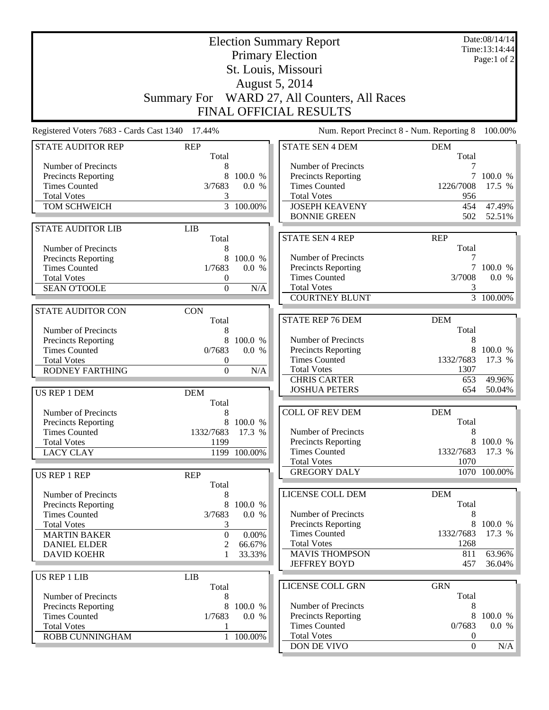|                                                    | <b>Election Summary Report</b><br><b>Primary Election</b> |                        | Date:08/14/14<br>Time:13:14:44<br>Page:1 of 2 |                                      |                  |  |
|----------------------------------------------------|-----------------------------------------------------------|------------------------|-----------------------------------------------|--------------------------------------|------------------|--|
|                                                    |                                                           |                        |                                               |                                      |                  |  |
| St. Louis, Missouri<br>August 5, 2014              |                                                           |                        |                                               |                                      |                  |  |
|                                                    |                                                           |                        |                                               |                                      |                  |  |
|                                                    |                                                           |                        | Summary For WARD 27, All Counters, All Races  |                                      |                  |  |
|                                                    |                                                           |                        | FINAL OFFICIAL RESULTS                        |                                      |                  |  |
| Registered Voters 7683 - Cards Cast 1340 17.44%    |                                                           |                        | Num. Report Precinct 8 - Num. Reporting 8     |                                      | 100.00%          |  |
| <b>STATE AUDITOR REP</b>                           | <b>REP</b><br>Total                                       |                        | <b>STATE SEN 4 DEM</b>                        | <b>DEM</b><br>Total                  |                  |  |
| Number of Precincts                                | 8                                                         |                        | Number of Precincts                           | 7                                    |                  |  |
| <b>Precincts Reporting</b>                         | 8                                                         | 100.0 %                | Precincts Reporting                           |                                      | 7 100.0 %        |  |
| <b>Times Counted</b>                               | 3/7683                                                    | 0.0 %                  | <b>Times Counted</b>                          | 1226/7008                            | 17.5 %           |  |
| <b>Total Votes</b>                                 | 3                                                         |                        | <b>Total Votes</b>                            | 956                                  |                  |  |
| TOM SCHWEICH                                       |                                                           | $\overline{3}$ 100.00% | <b>JOSEPH KEAVENY</b><br><b>BONNIE GREEN</b>  | 454<br>502                           | 47.49%<br>52.51% |  |
| <b>STATE AUDITOR LIB</b>                           | <b>LIB</b>                                                |                        |                                               |                                      |                  |  |
|                                                    | Total                                                     |                        | <b>STATE SEN 4 REP</b>                        | <b>REP</b>                           |                  |  |
| Number of Precincts                                | 8                                                         |                        |                                               | Total                                |                  |  |
| <b>Precincts Reporting</b>                         | 8                                                         | 100.0 %                | Number of Precincts                           | 7                                    |                  |  |
| <b>Times Counted</b>                               | 1/7683                                                    | 0.0 %                  | Precincts Reporting                           |                                      | 7 100.0 %        |  |
| <b>Total Votes</b>                                 | 0                                                         |                        | <b>Times Counted</b>                          | 3/7008                               | 0.0 %            |  |
| <b>SEAN O'TOOLE</b>                                | $\overline{0}$                                            | N/A                    | <b>Total Votes</b>                            | 3                                    |                  |  |
|                                                    |                                                           |                        | <b>COURTNEY BLUNT</b>                         |                                      | 3 100.00%        |  |
| <b>STATE AUDITOR CON</b>                           | <b>CON</b>                                                |                        |                                               |                                      |                  |  |
|                                                    | Total                                                     |                        | <b>STATE REP 76 DEM</b>                       | <b>DEM</b>                           |                  |  |
| Number of Precincts                                | 8<br>8                                                    | 100.0 %                | Number of Precincts                           | Total<br>8                           |                  |  |
| <b>Precincts Reporting</b><br><b>Times Counted</b> | 0/7683                                                    | 0.0 %                  | Precincts Reporting                           | 8                                    | 100.0 %          |  |
| <b>Total Votes</b>                                 | 0                                                         |                        | <b>Times Counted</b>                          | 1332/7683                            | 17.3 %           |  |
| <b>RODNEY FARTHING</b>                             | $\overline{0}$                                            | N/A                    | <b>Total Votes</b>                            | 1307                                 |                  |  |
|                                                    |                                                           |                        | <b>CHRIS CARTER</b>                           | 653                                  | 49.96%           |  |
| US REP 1 DEM                                       | <b>DEM</b>                                                |                        | <b>JOSHUA PETERS</b>                          | 654                                  | 50.04%           |  |
| Number of Precincts                                | Total<br>8                                                |                        | <b>COLL OF REV DEM</b>                        | <b>DEM</b>                           |                  |  |
| <b>Precincts Reporting</b>                         |                                                           | 8 100.0 %              |                                               | Total                                |                  |  |
| <b>Times Counted</b>                               | 1332/7683 17.3 %                                          |                        | Number of Precincts                           | 8                                    |                  |  |
| <b>Total Votes</b>                                 | 1199                                                      |                        | <b>Precincts Reporting</b>                    | 8                                    | 100.0 %          |  |
| <b>LACY CLAY</b>                                   |                                                           | 1199 100.00%           | <b>Times Counted</b>                          | 1332/7683                            | 17.3 $%$         |  |
|                                                    |                                                           |                        | <b>Total Votes</b>                            | 1070                                 |                  |  |
| <b>US REP 1 REP</b>                                | <b>REP</b>                                                |                        | <b>GREGORY DALY</b>                           |                                      | 1070 100.00%     |  |
|                                                    | Total                                                     |                        |                                               |                                      |                  |  |
| Number of Precincts                                | 8                                                         |                        | LICENSE COLL DEM                              | <b>DEM</b>                           |                  |  |
| <b>Precincts Reporting</b>                         | 8                                                         | 100.0 %                |                                               | Total                                |                  |  |
| <b>Times Counted</b><br><b>Total Votes</b>         | 3/7683                                                    | 0.0 %                  | Number of Precincts<br>Precincts Reporting    | 8<br>8                               | 100.0 %          |  |
| <b>MARTIN BAKER</b>                                | 3<br>$\boldsymbol{0}$                                     | 0.00%                  | <b>Times Counted</b>                          | 1332/7683                            | 17.3 %           |  |
| <b>DANIEL ELDER</b>                                | 2                                                         | 66.67%                 | <b>Total Votes</b>                            | 1268                                 |                  |  |
| <b>DAVID KOEHR</b>                                 |                                                           | 33.33%                 | <b>MAVIS THOMPSON</b>                         | 811                                  | 63.96%           |  |
|                                                    |                                                           |                        | <b>JEFFREY BOYD</b>                           | 457                                  | 36.04%           |  |
| <b>US REP 1 LIB</b>                                | <b>LIB</b>                                                |                        |                                               |                                      |                  |  |
|                                                    | Total                                                     |                        | LICENSE COLL GRN                              | <b>GRN</b>                           |                  |  |
| Number of Precincts                                | 8                                                         |                        |                                               | Total                                |                  |  |
| <b>Precincts Reporting</b>                         | 8                                                         | 100.0 %                | Number of Precincts                           | 8                                    |                  |  |
| <b>Times Counted</b>                               | 1/7683                                                    | 0.0 %                  | Precincts Reporting                           | 8                                    | 100.0 %          |  |
| <b>Total Votes</b>                                 | 1                                                         |                        | <b>Times Counted</b>                          | 0/7683                               | 0.0 %            |  |
| ROBB CUNNINGHAM                                    |                                                           | 1 100.00%              | <b>Total Votes</b><br>DON DE VIVO             | $\boldsymbol{0}$<br>$\boldsymbol{0}$ | N/A              |  |
|                                                    |                                                           |                        |                                               |                                      |                  |  |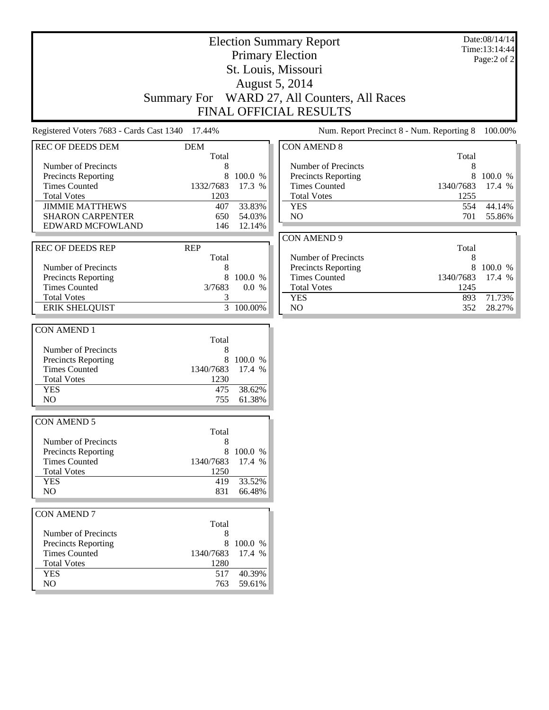| <b>Election Summary Report</b><br><b>Primary Election</b> |                     |           |                                              |           | Date:08/14/14<br>Time:13:14:44 |  |
|-----------------------------------------------------------|---------------------|-----------|----------------------------------------------|-----------|--------------------------------|--|
| St. Louis, Missouri                                       |                     |           |                                              |           | Page:2 of 2                    |  |
|                                                           |                     |           |                                              |           |                                |  |
|                                                           |                     |           | <b>August 5, 2014</b>                        |           |                                |  |
|                                                           |                     |           | Summary For WARD 27, All Counters, All Races |           |                                |  |
|                                                           |                     |           | FINAL OFFICIAL RESULTS                       |           |                                |  |
| Registered Voters 7683 - Cards Cast 1340 17.44%           |                     |           | Num. Report Precinct 8 - Num. Reporting 8    |           | 100.00%                        |  |
| <b>REC OF DEEDS DEM</b>                                   | <b>DEM</b><br>Total |           | <b>CON AMEND 8</b>                           | Total     |                                |  |
| Number of Precincts                                       | 8                   |           | Number of Precincts                          | 8         |                                |  |
| <b>Precincts Reporting</b>                                | 8                   | 100.0 %   | Precincts Reporting                          | 8         | 100.0 %                        |  |
| <b>Times Counted</b>                                      | 1332/7683           | 17.3 %    | <b>Times Counted</b>                         | 1340/7683 | 17.4 %                         |  |
| <b>Total Votes</b>                                        | 1203                |           | <b>Total Votes</b>                           | 1255      |                                |  |
| <b>JIMMIE MATTHEWS</b>                                    | 407                 | 33.83%    | <b>YES</b>                                   | 554       | 44.14%                         |  |
| <b>SHARON CARPENTER</b>                                   | 650                 | 54.03%    | NO                                           | 701       | 55.86%                         |  |
| <b>EDWARD MCFOWLAND</b>                                   | 146                 | 12.14%    |                                              |           |                                |  |
|                                                           |                     |           | <b>CON AMEND 9</b>                           |           |                                |  |
| <b>REC OF DEEDS REP</b>                                   | <b>REP</b>          |           |                                              | Total     |                                |  |
|                                                           | Total               |           | Number of Precincts                          | 8         |                                |  |
| Number of Precincts                                       | 8                   |           | Precincts Reporting                          |           | 8 100.0 %                      |  |
| <b>Precincts Reporting</b>                                | 8                   | 100.0 %   | <b>Times Counted</b>                         | 1340/7683 | 17.4 %                         |  |
| <b>Times Counted</b>                                      | 3/7683              | 0.0 %     | <b>Total Votes</b>                           | 1245      |                                |  |
| <b>Total Votes</b>                                        | 3                   |           | <b>YES</b>                                   | 893       | 71.73%                         |  |
| <b>ERIK SHELQUIST</b>                                     |                     | 3 100.00% | NO                                           | 352       | 28.27%                         |  |
|                                                           |                     |           |                                              |           |                                |  |
| <b>CON AMEND 1</b>                                        |                     |           |                                              |           |                                |  |
|                                                           | Total               |           |                                              |           |                                |  |
| Number of Precincts                                       | 8                   |           |                                              |           |                                |  |
| Precincts Reporting                                       | 8                   | 100.0 %   |                                              |           |                                |  |
| <b>Times Counted</b>                                      | 1340/7683           | 17.4 %    |                                              |           |                                |  |
| <b>Total Votes</b>                                        | 1230                |           |                                              |           |                                |  |
| <b>YES</b>                                                | 475                 | 38.62%    |                                              |           |                                |  |
| N <sub>O</sub>                                            | 755                 | 61.38%    |                                              |           |                                |  |
| <b>CON AMEND 5</b>                                        |                     |           |                                              |           |                                |  |
|                                                           | Total               |           |                                              |           |                                |  |
| Number of Precincts                                       | 8                   |           |                                              |           |                                |  |
| Precincts Reporting                                       | 8                   | 100.0 %   |                                              |           |                                |  |
| <b>Times Counted</b>                                      | 1340/7683           | 17.4 %    |                                              |           |                                |  |
| <b>Total Votes</b>                                        | 1250                |           |                                              |           |                                |  |
| <b>YES</b>                                                | 419                 | 33.52%    |                                              |           |                                |  |
| NO                                                        | 831                 | 66.48%    |                                              |           |                                |  |
|                                                           |                     |           |                                              |           |                                |  |
| <b>CON AMEND 7</b>                                        |                     |           |                                              |           |                                |  |
|                                                           | Total               |           |                                              |           |                                |  |
| Number of Precincts                                       | 8                   |           |                                              |           |                                |  |
| Precincts Reporting                                       | 8                   | 100.0 %   |                                              |           |                                |  |
| <b>Times Counted</b>                                      | 1340/7683           | 17.4 %    |                                              |           |                                |  |
| <b>Total Votes</b>                                        | 1280                |           |                                              |           |                                |  |
| <b>YES</b>                                                | 517                 | 40.39%    |                                              |           |                                |  |
| NO                                                        | 763                 | 59.61%    |                                              |           |                                |  |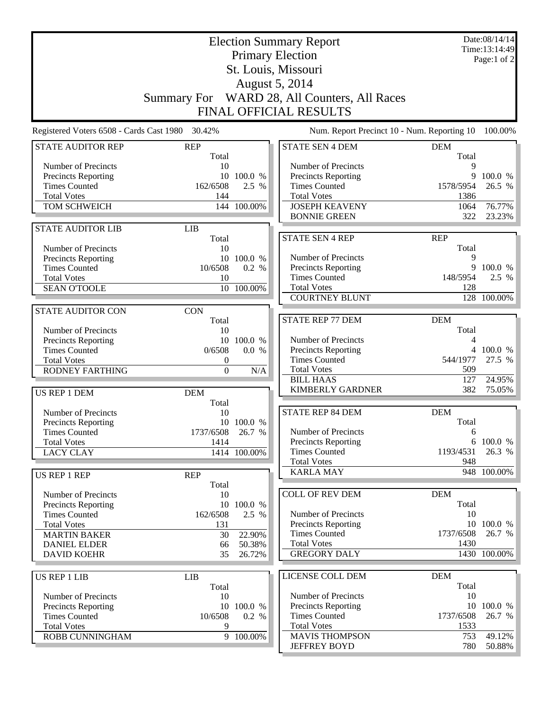| <b>Election Summary Report</b><br><b>Primary Election</b> |                       |                        |                                              |              | Date:08/14/14<br>Time:13:14:49<br>Page:1 of 2 |  |  |
|-----------------------------------------------------------|-----------------------|------------------------|----------------------------------------------|--------------|-----------------------------------------------|--|--|
| St. Louis, Missouri                                       |                       |                        |                                              |              |                                               |  |  |
|                                                           | <b>August 5, 2014</b> |                        |                                              |              |                                               |  |  |
|                                                           |                       |                        | Summary For WARD 28, All Counters, All Races |              |                                               |  |  |
|                                                           |                       |                        | <b>FINAL OFFICIAL RESULTS</b>                |              |                                               |  |  |
| Registered Voters 6508 - Cards Cast 1980 30.42%           |                       |                        | Num. Report Precinct 10 - Num. Reporting 10  |              | 100.00%                                       |  |  |
| <b>STATE AUDITOR REP</b>                                  | <b>REP</b>            |                        | <b>STATE SEN 4 DEM</b>                       | <b>DEM</b>   |                                               |  |  |
|                                                           | Total                 |                        |                                              | Total        |                                               |  |  |
| Number of Precincts                                       | 10                    |                        | Number of Precincts                          | 9            |                                               |  |  |
| Precincts Reporting                                       |                       | 10 100.0 %             | <b>Precincts Reporting</b>                   | 9            | 100.0 %                                       |  |  |
| <b>Times Counted</b>                                      | 162/6508              | 2.5 %                  | <b>Times Counted</b>                         | 1578/5954    | 26.5 %                                        |  |  |
| <b>Total Votes</b><br>TOM SCHWEICH                        | 144                   | 144 100.00%            | <b>Total Votes</b><br><b>JOSEPH KEAVENY</b>  | 1386<br>1064 | 76.77%                                        |  |  |
|                                                           |                       |                        | <b>BONNIE GREEN</b>                          | 322          | 23.23%                                        |  |  |
| <b>STATE AUDITOR LIB</b>                                  | <b>LIB</b>            |                        |                                              |              |                                               |  |  |
|                                                           | Total                 |                        | <b>STATE SEN 4 REP</b>                       | <b>REP</b>   |                                               |  |  |
| Number of Precincts                                       | 10                    | 10 100.0 %             | Number of Precincts                          | Total<br>9   |                                               |  |  |
| <b>Precincts Reporting</b><br><b>Times Counted</b>        | 10/6508               | 0.2 %                  | <b>Precincts Reporting</b>                   | 9            | 100.0 %                                       |  |  |
| <b>Total Votes</b>                                        | 10                    |                        | <b>Times Counted</b>                         | 148/5954     | 2.5 %                                         |  |  |
| <b>SEAN O'TOOLE</b>                                       | 10                    | 100.00%                | <b>Total Votes</b>                           | 128          |                                               |  |  |
|                                                           |                       |                        | <b>COURTNEY BLUNT</b>                        |              | 128 100.00%                                   |  |  |
| <b>STATE AUDITOR CON</b>                                  | <b>CON</b>            |                        |                                              |              |                                               |  |  |
|                                                           | Total                 |                        | <b>STATE REP 77 DEM</b>                      | <b>DEM</b>   |                                               |  |  |
| Number of Precincts                                       | 10                    |                        |                                              | Total        |                                               |  |  |
| Precincts Reporting                                       |                       | 10 100.0 %             | Number of Precincts                          | 4            |                                               |  |  |
| <b>Times Counted</b>                                      | 0/6508                | 0.0 %                  | <b>Precincts Reporting</b>                   | 4            | 100.0 %                                       |  |  |
| <b>Total Votes</b>                                        | 0                     |                        | <b>Times Counted</b>                         | 544/1977     | 27.5 %                                        |  |  |
| <b>RODNEY FARTHING</b>                                    | $\boldsymbol{0}$      | N/A                    | <b>Total Votes</b>                           | 509          |                                               |  |  |
|                                                           |                       |                        | <b>BILL HAAS</b><br><b>KIMBERLY GARDNER</b>  | 127<br>382   | 24.95%<br>75.05%                              |  |  |
| US REP 1 DEM                                              | <b>DEM</b><br>Total   |                        |                                              |              |                                               |  |  |
| Number of Precincts                                       | 10                    |                        | <b>STATE REP 84 DEM</b>                      | <b>DEM</b>   |                                               |  |  |
| Precincts Reporting                                       |                       | 10 100.0 %             |                                              | Total        |                                               |  |  |
| <b>Times Counted</b>                                      | 1737/6508 26.7 %      |                        | Number of Precincts                          | 6            |                                               |  |  |
| <b>Total Votes</b>                                        | 1414                  |                        | <b>Precincts Reporting</b>                   |              | 6 100.0 %                                     |  |  |
| <b>LACY CLAY</b>                                          |                       | 1414 100.00%           | <b>Times Counted</b>                         | 1193/4531    | 26.3 %                                        |  |  |
|                                                           |                       |                        | <b>Total Votes</b><br><b>KARLA MAY</b>       | 948          | $\overline{948}$ 100.00%                      |  |  |
| US REP 1 REP                                              | <b>REP</b>            |                        |                                              |              |                                               |  |  |
| Number of Precincts                                       | Total<br>10           |                        | <b>COLL OF REV DEM</b>                       | <b>DEM</b>   |                                               |  |  |
| <b>Precincts Reporting</b>                                |                       | 10 100.0 %             |                                              | Total        |                                               |  |  |
| <b>Times Counted</b>                                      | 162/6508              | 2.5 %                  | Number of Precincts                          | 10           |                                               |  |  |
| <b>Total Votes</b>                                        | 131                   |                        | <b>Precincts Reporting</b>                   |              | 10 100.0 %                                    |  |  |
| <b>MARTIN BAKER</b>                                       | 30                    | 22.90%                 | <b>Times Counted</b>                         | 1737/6508    | 26.7 %                                        |  |  |
| <b>DANIEL ELDER</b>                                       | 66                    | 50.38%                 | <b>Total Votes</b>                           | 1430         |                                               |  |  |
| <b>DAVID KOEHR</b>                                        | 35                    | 26.72%                 | <b>GREGORY DALY</b>                          |              | 1430 100.00%                                  |  |  |
| <b>US REP 1 LIB</b>                                       | <b>LIB</b>            |                        | LICENSE COLL DEM                             | <b>DEM</b>   |                                               |  |  |
|                                                           | Total                 |                        |                                              | Total        |                                               |  |  |
| Number of Precincts                                       | 10                    |                        | Number of Precincts                          | 10           |                                               |  |  |
| <b>Precincts Reporting</b>                                |                       | 10 100.0 %             | <b>Precincts Reporting</b>                   |              | 10 100.0 %                                    |  |  |
| <b>Times Counted</b>                                      | 10/6508               | 0.2 %                  | <b>Times Counted</b>                         | 1737/6508    | 26.7 %                                        |  |  |
| <b>Total Votes</b>                                        | 9                     |                        | <b>Total Votes</b>                           | 1533         |                                               |  |  |
| ROBB CUNNINGHAM                                           |                       | $\overline{9}$ 100.00% | <b>MAVIS THOMPSON</b><br><b>JEFFREY BOYD</b> | 753<br>780   | 49.12%<br>$50.88\%$                           |  |  |
|                                                           |                       |                        |                                              |              |                                               |  |  |